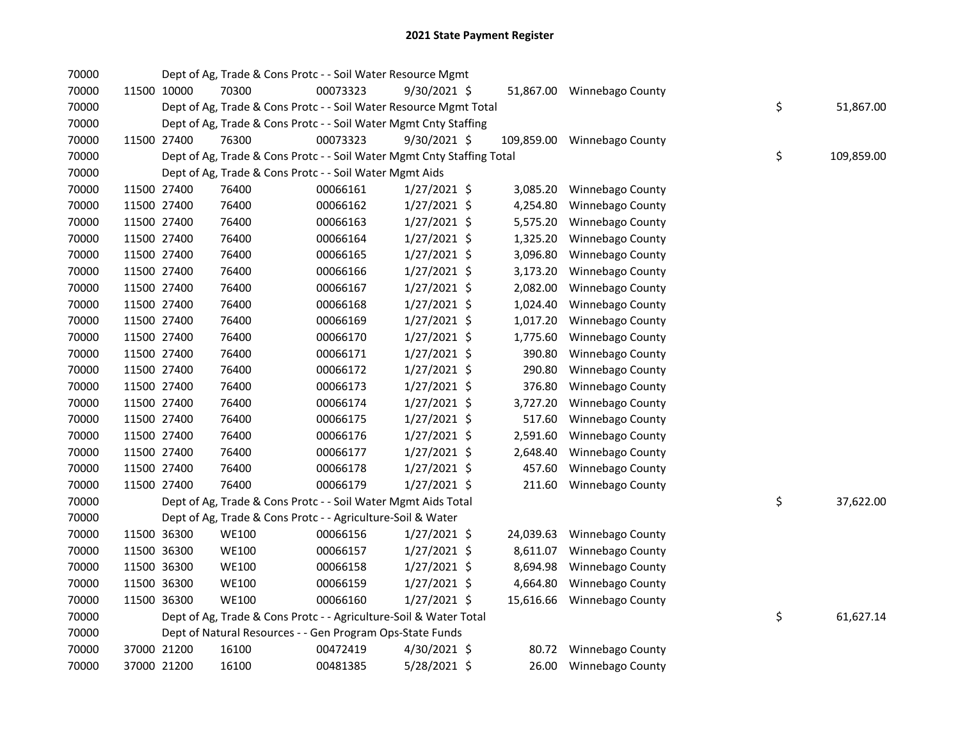| 70000 |             | Dept of Ag, Trade & Cons Protc - - Soil Water Resource Mgmt            |          |                |            |                            |    |            |
|-------|-------------|------------------------------------------------------------------------|----------|----------------|------------|----------------------------|----|------------|
| 70000 | 11500 10000 | 70300                                                                  | 00073323 | 9/30/2021 \$   |            | 51,867.00 Winnebago County |    |            |
| 70000 |             | Dept of Ag, Trade & Cons Protc - - Soil Water Resource Mgmt Total      |          |                |            |                            | \$ | 51,867.00  |
| 70000 |             | Dept of Ag, Trade & Cons Protc - - Soil Water Mgmt Cnty Staffing       |          |                |            |                            |    |            |
| 70000 | 11500 27400 | 76300                                                                  | 00073323 | $9/30/2021$ \$ | 109,859.00 | Winnebago County           |    |            |
| 70000 |             | Dept of Ag, Trade & Cons Protc - - Soil Water Mgmt Cnty Staffing Total |          |                |            |                            | \$ | 109,859.00 |
| 70000 |             | Dept of Ag, Trade & Cons Protc - - Soil Water Mgmt Aids                |          |                |            |                            |    |            |
| 70000 | 11500 27400 | 76400                                                                  | 00066161 | $1/27/2021$ \$ | 3,085.20   | Winnebago County           |    |            |
| 70000 | 11500 27400 | 76400                                                                  | 00066162 | $1/27/2021$ \$ | 4,254.80   | Winnebago County           |    |            |
| 70000 | 11500 27400 | 76400                                                                  | 00066163 | $1/27/2021$ \$ | 5,575.20   | Winnebago County           |    |            |
| 70000 | 11500 27400 | 76400                                                                  | 00066164 | $1/27/2021$ \$ | 1,325.20   | Winnebago County           |    |            |
| 70000 | 11500 27400 | 76400                                                                  | 00066165 | $1/27/2021$ \$ | 3,096.80   | Winnebago County           |    |            |
| 70000 | 11500 27400 | 76400                                                                  | 00066166 | $1/27/2021$ \$ | 3,173.20   | Winnebago County           |    |            |
| 70000 | 11500 27400 | 76400                                                                  | 00066167 | 1/27/2021 \$   | 2,082.00   | Winnebago County           |    |            |
| 70000 | 11500 27400 | 76400                                                                  | 00066168 | 1/27/2021 \$   | 1,024.40   | Winnebago County           |    |            |
| 70000 | 11500 27400 | 76400                                                                  | 00066169 | 1/27/2021 \$   | 1,017.20   | Winnebago County           |    |            |
| 70000 | 11500 27400 | 76400                                                                  | 00066170 | $1/27/2021$ \$ | 1,775.60   | Winnebago County           |    |            |
| 70000 | 11500 27400 | 76400                                                                  | 00066171 | $1/27/2021$ \$ | 390.80     | Winnebago County           |    |            |
| 70000 | 11500 27400 | 76400                                                                  | 00066172 | $1/27/2021$ \$ | 290.80     | Winnebago County           |    |            |
| 70000 | 11500 27400 | 76400                                                                  | 00066173 | $1/27/2021$ \$ | 376.80     | Winnebago County           |    |            |
| 70000 | 11500 27400 | 76400                                                                  | 00066174 | $1/27/2021$ \$ | 3,727.20   | Winnebago County           |    |            |
| 70000 | 11500 27400 | 76400                                                                  | 00066175 | $1/27/2021$ \$ | 517.60     | Winnebago County           |    |            |
| 70000 | 11500 27400 | 76400                                                                  | 00066176 | $1/27/2021$ \$ | 2,591.60   | Winnebago County           |    |            |
| 70000 | 11500 27400 | 76400                                                                  | 00066177 | $1/27/2021$ \$ | 2,648.40   | Winnebago County           |    |            |
| 70000 | 11500 27400 | 76400                                                                  | 00066178 | $1/27/2021$ \$ | 457.60     | Winnebago County           |    |            |
| 70000 | 11500 27400 | 76400                                                                  | 00066179 | $1/27/2021$ \$ | 211.60     | Winnebago County           |    |            |
| 70000 |             | Dept of Ag, Trade & Cons Protc - - Soil Water Mgmt Aids Total          |          |                |            |                            | \$ | 37,622.00  |
| 70000 |             | Dept of Ag, Trade & Cons Protc - - Agriculture-Soil & Water            |          |                |            |                            |    |            |
| 70000 | 11500 36300 | <b>WE100</b>                                                           | 00066156 | $1/27/2021$ \$ |            | 24,039.63 Winnebago County |    |            |
| 70000 | 11500 36300 | <b>WE100</b>                                                           | 00066157 | $1/27/2021$ \$ | 8,611.07   | Winnebago County           |    |            |
| 70000 | 11500 36300 | <b>WE100</b>                                                           | 00066158 | $1/27/2021$ \$ | 8,694.98   | Winnebago County           |    |            |
| 70000 | 11500 36300 | <b>WE100</b>                                                           | 00066159 | $1/27/2021$ \$ | 4,664.80   | Winnebago County           |    |            |
| 70000 | 11500 36300 | <b>WE100</b>                                                           | 00066160 | 1/27/2021 \$   | 15,616.66  | Winnebago County           |    |            |
| 70000 |             | Dept of Ag, Trade & Cons Protc - - Agriculture-Soil & Water Total      |          |                |            |                            | \$ | 61,627.14  |
| 70000 |             | Dept of Natural Resources - - Gen Program Ops-State Funds              |          |                |            |                            |    |            |
| 70000 | 37000 21200 | 16100                                                                  | 00472419 | $4/30/2021$ \$ |            | 80.72 Winnebago County     |    |            |
| 70000 | 37000 21200 | 16100                                                                  | 00481385 | 5/28/2021 \$   | 26.00      | Winnebago County           |    |            |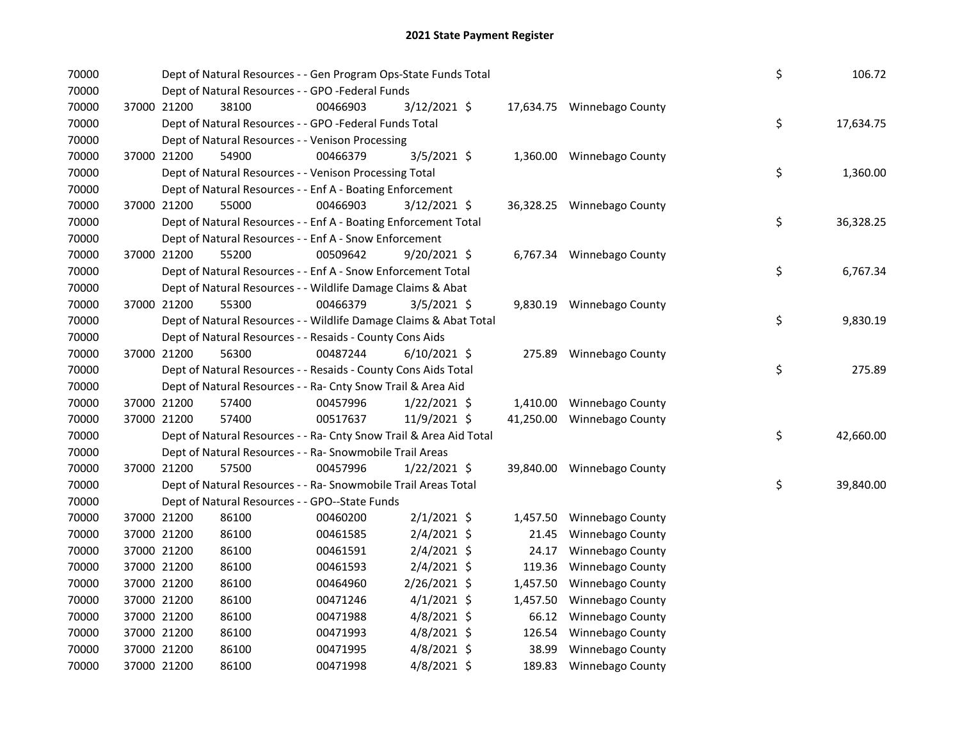| 70000 |             |             | Dept of Natural Resources - - Gen Program Ops-State Funds Total    |          |                |           |                            | \$ | 106.72    |
|-------|-------------|-------------|--------------------------------------------------------------------|----------|----------------|-----------|----------------------------|----|-----------|
| 70000 |             |             | Dept of Natural Resources - - GPO -Federal Funds                   |          |                |           |                            |    |           |
| 70000 |             | 37000 21200 | 38100                                                              | 00466903 | 3/12/2021 \$   |           | 17,634.75 Winnebago County |    |           |
| 70000 |             |             | Dept of Natural Resources - - GPO -Federal Funds Total             |          |                |           |                            | \$ | 17,634.75 |
| 70000 |             |             | Dept of Natural Resources - - Venison Processing                   |          |                |           |                            |    |           |
| 70000 | 37000 21200 |             | 54900                                                              | 00466379 | 3/5/2021 \$    |           | 1,360.00 Winnebago County  |    |           |
| 70000 |             |             | Dept of Natural Resources - - Venison Processing Total             |          |                |           |                            | \$ | 1,360.00  |
| 70000 |             |             | Dept of Natural Resources - - Enf A - Boating Enforcement          |          |                |           |                            |    |           |
| 70000 |             | 37000 21200 | 55000                                                              | 00466903 | 3/12/2021 \$   |           | 36,328.25 Winnebago County |    |           |
| 70000 |             |             | Dept of Natural Resources - - Enf A - Boating Enforcement Total    |          |                |           |                            | \$ | 36,328.25 |
| 70000 |             |             | Dept of Natural Resources - - Enf A - Snow Enforcement             |          |                |           |                            |    |           |
| 70000 |             | 37000 21200 | 55200                                                              | 00509642 | $9/20/2021$ \$ |           | 6,767.34 Winnebago County  |    |           |
| 70000 |             |             | Dept of Natural Resources - - Enf A - Snow Enforcement Total       |          |                |           |                            | \$ | 6,767.34  |
| 70000 |             |             | Dept of Natural Resources - - Wildlife Damage Claims & Abat        |          |                |           |                            |    |           |
| 70000 |             | 37000 21200 | 55300                                                              | 00466379 | $3/5/2021$ \$  |           | 9,830.19 Winnebago County  |    |           |
| 70000 |             |             | Dept of Natural Resources - - Wildlife Damage Claims & Abat Total  |          |                |           |                            | \$ | 9,830.19  |
| 70000 |             |             | Dept of Natural Resources - - Resaids - County Cons Aids           |          |                |           |                            |    |           |
| 70000 | 37000 21200 |             | 56300                                                              | 00487244 | $6/10/2021$ \$ |           | 275.89 Winnebago County    |    |           |
| 70000 |             |             | Dept of Natural Resources - - Resaids - County Cons Aids Total     |          |                |           |                            | \$ | 275.89    |
| 70000 |             |             | Dept of Natural Resources - - Ra- Cnty Snow Trail & Area Aid       |          |                |           |                            |    |           |
| 70000 |             | 37000 21200 | 57400                                                              | 00457996 | $1/22/2021$ \$ | 1,410.00  | Winnebago County           |    |           |
| 70000 | 37000 21200 |             | 57400                                                              | 00517637 | 11/9/2021 \$   | 41,250.00 | Winnebago County           |    |           |
| 70000 |             |             | Dept of Natural Resources - - Ra- Cnty Snow Trail & Area Aid Total |          |                |           |                            | \$ | 42,660.00 |
| 70000 |             |             | Dept of Natural Resources - - Ra- Snowmobile Trail Areas           |          |                |           |                            |    |           |
| 70000 |             | 37000 21200 | 57500                                                              | 00457996 | $1/22/2021$ \$ |           | 39,840.00 Winnebago County |    |           |
| 70000 |             |             | Dept of Natural Resources - - Ra- Snowmobile Trail Areas Total     |          |                |           |                            | \$ | 39,840.00 |
| 70000 |             |             | Dept of Natural Resources - - GPO--State Funds                     |          |                |           |                            |    |           |
| 70000 |             | 37000 21200 | 86100                                                              | 00460200 | $2/1/2021$ \$  | 1,457.50  | <b>Winnebago County</b>    |    |           |
| 70000 | 37000 21200 |             | 86100                                                              | 00461585 | $2/4/2021$ \$  | 21.45     | Winnebago County           |    |           |
| 70000 | 37000 21200 |             | 86100                                                              | 00461591 | 2/4/2021 \$    | 24.17     | Winnebago County           |    |           |
| 70000 | 37000 21200 |             | 86100                                                              | 00461593 | $2/4/2021$ \$  | 119.36    | Winnebago County           |    |           |
| 70000 | 37000 21200 |             | 86100                                                              | 00464960 | 2/26/2021 \$   | 1,457.50  | Winnebago County           |    |           |
| 70000 | 37000 21200 |             | 86100                                                              | 00471246 | $4/1/2021$ \$  | 1,457.50  | Winnebago County           |    |           |
| 70000 | 37000 21200 |             | 86100                                                              | 00471988 | $4/8/2021$ \$  | 66.12     | <b>Winnebago County</b>    |    |           |
| 70000 | 37000 21200 |             | 86100                                                              | 00471993 | $4/8/2021$ \$  | 126.54    | Winnebago County           |    |           |
| 70000 |             | 37000 21200 | 86100                                                              | 00471995 | $4/8/2021$ \$  | 38.99     | <b>Winnebago County</b>    |    |           |
| 70000 | 37000 21200 |             | 86100                                                              | 00471998 | 4/8/2021 \$    | 189.83    | Winnebago County           |    |           |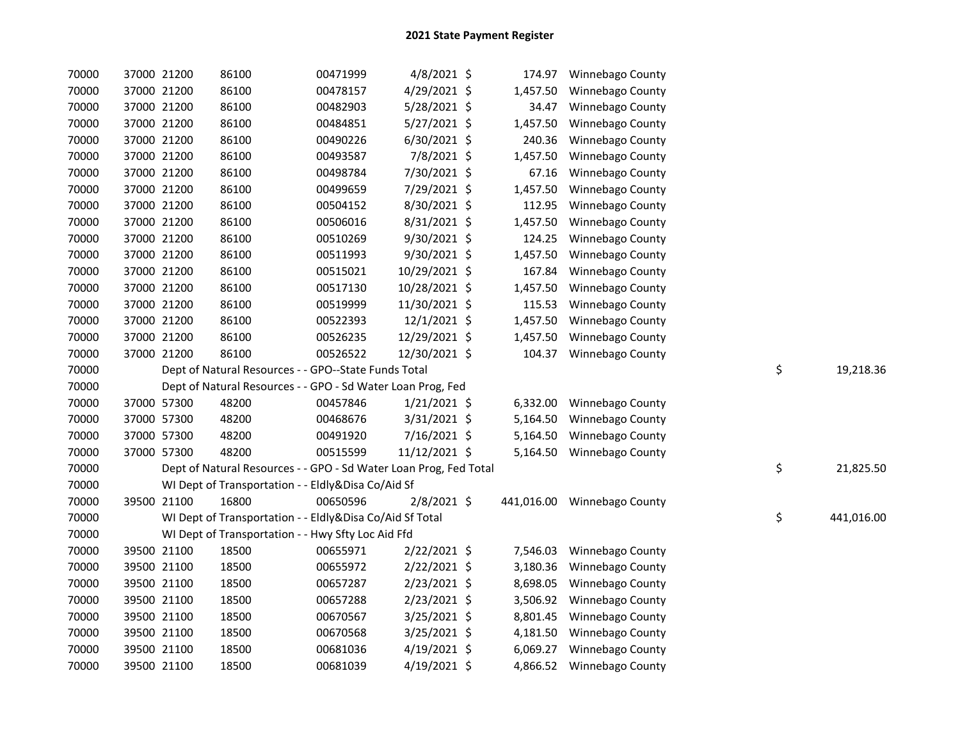| 70000 | 37000 21200 |             | 86100                                                             | 00471999 | 4/8/2021 \$    | 174.97   | Winnebago County            |                  |
|-------|-------------|-------------|-------------------------------------------------------------------|----------|----------------|----------|-----------------------------|------------------|
| 70000 | 37000 21200 |             | 86100                                                             | 00478157 | 4/29/2021 \$   | 1,457.50 | Winnebago County            |                  |
| 70000 | 37000 21200 |             | 86100                                                             | 00482903 | 5/28/2021 \$   | 34.47    | Winnebago County            |                  |
| 70000 | 37000 21200 |             | 86100                                                             | 00484851 | 5/27/2021 \$   | 1,457.50 | Winnebago County            |                  |
| 70000 | 37000 21200 |             | 86100                                                             | 00490226 | 6/30/2021 \$   | 240.36   | Winnebago County            |                  |
| 70000 | 37000 21200 |             | 86100                                                             | 00493587 | 7/8/2021 \$    | 1,457.50 | Winnebago County            |                  |
| 70000 | 37000 21200 |             | 86100                                                             | 00498784 | 7/30/2021 \$   | 67.16    | Winnebago County            |                  |
| 70000 | 37000 21200 |             | 86100                                                             | 00499659 | 7/29/2021 \$   | 1,457.50 | Winnebago County            |                  |
| 70000 | 37000 21200 |             | 86100                                                             | 00504152 | 8/30/2021 \$   | 112.95   | Winnebago County            |                  |
| 70000 |             | 37000 21200 | 86100                                                             | 00506016 | 8/31/2021 \$   | 1,457.50 | Winnebago County            |                  |
| 70000 |             | 37000 21200 | 86100                                                             | 00510269 | 9/30/2021 \$   | 124.25   | Winnebago County            |                  |
| 70000 | 37000 21200 |             | 86100                                                             | 00511993 | 9/30/2021 \$   | 1,457.50 | Winnebago County            |                  |
| 70000 | 37000 21200 |             | 86100                                                             | 00515021 | 10/29/2021 \$  | 167.84   | Winnebago County            |                  |
| 70000 | 37000 21200 |             | 86100                                                             | 00517130 | 10/28/2021 \$  | 1,457.50 | Winnebago County            |                  |
| 70000 | 37000 21200 |             | 86100                                                             | 00519999 | 11/30/2021 \$  | 115.53   | Winnebago County            |                  |
| 70000 | 37000 21200 |             | 86100                                                             | 00522393 | $12/1/2021$ \$ | 1,457.50 | Winnebago County            |                  |
| 70000 | 37000 21200 |             | 86100                                                             | 00526235 | 12/29/2021 \$  | 1,457.50 | Winnebago County            |                  |
| 70000 | 37000 21200 |             | 86100                                                             | 00526522 | 12/30/2021 \$  | 104.37   | Winnebago County            |                  |
| 70000 |             |             | Dept of Natural Resources - - GPO--State Funds Total              |          |                |          |                             | \$<br>19,218.36  |
| 70000 |             |             | Dept of Natural Resources - - GPO - Sd Water Loan Prog, Fed       |          |                |          |                             |                  |
| 70000 | 37000 57300 |             | 48200                                                             | 00457846 | $1/21/2021$ \$ | 6,332.00 | Winnebago County            |                  |
| 70000 | 37000 57300 |             | 48200                                                             | 00468676 | 3/31/2021 \$   | 5,164.50 | Winnebago County            |                  |
| 70000 | 37000 57300 |             | 48200                                                             | 00491920 | 7/16/2021 \$   | 5,164.50 | Winnebago County            |                  |
| 70000 | 37000 57300 |             | 48200                                                             | 00515599 | 11/12/2021 \$  | 5,164.50 | Winnebago County            |                  |
| 70000 |             |             | Dept of Natural Resources - - GPO - Sd Water Loan Prog, Fed Total |          |                |          |                             | \$<br>21,825.50  |
| 70000 |             |             | WI Dept of Transportation - - Eldly&Disa Co/Aid Sf                |          |                |          |                             |                  |
| 70000 | 39500 21100 |             | 16800                                                             | 00650596 | 2/8/2021 \$    |          | 441,016.00 Winnebago County |                  |
| 70000 |             |             | WI Dept of Transportation - - Eldly&Disa Co/Aid Sf Total          |          |                |          |                             | \$<br>441,016.00 |
| 70000 |             |             | WI Dept of Transportation - - Hwy Sfty Loc Aid Ffd                |          |                |          |                             |                  |
| 70000 | 39500 21100 |             | 18500                                                             | 00655971 | $2/22/2021$ \$ | 7,546.03 | Winnebago County            |                  |
| 70000 | 39500 21100 |             | 18500                                                             | 00655972 | $2/22/2021$ \$ | 3,180.36 | Winnebago County            |                  |
| 70000 | 39500 21100 |             | 18500                                                             | 00657287 | 2/23/2021 \$   | 8,698.05 | Winnebago County            |                  |
| 70000 | 39500 21100 |             | 18500                                                             | 00657288 | $2/23/2021$ \$ |          | 3,506.92 Winnebago County   |                  |
| 70000 | 39500 21100 |             | 18500                                                             | 00670567 | 3/25/2021 \$   | 8,801.45 | Winnebago County            |                  |
| 70000 | 39500 21100 |             | 18500                                                             | 00670568 | 3/25/2021 \$   | 4,181.50 | Winnebago County            |                  |
| 70000 | 39500 21100 |             | 18500                                                             | 00681036 | $4/19/2021$ \$ | 6,069.27 | Winnebago County            |                  |
| 70000 | 39500 21100 |             | 18500                                                             | 00681039 | $4/19/2021$ \$ |          | 4,866.52 Winnebago County   |                  |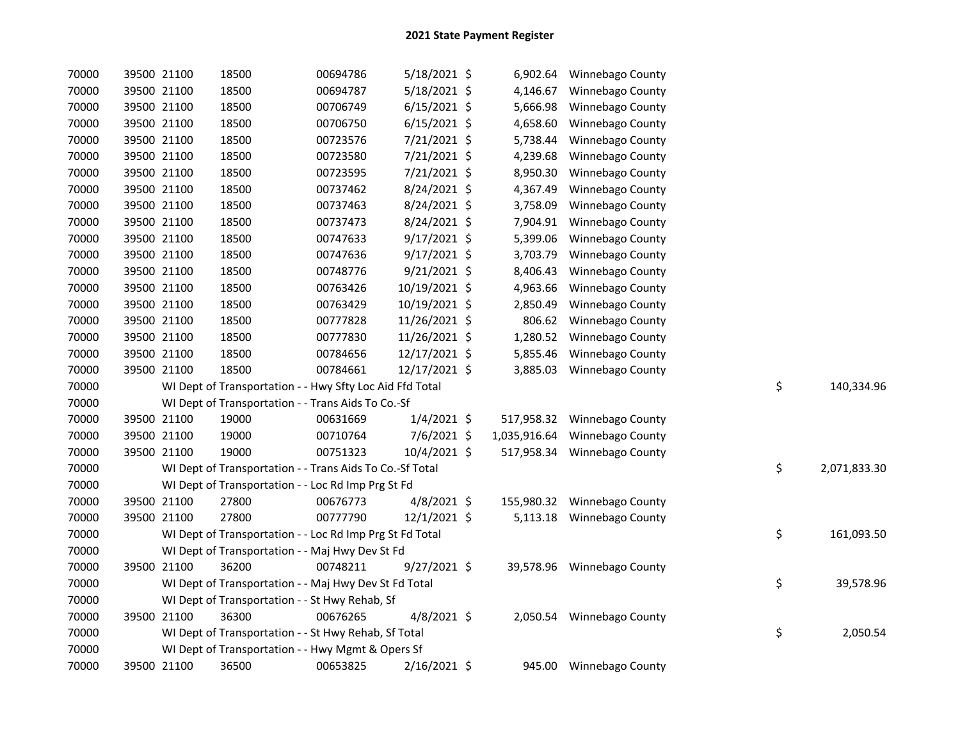| 70000 |             | 39500 21100 | 18500                                                    | 00694786 | 5/18/2021 \$   |              | 6,902.64 Winnebago County   |    |              |
|-------|-------------|-------------|----------------------------------------------------------|----------|----------------|--------------|-----------------------------|----|--------------|
| 70000 |             | 39500 21100 | 18500                                                    | 00694787 | 5/18/2021 \$   | 4,146.67     | Winnebago County            |    |              |
| 70000 |             | 39500 21100 | 18500                                                    | 00706749 | $6/15/2021$ \$ | 5,666.98     | Winnebago County            |    |              |
| 70000 | 39500 21100 |             | 18500                                                    | 00706750 | $6/15/2021$ \$ | 4,658.60     | Winnebago County            |    |              |
| 70000 | 39500 21100 |             | 18500                                                    | 00723576 | 7/21/2021 \$   | 5,738.44     | Winnebago County            |    |              |
| 70000 | 39500 21100 |             | 18500                                                    | 00723580 | 7/21/2021 \$   | 4,239.68     | Winnebago County            |    |              |
| 70000 | 39500 21100 |             | 18500                                                    | 00723595 | 7/21/2021 \$   | 8,950.30     | Winnebago County            |    |              |
| 70000 | 39500 21100 |             | 18500                                                    | 00737462 | 8/24/2021 \$   | 4,367.49     | Winnebago County            |    |              |
| 70000 | 39500 21100 |             | 18500                                                    | 00737463 | 8/24/2021 \$   | 3,758.09     | Winnebago County            |    |              |
| 70000 | 39500 21100 |             | 18500                                                    | 00737473 | 8/24/2021 \$   | 7,904.91     | Winnebago County            |    |              |
| 70000 | 39500 21100 |             | 18500                                                    | 00747633 | 9/17/2021 \$   | 5,399.06     | Winnebago County            |    |              |
| 70000 | 39500 21100 |             | 18500                                                    | 00747636 | $9/17/2021$ \$ | 3,703.79     | Winnebago County            |    |              |
| 70000 | 39500 21100 |             | 18500                                                    | 00748776 | $9/21/2021$ \$ | 8,406.43     | Winnebago County            |    |              |
| 70000 |             | 39500 21100 | 18500                                                    | 00763426 | 10/19/2021 \$  | 4,963.66     | Winnebago County            |    |              |
| 70000 |             | 39500 21100 | 18500                                                    | 00763429 | 10/19/2021 \$  | 2,850.49     | Winnebago County            |    |              |
| 70000 |             | 39500 21100 | 18500                                                    | 00777828 | 11/26/2021 \$  | 806.62       | Winnebago County            |    |              |
| 70000 |             | 39500 21100 | 18500                                                    | 00777830 | 11/26/2021 \$  | 1,280.52     | Winnebago County            |    |              |
| 70000 | 39500 21100 |             | 18500                                                    | 00784656 | 12/17/2021 \$  | 5,855.46     | Winnebago County            |    |              |
| 70000 | 39500 21100 |             | 18500                                                    | 00784661 | 12/17/2021 \$  | 3,885.03     | Winnebago County            |    |              |
| 70000 |             |             | WI Dept of Transportation - - Hwy Sfty Loc Aid Ffd Total |          |                |              |                             | \$ | 140,334.96   |
| 70000 |             |             | WI Dept of Transportation - - Trans Aids To Co.-Sf       |          |                |              |                             |    |              |
| 70000 | 39500 21100 |             | 19000                                                    | 00631669 | $1/4/2021$ \$  |              | 517,958.32 Winnebago County |    |              |
| 70000 | 39500 21100 |             | 19000                                                    | 00710764 | 7/6/2021 \$    | 1,035,916.64 | Winnebago County            |    |              |
| 70000 | 39500 21100 |             | 19000                                                    | 00751323 | 10/4/2021 \$   |              | 517,958.34 Winnebago County |    |              |
| 70000 |             |             | WI Dept of Transportation - - Trans Aids To Co.-Sf Total |          |                |              |                             | \$ | 2,071,833.30 |
| 70000 |             |             | WI Dept of Transportation - - Loc Rd Imp Prg St Fd       |          |                |              |                             |    |              |
| 70000 | 39500 21100 |             | 27800                                                    | 00676773 | $4/8/2021$ \$  |              | 155,980.32 Winnebago County |    |              |
| 70000 | 39500 21100 |             | 27800                                                    | 00777790 | 12/1/2021 \$   |              | 5,113.18 Winnebago County   |    |              |
| 70000 |             |             | WI Dept of Transportation - - Loc Rd Imp Prg St Fd Total |          |                |              |                             | \$ | 161,093.50   |
| 70000 |             |             | WI Dept of Transportation - - Maj Hwy Dev St Fd          |          |                |              |                             |    |              |
| 70000 | 39500 21100 |             | 36200                                                    | 00748211 | $9/27/2021$ \$ | 39,578.96    | Winnebago County            |    |              |
| 70000 |             |             | WI Dept of Transportation - - Maj Hwy Dev St Fd Total    |          |                |              |                             | \$ | 39,578.96    |
| 70000 |             |             | WI Dept of Transportation - - St Hwy Rehab, Sf           |          |                |              |                             |    |              |
| 70000 |             | 39500 21100 | 36300                                                    | 00676265 | $4/8/2021$ \$  |              | 2,050.54 Winnebago County   |    |              |
| 70000 |             |             | WI Dept of Transportation - - St Hwy Rehab, Sf Total     |          |                |              |                             | \$ | 2,050.54     |
| 70000 |             |             | WI Dept of Transportation - - Hwy Mgmt & Opers Sf        |          |                |              |                             |    |              |
| 70000 | 39500 21100 |             | 36500                                                    | 00653825 | $2/16/2021$ \$ |              | 945.00 Winnebago County     |    |              |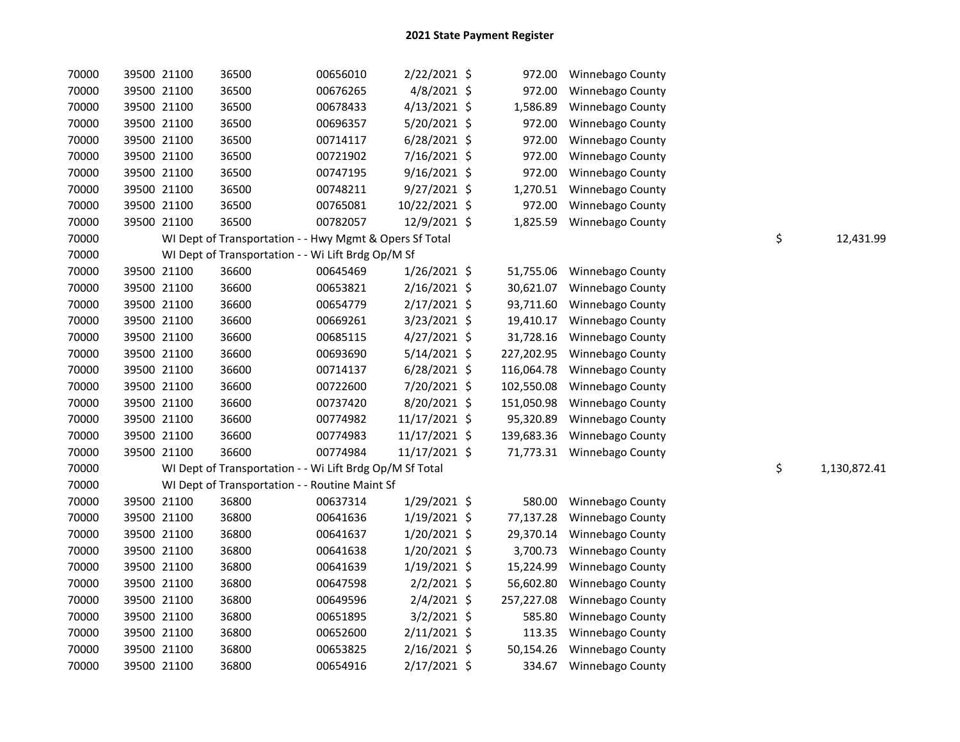| 70000 |             | 39500 21100 | 36500                                                    | 00656010 | 2/22/2021 \$   | 972.00     | Winnebago County |                    |
|-------|-------------|-------------|----------------------------------------------------------|----------|----------------|------------|------------------|--------------------|
| 70000 |             | 39500 21100 | 36500                                                    | 00676265 | 4/8/2021 \$    | 972.00     | Winnebago County |                    |
| 70000 |             | 39500 21100 | 36500                                                    | 00678433 | $4/13/2021$ \$ | 1,586.89   | Winnebago County |                    |
| 70000 |             | 39500 21100 | 36500                                                    | 00696357 | 5/20/2021 \$   | 972.00     | Winnebago County |                    |
| 70000 | 39500 21100 |             | 36500                                                    | 00714117 | $6/28/2021$ \$ | 972.00     | Winnebago County |                    |
| 70000 | 39500 21100 |             | 36500                                                    | 00721902 | 7/16/2021 \$   | 972.00     | Winnebago County |                    |
| 70000 | 39500 21100 |             | 36500                                                    | 00747195 | $9/16/2021$ \$ | 972.00     | Winnebago County |                    |
| 70000 |             | 39500 21100 | 36500                                                    | 00748211 | $9/27/2021$ \$ | 1,270.51   | Winnebago County |                    |
| 70000 |             | 39500 21100 | 36500                                                    | 00765081 | 10/22/2021 \$  | 972.00     | Winnebago County |                    |
| 70000 | 39500 21100 |             | 36500                                                    | 00782057 | 12/9/2021 \$   | 1,825.59   | Winnebago County |                    |
| 70000 |             |             | WI Dept of Transportation - - Hwy Mgmt & Opers Sf Total  |          |                |            |                  | \$<br>12,431.99    |
| 70000 |             |             | WI Dept of Transportation - - Wi Lift Brdg Op/M Sf       |          |                |            |                  |                    |
| 70000 | 39500 21100 |             | 36600                                                    | 00645469 | 1/26/2021 \$   | 51,755.06  | Winnebago County |                    |
| 70000 | 39500 21100 |             | 36600                                                    | 00653821 | $2/16/2021$ \$ | 30,621.07  | Winnebago County |                    |
| 70000 | 39500 21100 |             | 36600                                                    | 00654779 | $2/17/2021$ \$ | 93,711.60  | Winnebago County |                    |
| 70000 | 39500 21100 |             | 36600                                                    | 00669261 | 3/23/2021 \$   | 19,410.17  | Winnebago County |                    |
| 70000 | 39500 21100 |             | 36600                                                    | 00685115 | $4/27/2021$ \$ | 31,728.16  | Winnebago County |                    |
| 70000 | 39500 21100 |             | 36600                                                    | 00693690 | $5/14/2021$ \$ | 227,202.95 | Winnebago County |                    |
| 70000 |             | 39500 21100 | 36600                                                    | 00714137 | $6/28/2021$ \$ | 116,064.78 | Winnebago County |                    |
| 70000 |             | 39500 21100 | 36600                                                    | 00722600 | 7/20/2021 \$   | 102,550.08 | Winnebago County |                    |
| 70000 |             | 39500 21100 | 36600                                                    | 00737420 | 8/20/2021 \$   | 151,050.98 | Winnebago County |                    |
| 70000 | 39500 21100 |             | 36600                                                    | 00774982 | 11/17/2021 \$  | 95,320.89  | Winnebago County |                    |
| 70000 | 39500 21100 |             | 36600                                                    | 00774983 | 11/17/2021 \$  | 139,683.36 | Winnebago County |                    |
| 70000 | 39500 21100 |             | 36600                                                    | 00774984 | 11/17/2021 \$  | 71,773.31  | Winnebago County |                    |
| 70000 |             |             | WI Dept of Transportation - - Wi Lift Brdg Op/M Sf Total |          |                |            |                  | \$<br>1,130,872.41 |
| 70000 |             |             | WI Dept of Transportation - - Routine Maint Sf           |          |                |            |                  |                    |
| 70000 |             | 39500 21100 | 36800                                                    | 00637314 | 1/29/2021 \$   | 580.00     | Winnebago County |                    |
| 70000 |             | 39500 21100 | 36800                                                    | 00641636 | $1/19/2021$ \$ | 77,137.28  | Winnebago County |                    |
| 70000 |             | 39500 21100 | 36800                                                    | 00641637 | 1/20/2021 \$   | 29,370.14  | Winnebago County |                    |
| 70000 |             | 39500 21100 | 36800                                                    | 00641638 | $1/20/2021$ \$ | 3,700.73   | Winnebago County |                    |
| 70000 | 39500 21100 |             | 36800                                                    | 00641639 | $1/19/2021$ \$ | 15,224.99  | Winnebago County |                    |
| 70000 | 39500 21100 |             | 36800                                                    | 00647598 | $2/2/2021$ \$  | 56,602.80  | Winnebago County |                    |
| 70000 | 39500 21100 |             | 36800                                                    | 00649596 | $2/4/2021$ \$  | 257,227.08 | Winnebago County |                    |
| 70000 | 39500 21100 |             | 36800                                                    | 00651895 | $3/2/2021$ \$  | 585.80     | Winnebago County |                    |
| 70000 | 39500 21100 |             | 36800                                                    | 00652600 | $2/11/2021$ \$ | 113.35     | Winnebago County |                    |
| 70000 |             | 39500 21100 | 36800                                                    | 00653825 | $2/16/2021$ \$ | 50,154.26  | Winnebago County |                    |
| 70000 |             | 39500 21100 | 36800                                                    | 00654916 | 2/17/2021 \$   | 334.67     | Winnebago County |                    |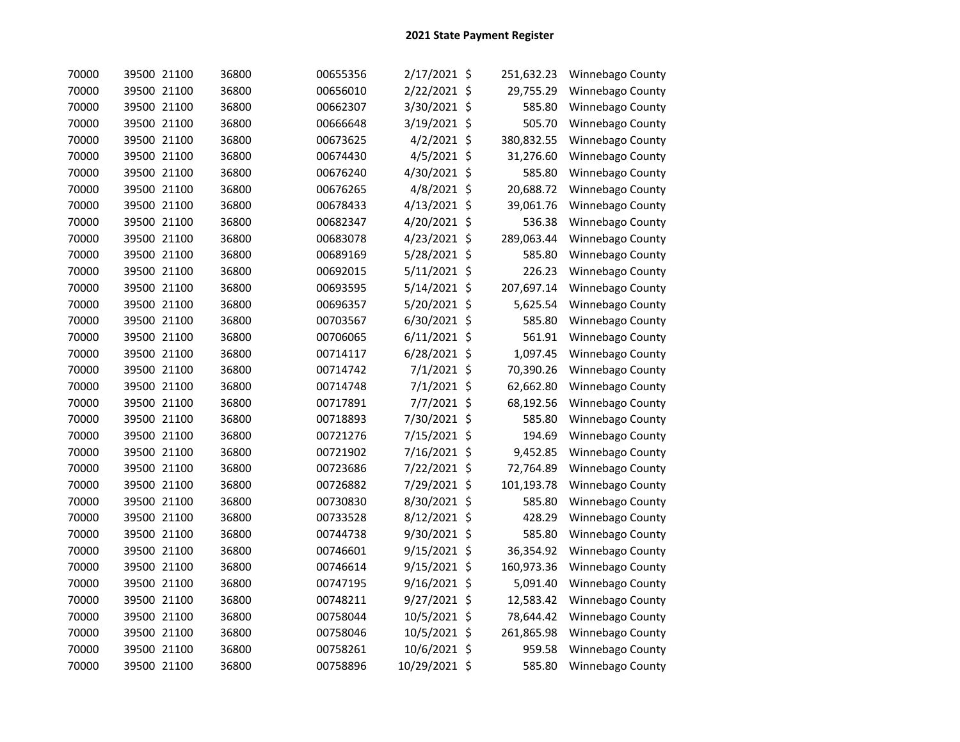| 70000 | 39500 21100 | 36800 | 00655356 | 2/17/2021 \$  | 251,632.23 | Winnebago County |
|-------|-------------|-------|----------|---------------|------------|------------------|
| 70000 | 39500 21100 | 36800 | 00656010 | 2/22/2021 \$  | 29,755.29  | Winnebago County |
| 70000 | 39500 21100 | 36800 | 00662307 | 3/30/2021 \$  | 585.80     | Winnebago County |
| 70000 | 39500 21100 | 36800 | 00666648 | 3/19/2021 \$  | 505.70     | Winnebago County |
| 70000 | 39500 21100 | 36800 | 00673625 | 4/2/2021 \$   | 380,832.55 | Winnebago County |
| 70000 | 39500 21100 | 36800 | 00674430 | 4/5/2021 \$   | 31,276.60  | Winnebago County |
| 70000 | 39500 21100 | 36800 | 00676240 | 4/30/2021 \$  | 585.80     | Winnebago County |
| 70000 | 39500 21100 | 36800 | 00676265 | 4/8/2021 \$   | 20,688.72  | Winnebago County |
| 70000 | 39500 21100 | 36800 | 00678433 | 4/13/2021 \$  | 39,061.76  | Winnebago County |
| 70000 | 39500 21100 | 36800 | 00682347 | 4/20/2021 \$  | 536.38     | Winnebago County |
| 70000 | 39500 21100 | 36800 | 00683078 | 4/23/2021 \$  | 289,063.44 | Winnebago County |
| 70000 | 39500 21100 | 36800 | 00689169 | 5/28/2021 \$  | 585.80     | Winnebago County |
| 70000 | 39500 21100 | 36800 | 00692015 | 5/11/2021 \$  | 226.23     | Winnebago County |
| 70000 | 39500 21100 | 36800 | 00693595 | 5/14/2021 \$  | 207,697.14 | Winnebago County |
| 70000 | 39500 21100 | 36800 | 00696357 | 5/20/2021 \$  | 5,625.54   | Winnebago County |
| 70000 | 39500 21100 | 36800 | 00703567 | 6/30/2021 \$  | 585.80     | Winnebago County |
| 70000 | 39500 21100 | 36800 | 00706065 | 6/11/2021 \$  | 561.91     | Winnebago County |
| 70000 | 39500 21100 | 36800 | 00714117 | 6/28/2021 \$  | 1,097.45   | Winnebago County |
| 70000 | 39500 21100 | 36800 | 00714742 | 7/1/2021 \$   | 70,390.26  | Winnebago County |
| 70000 | 39500 21100 | 36800 | 00714748 | 7/1/2021 \$   | 62,662.80  | Winnebago County |
| 70000 | 39500 21100 | 36800 | 00717891 | 7/7/2021 \$   | 68,192.56  | Winnebago County |
| 70000 | 39500 21100 | 36800 | 00718893 | 7/30/2021 \$  | 585.80     | Winnebago County |
| 70000 | 39500 21100 | 36800 | 00721276 | 7/15/2021 \$  | 194.69     | Winnebago County |
| 70000 | 39500 21100 | 36800 | 00721902 | 7/16/2021 \$  | 9,452.85   | Winnebago County |
| 70000 | 39500 21100 | 36800 | 00723686 | 7/22/2021 \$  | 72,764.89  | Winnebago County |
| 70000 | 39500 21100 | 36800 | 00726882 | 7/29/2021 \$  | 101,193.78 | Winnebago County |
| 70000 | 39500 21100 | 36800 | 00730830 | 8/30/2021 \$  | 585.80     | Winnebago County |
| 70000 | 39500 21100 | 36800 | 00733528 | 8/12/2021 \$  | 428.29     | Winnebago County |
| 70000 | 39500 21100 | 36800 | 00744738 | 9/30/2021 \$  | 585.80     | Winnebago County |
| 70000 | 39500 21100 | 36800 | 00746601 | 9/15/2021 \$  | 36,354.92  | Winnebago County |
| 70000 | 39500 21100 | 36800 | 00746614 | 9/15/2021 \$  | 160,973.36 | Winnebago County |
| 70000 | 39500 21100 | 36800 | 00747195 | 9/16/2021 \$  | 5,091.40   | Winnebago County |
| 70000 | 39500 21100 | 36800 | 00748211 | 9/27/2021 \$  | 12,583.42  | Winnebago County |
| 70000 | 39500 21100 | 36800 | 00758044 | 10/5/2021 \$  | 78,644.42  | Winnebago County |
| 70000 | 39500 21100 | 36800 | 00758046 | 10/5/2021 \$  | 261,865.98 | Winnebago County |
| 70000 | 39500 21100 | 36800 | 00758261 | 10/6/2021 \$  | 959.58     | Winnebago County |
| 70000 | 39500 21100 | 36800 | 00758896 | 10/29/2021 \$ | 585.80     | Winnebago County |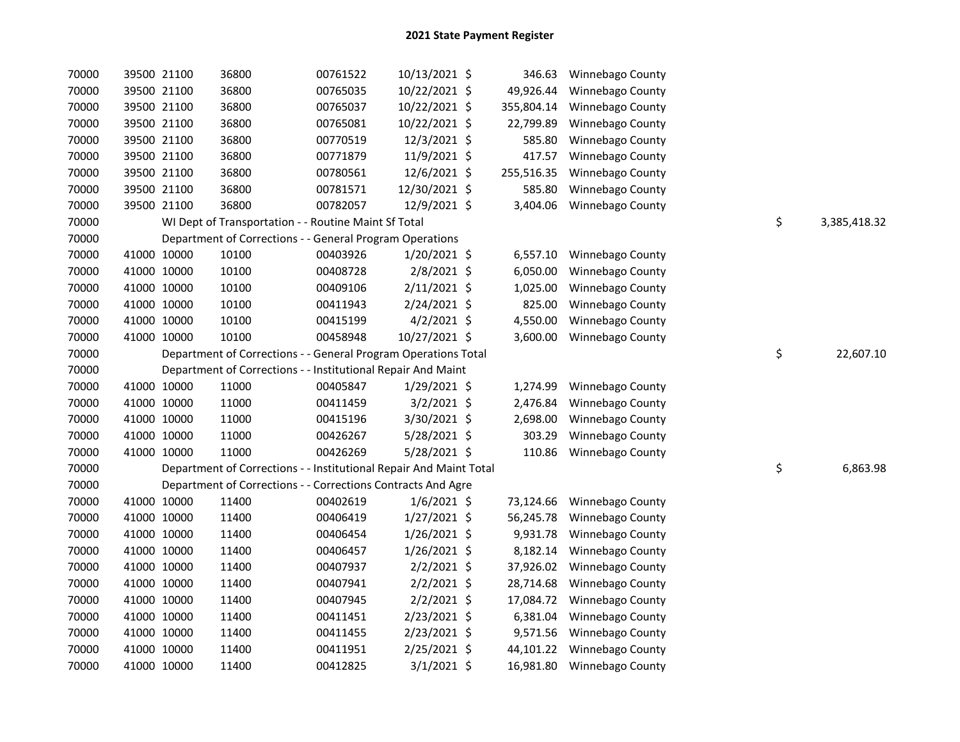| 70000 |             | 39500 21100 | 36800                                                              | 00761522 | 10/13/2021 \$  | 346.63     | Winnebago County           |                    |
|-------|-------------|-------------|--------------------------------------------------------------------|----------|----------------|------------|----------------------------|--------------------|
| 70000 |             | 39500 21100 | 36800                                                              | 00765035 | 10/22/2021 \$  | 49,926.44  | Winnebago County           |                    |
| 70000 | 39500 21100 |             | 36800                                                              | 00765037 | 10/22/2021 \$  | 355,804.14 | Winnebago County           |                    |
| 70000 | 39500 21100 |             | 36800                                                              | 00765081 | 10/22/2021 \$  | 22,799.89  | Winnebago County           |                    |
| 70000 | 39500 21100 |             | 36800                                                              | 00770519 | 12/3/2021 \$   | 585.80     | Winnebago County           |                    |
| 70000 | 39500 21100 |             | 36800                                                              | 00771879 | 11/9/2021 \$   | 417.57     | Winnebago County           |                    |
| 70000 | 39500 21100 |             | 36800                                                              | 00780561 | 12/6/2021 \$   | 255,516.35 | Winnebago County           |                    |
| 70000 | 39500 21100 |             | 36800                                                              | 00781571 | 12/30/2021 \$  | 585.80     | Winnebago County           |                    |
| 70000 |             | 39500 21100 | 36800                                                              | 00782057 | 12/9/2021 \$   | 3,404.06   | Winnebago County           |                    |
| 70000 |             |             | WI Dept of Transportation - - Routine Maint Sf Total               |          |                |            |                            | \$<br>3,385,418.32 |
| 70000 |             |             | Department of Corrections - - General Program Operations           |          |                |            |                            |                    |
| 70000 | 41000 10000 |             | 10100                                                              | 00403926 | 1/20/2021 \$   | 6,557.10   | Winnebago County           |                    |
| 70000 | 41000 10000 |             | 10100                                                              | 00408728 | $2/8/2021$ \$  | 6,050.00   | Winnebago County           |                    |
| 70000 | 41000 10000 |             | 10100                                                              | 00409106 | $2/11/2021$ \$ | 1,025.00   | Winnebago County           |                    |
| 70000 | 41000 10000 |             | 10100                                                              | 00411943 | 2/24/2021 \$   | 825.00     | Winnebago County           |                    |
| 70000 | 41000 10000 |             | 10100                                                              | 00415199 | $4/2/2021$ \$  | 4,550.00   | Winnebago County           |                    |
| 70000 | 41000 10000 |             | 10100                                                              | 00458948 | 10/27/2021 \$  | 3,600.00   | Winnebago County           |                    |
| 70000 |             |             | Department of Corrections - - General Program Operations Total     |          |                |            |                            | \$<br>22,607.10    |
| 70000 |             |             | Department of Corrections - - Institutional Repair And Maint       |          |                |            |                            |                    |
| 70000 | 41000 10000 |             | 11000                                                              | 00405847 | 1/29/2021 \$   | 1,274.99   | Winnebago County           |                    |
| 70000 | 41000 10000 |             | 11000                                                              | 00411459 | $3/2/2021$ \$  | 2,476.84   | Winnebago County           |                    |
| 70000 | 41000 10000 |             | 11000                                                              | 00415196 | 3/30/2021 \$   | 2,698.00   | Winnebago County           |                    |
| 70000 | 41000 10000 |             | 11000                                                              | 00426267 | 5/28/2021 \$   | 303.29     | Winnebago County           |                    |
| 70000 | 41000 10000 |             | 11000                                                              | 00426269 | 5/28/2021 \$   | 110.86     | Winnebago County           |                    |
| 70000 |             |             | Department of Corrections - - Institutional Repair And Maint Total |          |                |            |                            | \$<br>6,863.98     |
| 70000 |             |             | Department of Corrections - - Corrections Contracts And Agre       |          |                |            |                            |                    |
| 70000 | 41000 10000 |             | 11400                                                              | 00402619 | $1/6/2021$ \$  | 73,124.66  | Winnebago County           |                    |
| 70000 | 41000 10000 |             | 11400                                                              | 00406419 | $1/27/2021$ \$ | 56,245.78  | Winnebago County           |                    |
| 70000 | 41000 10000 |             | 11400                                                              | 00406454 | $1/26/2021$ \$ | 9,931.78   | Winnebago County           |                    |
| 70000 | 41000 10000 |             | 11400                                                              | 00406457 | $1/26/2021$ \$ | 8,182.14   | Winnebago County           |                    |
| 70000 | 41000 10000 |             | 11400                                                              | 00407937 | $2/2/2021$ \$  | 37,926.02  | Winnebago County           |                    |
| 70000 | 41000 10000 |             | 11400                                                              | 00407941 | $2/2/2021$ \$  | 28,714.68  | Winnebago County           |                    |
| 70000 | 41000 10000 |             | 11400                                                              | 00407945 | $2/2/2021$ \$  |            | 17,084.72 Winnebago County |                    |
| 70000 | 41000 10000 |             | 11400                                                              | 00411451 | 2/23/2021 \$   | 6,381.04   | Winnebago County           |                    |
| 70000 | 41000 10000 |             | 11400                                                              | 00411455 | 2/23/2021 \$   | 9,571.56   | Winnebago County           |                    |
| 70000 | 41000 10000 |             | 11400                                                              | 00411951 | $2/25/2021$ \$ | 44,101.22  | Winnebago County           |                    |
| 70000 | 41000 10000 |             | 11400                                                              | 00412825 | 3/1/2021 \$    |            | 16,981.80 Winnebago County |                    |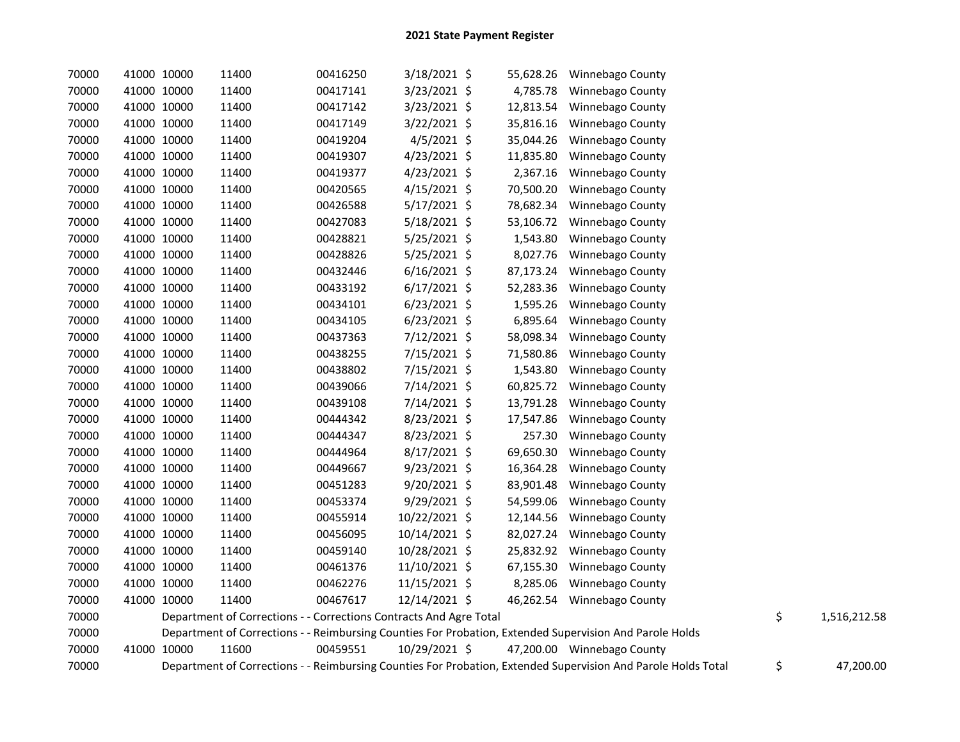| 70000 | 41000 10000 | 11400                                                              | 00416250 | 3/18/2021 \$   | 55,628.26 | Winnebago County                                                                                              |                    |
|-------|-------------|--------------------------------------------------------------------|----------|----------------|-----------|---------------------------------------------------------------------------------------------------------------|--------------------|
| 70000 | 41000 10000 | 11400                                                              | 00417141 | 3/23/2021 \$   | 4,785.78  | Winnebago County                                                                                              |                    |
| 70000 | 41000 10000 | 11400                                                              | 00417142 | 3/23/2021 \$   | 12,813.54 | Winnebago County                                                                                              |                    |
| 70000 | 41000 10000 | 11400                                                              | 00417149 | 3/22/2021 \$   | 35,816.16 | Winnebago County                                                                                              |                    |
| 70000 | 41000 10000 | 11400                                                              | 00419204 | $4/5/2021$ \$  | 35,044.26 | Winnebago County                                                                                              |                    |
| 70000 | 41000 10000 | 11400                                                              | 00419307 | 4/23/2021 \$   | 11,835.80 | Winnebago County                                                                                              |                    |
| 70000 | 41000 10000 | 11400                                                              | 00419377 | $4/23/2021$ \$ | 2,367.16  | Winnebago County                                                                                              |                    |
| 70000 | 41000 10000 | 11400                                                              | 00420565 | $4/15/2021$ \$ | 70,500.20 | Winnebago County                                                                                              |                    |
| 70000 | 41000 10000 | 11400                                                              | 00426588 | 5/17/2021 \$   | 78,682.34 | Winnebago County                                                                                              |                    |
| 70000 | 41000 10000 | 11400                                                              | 00427083 | 5/18/2021 \$   | 53,106.72 | Winnebago County                                                                                              |                    |
| 70000 | 41000 10000 | 11400                                                              | 00428821 | 5/25/2021 \$   | 1,543.80  | Winnebago County                                                                                              |                    |
| 70000 | 41000 10000 | 11400                                                              | 00428826 | $5/25/2021$ \$ | 8,027.76  | Winnebago County                                                                                              |                    |
| 70000 | 41000 10000 | 11400                                                              | 00432446 | $6/16/2021$ \$ | 87,173.24 | Winnebago County                                                                                              |                    |
| 70000 | 41000 10000 | 11400                                                              | 00433192 | $6/17/2021$ \$ | 52,283.36 | Winnebago County                                                                                              |                    |
| 70000 | 41000 10000 | 11400                                                              | 00434101 | $6/23/2021$ \$ | 1,595.26  | Winnebago County                                                                                              |                    |
| 70000 | 41000 10000 | 11400                                                              | 00434105 | $6/23/2021$ \$ | 6,895.64  | Winnebago County                                                                                              |                    |
| 70000 | 41000 10000 | 11400                                                              | 00437363 | $7/12/2021$ \$ | 58,098.34 | Winnebago County                                                                                              |                    |
| 70000 | 41000 10000 | 11400                                                              | 00438255 | 7/15/2021 \$   | 71,580.86 | Winnebago County                                                                                              |                    |
| 70000 | 41000 10000 | 11400                                                              | 00438802 | 7/15/2021 \$   | 1,543.80  | Winnebago County                                                                                              |                    |
| 70000 | 41000 10000 | 11400                                                              | 00439066 | 7/14/2021 \$   | 60,825.72 | Winnebago County                                                                                              |                    |
| 70000 | 41000 10000 | 11400                                                              | 00439108 | 7/14/2021 \$   | 13,791.28 | Winnebago County                                                                                              |                    |
| 70000 | 41000 10000 | 11400                                                              | 00444342 | 8/23/2021 \$   | 17,547.86 | Winnebago County                                                                                              |                    |
| 70000 | 41000 10000 | 11400                                                              | 00444347 | 8/23/2021 \$   | 257.30    | Winnebago County                                                                                              |                    |
| 70000 | 41000 10000 | 11400                                                              | 00444964 | 8/17/2021 \$   | 69,650.30 | Winnebago County                                                                                              |                    |
| 70000 | 41000 10000 | 11400                                                              | 00449667 | 9/23/2021 \$   | 16,364.28 | Winnebago County                                                                                              |                    |
| 70000 | 41000 10000 | 11400                                                              | 00451283 | 9/20/2021 \$   | 83,901.48 | Winnebago County                                                                                              |                    |
| 70000 | 41000 10000 | 11400                                                              | 00453374 | 9/29/2021 \$   | 54,599.06 | Winnebago County                                                                                              |                    |
| 70000 | 41000 10000 | 11400                                                              | 00455914 | 10/22/2021 \$  | 12,144.56 | Winnebago County                                                                                              |                    |
| 70000 | 41000 10000 | 11400                                                              | 00456095 | 10/14/2021 \$  | 82,027.24 | Winnebago County                                                                                              |                    |
| 70000 | 41000 10000 | 11400                                                              | 00459140 | 10/28/2021 \$  | 25,832.92 | Winnebago County                                                                                              |                    |
| 70000 | 41000 10000 | 11400                                                              | 00461376 | 11/10/2021 \$  | 67,155.30 | Winnebago County                                                                                              |                    |
| 70000 | 41000 10000 | 11400                                                              | 00462276 | 11/15/2021 \$  | 8,285.06  | Winnebago County                                                                                              |                    |
| 70000 | 41000 10000 | 11400                                                              | 00467617 | 12/14/2021 \$  |           | 46,262.54 Winnebago County                                                                                    |                    |
| 70000 |             | Department of Corrections - - Corrections Contracts And Agre Total |          |                |           |                                                                                                               | \$<br>1,516,212.58 |
| 70000 |             |                                                                    |          |                |           | Department of Corrections - - Reimbursing Counties For Probation, Extended Supervision And Parole Holds       |                    |
| 70000 | 41000 10000 | 11600                                                              | 00459551 | 10/29/2021 \$  |           | 47,200.00 Winnebago County                                                                                    |                    |
| 70000 |             |                                                                    |          |                |           | Department of Corrections - - Reimbursing Counties For Probation, Extended Supervision And Parole Holds Total | \$<br>47,200.00    |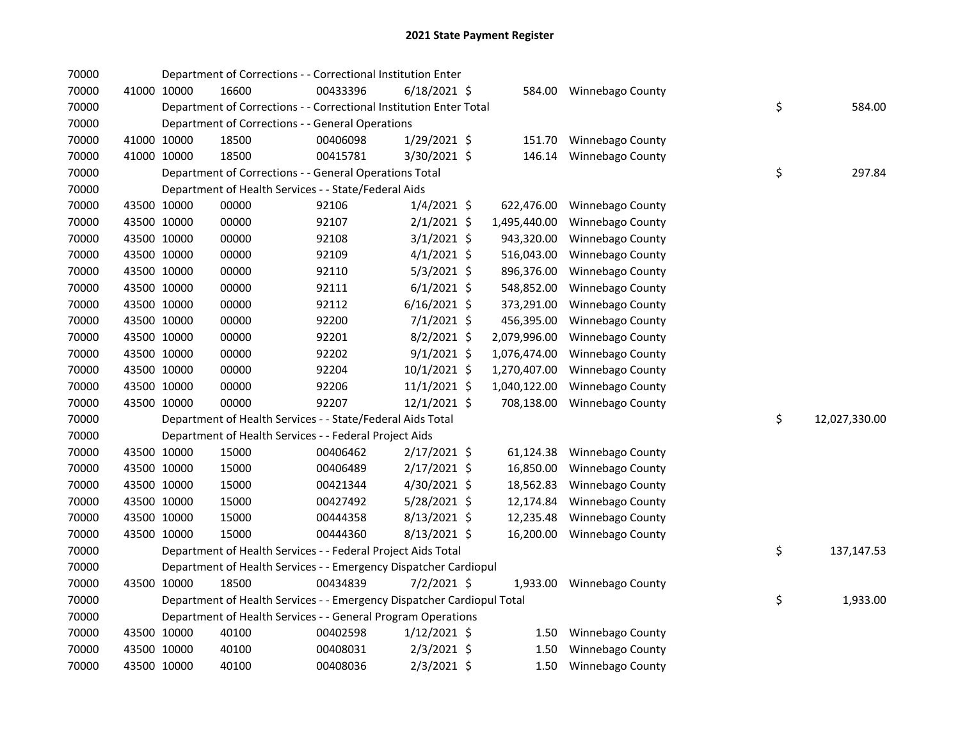| 70000 |             |             | Department of Corrections - - Correctional Institution Enter           |          |                |              |                         |    |               |
|-------|-------------|-------------|------------------------------------------------------------------------|----------|----------------|--------------|-------------------------|----|---------------|
| 70000 |             | 41000 10000 | 16600                                                                  | 00433396 | $6/18/2021$ \$ |              | 584.00 Winnebago County |    |               |
| 70000 |             |             | Department of Corrections - - Correctional Institution Enter Total     |          |                |              |                         | \$ | 584.00        |
| 70000 |             |             | Department of Corrections - - General Operations                       |          |                |              |                         |    |               |
| 70000 |             | 41000 10000 | 18500                                                                  | 00406098 | 1/29/2021 \$   | 151.70       | Winnebago County        |    |               |
| 70000 |             | 41000 10000 | 18500                                                                  | 00415781 | 3/30/2021 \$   | 146.14       | <b>Winnebago County</b> |    |               |
| 70000 |             |             | Department of Corrections - - General Operations Total                 |          |                |              |                         | \$ | 297.84        |
| 70000 |             |             | Department of Health Services - - State/Federal Aids                   |          |                |              |                         |    |               |
| 70000 |             | 43500 10000 | 00000                                                                  | 92106    | $1/4/2021$ \$  | 622,476.00   | Winnebago County        |    |               |
| 70000 |             | 43500 10000 | 00000                                                                  | 92107    | $2/1/2021$ \$  | 1,495,440.00 | Winnebago County        |    |               |
| 70000 |             | 43500 10000 | 00000                                                                  | 92108    | $3/1/2021$ \$  | 943,320.00   | Winnebago County        |    |               |
| 70000 |             | 43500 10000 | 00000                                                                  | 92109    | $4/1/2021$ \$  | 516,043.00   | Winnebago County        |    |               |
| 70000 |             | 43500 10000 | 00000                                                                  | 92110    | $5/3/2021$ \$  | 896,376.00   | Winnebago County        |    |               |
| 70000 |             | 43500 10000 | 00000                                                                  | 92111    | $6/1/2021$ \$  | 548,852.00   | Winnebago County        |    |               |
| 70000 |             | 43500 10000 | 00000                                                                  | 92112    | $6/16/2021$ \$ | 373,291.00   | Winnebago County        |    |               |
| 70000 |             | 43500 10000 | 00000                                                                  | 92200    | 7/1/2021 \$    | 456,395.00   | Winnebago County        |    |               |
| 70000 |             | 43500 10000 | 00000                                                                  | 92201    | 8/2/2021 \$    | 2,079,996.00 | Winnebago County        |    |               |
| 70000 |             | 43500 10000 | 00000                                                                  | 92202    | $9/1/2021$ \$  | 1,076,474.00 | Winnebago County        |    |               |
| 70000 |             | 43500 10000 | 00000                                                                  | 92204    | 10/1/2021 \$   | 1,270,407.00 | Winnebago County        |    |               |
| 70000 |             | 43500 10000 | 00000                                                                  | 92206    | $11/1/2021$ \$ | 1,040,122.00 | Winnebago County        |    |               |
| 70000 |             | 43500 10000 | 00000                                                                  | 92207    | 12/1/2021 \$   | 708,138.00   | Winnebago County        |    |               |
| 70000 |             |             | Department of Health Services - - State/Federal Aids Total             |          |                |              |                         | \$ | 12,027,330.00 |
| 70000 |             |             | Department of Health Services - - Federal Project Aids                 |          |                |              |                         |    |               |
| 70000 |             | 43500 10000 | 15000                                                                  | 00406462 | $2/17/2021$ \$ | 61,124.38    | Winnebago County        |    |               |
| 70000 |             | 43500 10000 | 15000                                                                  | 00406489 | $2/17/2021$ \$ | 16,850.00    | Winnebago County        |    |               |
| 70000 |             | 43500 10000 | 15000                                                                  | 00421344 | 4/30/2021 \$   | 18,562.83    | Winnebago County        |    |               |
| 70000 |             | 43500 10000 | 15000                                                                  | 00427492 | 5/28/2021 \$   | 12,174.84    | Winnebago County        |    |               |
| 70000 |             | 43500 10000 | 15000                                                                  | 00444358 | $8/13/2021$ \$ | 12,235.48    | Winnebago County        |    |               |
| 70000 |             | 43500 10000 | 15000                                                                  | 00444360 | $8/13/2021$ \$ | 16,200.00    | <b>Winnebago County</b> |    |               |
| 70000 |             |             | Department of Health Services - - Federal Project Aids Total           |          |                |              |                         | \$ | 137,147.53    |
| 70000 |             |             | Department of Health Services - - Emergency Dispatcher Cardiopul       |          |                |              |                         |    |               |
| 70000 |             | 43500 10000 | 18500                                                                  | 00434839 | $7/2/2021$ \$  | 1,933.00     | Winnebago County        |    |               |
| 70000 |             |             | Department of Health Services - - Emergency Dispatcher Cardiopul Total |          |                |              |                         | \$ | 1,933.00      |
| 70000 |             |             | Department of Health Services - - General Program Operations           |          |                |              |                         |    |               |
| 70000 |             | 43500 10000 | 40100                                                                  | 00402598 | $1/12/2021$ \$ | 1.50         | Winnebago County        |    |               |
| 70000 |             | 43500 10000 | 40100                                                                  | 00408031 | $2/3/2021$ \$  | 1.50         | Winnebago County        |    |               |
| 70000 | 43500 10000 |             | 40100                                                                  | 00408036 | $2/3/2021$ \$  | 1.50         | <b>Winnebago County</b> |    |               |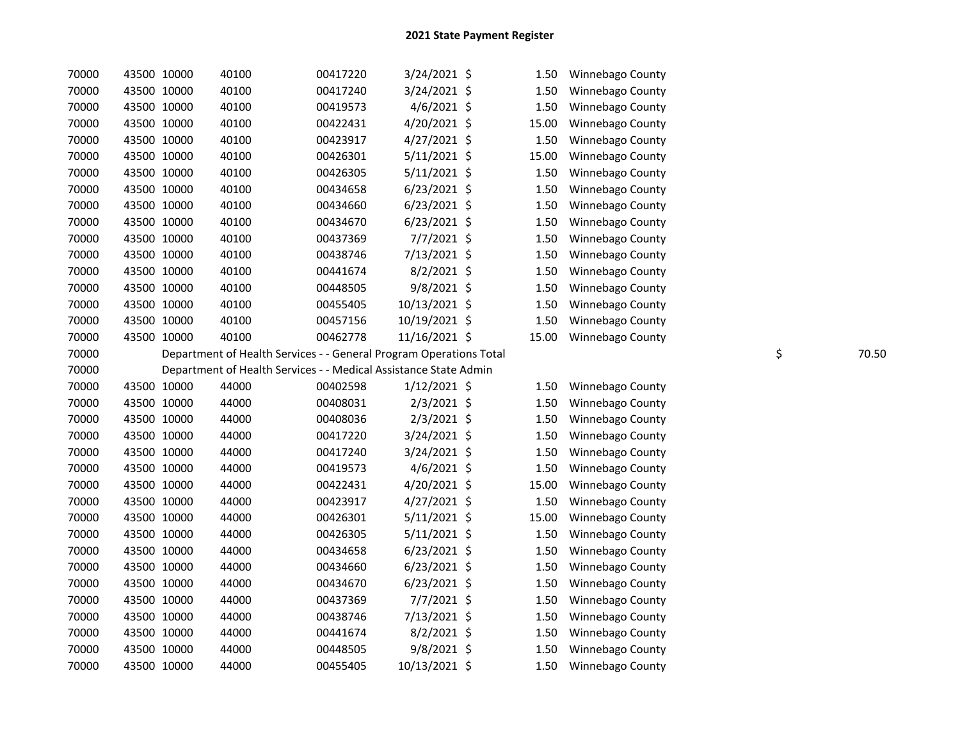| 70000 | 43500 10000 | 40100                                                              | 00417220 | 3/24/2021 \$   | 1.50  | Winnebago County |             |
|-------|-------------|--------------------------------------------------------------------|----------|----------------|-------|------------------|-------------|
| 70000 | 43500 10000 | 40100                                                              | 00417240 | 3/24/2021 \$   | 1.50  | Winnebago County |             |
| 70000 | 43500 10000 | 40100                                                              | 00419573 | $4/6/2021$ \$  | 1.50  | Winnebago County |             |
| 70000 | 43500 10000 | 40100                                                              | 00422431 | 4/20/2021 \$   | 15.00 | Winnebago County |             |
| 70000 | 43500 10000 | 40100                                                              | 00423917 | 4/27/2021 \$   | 1.50  | Winnebago County |             |
| 70000 | 43500 10000 | 40100                                                              | 00426301 | $5/11/2021$ \$ | 15.00 | Winnebago County |             |
| 70000 | 43500 10000 | 40100                                                              | 00426305 | $5/11/2021$ \$ | 1.50  | Winnebago County |             |
| 70000 | 43500 10000 | 40100                                                              | 00434658 | $6/23/2021$ \$ | 1.50  | Winnebago County |             |
| 70000 | 43500 10000 | 40100                                                              | 00434660 | $6/23/2021$ \$ | 1.50  | Winnebago County |             |
| 70000 | 43500 10000 | 40100                                                              | 00434670 | $6/23/2021$ \$ | 1.50  | Winnebago County |             |
| 70000 | 43500 10000 | 40100                                                              | 00437369 | 7/7/2021 \$    | 1.50  | Winnebago County |             |
| 70000 | 43500 10000 | 40100                                                              | 00438746 | 7/13/2021 \$   | 1.50  | Winnebago County |             |
| 70000 | 43500 10000 | 40100                                                              | 00441674 | $8/2/2021$ \$  | 1.50  | Winnebago County |             |
| 70000 | 43500 10000 | 40100                                                              | 00448505 | 9/8/2021 \$    | 1.50  | Winnebago County |             |
| 70000 | 43500 10000 | 40100                                                              | 00455405 | 10/13/2021 \$  | 1.50  | Winnebago County |             |
| 70000 | 43500 10000 | 40100                                                              | 00457156 | 10/19/2021 \$  | 1.50  | Winnebago County |             |
| 70000 | 43500 10000 | 40100                                                              | 00462778 | 11/16/2021 \$  | 15.00 | Winnebago County |             |
| 70000 |             | Department of Health Services - - General Program Operations Total |          |                |       |                  | \$<br>70.50 |
| 70000 |             | Department of Health Services - - Medical Assistance State Admin   |          |                |       |                  |             |
| 70000 | 43500 10000 | 44000                                                              | 00402598 | 1/12/2021 \$   | 1.50  | Winnebago County |             |
| 70000 | 43500 10000 | 44000                                                              | 00408031 | 2/3/2021 \$    | 1.50  | Winnebago County |             |
| 70000 | 43500 10000 | 44000                                                              | 00408036 | $2/3/2021$ \$  | 1.50  | Winnebago County |             |
| 70000 | 43500 10000 | 44000                                                              | 00417220 | $3/24/2021$ \$ | 1.50  | Winnebago County |             |
| 70000 | 43500 10000 | 44000                                                              | 00417240 | $3/24/2021$ \$ | 1.50  | Winnebago County |             |
| 70000 | 43500 10000 | 44000                                                              | 00419573 | 4/6/2021 \$    | 1.50  | Winnebago County |             |
| 70000 | 43500 10000 | 44000                                                              | 00422431 | 4/20/2021 \$   | 15.00 | Winnebago County |             |
| 70000 | 43500 10000 | 44000                                                              | 00423917 | 4/27/2021 \$   | 1.50  | Winnebago County |             |
| 70000 | 43500 10000 | 44000                                                              | 00426301 | $5/11/2021$ \$ | 15.00 | Winnebago County |             |
| 70000 | 43500 10000 | 44000                                                              | 00426305 | $5/11/2021$ \$ | 1.50  | Winnebago County |             |
| 70000 | 43500 10000 | 44000                                                              | 00434658 | $6/23/2021$ \$ | 1.50  | Winnebago County |             |
| 70000 | 43500 10000 | 44000                                                              | 00434660 | $6/23/2021$ \$ | 1.50  | Winnebago County |             |
| 70000 | 43500 10000 | 44000                                                              | 00434670 | $6/23/2021$ \$ | 1.50  | Winnebago County |             |
| 70000 | 43500 10000 | 44000                                                              | 00437369 | 7/7/2021 \$    | 1.50  | Winnebago County |             |
| 70000 | 43500 10000 | 44000                                                              | 00438746 | 7/13/2021 \$   | 1.50  | Winnebago County |             |
| 70000 | 43500 10000 | 44000                                                              | 00441674 | $8/2/2021$ \$  | 1.50  | Winnebago County |             |
| 70000 | 43500 10000 | 44000                                                              | 00448505 | $9/8/2021$ \$  | 1.50  | Winnebago County |             |
| 70000 | 43500 10000 | 44000                                                              | 00455405 | 10/13/2021 \$  | 1.50  | Winnebago County |             |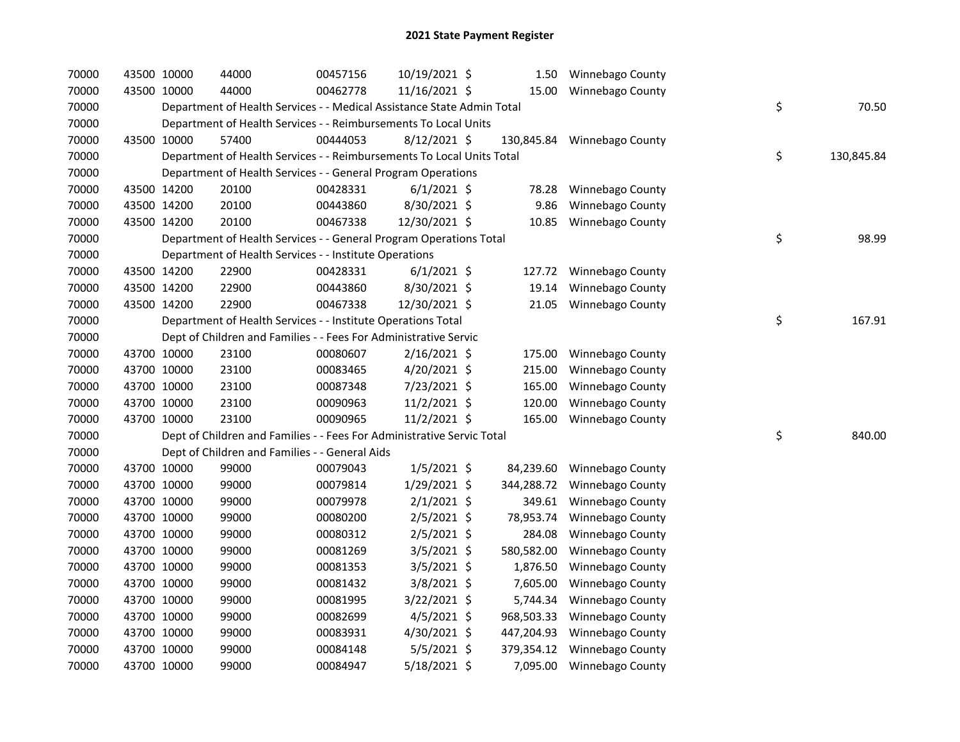| 70000 | 43500 10000 | 44000                                                                  | 00457156 | 10/19/2021 \$  |            | 1.50 Winnebago County     |    |            |
|-------|-------------|------------------------------------------------------------------------|----------|----------------|------------|---------------------------|----|------------|
| 70000 | 43500 10000 | 44000                                                                  | 00462778 | 11/16/2021 \$  | 15.00      | Winnebago County          |    |            |
| 70000 |             | Department of Health Services - - Medical Assistance State Admin Total |          |                |            |                           | \$ | 70.50      |
| 70000 |             | Department of Health Services - - Reimbursements To Local Units        |          |                |            |                           |    |            |
| 70000 | 43500 10000 | 57400                                                                  | 00444053 | 8/12/2021 \$   | 130,845.84 | Winnebago County          |    |            |
| 70000 |             | Department of Health Services - - Reimbursements To Local Units Total  |          |                |            |                           | \$ | 130,845.84 |
| 70000 |             | Department of Health Services - - General Program Operations           |          |                |            |                           |    |            |
| 70000 | 43500 14200 | 20100                                                                  | 00428331 | $6/1/2021$ \$  | 78.28      | Winnebago County          |    |            |
| 70000 | 43500 14200 | 20100                                                                  | 00443860 | 8/30/2021 \$   | 9.86       | Winnebago County          |    |            |
| 70000 | 43500 14200 | 20100                                                                  | 00467338 | 12/30/2021 \$  | 10.85      | Winnebago County          |    |            |
| 70000 |             | Department of Health Services - - General Program Operations Total     |          |                |            |                           | \$ | 98.99      |
| 70000 |             | Department of Health Services - - Institute Operations                 |          |                |            |                           |    |            |
| 70000 | 43500 14200 | 22900                                                                  | 00428331 | $6/1/2021$ \$  | 127.72     | <b>Winnebago County</b>   |    |            |
| 70000 | 43500 14200 | 22900                                                                  | 00443860 | 8/30/2021 \$   | 19.14      | Winnebago County          |    |            |
| 70000 | 43500 14200 | 22900                                                                  | 00467338 | 12/30/2021 \$  | 21.05      | Winnebago County          |    |            |
| 70000 |             | Department of Health Services - - Institute Operations Total           |          |                |            |                           | \$ | 167.91     |
| 70000 |             | Dept of Children and Families - - Fees For Administrative Servic       |          |                |            |                           |    |            |
| 70000 | 43700 10000 | 23100                                                                  | 00080607 | $2/16/2021$ \$ | 175.00     | Winnebago County          |    |            |
| 70000 | 43700 10000 | 23100                                                                  | 00083465 | $4/20/2021$ \$ | 215.00     | Winnebago County          |    |            |
| 70000 | 43700 10000 | 23100                                                                  | 00087348 | 7/23/2021 \$   | 165.00     | Winnebago County          |    |            |
| 70000 | 43700 10000 | 23100                                                                  | 00090963 | 11/2/2021 \$   | 120.00     | Winnebago County          |    |            |
| 70000 | 43700 10000 | 23100                                                                  | 00090965 | 11/2/2021 \$   | 165.00     | Winnebago County          |    |            |
| 70000 |             | Dept of Children and Families - - Fees For Administrative Servic Total |          |                |            |                           | \$ | 840.00     |
| 70000 |             | Dept of Children and Families - - General Aids                         |          |                |            |                           |    |            |
| 70000 | 43700 10000 | 99000                                                                  | 00079043 | $1/5/2021$ \$  | 84,239.60  | Winnebago County          |    |            |
| 70000 | 43700 10000 | 99000                                                                  | 00079814 | $1/29/2021$ \$ | 344,288.72 | Winnebago County          |    |            |
| 70000 | 43700 10000 | 99000                                                                  | 00079978 | $2/1/2021$ \$  | 349.61     | Winnebago County          |    |            |
| 70000 | 43700 10000 | 99000                                                                  | 00080200 | $2/5/2021$ \$  | 78,953.74  | Winnebago County          |    |            |
| 70000 | 43700 10000 | 99000                                                                  | 00080312 | $2/5/2021$ \$  | 284.08     | Winnebago County          |    |            |
| 70000 | 43700 10000 | 99000                                                                  | 00081269 | $3/5/2021$ \$  | 580,582.00 | Winnebago County          |    |            |
| 70000 | 43700 10000 | 99000                                                                  | 00081353 | 3/5/2021 \$    | 1,876.50   | Winnebago County          |    |            |
| 70000 | 43700 10000 | 99000                                                                  | 00081432 | 3/8/2021 \$    | 7,605.00   | Winnebago County          |    |            |
| 70000 | 43700 10000 | 99000                                                                  | 00081995 | $3/22/2021$ \$ | 5,744.34   | Winnebago County          |    |            |
| 70000 | 43700 10000 | 99000                                                                  | 00082699 | 4/5/2021 \$    | 968,503.33 | Winnebago County          |    |            |
| 70000 | 43700 10000 | 99000                                                                  | 00083931 | 4/30/2021 \$   | 447,204.93 | Winnebago County          |    |            |
| 70000 | 43700 10000 | 99000                                                                  | 00084148 | $5/5/2021$ \$  | 379,354.12 | <b>Winnebago County</b>   |    |            |
| 70000 | 43700 10000 | 99000                                                                  | 00084947 | 5/18/2021 \$   |            | 7,095.00 Winnebago County |    |            |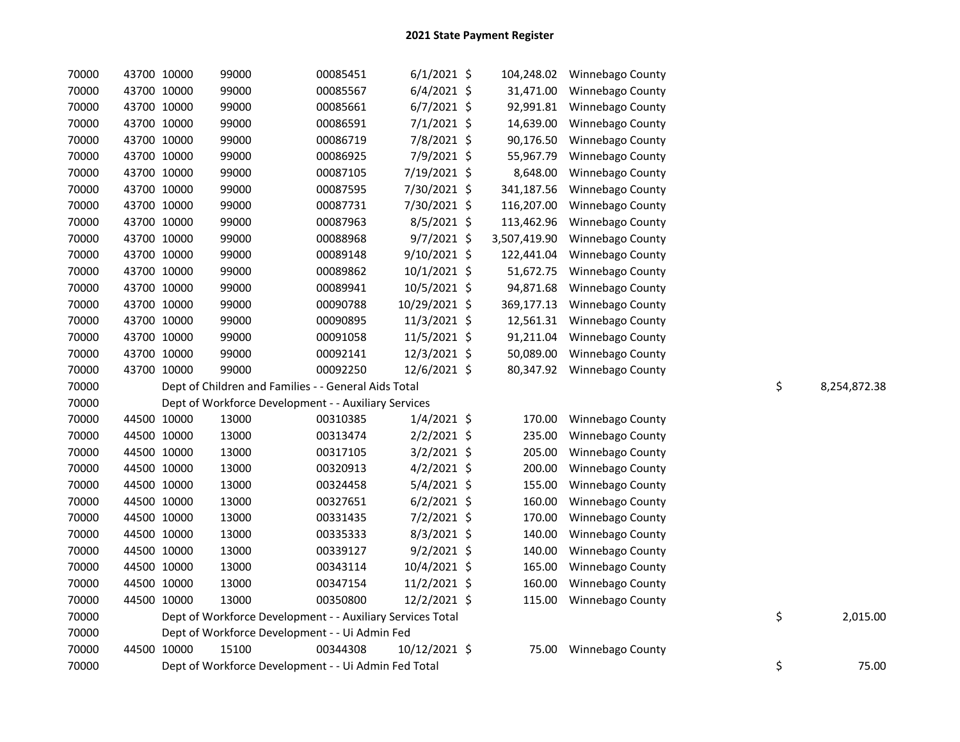| 70000 |             | 43700 10000 | 99000 | 00085451                                                   | $6/1/2021$ \$ | 104,248.02   | Winnebago County |    |              |
|-------|-------------|-------------|-------|------------------------------------------------------------|---------------|--------------|------------------|----|--------------|
| 70000 |             | 43700 10000 | 99000 | 00085567                                                   | $6/4/2021$ \$ | 31,471.00    | Winnebago County |    |              |
| 70000 |             | 43700 10000 | 99000 | 00085661                                                   | $6/7/2021$ \$ | 92,991.81    | Winnebago County |    |              |
| 70000 |             | 43700 10000 | 99000 | 00086591                                                   | 7/1/2021 \$   | 14,639.00    | Winnebago County |    |              |
| 70000 |             | 43700 10000 | 99000 | 00086719                                                   | 7/8/2021 \$   | 90,176.50    | Winnebago County |    |              |
| 70000 |             | 43700 10000 | 99000 | 00086925                                                   | 7/9/2021 \$   | 55,967.79    | Winnebago County |    |              |
| 70000 |             | 43700 10000 | 99000 | 00087105                                                   | 7/19/2021 \$  | 8,648.00     | Winnebago County |    |              |
| 70000 |             | 43700 10000 | 99000 | 00087595                                                   | 7/30/2021 \$  | 341,187.56   | Winnebago County |    |              |
| 70000 |             | 43700 10000 | 99000 | 00087731                                                   | 7/30/2021 \$  | 116,207.00   | Winnebago County |    |              |
| 70000 |             | 43700 10000 | 99000 | 00087963                                                   | 8/5/2021 \$   | 113,462.96   | Winnebago County |    |              |
| 70000 |             | 43700 10000 | 99000 | 00088968                                                   | $9/7/2021$ \$ | 3,507,419.90 | Winnebago County |    |              |
| 70000 |             | 43700 10000 | 99000 | 00089148                                                   | 9/10/2021 \$  | 122,441.04   | Winnebago County |    |              |
| 70000 |             | 43700 10000 | 99000 | 00089862                                                   | 10/1/2021 \$  | 51,672.75    | Winnebago County |    |              |
| 70000 |             | 43700 10000 | 99000 | 00089941                                                   | 10/5/2021 \$  | 94,871.68    | Winnebago County |    |              |
| 70000 |             | 43700 10000 | 99000 | 00090788                                                   | 10/29/2021 \$ | 369,177.13   | Winnebago County |    |              |
| 70000 |             | 43700 10000 | 99000 | 00090895                                                   | 11/3/2021 \$  | 12,561.31    | Winnebago County |    |              |
| 70000 |             | 43700 10000 | 99000 | 00091058                                                   | 11/5/2021 \$  | 91,211.04    | Winnebago County |    |              |
| 70000 |             | 43700 10000 | 99000 | 00092141                                                   | 12/3/2021 \$  | 50,089.00    | Winnebago County |    |              |
| 70000 |             | 43700 10000 | 99000 | 00092250                                                   | 12/6/2021 \$  | 80,347.92    | Winnebago County |    |              |
| 70000 |             |             |       | Dept of Children and Families - - General Aids Total       |               |              |                  | \$ | 8,254,872.38 |
| 70000 |             |             |       | Dept of Workforce Development - - Auxiliary Services       |               |              |                  |    |              |
| 70000 |             | 44500 10000 | 13000 | 00310385                                                   | $1/4/2021$ \$ | 170.00       | Winnebago County |    |              |
| 70000 |             | 44500 10000 | 13000 | 00313474                                                   | $2/2/2021$ \$ | 235.00       | Winnebago County |    |              |
| 70000 |             | 44500 10000 | 13000 | 00317105                                                   | 3/2/2021 \$   | 205.00       | Winnebago County |    |              |
| 70000 |             | 44500 10000 | 13000 | 00320913                                                   | $4/2/2021$ \$ | 200.00       | Winnebago County |    |              |
| 70000 |             | 44500 10000 | 13000 | 00324458                                                   | $5/4/2021$ \$ | 155.00       | Winnebago County |    |              |
| 70000 |             | 44500 10000 | 13000 | 00327651                                                   | $6/2/2021$ \$ | 160.00       | Winnebago County |    |              |
| 70000 |             | 44500 10000 | 13000 | 00331435                                                   | 7/2/2021 \$   | 170.00       | Winnebago County |    |              |
| 70000 |             | 44500 10000 | 13000 | 00335333                                                   | 8/3/2021 \$   | 140.00       | Winnebago County |    |              |
| 70000 |             | 44500 10000 | 13000 | 00339127                                                   | $9/2/2021$ \$ | 140.00       | Winnebago County |    |              |
| 70000 |             | 44500 10000 | 13000 | 00343114                                                   | 10/4/2021 \$  | 165.00       | Winnebago County |    |              |
| 70000 |             | 44500 10000 | 13000 | 00347154                                                   | 11/2/2021 \$  | 160.00       | Winnebago County |    |              |
| 70000 | 44500 10000 |             | 13000 | 00350800                                                   | 12/2/2021 \$  | 115.00       | Winnebago County |    |              |
| 70000 |             |             |       | Dept of Workforce Development - - Auxiliary Services Total |               |              |                  | \$ | 2,015.00     |
| 70000 |             |             |       | Dept of Workforce Development - - Ui Admin Fed             |               |              |                  |    |              |
| 70000 |             | 44500 10000 | 15100 | 00344308                                                   | 10/12/2021 \$ | 75.00        | Winnebago County |    |              |
| 70000 |             |             |       | Dept of Workforce Development - - Ui Admin Fed Total       |               |              |                  | \$ | 75.00        |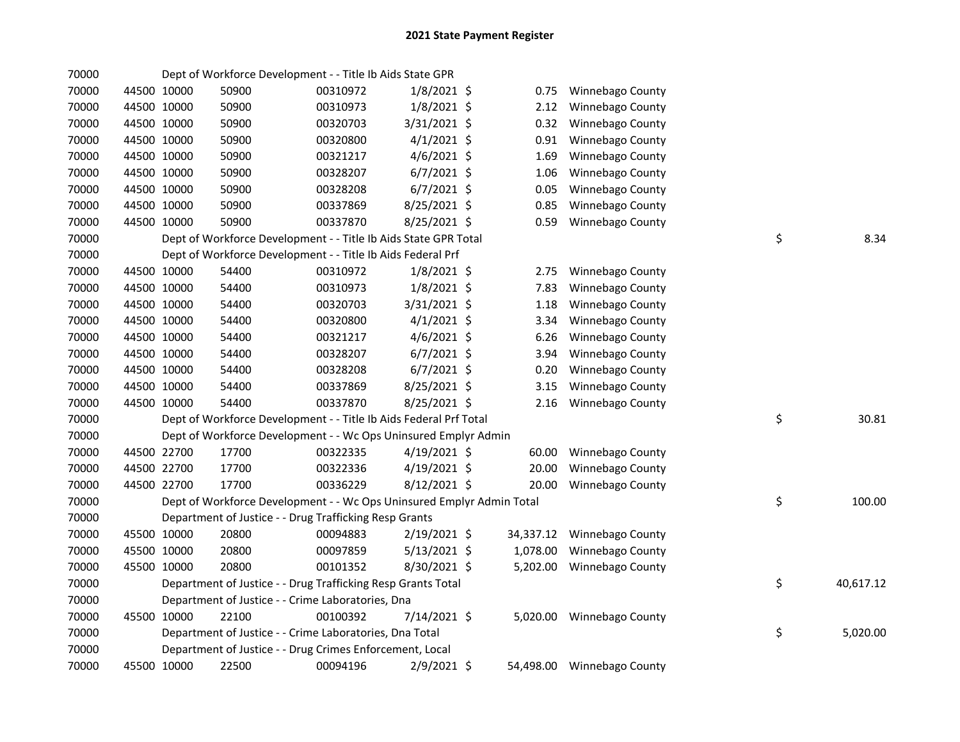| 70000 |             |       | Dept of Workforce Development - - Title Ib Aids State GPR             |                |           |                            |                 |
|-------|-------------|-------|-----------------------------------------------------------------------|----------------|-----------|----------------------------|-----------------|
| 70000 | 44500 10000 | 50900 | 00310972                                                              | $1/8/2021$ \$  | 0.75      | Winnebago County           |                 |
| 70000 | 44500 10000 | 50900 | 00310973                                                              | $1/8/2021$ \$  | 2.12      | Winnebago County           |                 |
| 70000 | 44500 10000 | 50900 | 00320703                                                              | 3/31/2021 \$   | 0.32      | Winnebago County           |                 |
| 70000 | 44500 10000 | 50900 | 00320800                                                              | $4/1/2021$ \$  | 0.91      | Winnebago County           |                 |
| 70000 | 44500 10000 | 50900 | 00321217                                                              | $4/6/2021$ \$  | 1.69      | Winnebago County           |                 |
| 70000 | 44500 10000 | 50900 | 00328207                                                              | $6/7/2021$ \$  | 1.06      | Winnebago County           |                 |
| 70000 | 44500 10000 | 50900 | 00328208                                                              | $6/7/2021$ \$  | 0.05      | Winnebago County           |                 |
| 70000 | 44500 10000 | 50900 | 00337869                                                              | 8/25/2021 \$   | 0.85      | Winnebago County           |                 |
| 70000 | 44500 10000 | 50900 | 00337870                                                              | 8/25/2021 \$   | 0.59      | Winnebago County           |                 |
| 70000 |             |       | Dept of Workforce Development - - Title Ib Aids State GPR Total       |                |           |                            | \$<br>8.34      |
| 70000 |             |       | Dept of Workforce Development - - Title Ib Aids Federal Prf           |                |           |                            |                 |
| 70000 | 44500 10000 | 54400 | 00310972                                                              | $1/8/2021$ \$  | 2.75      | Winnebago County           |                 |
| 70000 | 44500 10000 | 54400 | 00310973                                                              | $1/8/2021$ \$  | 7.83      | Winnebago County           |                 |
| 70000 | 44500 10000 | 54400 | 00320703                                                              | 3/31/2021 \$   | 1.18      | Winnebago County           |                 |
| 70000 | 44500 10000 | 54400 | 00320800                                                              | $4/1/2021$ \$  | 3.34      | Winnebago County           |                 |
| 70000 | 44500 10000 | 54400 | 00321217                                                              | $4/6/2021$ \$  | 6.26      | Winnebago County           |                 |
| 70000 | 44500 10000 | 54400 | 00328207                                                              | $6/7/2021$ \$  | 3.94      | Winnebago County           |                 |
| 70000 | 44500 10000 | 54400 | 00328208                                                              | $6/7/2021$ \$  | 0.20      | Winnebago County           |                 |
| 70000 | 44500 10000 | 54400 | 00337869                                                              | 8/25/2021 \$   | 3.15      | Winnebago County           |                 |
| 70000 | 44500 10000 | 54400 | 00337870                                                              | 8/25/2021 \$   | 2.16      | Winnebago County           |                 |
| 70000 |             |       | Dept of Workforce Development - - Title Ib Aids Federal Prf Total     |                |           |                            | \$<br>30.81     |
| 70000 |             |       | Dept of Workforce Development - - Wc Ops Uninsured Emplyr Admin       |                |           |                            |                 |
| 70000 | 44500 22700 | 17700 | 00322335                                                              | 4/19/2021 \$   | 60.00     | Winnebago County           |                 |
| 70000 | 44500 22700 | 17700 | 00322336                                                              | $4/19/2021$ \$ | 20.00     | Winnebago County           |                 |
| 70000 | 44500 22700 | 17700 | 00336229                                                              | $8/12/2021$ \$ | 20.00     | Winnebago County           |                 |
| 70000 |             |       | Dept of Workforce Development - - Wc Ops Uninsured Emplyr Admin Total |                |           |                            | \$<br>100.00    |
| 70000 |             |       | Department of Justice - - Drug Trafficking Resp Grants                |                |           |                            |                 |
| 70000 | 45500 10000 | 20800 | 00094883                                                              | $2/19/2021$ \$ |           | 34,337.12 Winnebago County |                 |
| 70000 | 45500 10000 | 20800 | 00097859                                                              | $5/13/2021$ \$ | 1,078.00  | Winnebago County           |                 |
| 70000 | 45500 10000 | 20800 | 00101352                                                              | 8/30/2021 \$   | 5,202.00  | <b>Winnebago County</b>    |                 |
| 70000 |             |       | Department of Justice - - Drug Trafficking Resp Grants Total          |                |           |                            | \$<br>40,617.12 |
| 70000 |             |       | Department of Justice - - Crime Laboratories, Dna                     |                |           |                            |                 |
| 70000 | 45500 10000 | 22100 | 00100392                                                              | 7/14/2021 \$   | 5,020.00  | <b>Winnebago County</b>    |                 |
| 70000 |             |       | Department of Justice - - Crime Laboratories, Dna Total               |                |           |                            | \$<br>5,020.00  |
| 70000 |             |       | Department of Justice - - Drug Crimes Enforcement, Local              |                |           |                            |                 |
| 70000 | 45500 10000 | 22500 | 00094196                                                              | 2/9/2021 \$    | 54,498.00 | Winnebago County           |                 |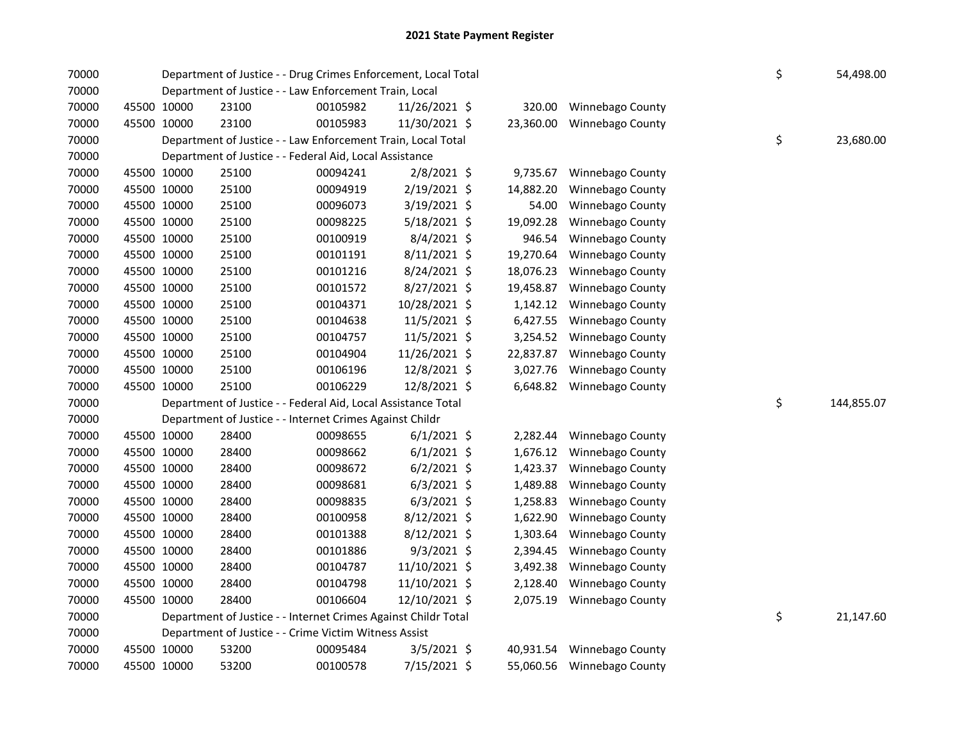| 70000 |             |             | Department of Justice - - Drug Crimes Enforcement, Local Total |          |                |           |                            | \$ | 54,498.00  |
|-------|-------------|-------------|----------------------------------------------------------------|----------|----------------|-----------|----------------------------|----|------------|
| 70000 |             |             | Department of Justice - - Law Enforcement Train, Local         |          |                |           |                            |    |            |
| 70000 |             | 45500 10000 | 23100                                                          | 00105982 | 11/26/2021 \$  | 320.00    | Winnebago County           |    |            |
| 70000 | 45500 10000 |             | 23100                                                          | 00105983 | 11/30/2021 \$  | 23,360.00 | Winnebago County           |    |            |
| 70000 |             |             | Department of Justice - - Law Enforcement Train, Local Total   |          |                |           |                            | \$ | 23,680.00  |
| 70000 |             |             | Department of Justice - - Federal Aid, Local Assistance        |          |                |           |                            |    |            |
| 70000 |             | 45500 10000 | 25100                                                          | 00094241 | 2/8/2021 \$    | 9,735.67  | Winnebago County           |    |            |
| 70000 |             | 45500 10000 | 25100                                                          | 00094919 | 2/19/2021 \$   | 14,882.20 | Winnebago County           |    |            |
| 70000 |             | 45500 10000 | 25100                                                          | 00096073 | 3/19/2021 \$   | 54.00     | Winnebago County           |    |            |
| 70000 |             | 45500 10000 | 25100                                                          | 00098225 | 5/18/2021 \$   | 19,092.28 | Winnebago County           |    |            |
| 70000 |             | 45500 10000 | 25100                                                          | 00100919 | $8/4/2021$ \$  | 946.54    | Winnebago County           |    |            |
| 70000 |             | 45500 10000 | 25100                                                          | 00101191 | 8/11/2021 \$   | 19,270.64 | Winnebago County           |    |            |
| 70000 | 45500 10000 |             | 25100                                                          | 00101216 | 8/24/2021 \$   | 18,076.23 | Winnebago County           |    |            |
| 70000 |             | 45500 10000 | 25100                                                          | 00101572 | 8/27/2021 \$   | 19,458.87 | Winnebago County           |    |            |
| 70000 |             | 45500 10000 | 25100                                                          | 00104371 | 10/28/2021 \$  | 1,142.12  | Winnebago County           |    |            |
| 70000 |             | 45500 10000 | 25100                                                          | 00104638 | 11/5/2021 \$   | 6,427.55  | Winnebago County           |    |            |
| 70000 |             | 45500 10000 | 25100                                                          | 00104757 | 11/5/2021 \$   | 3,254.52  | Winnebago County           |    |            |
| 70000 |             | 45500 10000 | 25100                                                          | 00104904 | 11/26/2021 \$  | 22,837.87 | Winnebago County           |    |            |
| 70000 |             | 45500 10000 | 25100                                                          | 00106196 | 12/8/2021 \$   | 3,027.76  | Winnebago County           |    |            |
| 70000 |             | 45500 10000 | 25100                                                          | 00106229 | 12/8/2021 \$   | 6,648.82  | Winnebago County           |    |            |
| 70000 |             |             | Department of Justice - - Federal Aid, Local Assistance Total  |          |                |           |                            | \$ | 144,855.07 |
| 70000 |             |             | Department of Justice - - Internet Crimes Against Childr       |          |                |           |                            |    |            |
| 70000 |             | 45500 10000 | 28400                                                          | 00098655 | $6/1/2021$ \$  | 2,282.44  | Winnebago County           |    |            |
| 70000 |             | 45500 10000 | 28400                                                          | 00098662 | $6/1/2021$ \$  | 1,676.12  | Winnebago County           |    |            |
| 70000 |             | 45500 10000 | 28400                                                          | 00098672 | $6/2/2021$ \$  | 1,423.37  | Winnebago County           |    |            |
| 70000 |             | 45500 10000 | 28400                                                          | 00098681 | $6/3/2021$ \$  | 1,489.88  | Winnebago County           |    |            |
| 70000 | 45500 10000 |             | 28400                                                          | 00098835 | $6/3/2021$ \$  | 1,258.83  | Winnebago County           |    |            |
| 70000 |             | 45500 10000 | 28400                                                          | 00100958 | $8/12/2021$ \$ | 1,622.90  | Winnebago County           |    |            |
| 70000 |             | 45500 10000 | 28400                                                          | 00101388 | $8/12/2021$ \$ | 1,303.64  | Winnebago County           |    |            |
| 70000 |             | 45500 10000 | 28400                                                          | 00101886 | $9/3/2021$ \$  | 2,394.45  | Winnebago County           |    |            |
| 70000 |             | 45500 10000 | 28400                                                          | 00104787 | 11/10/2021 \$  | 3,492.38  | Winnebago County           |    |            |
| 70000 |             | 45500 10000 | 28400                                                          | 00104798 | 11/10/2021 \$  | 2,128.40  | Winnebago County           |    |            |
| 70000 |             | 45500 10000 | 28400                                                          | 00106604 | 12/10/2021 \$  | 2,075.19  | Winnebago County           |    |            |
| 70000 |             |             | Department of Justice - - Internet Crimes Against Childr Total |          |                |           |                            | \$ | 21,147.60  |
| 70000 |             |             | Department of Justice - - Crime Victim Witness Assist          |          |                |           |                            |    |            |
| 70000 |             | 45500 10000 | 53200                                                          | 00095484 | $3/5/2021$ \$  | 40,931.54 | <b>Winnebago County</b>    |    |            |
| 70000 |             | 45500 10000 | 53200                                                          | 00100578 | 7/15/2021 \$   |           | 55,060.56 Winnebago County |    |            |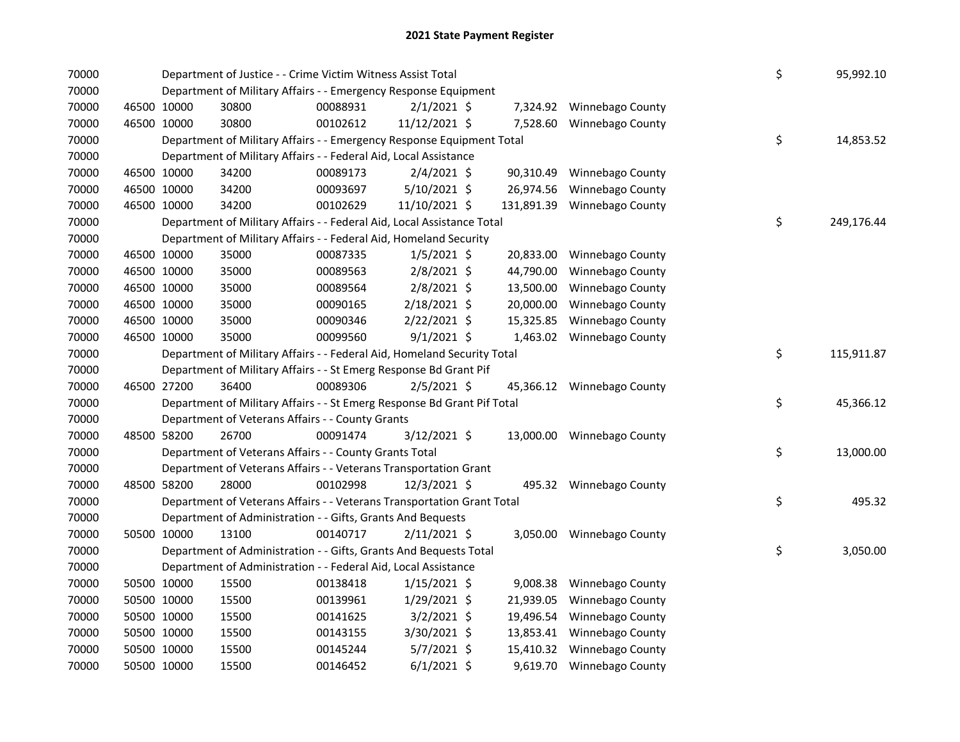| 70000 |             | Department of Justice - - Crime Victim Witness Assist Total             |          |                |           |                             | \$ | 95,992.10  |
|-------|-------------|-------------------------------------------------------------------------|----------|----------------|-----------|-----------------------------|----|------------|
| 70000 |             | Department of Military Affairs - - Emergency Response Equipment         |          |                |           |                             |    |            |
| 70000 | 46500 10000 | 30800                                                                   | 00088931 | $2/1/2021$ \$  |           | 7,324.92 Winnebago County   |    |            |
| 70000 | 46500 10000 | 30800                                                                   | 00102612 | 11/12/2021 \$  | 7,528.60  | Winnebago County            |    |            |
| 70000 |             | Department of Military Affairs - - Emergency Response Equipment Total   |          |                |           |                             | \$ | 14,853.52  |
| 70000 |             | Department of Military Affairs - - Federal Aid, Local Assistance        |          |                |           |                             |    |            |
| 70000 | 46500 10000 | 34200                                                                   | 00089173 | $2/4/2021$ \$  | 90,310.49 | Winnebago County            |    |            |
| 70000 | 46500 10000 | 34200                                                                   | 00093697 | $5/10/2021$ \$ | 26,974.56 | Winnebago County            |    |            |
| 70000 | 46500 10000 | 34200                                                                   | 00102629 | 11/10/2021 \$  |           | 131,891.39 Winnebago County |    |            |
| 70000 |             | Department of Military Affairs - - Federal Aid, Local Assistance Total  |          |                |           |                             | \$ | 249,176.44 |
| 70000 |             | Department of Military Affairs - - Federal Aid, Homeland Security       |          |                |           |                             |    |            |
| 70000 | 46500 10000 | 35000                                                                   | 00087335 | $1/5/2021$ \$  | 20,833.00 | Winnebago County            |    |            |
| 70000 | 46500 10000 | 35000                                                                   | 00089563 | $2/8/2021$ \$  | 44,790.00 | Winnebago County            |    |            |
| 70000 | 46500 10000 | 35000                                                                   | 00089564 | $2/8/2021$ \$  | 13,500.00 | Winnebago County            |    |            |
| 70000 | 46500 10000 | 35000                                                                   | 00090165 | 2/18/2021 \$   | 20,000.00 | Winnebago County            |    |            |
| 70000 | 46500 10000 | 35000                                                                   | 00090346 | 2/22/2021 \$   | 15,325.85 | Winnebago County            |    |            |
| 70000 | 46500 10000 | 35000                                                                   | 00099560 | $9/1/2021$ \$  |           | 1,463.02 Winnebago County   |    |            |
| 70000 |             | Department of Military Affairs - - Federal Aid, Homeland Security Total |          |                |           |                             | \$ | 115,911.87 |
| 70000 |             | Department of Military Affairs - - St Emerg Response Bd Grant Pif       |          |                |           |                             |    |            |
| 70000 | 46500 27200 | 36400                                                                   | 00089306 | $2/5/2021$ \$  |           | 45,366.12 Winnebago County  |    |            |
| 70000 |             | Department of Military Affairs - - St Emerg Response Bd Grant Pif Total |          |                |           |                             | \$ | 45,366.12  |
| 70000 |             | Department of Veterans Affairs - - County Grants                        |          |                |           |                             |    |            |
| 70000 | 48500 58200 | 26700                                                                   | 00091474 | 3/12/2021 \$   |           | 13,000.00 Winnebago County  |    |            |
| 70000 |             | Department of Veterans Affairs - - County Grants Total                  |          |                |           |                             | \$ | 13,000.00  |
| 70000 |             | Department of Veterans Affairs - - Veterans Transportation Grant        |          |                |           |                             |    |            |
| 70000 | 48500 58200 | 28000                                                                   | 00102998 | 12/3/2021 \$   |           | 495.32 Winnebago County     |    |            |
| 70000 |             | Department of Veterans Affairs - - Veterans Transportation Grant Total  |          |                |           |                             | \$ | 495.32     |
| 70000 |             | Department of Administration - - Gifts, Grants And Bequests             |          |                |           |                             |    |            |
| 70000 | 50500 10000 | 13100                                                                   | 00140717 | $2/11/2021$ \$ |           | 3,050.00 Winnebago County   |    |            |
| 70000 |             | Department of Administration - - Gifts, Grants And Bequests Total       |          |                |           |                             | \$ | 3,050.00   |
| 70000 |             | Department of Administration - - Federal Aid, Local Assistance          |          |                |           |                             |    |            |
| 70000 | 50500 10000 | 15500                                                                   | 00138418 | $1/15/2021$ \$ | 9,008.38  | Winnebago County            |    |            |
| 70000 | 50500 10000 | 15500                                                                   | 00139961 | $1/29/2021$ \$ | 21,939.05 | Winnebago County            |    |            |
| 70000 | 50500 10000 | 15500                                                                   | 00141625 | $3/2/2021$ \$  | 19,496.54 | Winnebago County            |    |            |
| 70000 | 50500 10000 | 15500                                                                   | 00143155 | 3/30/2021 \$   | 13,853.41 | Winnebago County            |    |            |
| 70000 | 50500 10000 | 15500                                                                   | 00145244 | $5/7/2021$ \$  | 15,410.32 | Winnebago County            |    |            |
| 70000 | 50500 10000 | 15500                                                                   | 00146452 | $6/1/2021$ \$  | 9,619.70  | <b>Winnebago County</b>     |    |            |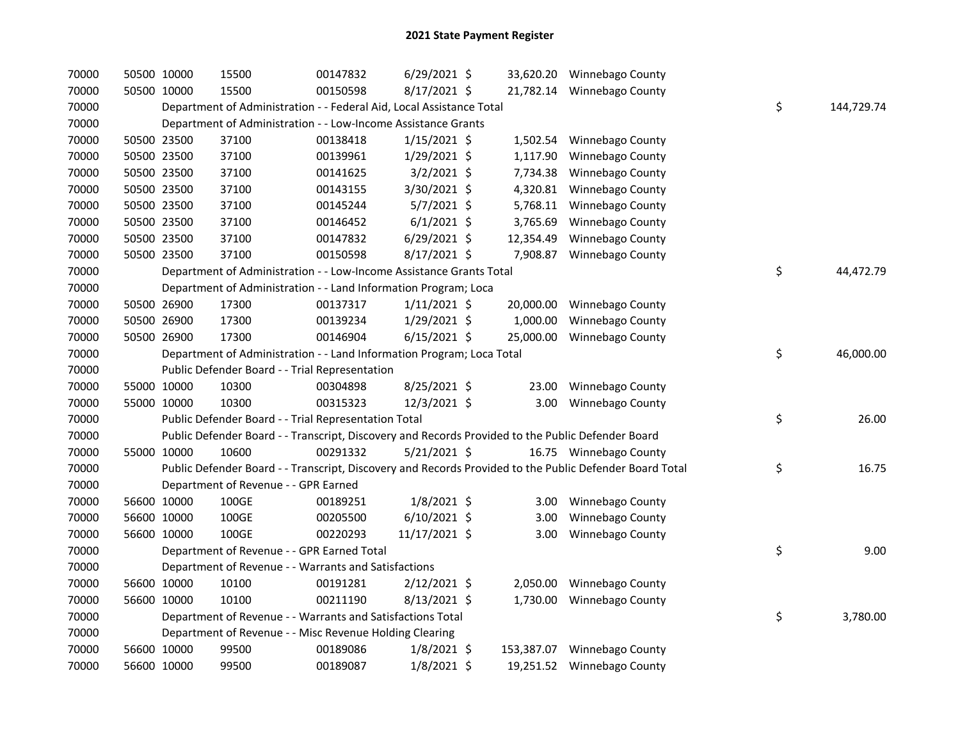| 70000 | 50500 10000 | 15500                                                                                             | 00147832 | $6/29/2021$ \$ |            | 33,620.20 Winnebago County                                                                              |    |            |
|-------|-------------|---------------------------------------------------------------------------------------------------|----------|----------------|------------|---------------------------------------------------------------------------------------------------------|----|------------|
| 70000 | 50500 10000 | 15500                                                                                             | 00150598 | 8/17/2021 \$   |            | 21,782.14 Winnebago County                                                                              |    |            |
| 70000 |             | Department of Administration - - Federal Aid, Local Assistance Total                              |          |                |            |                                                                                                         | \$ | 144,729.74 |
| 70000 |             | Department of Administration - - Low-Income Assistance Grants                                     |          |                |            |                                                                                                         |    |            |
| 70000 | 50500 23500 | 37100                                                                                             | 00138418 | $1/15/2021$ \$ | 1,502.54   | Winnebago County                                                                                        |    |            |
| 70000 | 50500 23500 | 37100                                                                                             | 00139961 | 1/29/2021 \$   | 1,117.90   | Winnebago County                                                                                        |    |            |
| 70000 | 50500 23500 | 37100                                                                                             | 00141625 | $3/2/2021$ \$  | 7,734.38   | Winnebago County                                                                                        |    |            |
| 70000 | 50500 23500 | 37100                                                                                             | 00143155 | 3/30/2021 \$   | 4,320.81   | Winnebago County                                                                                        |    |            |
| 70000 | 50500 23500 | 37100                                                                                             | 00145244 | $5/7/2021$ \$  | 5,768.11   | Winnebago County                                                                                        |    |            |
| 70000 | 50500 23500 | 37100                                                                                             | 00146452 | $6/1/2021$ \$  | 3,765.69   | Winnebago County                                                                                        |    |            |
| 70000 | 50500 23500 | 37100                                                                                             | 00147832 | $6/29/2021$ \$ | 12,354.49  | Winnebago County                                                                                        |    |            |
| 70000 | 50500 23500 | 37100                                                                                             | 00150598 | $8/17/2021$ \$ | 7,908.87   | Winnebago County                                                                                        |    |            |
| 70000 |             | Department of Administration - - Low-Income Assistance Grants Total                               |          |                |            |                                                                                                         | \$ | 44,472.79  |
| 70000 |             | Department of Administration - - Land Information Program; Loca                                   |          |                |            |                                                                                                         |    |            |
| 70000 | 50500 26900 | 17300                                                                                             | 00137317 | $1/11/2021$ \$ |            | 20,000.00 Winnebago County                                                                              |    |            |
| 70000 | 50500 26900 | 17300                                                                                             | 00139234 | 1/29/2021 \$   | 1,000.00   | Winnebago County                                                                                        |    |            |
| 70000 | 50500 26900 | 17300                                                                                             | 00146904 | $6/15/2021$ \$ | 25,000.00  | <b>Winnebago County</b>                                                                                 |    |            |
| 70000 |             | Department of Administration - - Land Information Program; Loca Total                             |          |                |            |                                                                                                         | \$ | 46,000.00  |
| 70000 |             | Public Defender Board - - Trial Representation                                                    |          |                |            |                                                                                                         |    |            |
| 70000 | 55000 10000 | 10300                                                                                             | 00304898 | 8/25/2021 \$   | 23.00      | Winnebago County                                                                                        |    |            |
| 70000 | 55000 10000 | 10300                                                                                             | 00315323 | 12/3/2021 \$   | 3.00       | <b>Winnebago County</b>                                                                                 |    |            |
| 70000 |             | Public Defender Board - - Trial Representation Total                                              |          |                |            |                                                                                                         | \$ | 26.00      |
| 70000 |             | Public Defender Board - - Transcript, Discovery and Records Provided to the Public Defender Board |          |                |            |                                                                                                         |    |            |
| 70000 | 55000 10000 | 10600                                                                                             | 00291332 | 5/21/2021 \$   |            | 16.75 Winnebago County                                                                                  |    |            |
| 70000 |             |                                                                                                   |          |                |            | Public Defender Board - - Transcript, Discovery and Records Provided to the Public Defender Board Total | \$ | 16.75      |
| 70000 |             | Department of Revenue - - GPR Earned                                                              |          |                |            |                                                                                                         |    |            |
| 70000 | 56600 10000 | 100GE                                                                                             | 00189251 | $1/8/2021$ \$  | 3.00       | Winnebago County                                                                                        |    |            |
| 70000 | 56600 10000 | 100GE                                                                                             | 00205500 | $6/10/2021$ \$ | 3.00       | Winnebago County                                                                                        |    |            |
| 70000 | 56600 10000 | 100GE                                                                                             | 00220293 | 11/17/2021 \$  | 3.00       | Winnebago County                                                                                        |    |            |
| 70000 |             | Department of Revenue - - GPR Earned Total                                                        |          |                |            |                                                                                                         | \$ | 9.00       |
| 70000 |             | Department of Revenue - - Warrants and Satisfactions                                              |          |                |            |                                                                                                         |    |            |
| 70000 | 56600 10000 | 10100                                                                                             | 00191281 | $2/12/2021$ \$ | 2,050.00   | Winnebago County                                                                                        |    |            |
| 70000 | 56600 10000 | 10100                                                                                             | 00211190 | $8/13/2021$ \$ | 1,730.00   | Winnebago County                                                                                        |    |            |
| 70000 |             | Department of Revenue - - Warrants and Satisfactions Total                                        |          |                |            |                                                                                                         | \$ | 3,780.00   |
| 70000 |             | Department of Revenue - - Misc Revenue Holding Clearing                                           |          |                |            |                                                                                                         |    |            |
| 70000 | 56600 10000 | 99500                                                                                             | 00189086 | $1/8/2021$ \$  | 153,387.07 | Winnebago County                                                                                        |    |            |
| 70000 | 56600 10000 | 99500                                                                                             | 00189087 | $1/8/2021$ \$  |            | 19,251.52 Winnebago County                                                                              |    |            |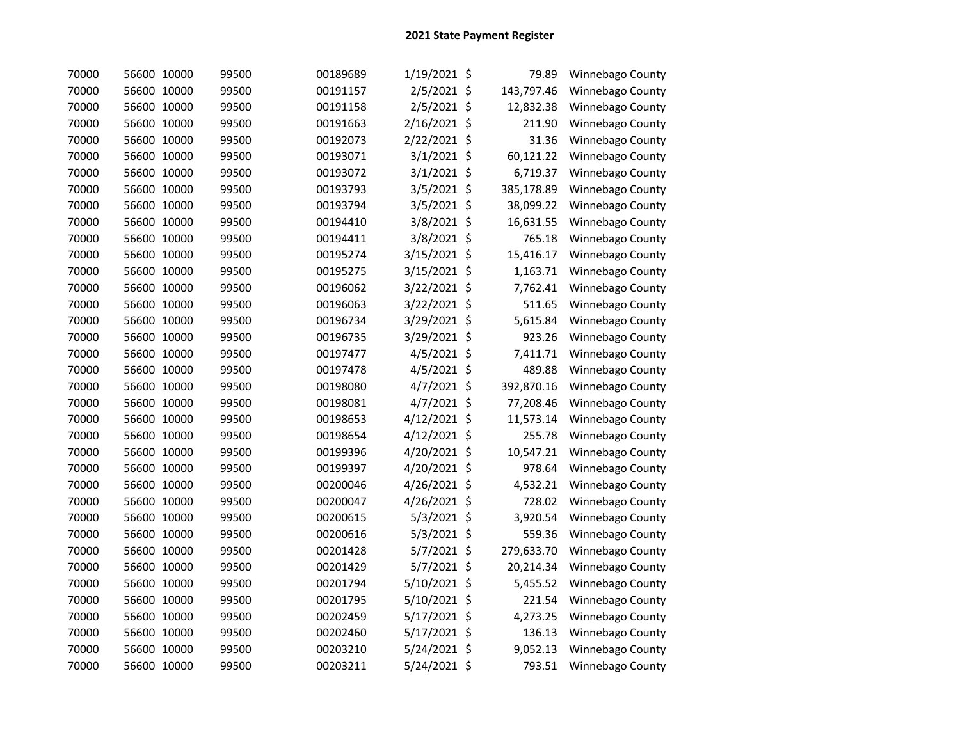| 70000 | 56600 10000 | 99500 | 00189689 | 1/19/2021 \$ | 79.89      | Winnebago County |
|-------|-------------|-------|----------|--------------|------------|------------------|
| 70000 | 56600 10000 | 99500 | 00191157 | 2/5/2021 \$  | 143,797.46 | Winnebago County |
| 70000 | 56600 10000 | 99500 | 00191158 | 2/5/2021 \$  | 12,832.38  | Winnebago County |
| 70000 | 56600 10000 | 99500 | 00191663 | 2/16/2021 \$ | 211.90     | Winnebago County |
| 70000 | 56600 10000 | 99500 | 00192073 | 2/22/2021 \$ | 31.36      | Winnebago County |
| 70000 | 56600 10000 | 99500 | 00193071 | 3/1/2021 \$  | 60,121.22  | Winnebago County |
| 70000 | 56600 10000 | 99500 | 00193072 | 3/1/2021 \$  | 6,719.37   | Winnebago County |
| 70000 | 56600 10000 | 99500 | 00193793 | 3/5/2021 \$  | 385,178.89 | Winnebago County |
| 70000 | 56600 10000 | 99500 | 00193794 | 3/5/2021 \$  | 38,099.22  | Winnebago County |
| 70000 | 56600 10000 | 99500 | 00194410 | 3/8/2021 \$  | 16,631.55  | Winnebago County |
| 70000 | 56600 10000 | 99500 | 00194411 | 3/8/2021 \$  | 765.18     | Winnebago County |
| 70000 | 56600 10000 | 99500 | 00195274 | 3/15/2021 \$ | 15,416.17  | Winnebago County |
| 70000 | 56600 10000 | 99500 | 00195275 | 3/15/2021 \$ | 1,163.71   | Winnebago County |
| 70000 | 56600 10000 | 99500 | 00196062 | 3/22/2021 \$ | 7,762.41   | Winnebago County |
| 70000 | 56600 10000 | 99500 | 00196063 | 3/22/2021 \$ | 511.65     | Winnebago County |
| 70000 | 56600 10000 | 99500 | 00196734 | 3/29/2021 \$ | 5,615.84   | Winnebago County |
| 70000 | 56600 10000 | 99500 | 00196735 | 3/29/2021 \$ | 923.26     | Winnebago County |
| 70000 | 56600 10000 | 99500 | 00197477 | 4/5/2021 \$  | 7,411.71   | Winnebago County |
| 70000 | 56600 10000 | 99500 | 00197478 | 4/5/2021 \$  | 489.88     | Winnebago County |
| 70000 | 56600 10000 | 99500 | 00198080 | 4/7/2021 \$  | 392,870.16 | Winnebago County |
| 70000 | 56600 10000 | 99500 | 00198081 | 4/7/2021 \$  | 77,208.46  | Winnebago County |
| 70000 | 56600 10000 | 99500 | 00198653 | 4/12/2021 \$ | 11,573.14  | Winnebago County |
| 70000 | 56600 10000 | 99500 | 00198654 | 4/12/2021 \$ | 255.78     | Winnebago County |
| 70000 | 56600 10000 | 99500 | 00199396 | 4/20/2021 \$ | 10,547.21  | Winnebago County |
| 70000 | 56600 10000 | 99500 | 00199397 | 4/20/2021 \$ | 978.64     | Winnebago County |
| 70000 | 56600 10000 | 99500 | 00200046 | 4/26/2021 \$ | 4,532.21   | Winnebago County |
| 70000 | 56600 10000 | 99500 | 00200047 | 4/26/2021 \$ | 728.02     | Winnebago County |
| 70000 | 56600 10000 | 99500 | 00200615 | 5/3/2021 \$  | 3,920.54   | Winnebago County |
| 70000 | 56600 10000 | 99500 | 00200616 | 5/3/2021 \$  | 559.36     | Winnebago County |
| 70000 | 56600 10000 | 99500 | 00201428 | 5/7/2021 \$  | 279,633.70 | Winnebago County |
| 70000 | 56600 10000 | 99500 | 00201429 | 5/7/2021 \$  | 20,214.34  | Winnebago County |
| 70000 | 56600 10000 | 99500 | 00201794 | 5/10/2021 \$ | 5,455.52   | Winnebago County |
| 70000 | 56600 10000 | 99500 | 00201795 | 5/10/2021 \$ | 221.54     | Winnebago County |
| 70000 | 56600 10000 | 99500 | 00202459 | 5/17/2021 \$ | 4,273.25   | Winnebago County |
| 70000 | 56600 10000 | 99500 | 00202460 | 5/17/2021 \$ | 136.13     | Winnebago County |
| 70000 | 56600 10000 | 99500 | 00203210 | 5/24/2021 \$ | 9,052.13   | Winnebago County |
| 70000 | 56600 10000 | 99500 | 00203211 | 5/24/2021 \$ | 793.51     | Winnebago County |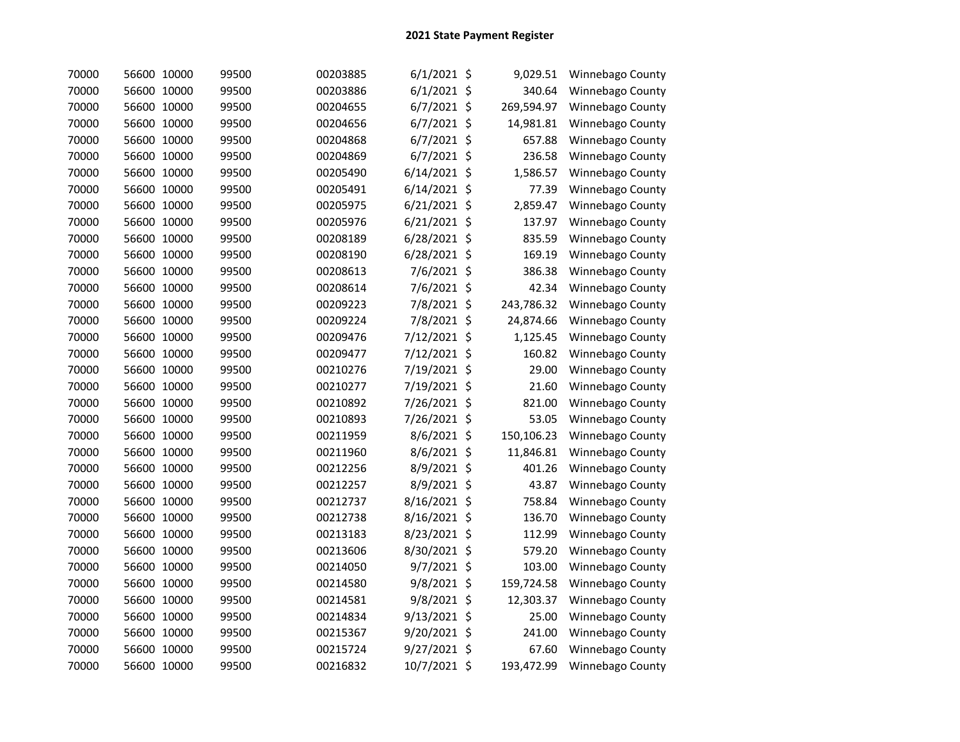| 70000 | 56600 10000 | 99500 | 00203885 | $6/1/2021$ \$  |         | 9,029.51   | Winnebago County |
|-------|-------------|-------|----------|----------------|---------|------------|------------------|
| 70000 | 56600 10000 | 99500 | 00203886 | $6/1/2021$ \$  |         | 340.64     | Winnebago County |
| 70000 | 56600 10000 | 99500 | 00204655 | 6/7/2021 \$    |         | 269,594.97 | Winnebago County |
| 70000 | 56600 10000 | 99500 | 00204656 | $6/7/2021$ \$  |         | 14,981.81  | Winnebago County |
| 70000 | 56600 10000 | 99500 | 00204868 | $6/7/2021$ \$  |         | 657.88     | Winnebago County |
| 70000 | 56600 10000 | 99500 | 00204869 | 6/7/2021 \$    |         | 236.58     | Winnebago County |
| 70000 | 56600 10000 | 99500 | 00205490 | $6/14/2021$ \$ |         | 1,586.57   | Winnebago County |
| 70000 | 56600 10000 | 99500 | 00205491 | $6/14/2021$ \$ |         | 77.39      | Winnebago County |
| 70000 | 56600 10000 | 99500 | 00205975 | 6/21/2021 \$   |         | 2,859.47   | Winnebago County |
| 70000 | 56600 10000 | 99500 | 00205976 | 6/21/2021 \$   |         | 137.97     | Winnebago County |
| 70000 | 56600 10000 | 99500 | 00208189 | 6/28/2021 \$   |         | 835.59     | Winnebago County |
| 70000 | 56600 10000 | 99500 | 00208190 | 6/28/2021 \$   |         | 169.19     | Winnebago County |
| 70000 | 56600 10000 | 99500 | 00208613 | 7/6/2021 \$    |         | 386.38     | Winnebago County |
| 70000 | 56600 10000 | 99500 | 00208614 | 7/6/2021 \$    |         | 42.34      | Winnebago County |
| 70000 | 56600 10000 | 99500 | 00209223 | 7/8/2021 \$    |         | 243,786.32 | Winnebago County |
| 70000 | 56600 10000 | 99500 | 00209224 | 7/8/2021 \$    |         | 24,874.66  | Winnebago County |
| 70000 | 56600 10000 | 99500 | 00209476 | 7/12/2021 \$   |         | 1,125.45   | Winnebago County |
| 70000 | 56600 10000 | 99500 | 00209477 | 7/12/2021 \$   |         | 160.82     | Winnebago County |
| 70000 | 56600 10000 | 99500 | 00210276 | 7/19/2021 \$   |         | 29.00      | Winnebago County |
| 70000 | 56600 10000 | 99500 | 00210277 | 7/19/2021 \$   |         | 21.60      | Winnebago County |
| 70000 | 56600 10000 | 99500 | 00210892 | 7/26/2021 \$   |         | 821.00     | Winnebago County |
| 70000 | 56600 10000 | 99500 | 00210893 | 7/26/2021 \$   |         | 53.05      | Winnebago County |
| 70000 | 56600 10000 | 99500 | 00211959 | 8/6/2021 \$    |         | 150,106.23 | Winnebago County |
| 70000 | 56600 10000 | 99500 | 00211960 | 8/6/2021 \$    |         | 11,846.81  | Winnebago County |
| 70000 | 56600 10000 | 99500 | 00212256 | 8/9/2021 \$    |         | 401.26     | Winnebago County |
| 70000 | 56600 10000 | 99500 | 00212257 | 8/9/2021       | $\zeta$ | 43.87      | Winnebago County |
| 70000 | 56600 10000 | 99500 | 00212737 | 8/16/2021      | \$      | 758.84     | Winnebago County |
| 70000 | 56600 10000 | 99500 | 00212738 | 8/16/2021 \$   |         | 136.70     | Winnebago County |
| 70000 | 56600 10000 | 99500 | 00213183 | 8/23/2021 \$   |         | 112.99     | Winnebago County |
| 70000 | 56600 10000 | 99500 | 00213606 | 8/30/2021 \$   |         | 579.20     | Winnebago County |
| 70000 | 56600 10000 | 99500 | 00214050 | 9/7/2021 \$    |         | 103.00     | Winnebago County |
| 70000 | 56600 10000 | 99500 | 00214580 | 9/8/2021 \$    |         | 159,724.58 | Winnebago County |
| 70000 | 56600 10000 | 99500 | 00214581 | 9/8/2021 \$    |         | 12,303.37  | Winnebago County |
| 70000 | 56600 10000 | 99500 | 00214834 | 9/13/2021 \$   |         | 25.00      | Winnebago County |
| 70000 | 56600 10000 | 99500 | 00215367 | 9/20/2021 \$   |         | 241.00     | Winnebago County |
| 70000 | 56600 10000 | 99500 | 00215724 | 9/27/2021 \$   |         | 67.60      | Winnebago County |
| 70000 | 56600 10000 | 99500 | 00216832 | 10/7/2021 \$   |         | 193,472.99 | Winnebago County |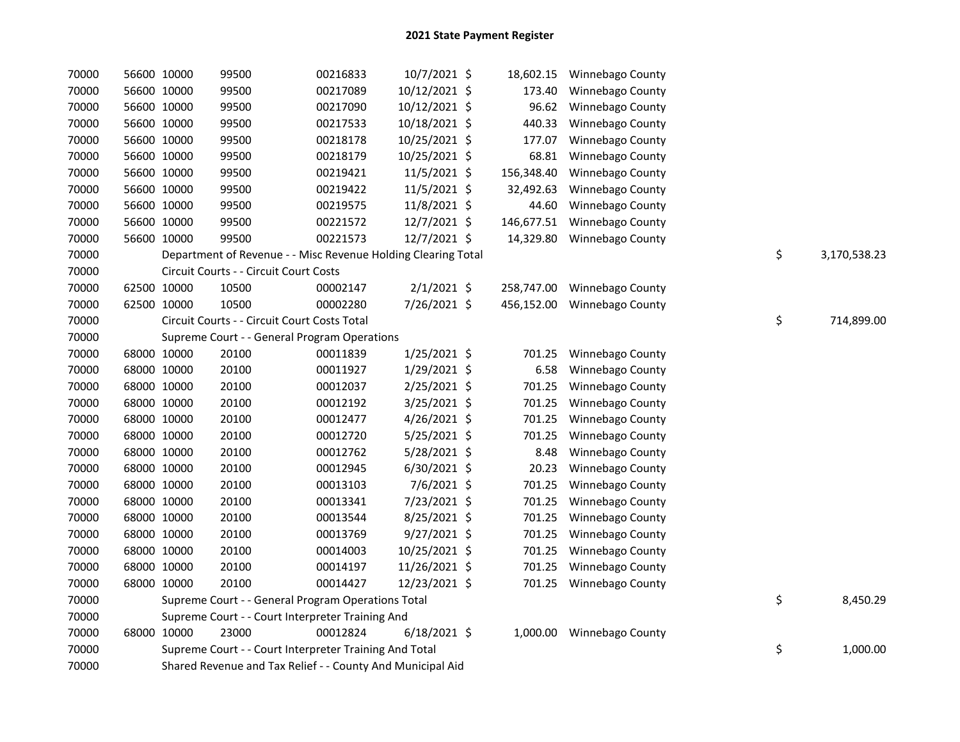| 70000 | 56600 10000 | 99500                                                         | 00216833 | 10/7/2021 \$   |            | 18,602.15 Winnebago County |    |              |
|-------|-------------|---------------------------------------------------------------|----------|----------------|------------|----------------------------|----|--------------|
| 70000 | 56600 10000 | 99500                                                         | 00217089 | 10/12/2021 \$  | 173.40     | Winnebago County           |    |              |
| 70000 | 56600 10000 | 99500                                                         | 00217090 | 10/12/2021 \$  | 96.62      | Winnebago County           |    |              |
| 70000 | 56600 10000 | 99500                                                         | 00217533 | 10/18/2021 \$  | 440.33     | Winnebago County           |    |              |
| 70000 | 56600 10000 | 99500                                                         | 00218178 | 10/25/2021 \$  | 177.07     | Winnebago County           |    |              |
| 70000 | 56600 10000 | 99500                                                         | 00218179 | 10/25/2021 \$  | 68.81      | Winnebago County           |    |              |
| 70000 | 56600 10000 | 99500                                                         | 00219421 | 11/5/2021 \$   | 156,348.40 | Winnebago County           |    |              |
| 70000 | 56600 10000 | 99500                                                         | 00219422 | 11/5/2021 \$   | 32,492.63  | Winnebago County           |    |              |
| 70000 | 56600 10000 | 99500                                                         | 00219575 | 11/8/2021 \$   | 44.60      | Winnebago County           |    |              |
| 70000 | 56600 10000 | 99500                                                         | 00221572 | $12/7/2021$ \$ | 146,677.51 | Winnebago County           |    |              |
| 70000 | 56600 10000 | 99500                                                         | 00221573 | $12/7/2021$ \$ | 14,329.80  | Winnebago County           |    |              |
| 70000 |             | Department of Revenue - - Misc Revenue Holding Clearing Total |          |                |            |                            | \$ | 3,170,538.23 |
| 70000 |             | Circuit Courts - - Circuit Court Costs                        |          |                |            |                            |    |              |
| 70000 | 62500 10000 | 10500                                                         | 00002147 | $2/1/2021$ \$  | 258,747.00 | <b>Winnebago County</b>    |    |              |
| 70000 | 62500 10000 | 10500                                                         | 00002280 | 7/26/2021 \$   | 456,152.00 | <b>Winnebago County</b>    |    |              |
| 70000 |             | Circuit Courts - - Circuit Court Costs Total                  |          |                |            |                            | \$ | 714,899.00   |
| 70000 |             | Supreme Court - - General Program Operations                  |          |                |            |                            |    |              |
| 70000 | 68000 10000 | 20100                                                         | 00011839 | $1/25/2021$ \$ | 701.25     | Winnebago County           |    |              |
| 70000 | 68000 10000 | 20100                                                         | 00011927 | $1/29/2021$ \$ | 6.58       | Winnebago County           |    |              |
| 70000 | 68000 10000 | 20100                                                         | 00012037 | $2/25/2021$ \$ | 701.25     | Winnebago County           |    |              |
| 70000 | 68000 10000 | 20100                                                         | 00012192 | 3/25/2021 \$   | 701.25     | Winnebago County           |    |              |
| 70000 | 68000 10000 | 20100                                                         | 00012477 | 4/26/2021 \$   | 701.25     | Winnebago County           |    |              |
| 70000 | 68000 10000 | 20100                                                         | 00012720 | 5/25/2021 \$   | 701.25     | Winnebago County           |    |              |
| 70000 | 68000 10000 | 20100                                                         | 00012762 | $5/28/2021$ \$ | 8.48       | Winnebago County           |    |              |
| 70000 | 68000 10000 | 20100                                                         | 00012945 | $6/30/2021$ \$ | 20.23      | Winnebago County           |    |              |
| 70000 | 68000 10000 | 20100                                                         | 00013103 | 7/6/2021 \$    | 701.25     | Winnebago County           |    |              |
| 70000 | 68000 10000 | 20100                                                         | 00013341 | 7/23/2021 \$   | 701.25     | Winnebago County           |    |              |
| 70000 | 68000 10000 | 20100                                                         | 00013544 | 8/25/2021 \$   | 701.25     | Winnebago County           |    |              |
| 70000 | 68000 10000 | 20100                                                         | 00013769 | $9/27/2021$ \$ | 701.25     | Winnebago County           |    |              |
| 70000 | 68000 10000 | 20100                                                         | 00014003 | 10/25/2021 \$  | 701.25     | Winnebago County           |    |              |
| 70000 | 68000 10000 | 20100                                                         | 00014197 | 11/26/2021 \$  | 701.25     | Winnebago County           |    |              |
| 70000 | 68000 10000 | 20100                                                         | 00014427 | 12/23/2021 \$  | 701.25     | Winnebago County           |    |              |
| 70000 |             | Supreme Court - - General Program Operations Total            |          |                |            |                            | \$ | 8,450.29     |
| 70000 |             | Supreme Court - - Court Interpreter Training And              |          |                |            |                            |    |              |
| 70000 | 68000 10000 | 23000                                                         | 00012824 | $6/18/2021$ \$ | 1,000.00   | <b>Winnebago County</b>    |    |              |
| 70000 |             | Supreme Court - - Court Interpreter Training And Total        |          |                |            |                            | \$ | 1,000.00     |
| 70000 |             | Shared Revenue and Tax Relief - - County And Municipal Aid    |          |                |            |                            |    |              |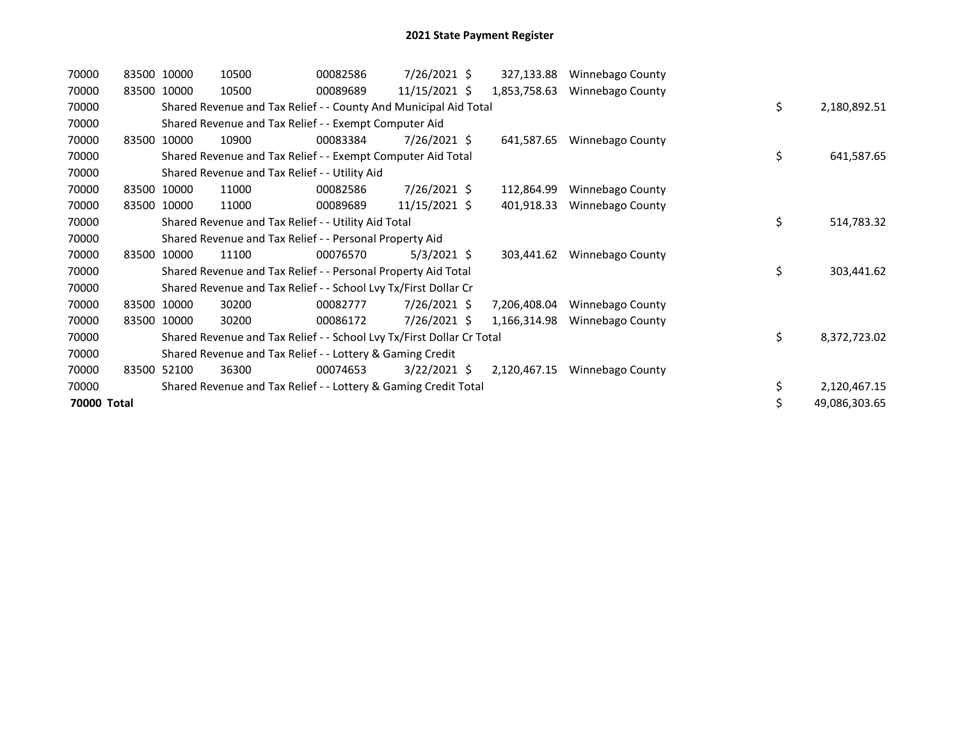| 70000       |       | 83500 10000 | 10500                                                                 | 00082586 | 7/26/2021 \$   | 327,133.88   | Winnebago County |    |               |
|-------------|-------|-------------|-----------------------------------------------------------------------|----------|----------------|--------------|------------------|----|---------------|
| 70000       |       | 83500 10000 | 10500                                                                 | 00089689 | 11/15/2021 \$  | 1,853,758.63 | Winnebago County |    |               |
| 70000       |       |             | Shared Revenue and Tax Relief - - County And Municipal Aid Total      |          |                |              |                  | \$ | 2,180,892.51  |
| 70000       |       |             | Shared Revenue and Tax Relief - - Exempt Computer Aid                 |          |                |              |                  |    |               |
| 70000       |       | 83500 10000 | 10900                                                                 | 00083384 | $7/26/2021$ \$ | 641,587.65   | Winnebago County |    |               |
| 70000       |       |             | Shared Revenue and Tax Relief - - Exempt Computer Aid Total           |          |                |              |                  | \$ | 641,587.65    |
| 70000       |       |             | Shared Revenue and Tax Relief - - Utility Aid                         |          |                |              |                  |    |               |
| 70000       |       | 83500 10000 | 11000                                                                 | 00082586 | 7/26/2021 \$   | 112,864.99   | Winnebago County |    |               |
| 70000       | 83500 | 10000       | 11000                                                                 | 00089689 | 11/15/2021 \$  | 401,918.33   | Winnebago County |    |               |
| 70000       |       |             | Shared Revenue and Tax Relief - - Utility Aid Total                   |          |                |              |                  | \$ | 514,783.32    |
| 70000       |       |             | Shared Revenue and Tax Relief - - Personal Property Aid               |          |                |              |                  |    |               |
| 70000       | 83500 | 10000       | 11100                                                                 | 00076570 | $5/3/2021$ \$  | 303,441.62   | Winnebago County |    |               |
| 70000       |       |             | Shared Revenue and Tax Relief - - Personal Property Aid Total         |          |                |              |                  | \$ | 303,441.62    |
| 70000       |       |             | Shared Revenue and Tax Relief - - School Lvy Tx/First Dollar Cr       |          |                |              |                  |    |               |
| 70000       |       | 83500 10000 | 30200                                                                 | 00082777 | $7/26/2021$ \$ | 7,206,408.04 | Winnebago County |    |               |
| 70000       |       | 83500 10000 | 30200                                                                 | 00086172 | $7/26/2021$ \$ | 1,166,314.98 | Winnebago County |    |               |
| 70000       |       |             | Shared Revenue and Tax Relief - - School Lvy Tx/First Dollar Cr Total |          |                |              |                  | \$ | 8,372,723.02  |
| 70000       |       |             | Shared Revenue and Tax Relief - - Lottery & Gaming Credit             |          |                |              |                  |    |               |
| 70000       |       | 83500 52100 | 36300                                                                 | 00074653 | $3/22/2021$ \$ | 2,120,467.15 | Winnebago County |    |               |
| 70000       |       |             | Shared Revenue and Tax Relief - - Lottery & Gaming Credit Total       |          |                |              |                  | \$ | 2,120,467.15  |
| 70000 Total |       |             |                                                                       |          |                |              |                  | \$ | 49,086,303.65 |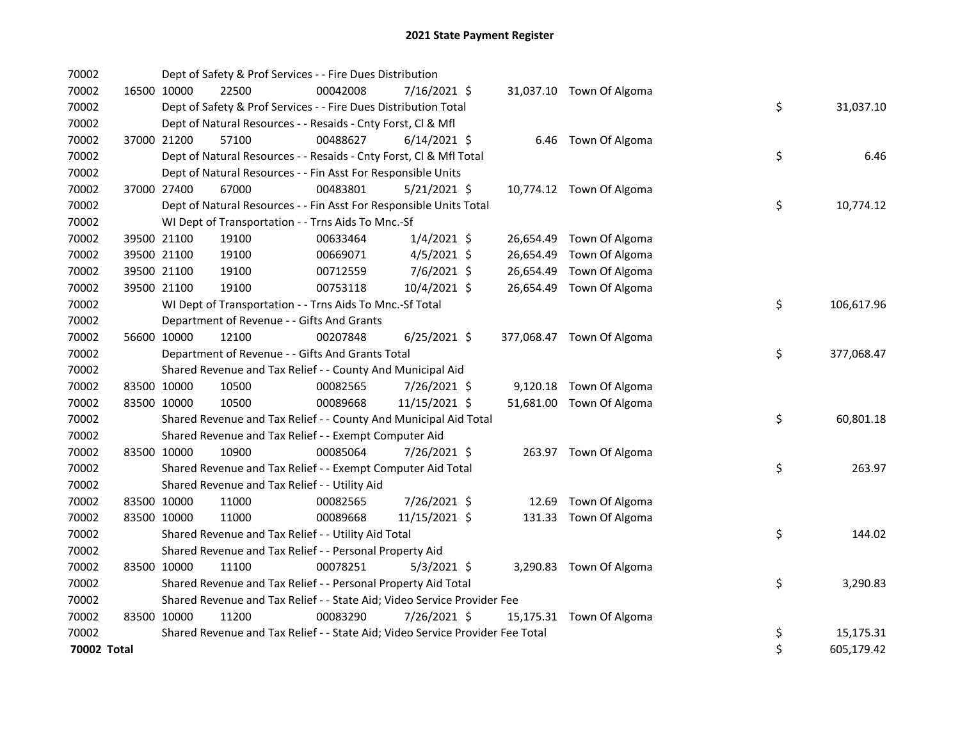| 70002       |             |             | Dept of Safety & Prof Services - - Fire Dues Distribution                     |          |                |  |                           |    |            |
|-------------|-------------|-------------|-------------------------------------------------------------------------------|----------|----------------|--|---------------------------|----|------------|
| 70002       |             | 16500 10000 | 22500                                                                         | 00042008 | 7/16/2021 \$   |  | 31,037.10 Town Of Algoma  |    |            |
| 70002       |             |             | Dept of Safety & Prof Services - - Fire Dues Distribution Total               |          |                |  |                           | \$ | 31,037.10  |
| 70002       |             |             | Dept of Natural Resources - - Resaids - Cnty Forst, CI & Mfl                  |          |                |  |                           |    |            |
| 70002       |             | 37000 21200 | 57100                                                                         | 00488627 | $6/14/2021$ \$ |  | 6.46 Town Of Algoma       |    |            |
| 70002       |             |             | Dept of Natural Resources - - Resaids - Cnty Forst, Cl & Mfl Total            |          |                |  |                           | \$ | 6.46       |
| 70002       |             |             | Dept of Natural Resources - - Fin Asst For Responsible Units                  |          |                |  |                           |    |            |
| 70002       |             | 37000 27400 | 67000                                                                         | 00483801 | $5/21/2021$ \$ |  | 10,774.12 Town Of Algoma  |    |            |
| 70002       |             |             | Dept of Natural Resources - - Fin Asst For Responsible Units Total            |          |                |  |                           | \$ | 10,774.12  |
| 70002       |             |             | WI Dept of Transportation - - Trns Aids To Mnc.-Sf                            |          |                |  |                           |    |            |
| 70002       |             | 39500 21100 | 19100                                                                         | 00633464 | $1/4/2021$ \$  |  | 26,654.49 Town Of Algoma  |    |            |
| 70002       |             | 39500 21100 | 19100                                                                         | 00669071 | $4/5/2021$ \$  |  | 26,654.49 Town Of Algoma  |    |            |
| 70002       |             | 39500 21100 | 19100                                                                         | 00712559 | 7/6/2021 \$    |  | 26,654.49 Town Of Algoma  |    |            |
| 70002       |             | 39500 21100 | 19100                                                                         | 00753118 | 10/4/2021 \$   |  | 26,654.49 Town Of Algoma  |    |            |
| 70002       |             |             | WI Dept of Transportation - - Trns Aids To Mnc.-Sf Total                      |          |                |  |                           | \$ | 106,617.96 |
| 70002       |             |             | Department of Revenue - - Gifts And Grants                                    |          |                |  |                           |    |            |
| 70002       |             | 56600 10000 | 12100                                                                         | 00207848 | $6/25/2021$ \$ |  | 377,068.47 Town Of Algoma |    |            |
| 70002       |             |             | Department of Revenue - - Gifts And Grants Total                              |          |                |  |                           | \$ | 377,068.47 |
| 70002       |             |             | Shared Revenue and Tax Relief - - County And Municipal Aid                    |          |                |  |                           |    |            |
| 70002       | 83500 10000 |             | 10500                                                                         | 00082565 | 7/26/2021 \$   |  | 9,120.18 Town Of Algoma   |    |            |
| 70002       | 83500 10000 |             | 10500                                                                         | 00089668 | 11/15/2021 \$  |  | 51,681.00 Town Of Algoma  |    |            |
| 70002       |             |             | Shared Revenue and Tax Relief - - County And Municipal Aid Total              |          |                |  |                           | \$ | 60,801.18  |
| 70002       |             |             | Shared Revenue and Tax Relief - - Exempt Computer Aid                         |          |                |  |                           |    |            |
| 70002       | 83500 10000 |             | 10900                                                                         | 00085064 | 7/26/2021 \$   |  | 263.97 Town Of Algoma     |    |            |
| 70002       |             |             | Shared Revenue and Tax Relief - - Exempt Computer Aid Total                   |          |                |  |                           | \$ | 263.97     |
| 70002       |             |             | Shared Revenue and Tax Relief - - Utility Aid                                 |          |                |  |                           |    |            |
| 70002       |             | 83500 10000 | 11000                                                                         | 00082565 | 7/26/2021 \$   |  | 12.69 Town Of Algoma      |    |            |
| 70002       | 83500 10000 |             | 11000                                                                         | 00089668 | 11/15/2021 \$  |  | 131.33 Town Of Algoma     |    |            |
| 70002       |             |             | Shared Revenue and Tax Relief - - Utility Aid Total                           |          |                |  |                           | \$ | 144.02     |
| 70002       |             |             | Shared Revenue and Tax Relief - - Personal Property Aid                       |          |                |  |                           |    |            |
| 70002       | 83500 10000 |             | 11100                                                                         | 00078251 | $5/3/2021$ \$  |  | 3,290.83 Town Of Algoma   |    |            |
| 70002       |             |             | Shared Revenue and Tax Relief - - Personal Property Aid Total                 |          |                |  |                           | \$ | 3,290.83   |
| 70002       |             |             | Shared Revenue and Tax Relief - - State Aid; Video Service Provider Fee       |          |                |  |                           |    |            |
| 70002       | 83500 10000 |             | 11200                                                                         | 00083290 | 7/26/2021 \$   |  | 15,175.31 Town Of Algoma  |    |            |
| 70002       |             |             | Shared Revenue and Tax Relief - - State Aid; Video Service Provider Fee Total |          |                |  |                           | \$ | 15,175.31  |
| 70002 Total |             |             |                                                                               |          |                |  |                           | \$ | 605,179.42 |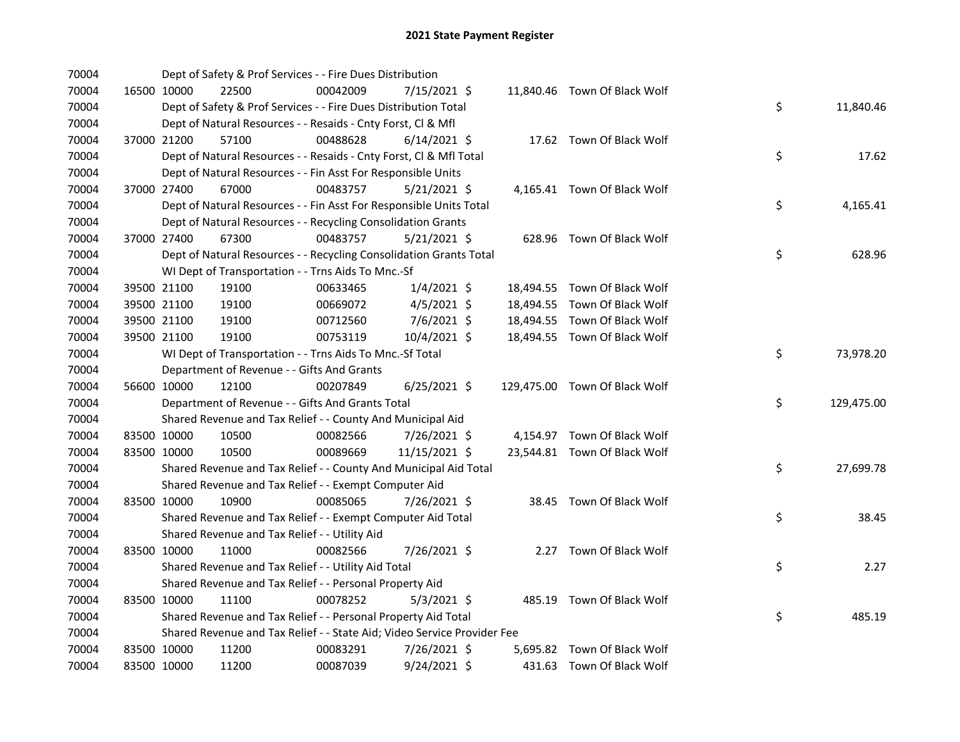| 70004 |             | Dept of Safety & Prof Services - - Fire Dues Distribution               |          |                |  |                               |    |            |
|-------|-------------|-------------------------------------------------------------------------|----------|----------------|--|-------------------------------|----|------------|
| 70004 | 16500 10000 | 22500                                                                   | 00042009 | 7/15/2021 \$   |  | 11,840.46 Town Of Black Wolf  |    |            |
| 70004 |             | Dept of Safety & Prof Services - - Fire Dues Distribution Total         |          |                |  |                               | \$ | 11,840.46  |
| 70004 |             | Dept of Natural Resources - - Resaids - Cnty Forst, Cl & Mfl            |          |                |  |                               |    |            |
| 70004 | 37000 21200 | 57100                                                                   | 00488628 | $6/14/2021$ \$ |  | 17.62 Town Of Black Wolf      |    |            |
| 70004 |             | Dept of Natural Resources - - Resaids - Cnty Forst, Cl & Mfl Total      |          |                |  |                               | \$ | 17.62      |
| 70004 |             | Dept of Natural Resources - - Fin Asst For Responsible Units            |          |                |  |                               |    |            |
| 70004 | 37000 27400 | 67000                                                                   | 00483757 | $5/21/2021$ \$ |  | 4,165.41 Town Of Black Wolf   |    |            |
| 70004 |             | Dept of Natural Resources - - Fin Asst For Responsible Units Total      |          |                |  |                               | \$ | 4,165.41   |
| 70004 |             | Dept of Natural Resources - - Recycling Consolidation Grants            |          |                |  |                               |    |            |
| 70004 | 37000 27400 | 67300                                                                   | 00483757 | $5/21/2021$ \$ |  | 628.96 Town Of Black Wolf     |    |            |
| 70004 |             | Dept of Natural Resources - - Recycling Consolidation Grants Total      |          |                |  |                               | \$ | 628.96     |
| 70004 |             | WI Dept of Transportation - - Trns Aids To Mnc.-Sf                      |          |                |  |                               |    |            |
| 70004 | 39500 21100 | 19100                                                                   | 00633465 | $1/4/2021$ \$  |  | 18,494.55 Town Of Black Wolf  |    |            |
| 70004 | 39500 21100 | 19100                                                                   | 00669072 | $4/5/2021$ \$  |  | 18,494.55 Town Of Black Wolf  |    |            |
| 70004 | 39500 21100 | 19100                                                                   | 00712560 | 7/6/2021 \$    |  | 18,494.55 Town Of Black Wolf  |    |            |
| 70004 | 39500 21100 | 19100                                                                   | 00753119 | 10/4/2021 \$   |  | 18,494.55 Town Of Black Wolf  |    |            |
| 70004 |             | WI Dept of Transportation - - Trns Aids To Mnc.-Sf Total                |          |                |  |                               | \$ | 73,978.20  |
| 70004 |             | Department of Revenue - - Gifts And Grants                              |          |                |  |                               |    |            |
| 70004 | 56600 10000 | 12100                                                                   | 00207849 | $6/25/2021$ \$ |  | 129,475.00 Town Of Black Wolf |    |            |
| 70004 |             | Department of Revenue - - Gifts And Grants Total                        |          |                |  |                               | \$ | 129,475.00 |
| 70004 |             | Shared Revenue and Tax Relief - - County And Municipal Aid              |          |                |  |                               |    |            |
| 70004 | 83500 10000 | 10500                                                                   | 00082566 | 7/26/2021 \$   |  | 4,154.97 Town Of Black Wolf   |    |            |
| 70004 | 83500 10000 | 10500                                                                   | 00089669 | 11/15/2021 \$  |  | 23,544.81 Town Of Black Wolf  |    |            |
| 70004 |             | Shared Revenue and Tax Relief - - County And Municipal Aid Total        |          |                |  |                               | \$ | 27,699.78  |
| 70004 |             | Shared Revenue and Tax Relief - - Exempt Computer Aid                   |          |                |  |                               |    |            |
| 70004 | 83500 10000 | 10900                                                                   | 00085065 | 7/26/2021 \$   |  | 38.45 Town Of Black Wolf      |    |            |
| 70004 |             | Shared Revenue and Tax Relief - - Exempt Computer Aid Total             |          |                |  |                               | \$ | 38.45      |
| 70004 |             | Shared Revenue and Tax Relief - - Utility Aid                           |          |                |  |                               |    |            |
| 70004 | 83500 10000 | 11000                                                                   | 00082566 | 7/26/2021 \$   |  | 2.27 Town Of Black Wolf       |    |            |
| 70004 |             | Shared Revenue and Tax Relief - - Utility Aid Total                     |          |                |  |                               | \$ | 2.27       |
| 70004 |             | Shared Revenue and Tax Relief - - Personal Property Aid                 |          |                |  |                               |    |            |
| 70004 | 83500 10000 | 11100                                                                   | 00078252 | $5/3/2021$ \$  |  | 485.19 Town Of Black Wolf     |    |            |
| 70004 |             | Shared Revenue and Tax Relief - - Personal Property Aid Total           |          |                |  |                               | \$ | 485.19     |
| 70004 |             | Shared Revenue and Tax Relief - - State Aid; Video Service Provider Fee |          |                |  |                               |    |            |
| 70004 | 83500 10000 | 11200                                                                   | 00083291 | 7/26/2021 \$   |  | 5,695.82 Town Of Black Wolf   |    |            |
| 70004 | 83500 10000 | 11200                                                                   | 00087039 | 9/24/2021 \$   |  | 431.63 Town Of Black Wolf     |    |            |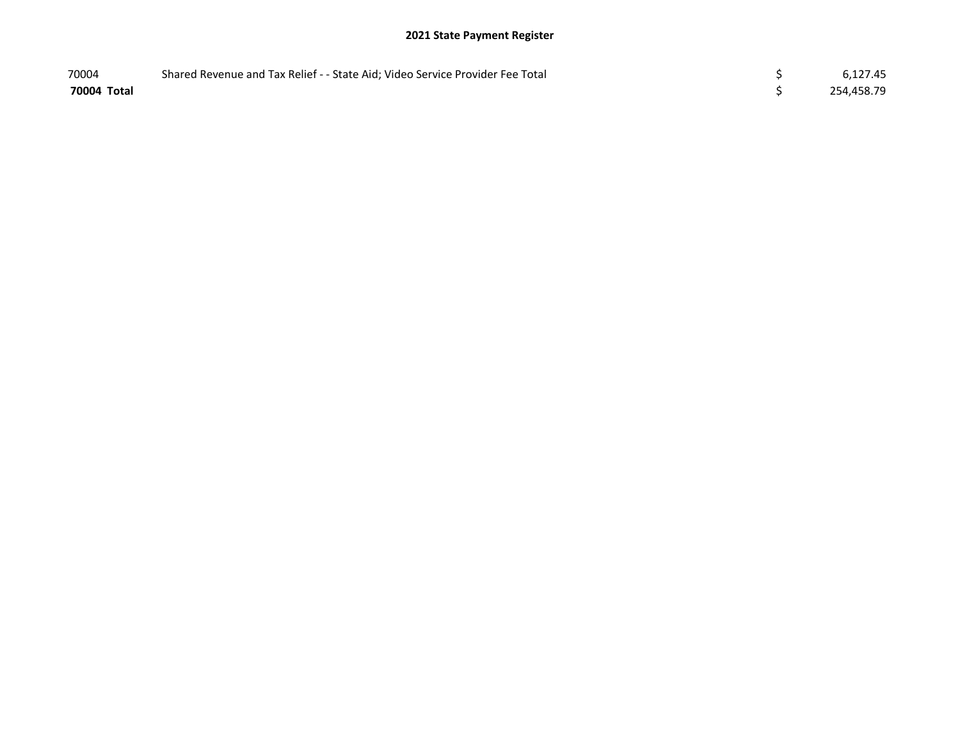| 70004       | Shared Revenue and Tax Relief - - State Aid; Video Service Provider Fee Total | 6,127.45   |
|-------------|-------------------------------------------------------------------------------|------------|
| 70004 Total |                                                                               | 254,458.79 |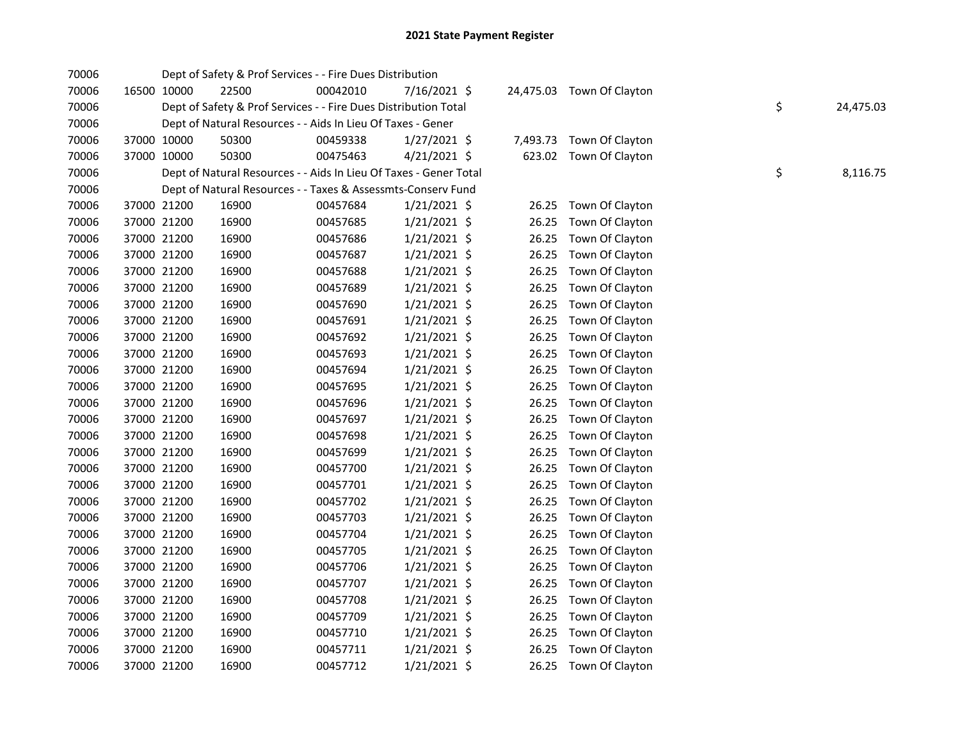| 70006 |             |             | Dept of Safety & Prof Services - - Fire Dues Distribution         |          |                |       |                           |    |           |
|-------|-------------|-------------|-------------------------------------------------------------------|----------|----------------|-------|---------------------------|----|-----------|
| 70006 | 16500 10000 |             | 22500                                                             | 00042010 | 7/16/2021 \$   |       | 24,475.03 Town Of Clayton |    |           |
| 70006 |             |             | Dept of Safety & Prof Services - - Fire Dues Distribution Total   |          |                |       |                           | \$ | 24,475.03 |
| 70006 |             |             | Dept of Natural Resources - - Aids In Lieu Of Taxes - Gener       |          |                |       |                           |    |           |
| 70006 |             | 37000 10000 | 50300                                                             | 00459338 | $1/27/2021$ \$ |       | 7,493.73 Town Of Clayton  |    |           |
| 70006 | 37000 10000 |             | 50300                                                             | 00475463 | $4/21/2021$ \$ |       | 623.02 Town Of Clayton    |    |           |
| 70006 |             |             | Dept of Natural Resources - - Aids In Lieu Of Taxes - Gener Total |          |                |       |                           | \$ | 8,116.75  |
| 70006 |             |             | Dept of Natural Resources - - Taxes & Assessmts-Conserv Fund      |          |                |       |                           |    |           |
| 70006 |             | 37000 21200 | 16900                                                             | 00457684 | $1/21/2021$ \$ | 26.25 | Town Of Clayton           |    |           |
| 70006 | 37000 21200 |             | 16900                                                             | 00457685 | $1/21/2021$ \$ | 26.25 | Town Of Clayton           |    |           |
| 70006 | 37000 21200 |             | 16900                                                             | 00457686 | $1/21/2021$ \$ | 26.25 | Town Of Clayton           |    |           |
| 70006 | 37000 21200 |             | 16900                                                             | 00457687 | $1/21/2021$ \$ | 26.25 | Town Of Clayton           |    |           |
| 70006 | 37000 21200 |             | 16900                                                             | 00457688 | $1/21/2021$ \$ | 26.25 | Town Of Clayton           |    |           |
| 70006 | 37000 21200 |             | 16900                                                             | 00457689 | $1/21/2021$ \$ | 26.25 | Town Of Clayton           |    |           |
| 70006 | 37000 21200 |             | 16900                                                             | 00457690 | $1/21/2021$ \$ | 26.25 | Town Of Clayton           |    |           |
| 70006 | 37000 21200 |             | 16900                                                             | 00457691 | $1/21/2021$ \$ | 26.25 | Town Of Clayton           |    |           |
| 70006 | 37000 21200 |             | 16900                                                             | 00457692 | $1/21/2021$ \$ | 26.25 | Town Of Clayton           |    |           |
| 70006 | 37000 21200 |             | 16900                                                             | 00457693 | 1/21/2021 \$   | 26.25 | Town Of Clayton           |    |           |
| 70006 | 37000 21200 |             | 16900                                                             | 00457694 | $1/21/2021$ \$ | 26.25 | Town Of Clayton           |    |           |
| 70006 | 37000 21200 |             | 16900                                                             | 00457695 | $1/21/2021$ \$ | 26.25 | Town Of Clayton           |    |           |
| 70006 | 37000 21200 |             | 16900                                                             | 00457696 | $1/21/2021$ \$ | 26.25 | Town Of Clayton           |    |           |
| 70006 | 37000 21200 |             | 16900                                                             | 00457697 | $1/21/2021$ \$ | 26.25 | Town Of Clayton           |    |           |
| 70006 | 37000 21200 |             | 16900                                                             | 00457698 | $1/21/2021$ \$ | 26.25 | Town Of Clayton           |    |           |
| 70006 | 37000 21200 |             | 16900                                                             | 00457699 | $1/21/2021$ \$ | 26.25 | Town Of Clayton           |    |           |
| 70006 | 37000 21200 |             | 16900                                                             | 00457700 | $1/21/2021$ \$ | 26.25 | Town Of Clayton           |    |           |
| 70006 | 37000 21200 |             | 16900                                                             | 00457701 | $1/21/2021$ \$ | 26.25 | Town Of Clayton           |    |           |
| 70006 | 37000 21200 |             | 16900                                                             | 00457702 | $1/21/2021$ \$ | 26.25 | Town Of Clayton           |    |           |
| 70006 | 37000 21200 |             | 16900                                                             | 00457703 | $1/21/2021$ \$ | 26.25 | Town Of Clayton           |    |           |
| 70006 | 37000 21200 |             | 16900                                                             | 00457704 | $1/21/2021$ \$ | 26.25 | Town Of Clayton           |    |           |
| 70006 | 37000 21200 |             | 16900                                                             | 00457705 | $1/21/2021$ \$ | 26.25 | Town Of Clayton           |    |           |
| 70006 | 37000 21200 |             | 16900                                                             | 00457706 | $1/21/2021$ \$ | 26.25 | Town Of Clayton           |    |           |
| 70006 | 37000 21200 |             | 16900                                                             | 00457707 | $1/21/2021$ \$ | 26.25 | Town Of Clayton           |    |           |
| 70006 | 37000 21200 |             | 16900                                                             | 00457708 | $1/21/2021$ \$ | 26.25 | Town Of Clayton           |    |           |
| 70006 | 37000 21200 |             | 16900                                                             | 00457709 | $1/21/2021$ \$ | 26.25 | Town Of Clayton           |    |           |
| 70006 | 37000 21200 |             | 16900                                                             | 00457710 | $1/21/2021$ \$ | 26.25 | Town Of Clayton           |    |           |
| 70006 | 37000 21200 |             | 16900                                                             | 00457711 | $1/21/2021$ \$ | 26.25 | Town Of Clayton           |    |           |
| 70006 |             | 37000 21200 | 16900                                                             | 00457712 | $1/21/2021$ \$ |       | 26.25 Town Of Clayton     |    |           |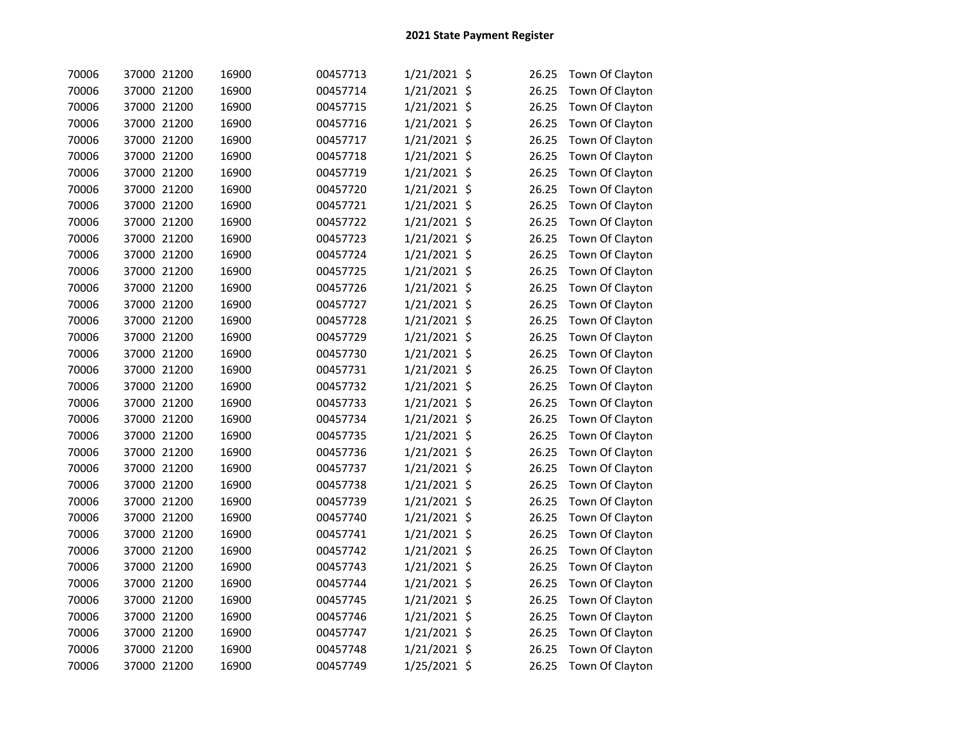| 70006 | 37000 21200 | 16900 | 00457713 | 1/21/2021 \$ | 26.25 | Town Of Clayton |
|-------|-------------|-------|----------|--------------|-------|-----------------|
| 70006 | 37000 21200 | 16900 | 00457714 | 1/21/2021 \$ | 26.25 | Town Of Clayton |
| 70006 | 37000 21200 | 16900 | 00457715 | 1/21/2021 \$ | 26.25 | Town Of Clayton |
| 70006 | 37000 21200 | 16900 | 00457716 | 1/21/2021 \$ | 26.25 | Town Of Clayton |
| 70006 | 37000 21200 | 16900 | 00457717 | 1/21/2021 \$ | 26.25 | Town Of Clayton |
| 70006 | 37000 21200 | 16900 | 00457718 | 1/21/2021 \$ | 26.25 | Town Of Clayton |
| 70006 | 37000 21200 | 16900 | 00457719 | 1/21/2021 \$ | 26.25 | Town Of Clayton |
| 70006 | 37000 21200 | 16900 | 00457720 | 1/21/2021 \$ | 26.25 | Town Of Clayton |
| 70006 | 37000 21200 | 16900 | 00457721 | 1/21/2021 \$ | 26.25 | Town Of Clayton |
| 70006 | 37000 21200 | 16900 | 00457722 | 1/21/2021 \$ | 26.25 | Town Of Clayton |
| 70006 | 37000 21200 | 16900 | 00457723 | 1/21/2021 \$ | 26.25 | Town Of Clayton |
| 70006 | 37000 21200 | 16900 | 00457724 | 1/21/2021 \$ | 26.25 | Town Of Clayton |
| 70006 | 37000 21200 | 16900 | 00457725 | 1/21/2021 \$ | 26.25 | Town Of Clayton |
| 70006 | 37000 21200 | 16900 | 00457726 | 1/21/2021 \$ | 26.25 | Town Of Clayton |
| 70006 | 37000 21200 | 16900 | 00457727 | 1/21/2021 \$ | 26.25 | Town Of Clayton |
| 70006 | 37000 21200 | 16900 | 00457728 | 1/21/2021 \$ | 26.25 | Town Of Clayton |
| 70006 | 37000 21200 | 16900 | 00457729 | 1/21/2021 \$ | 26.25 | Town Of Clayton |
| 70006 | 37000 21200 | 16900 | 00457730 | 1/21/2021 \$ | 26.25 | Town Of Clayton |
| 70006 | 37000 21200 | 16900 | 00457731 | 1/21/2021 \$ | 26.25 | Town Of Clayton |
| 70006 | 37000 21200 | 16900 | 00457732 | 1/21/2021 \$ | 26.25 | Town Of Clayton |
| 70006 | 37000 21200 | 16900 | 00457733 | 1/21/2021 \$ | 26.25 | Town Of Clayton |
| 70006 | 37000 21200 | 16900 | 00457734 | 1/21/2021 \$ | 26.25 | Town Of Clayton |
| 70006 | 37000 21200 | 16900 | 00457735 | 1/21/2021 \$ | 26.25 | Town Of Clayton |
| 70006 | 37000 21200 | 16900 | 00457736 | 1/21/2021 \$ | 26.25 | Town Of Clayton |
| 70006 | 37000 21200 | 16900 | 00457737 | 1/21/2021 \$ | 26.25 | Town Of Clayton |
| 70006 | 37000 21200 | 16900 | 00457738 | 1/21/2021 \$ | 26.25 | Town Of Clayton |
| 70006 | 37000 21200 | 16900 | 00457739 | 1/21/2021 \$ | 26.25 | Town Of Clayton |
| 70006 | 37000 21200 | 16900 | 00457740 | 1/21/2021 \$ | 26.25 | Town Of Clayton |
| 70006 | 37000 21200 | 16900 | 00457741 | 1/21/2021 \$ | 26.25 | Town Of Clayton |
| 70006 | 37000 21200 | 16900 | 00457742 | 1/21/2021 \$ | 26.25 | Town Of Clayton |
| 70006 | 37000 21200 | 16900 | 00457743 | 1/21/2021 \$ | 26.25 | Town Of Clayton |
| 70006 | 37000 21200 | 16900 | 00457744 | 1/21/2021 \$ | 26.25 | Town Of Clayton |
| 70006 | 37000 21200 | 16900 | 00457745 | 1/21/2021 \$ | 26.25 | Town Of Clayton |
| 70006 | 37000 21200 | 16900 | 00457746 | 1/21/2021 \$ | 26.25 | Town Of Clayton |
| 70006 | 37000 21200 | 16900 | 00457747 | 1/21/2021 \$ | 26.25 | Town Of Clayton |
| 70006 | 37000 21200 | 16900 | 00457748 | 1/21/2021 \$ | 26.25 | Town Of Clayton |
| 70006 | 37000 21200 | 16900 | 00457749 | 1/25/2021 \$ | 26.25 | Town Of Clayton |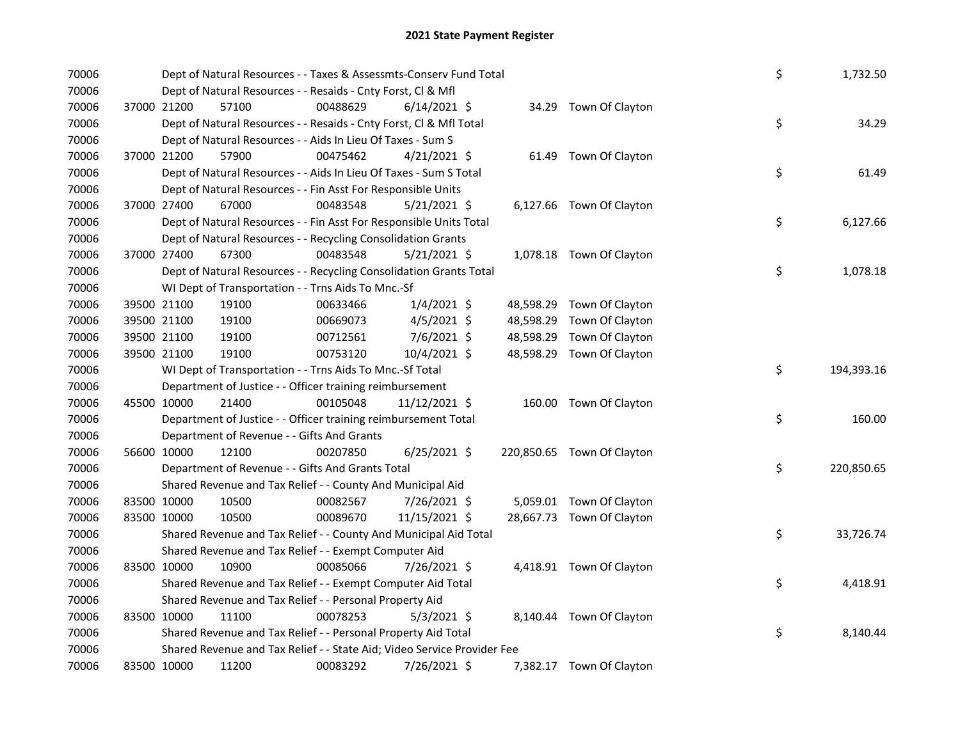| 70006 |             | Dept of Natural Resources - - Taxes & Assessmts-Conserv Fund Total      |          |                |           |                            | \$ | 1,732.50   |
|-------|-------------|-------------------------------------------------------------------------|----------|----------------|-----------|----------------------------|----|------------|
| 70006 |             | Dept of Natural Resources - - Resaids - Cnty Forst, Cl & Mfl            |          |                |           |                            |    |            |
| 70006 | 37000 21200 | 57100                                                                   | 00488629 | $6/14/2021$ \$ |           | 34.29 Town Of Clayton      |    |            |
| 70006 |             | Dept of Natural Resources - - Resaids - Cnty Forst, Cl & Mfl Total      |          |                |           |                            | \$ | 34.29      |
| 70006 |             | Dept of Natural Resources - - Aids In Lieu Of Taxes - Sum S             |          |                |           |                            |    |            |
| 70006 | 37000 21200 | 57900                                                                   | 00475462 | $4/21/2021$ \$ |           | 61.49 Town Of Clayton      |    |            |
| 70006 |             | Dept of Natural Resources - - Aids In Lieu Of Taxes - Sum S Total       |          |                |           |                            | \$ | 61.49      |
| 70006 |             | Dept of Natural Resources - - Fin Asst For Responsible Units            |          |                |           |                            |    |            |
| 70006 | 37000 27400 | 67000                                                                   | 00483548 | $5/21/2021$ \$ |           | 6,127.66 Town Of Clayton   |    |            |
| 70006 |             | Dept of Natural Resources - - Fin Asst For Responsible Units Total      |          |                |           |                            | \$ | 6,127.66   |
| 70006 |             | Dept of Natural Resources - - Recycling Consolidation Grants            |          |                |           |                            |    |            |
| 70006 | 37000 27400 | 67300                                                                   | 00483548 | $5/21/2021$ \$ |           | 1,078.18 Town Of Clayton   |    |            |
| 70006 |             | Dept of Natural Resources - - Recycling Consolidation Grants Total      |          |                |           |                            | \$ | 1,078.18   |
| 70006 |             | WI Dept of Transportation - - Trns Aids To Mnc.-Sf                      |          |                |           |                            |    |            |
| 70006 | 39500 21100 | 19100                                                                   | 00633466 | $1/4/2021$ \$  |           | 48,598.29 Town Of Clayton  |    |            |
| 70006 | 39500 21100 | 19100                                                                   | 00669073 | $4/5/2021$ \$  | 48,598.29 | Town Of Clayton            |    |            |
| 70006 | 39500 21100 | 19100                                                                   | 00712561 | 7/6/2021 \$    | 48,598.29 | Town Of Clayton            |    |            |
| 70006 | 39500 21100 | 19100                                                                   | 00753120 | 10/4/2021 \$   |           | 48,598.29 Town Of Clayton  |    |            |
| 70006 |             | WI Dept of Transportation - - Trns Aids To Mnc.-Sf Total                |          |                |           |                            | \$ | 194,393.16 |
| 70006 |             | Department of Justice - - Officer training reimbursement                |          |                |           |                            |    |            |
| 70006 | 45500 10000 | 21400                                                                   | 00105048 | 11/12/2021 \$  |           | 160.00 Town Of Clayton     |    |            |
| 70006 |             | Department of Justice - - Officer training reimbursement Total          |          |                |           |                            | \$ | 160.00     |
| 70006 |             | Department of Revenue - - Gifts And Grants                              |          |                |           |                            |    |            |
| 70006 | 56600 10000 | 12100                                                                   | 00207850 | $6/25/2021$ \$ |           | 220,850.65 Town Of Clayton |    |            |
| 70006 |             | Department of Revenue - - Gifts And Grants Total                        |          |                |           |                            | \$ | 220,850.65 |
| 70006 |             | Shared Revenue and Tax Relief - - County And Municipal Aid              |          |                |           |                            |    |            |
| 70006 | 83500 10000 | 10500                                                                   | 00082567 | 7/26/2021 \$   |           | 5,059.01 Town Of Clayton   |    |            |
| 70006 | 83500 10000 | 10500                                                                   | 00089670 | 11/15/2021 \$  |           | 28,667.73 Town Of Clayton  |    |            |
| 70006 |             | Shared Revenue and Tax Relief - - County And Municipal Aid Total        |          |                |           |                            | \$ | 33,726.74  |
| 70006 |             | Shared Revenue and Tax Relief - - Exempt Computer Aid                   |          |                |           |                            |    |            |
| 70006 | 83500 10000 | 10900                                                                   | 00085066 | 7/26/2021 \$   |           | 4,418.91 Town Of Clayton   |    |            |
| 70006 |             | Shared Revenue and Tax Relief - - Exempt Computer Aid Total             |          |                |           |                            | \$ | 4,418.91   |
| 70006 |             | Shared Revenue and Tax Relief - - Personal Property Aid                 |          |                |           |                            |    |            |
| 70006 | 83500 10000 | 11100                                                                   | 00078253 | $5/3/2021$ \$  |           | 8,140.44 Town Of Clayton   |    |            |
| 70006 |             | Shared Revenue and Tax Relief - - Personal Property Aid Total           |          |                |           |                            | \$ | 8,140.44   |
| 70006 |             | Shared Revenue and Tax Relief - - State Aid; Video Service Provider Fee |          |                |           |                            |    |            |
| 70006 | 83500 10000 | 11200                                                                   | 00083292 | 7/26/2021 \$   |           | 7,382.17 Town Of Clayton   |    |            |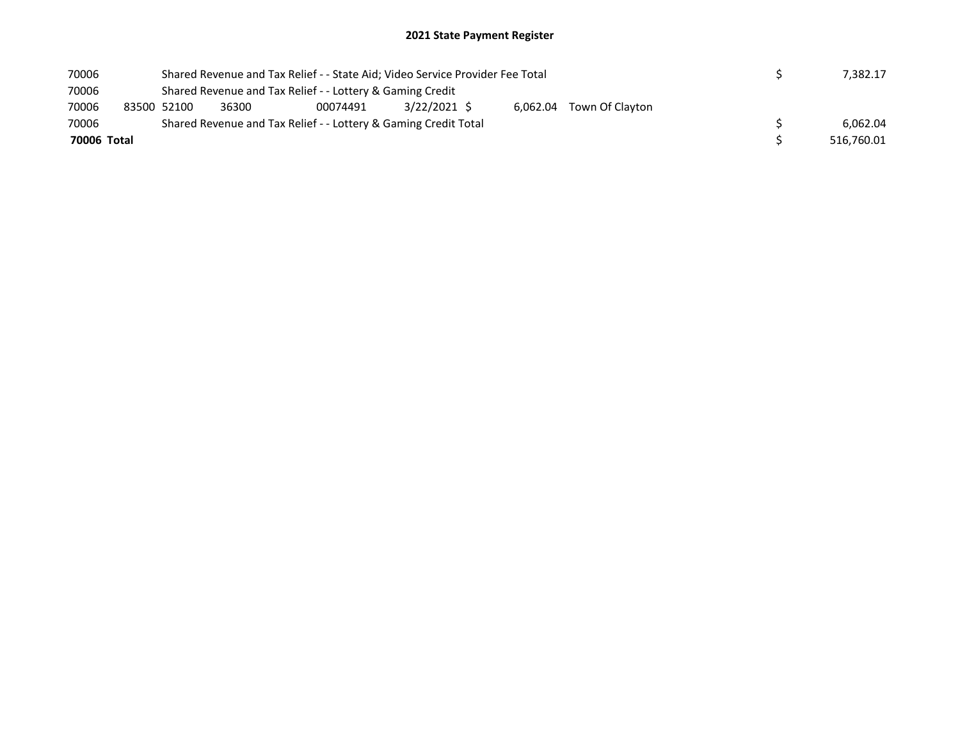| 70006       |  |             |                                                              | Shared Revenue and Tax Relief - - State Aid; Video Service Provider Fee Total |  |  |  |  |  |  | 7.382.17   |
|-------------|--|-------------|--------------------------------------------------------------|-------------------------------------------------------------------------------|--|--|--|--|--|--|------------|
| 70006       |  |             |                                                              | Shared Revenue and Tax Relief - - Lottery & Gaming Credit                     |  |  |  |  |  |  |            |
| 70006       |  | 83500 52100 | 3/22/2021 S<br>36300<br>6,062.04 Town Of Clayton<br>00074491 |                                                                               |  |  |  |  |  |  |            |
| 70006       |  |             |                                                              | Shared Revenue and Tax Relief - - Lottery & Gaming Credit Total               |  |  |  |  |  |  | 6.062.04   |
| 70006 Total |  |             |                                                              |                                                                               |  |  |  |  |  |  | 516,760.01 |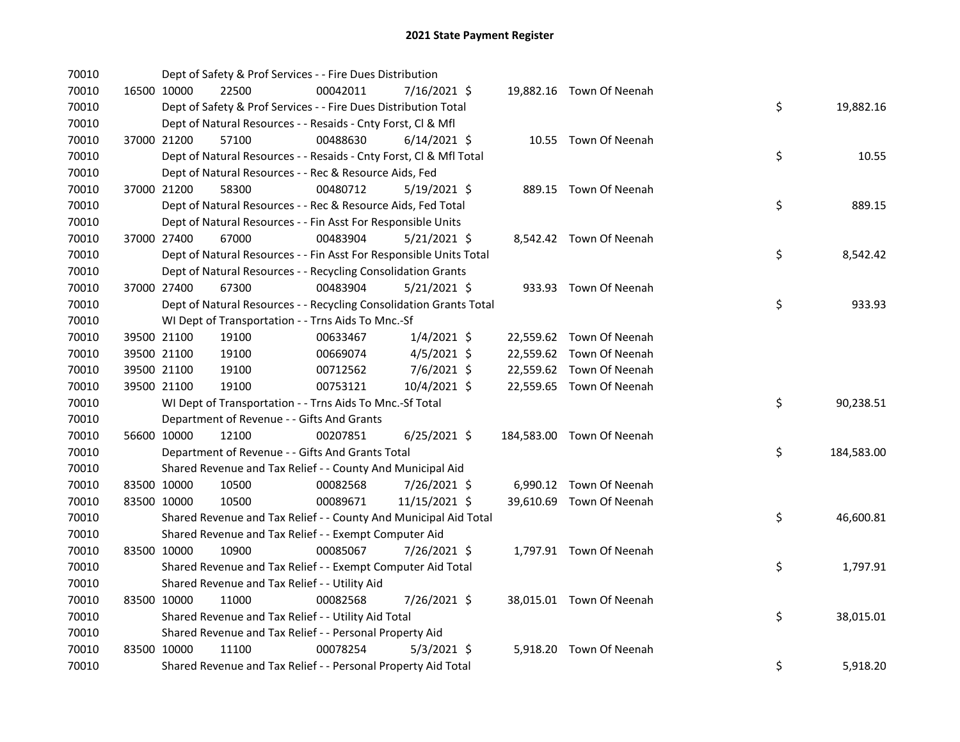| 70010 |             | Dept of Safety & Prof Services - - Fire Dues Distribution          |          |                |  |                           |    |            |
|-------|-------------|--------------------------------------------------------------------|----------|----------------|--|---------------------------|----|------------|
| 70010 | 16500 10000 | 22500                                                              | 00042011 | 7/16/2021 \$   |  | 19,882.16 Town Of Neenah  |    |            |
| 70010 |             | Dept of Safety & Prof Services - - Fire Dues Distribution Total    |          |                |  |                           | \$ | 19,882.16  |
| 70010 |             | Dept of Natural Resources - - Resaids - Cnty Forst, Cl & Mfl       |          |                |  |                           |    |            |
| 70010 | 37000 21200 | 57100                                                              | 00488630 | $6/14/2021$ \$ |  | 10.55 Town Of Neenah      |    |            |
| 70010 |             | Dept of Natural Resources - - Resaids - Cnty Forst, Cl & Mfl Total |          |                |  |                           | \$ | 10.55      |
| 70010 |             | Dept of Natural Resources - - Rec & Resource Aids, Fed             |          |                |  |                           |    |            |
| 70010 | 37000 21200 | 58300                                                              | 00480712 | $5/19/2021$ \$ |  | 889.15 Town Of Neenah     |    |            |
| 70010 |             | Dept of Natural Resources - - Rec & Resource Aids, Fed Total       |          |                |  |                           | \$ | 889.15     |
| 70010 |             | Dept of Natural Resources - - Fin Asst For Responsible Units       |          |                |  |                           |    |            |
| 70010 | 37000 27400 | 67000                                                              | 00483904 | $5/21/2021$ \$ |  | 8,542.42 Town Of Neenah   |    |            |
| 70010 |             | Dept of Natural Resources - - Fin Asst For Responsible Units Total |          |                |  |                           | \$ | 8,542.42   |
| 70010 |             | Dept of Natural Resources - - Recycling Consolidation Grants       |          |                |  |                           |    |            |
| 70010 | 37000 27400 | 67300                                                              | 00483904 | $5/21/2021$ \$ |  | 933.93 Town Of Neenah     |    |            |
| 70010 |             | Dept of Natural Resources - - Recycling Consolidation Grants Total |          |                |  |                           | \$ | 933.93     |
| 70010 |             | WI Dept of Transportation - - Trns Aids To Mnc.-Sf                 |          |                |  |                           |    |            |
| 70010 | 39500 21100 | 19100                                                              | 00633467 | $1/4/2021$ \$  |  | 22,559.62 Town Of Neenah  |    |            |
| 70010 | 39500 21100 | 19100                                                              | 00669074 | $4/5/2021$ \$  |  | 22,559.62 Town Of Neenah  |    |            |
| 70010 | 39500 21100 | 19100                                                              | 00712562 | 7/6/2021 \$    |  | 22,559.62 Town Of Neenah  |    |            |
| 70010 | 39500 21100 | 19100                                                              | 00753121 | 10/4/2021 \$   |  | 22,559.65 Town Of Neenah  |    |            |
| 70010 |             | WI Dept of Transportation - - Trns Aids To Mnc.-Sf Total           |          |                |  |                           | \$ | 90,238.51  |
| 70010 |             | Department of Revenue - - Gifts And Grants                         |          |                |  |                           |    |            |
| 70010 | 56600 10000 | 12100                                                              | 00207851 | 6/25/2021 \$   |  | 184,583.00 Town Of Neenah |    |            |
| 70010 |             | Department of Revenue - - Gifts And Grants Total                   |          |                |  |                           | \$ | 184,583.00 |
| 70010 |             | Shared Revenue and Tax Relief - - County And Municipal Aid         |          |                |  |                           |    |            |
| 70010 | 83500 10000 | 10500                                                              | 00082568 | 7/26/2021 \$   |  | 6,990.12 Town Of Neenah   |    |            |
| 70010 | 83500 10000 | 10500                                                              | 00089671 | 11/15/2021 \$  |  | 39,610.69 Town Of Neenah  |    |            |
| 70010 |             | Shared Revenue and Tax Relief - - County And Municipal Aid Total   |          |                |  |                           | \$ | 46,600.81  |
| 70010 |             | Shared Revenue and Tax Relief - - Exempt Computer Aid              |          |                |  |                           |    |            |
| 70010 | 83500 10000 | 10900                                                              | 00085067 | 7/26/2021 \$   |  | 1,797.91 Town Of Neenah   |    |            |
| 70010 |             | Shared Revenue and Tax Relief - - Exempt Computer Aid Total        |          |                |  |                           | \$ | 1,797.91   |
| 70010 |             | Shared Revenue and Tax Relief - - Utility Aid                      |          |                |  |                           |    |            |
| 70010 | 83500 10000 | 11000                                                              | 00082568 | 7/26/2021 \$   |  | 38,015.01 Town Of Neenah  |    |            |
| 70010 |             | Shared Revenue and Tax Relief - - Utility Aid Total                |          |                |  |                           | \$ | 38,015.01  |
| 70010 |             | Shared Revenue and Tax Relief - - Personal Property Aid            |          |                |  |                           |    |            |
| 70010 | 83500 10000 | 11100                                                              | 00078254 | $5/3/2021$ \$  |  | 5,918.20 Town Of Neenah   |    |            |
| 70010 |             | Shared Revenue and Tax Relief - - Personal Property Aid Total      |          |                |  |                           | \$ | 5,918.20   |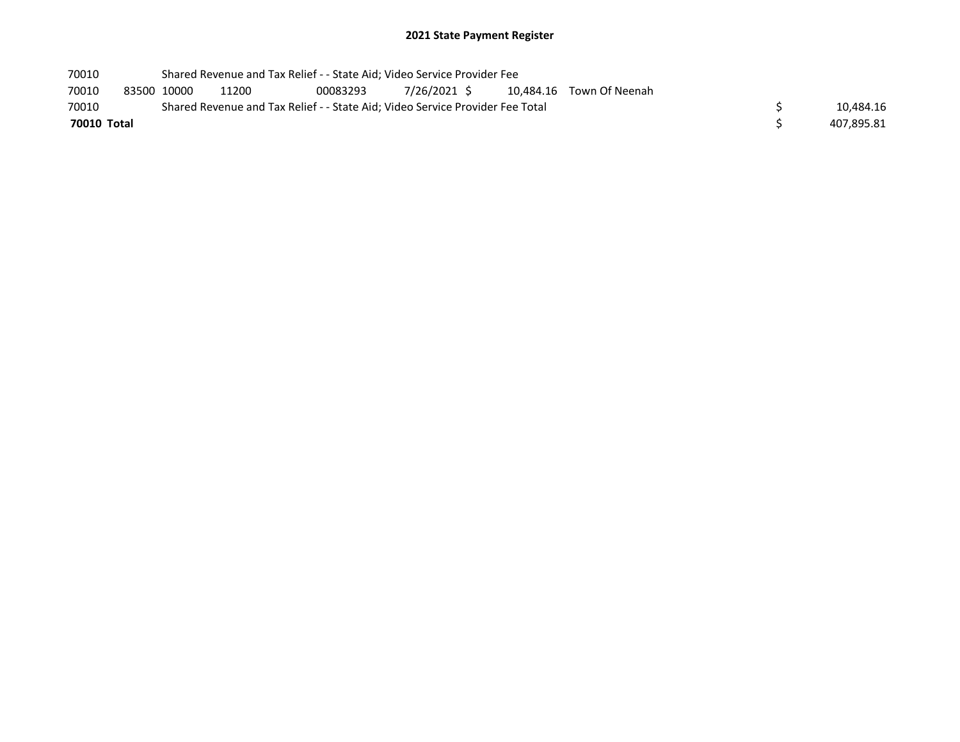| 70010       |             | Shared Revenue and Tax Relief - - State Aid; Video Service Provider Fee       |          |              |  |                          |  |            |
|-------------|-------------|-------------------------------------------------------------------------------|----------|--------------|--|--------------------------|--|------------|
| 70010       | 83500 10000 | 11200                                                                         | 00083293 | 7/26/2021 \$ |  | 10,484.16 Town Of Neenah |  |            |
| 70010       |             | Shared Revenue and Tax Relief - - State Aid; Video Service Provider Fee Total |          |              |  |                          |  | 10.484.16  |
| 70010 Total |             |                                                                               |          |              |  |                          |  | 407,895.81 |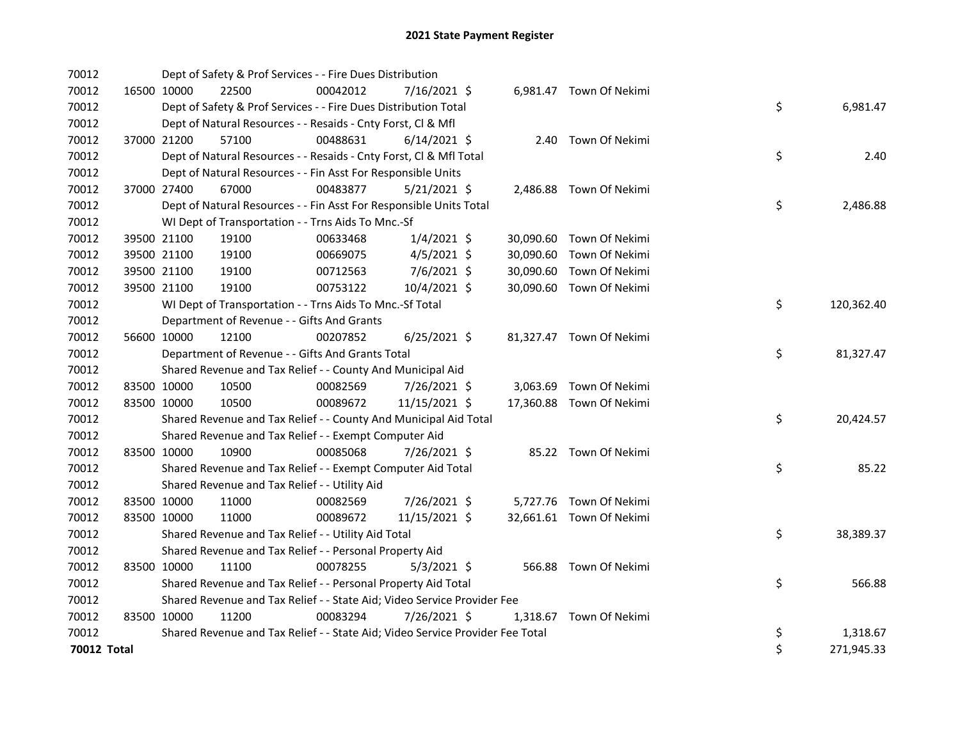| 70012       |             | Dept of Safety & Prof Services - - Fire Dues Distribution                     |          |                |  |                          |    |            |
|-------------|-------------|-------------------------------------------------------------------------------|----------|----------------|--|--------------------------|----|------------|
| 70012       | 16500 10000 | 22500                                                                         | 00042012 | 7/16/2021 \$   |  | 6,981.47 Town Of Nekimi  |    |            |
| 70012       |             | Dept of Safety & Prof Services - - Fire Dues Distribution Total               |          |                |  |                          | \$ | 6,981.47   |
| 70012       |             | Dept of Natural Resources - - Resaids - Cnty Forst, CI & Mfl                  |          |                |  |                          |    |            |
| 70012       | 37000 21200 | 57100                                                                         | 00488631 | $6/14/2021$ \$ |  | 2.40 Town Of Nekimi      |    |            |
| 70012       |             | Dept of Natural Resources - - Resaids - Cnty Forst, Cl & Mfl Total            |          |                |  |                          | \$ | 2.40       |
| 70012       |             | Dept of Natural Resources - - Fin Asst For Responsible Units                  |          |                |  |                          |    |            |
| 70012       | 37000 27400 | 67000                                                                         | 00483877 | $5/21/2021$ \$ |  | 2,486.88 Town Of Nekimi  |    |            |
| 70012       |             | Dept of Natural Resources - - Fin Asst For Responsible Units Total            |          |                |  |                          | \$ | 2,486.88   |
| 70012       |             | WI Dept of Transportation - - Trns Aids To Mnc.-Sf                            |          |                |  |                          |    |            |
| 70012       | 39500 21100 | 19100                                                                         | 00633468 | $1/4/2021$ \$  |  | 30,090.60 Town Of Nekimi |    |            |
| 70012       | 39500 21100 | 19100                                                                         | 00669075 | $4/5/2021$ \$  |  | 30,090.60 Town Of Nekimi |    |            |
| 70012       | 39500 21100 | 19100                                                                         | 00712563 | 7/6/2021 \$    |  | 30,090.60 Town Of Nekimi |    |            |
| 70012       | 39500 21100 | 19100                                                                         | 00753122 | 10/4/2021 \$   |  | 30,090.60 Town Of Nekimi |    |            |
| 70012       |             | WI Dept of Transportation - - Trns Aids To Mnc.-Sf Total                      |          |                |  |                          | \$ | 120,362.40 |
| 70012       |             | Department of Revenue - - Gifts And Grants                                    |          |                |  |                          |    |            |
| 70012       | 56600 10000 | 12100                                                                         | 00207852 | $6/25/2021$ \$ |  | 81,327.47 Town Of Nekimi |    |            |
| 70012       |             | Department of Revenue - - Gifts And Grants Total                              |          |                |  |                          | \$ | 81,327.47  |
| 70012       |             | Shared Revenue and Tax Relief - - County And Municipal Aid                    |          |                |  |                          |    |            |
| 70012       | 83500 10000 | 10500                                                                         | 00082569 | 7/26/2021 \$   |  | 3,063.69 Town Of Nekimi  |    |            |
| 70012       | 83500 10000 | 10500                                                                         | 00089672 | 11/15/2021 \$  |  | 17,360.88 Town Of Nekimi |    |            |
| 70012       |             | Shared Revenue and Tax Relief - - County And Municipal Aid Total              |          |                |  |                          | \$ | 20,424.57  |
| 70012       |             | Shared Revenue and Tax Relief - - Exempt Computer Aid                         |          |                |  |                          |    |            |
| 70012       | 83500 10000 | 10900                                                                         | 00085068 | 7/26/2021 \$   |  | 85.22 Town Of Nekimi     |    |            |
| 70012       |             | Shared Revenue and Tax Relief - - Exempt Computer Aid Total                   |          |                |  |                          | \$ | 85.22      |
| 70012       |             | Shared Revenue and Tax Relief - - Utility Aid                                 |          |                |  |                          |    |            |
| 70012       | 83500 10000 | 11000                                                                         | 00082569 | 7/26/2021 \$   |  | 5,727.76 Town Of Nekimi  |    |            |
| 70012       | 83500 10000 | 11000                                                                         | 00089672 | 11/15/2021 \$  |  | 32,661.61 Town Of Nekimi |    |            |
| 70012       |             | Shared Revenue and Tax Relief - - Utility Aid Total                           |          |                |  |                          | \$ | 38,389.37  |
| 70012       |             | Shared Revenue and Tax Relief - - Personal Property Aid                       |          |                |  |                          |    |            |
| 70012       | 83500 10000 | 11100                                                                         | 00078255 | $5/3/2021$ \$  |  | 566.88 Town Of Nekimi    |    |            |
| 70012       |             | Shared Revenue and Tax Relief - - Personal Property Aid Total                 |          |                |  |                          | \$ | 566.88     |
| 70012       |             | Shared Revenue and Tax Relief - - State Aid; Video Service Provider Fee       |          |                |  |                          |    |            |
| 70012       | 83500 10000 | 11200                                                                         | 00083294 | 7/26/2021 \$   |  | 1,318.67 Town Of Nekimi  |    |            |
| 70012       |             | Shared Revenue and Tax Relief - - State Aid; Video Service Provider Fee Total |          |                |  |                          | \$ | 1,318.67   |
| 70012 Total |             |                                                                               |          |                |  |                          | \$ | 271,945.33 |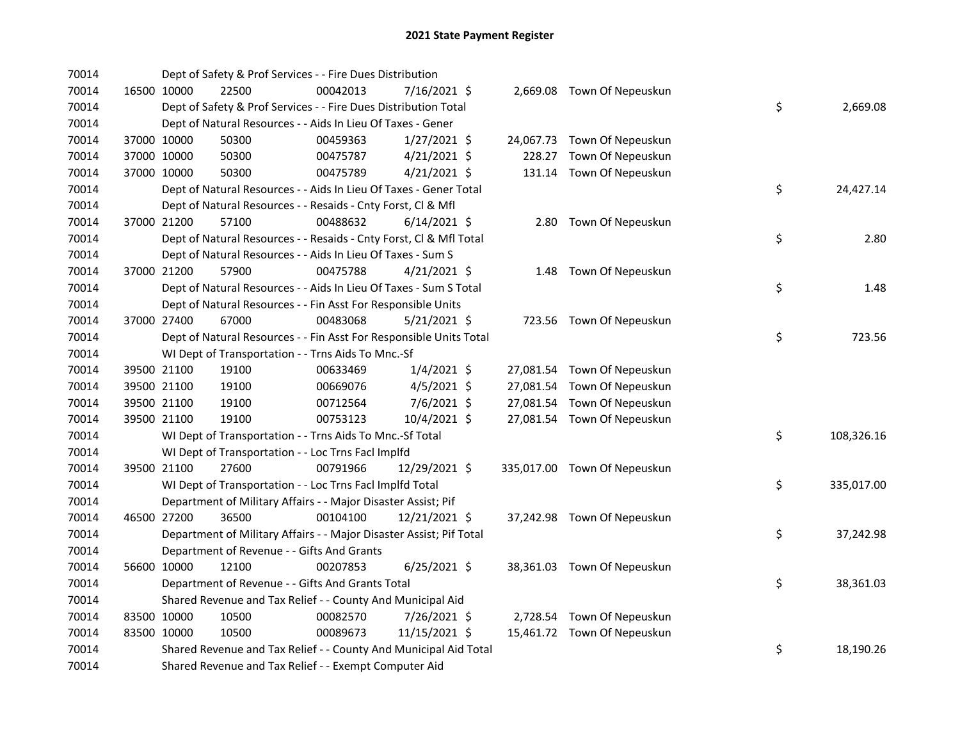| 70014 |             | Dept of Safety & Prof Services - - Fire Dues Distribution           |          |                |  |                              |    |            |
|-------|-------------|---------------------------------------------------------------------|----------|----------------|--|------------------------------|----|------------|
| 70014 | 16500 10000 | 22500                                                               | 00042013 | 7/16/2021 \$   |  | 2,669.08 Town Of Nepeuskun   |    |            |
| 70014 |             | Dept of Safety & Prof Services - - Fire Dues Distribution Total     |          |                |  |                              | \$ | 2,669.08   |
| 70014 |             | Dept of Natural Resources - - Aids In Lieu Of Taxes - Gener         |          |                |  |                              |    |            |
| 70014 | 37000 10000 | 50300                                                               | 00459363 | $1/27/2021$ \$ |  | 24,067.73 Town Of Nepeuskun  |    |            |
| 70014 | 37000 10000 | 50300                                                               | 00475787 | $4/21/2021$ \$ |  | 228.27 Town Of Nepeuskun     |    |            |
| 70014 | 37000 10000 | 50300                                                               | 00475789 | $4/21/2021$ \$ |  | 131.14 Town Of Nepeuskun     |    |            |
| 70014 |             | Dept of Natural Resources - - Aids In Lieu Of Taxes - Gener Total   |          |                |  |                              | \$ | 24,427.14  |
| 70014 |             | Dept of Natural Resources - - Resaids - Cnty Forst, Cl & Mfl        |          |                |  |                              |    |            |
| 70014 | 37000 21200 | 57100                                                               | 00488632 | $6/14/2021$ \$ |  | 2.80 Town Of Nepeuskun       |    |            |
| 70014 |             | Dept of Natural Resources - - Resaids - Cnty Forst, Cl & Mfl Total  |          |                |  |                              | \$ | 2.80       |
| 70014 |             | Dept of Natural Resources - - Aids In Lieu Of Taxes - Sum S         |          |                |  |                              |    |            |
| 70014 | 37000 21200 | 57900                                                               | 00475788 | $4/21/2021$ \$ |  | 1.48 Town Of Nepeuskun       |    |            |
| 70014 |             | Dept of Natural Resources - - Aids In Lieu Of Taxes - Sum S Total   |          |                |  |                              | \$ | 1.48       |
| 70014 |             | Dept of Natural Resources - - Fin Asst For Responsible Units        |          |                |  |                              |    |            |
| 70014 | 37000 27400 | 67000                                                               | 00483068 | $5/21/2021$ \$ |  | 723.56 Town Of Nepeuskun     |    |            |
| 70014 |             | Dept of Natural Resources - - Fin Asst For Responsible Units Total  |          |                |  |                              | \$ | 723.56     |
| 70014 |             | WI Dept of Transportation - - Trns Aids To Mnc.-Sf                  |          |                |  |                              |    |            |
| 70014 | 39500 21100 | 19100                                                               | 00633469 | $1/4/2021$ \$  |  | 27,081.54 Town Of Nepeuskun  |    |            |
| 70014 | 39500 21100 | 19100                                                               | 00669076 | $4/5/2021$ \$  |  | 27,081.54 Town Of Nepeuskun  |    |            |
| 70014 | 39500 21100 | 19100                                                               | 00712564 | 7/6/2021 \$    |  | 27,081.54 Town Of Nepeuskun  |    |            |
| 70014 | 39500 21100 | 19100                                                               | 00753123 | 10/4/2021 \$   |  | 27,081.54 Town Of Nepeuskun  |    |            |
| 70014 |             | WI Dept of Transportation - - Trns Aids To Mnc.-Sf Total            |          |                |  |                              | \$ | 108,326.16 |
| 70014 |             | WI Dept of Transportation - - Loc Trns Facl Implfd                  |          |                |  |                              |    |            |
| 70014 | 39500 21100 | 27600                                                               | 00791966 | 12/29/2021 \$  |  | 335,017.00 Town Of Nepeuskun |    |            |
| 70014 |             | WI Dept of Transportation - - Loc Trns Facl Implfd Total            |          |                |  |                              | \$ | 335,017.00 |
| 70014 |             | Department of Military Affairs - - Major Disaster Assist; Pif       |          |                |  |                              |    |            |
| 70014 | 46500 27200 | 36500                                                               | 00104100 | 12/21/2021 \$  |  | 37,242.98 Town Of Nepeuskun  |    |            |
| 70014 |             | Department of Military Affairs - - Major Disaster Assist; Pif Total |          |                |  |                              | \$ | 37,242.98  |
| 70014 |             | Department of Revenue - - Gifts And Grants                          |          |                |  |                              |    |            |
| 70014 | 56600 10000 | 12100                                                               | 00207853 | $6/25/2021$ \$ |  | 38,361.03 Town Of Nepeuskun  |    |            |
| 70014 |             | Department of Revenue - - Gifts And Grants Total                    |          |                |  |                              | \$ | 38,361.03  |
| 70014 |             | Shared Revenue and Tax Relief - - County And Municipal Aid          |          |                |  |                              |    |            |
| 70014 | 83500 10000 | 10500                                                               | 00082570 | 7/26/2021 \$   |  | 2,728.54 Town Of Nepeuskun   |    |            |
| 70014 | 83500 10000 | 10500                                                               | 00089673 | 11/15/2021 \$  |  | 15,461.72 Town Of Nepeuskun  |    |            |
| 70014 |             | Shared Revenue and Tax Relief - - County And Municipal Aid Total    |          |                |  |                              | \$ | 18,190.26  |
| 70014 |             | Shared Revenue and Tax Relief - - Exempt Computer Aid               |          |                |  |                              |    |            |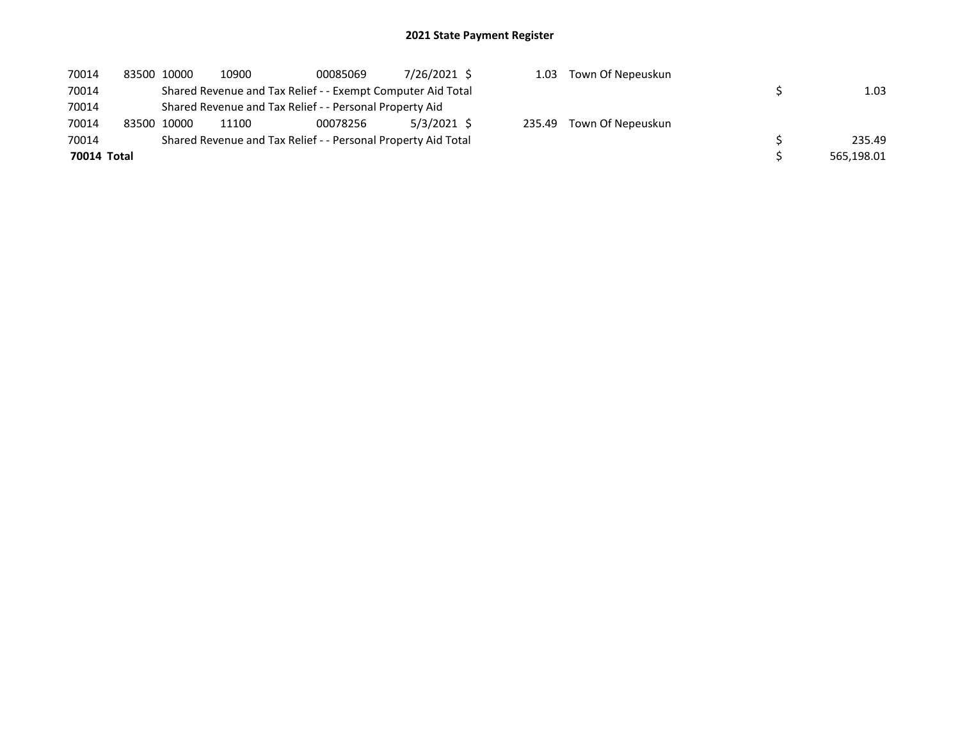| 70014       | 83500 10000 | 10900 | 00085069                                                      | 7/26/2021 \$ |        | 1.03 Town Of Nepeuskun |            |
|-------------|-------------|-------|---------------------------------------------------------------|--------------|--------|------------------------|------------|
| 70014       |             |       | Shared Revenue and Tax Relief - - Exempt Computer Aid Total   |              |        |                        | 1.03       |
| 70014       |             |       | Shared Revenue and Tax Relief - - Personal Property Aid       |              |        |                        |            |
| 70014       | 83500 10000 | 11100 | 00078256                                                      | 5/3/2021 \$  | 235.49 | Town Of Nepeuskun      |            |
| 70014       |             |       | Shared Revenue and Tax Relief - - Personal Property Aid Total |              |        |                        | 235.49     |
| 70014 Total |             |       |                                                               |              |        |                        | 565,198.01 |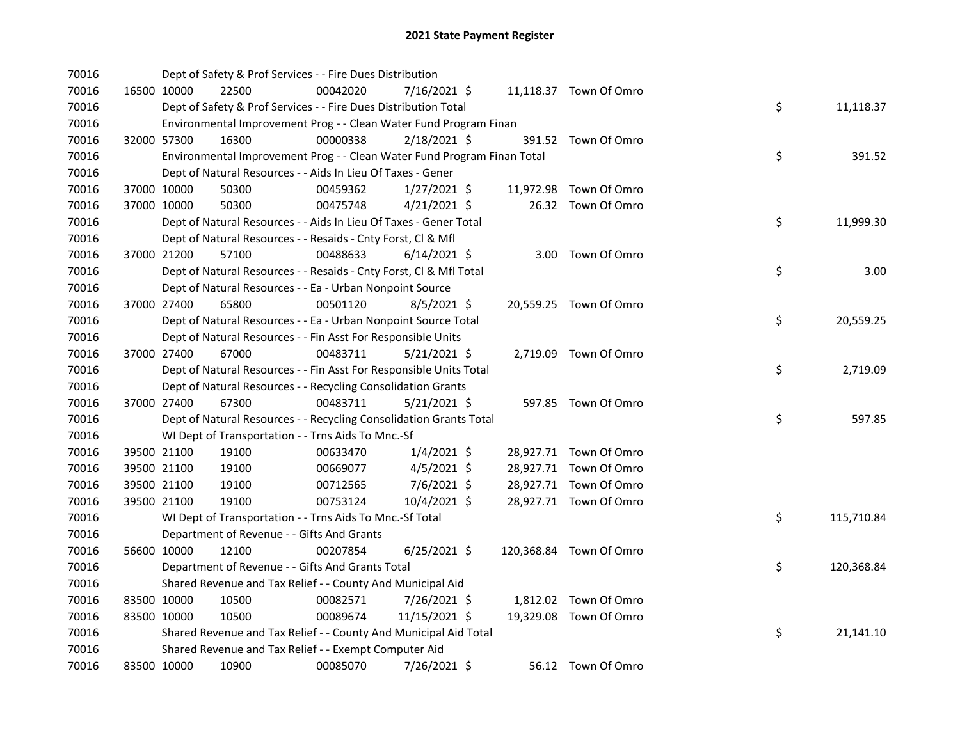| 70016 |             | Dept of Safety & Prof Services - - Fire Dues Distribution               |          |                |  |                         |    |            |
|-------|-------------|-------------------------------------------------------------------------|----------|----------------|--|-------------------------|----|------------|
| 70016 | 16500 10000 | 22500                                                                   | 00042020 | 7/16/2021 \$   |  | 11,118.37 Town Of Omro  |    |            |
| 70016 |             | Dept of Safety & Prof Services - - Fire Dues Distribution Total         |          |                |  |                         | \$ | 11,118.37  |
| 70016 |             | Environmental Improvement Prog - - Clean Water Fund Program Finan       |          |                |  |                         |    |            |
| 70016 | 32000 57300 | 16300                                                                   | 00000338 | $2/18/2021$ \$ |  | 391.52 Town Of Omro     |    |            |
| 70016 |             | Environmental Improvement Prog - - Clean Water Fund Program Finan Total |          |                |  |                         | \$ | 391.52     |
| 70016 |             | Dept of Natural Resources - - Aids In Lieu Of Taxes - Gener             |          |                |  |                         |    |            |
| 70016 | 37000 10000 | 50300                                                                   | 00459362 | $1/27/2021$ \$ |  | 11,972.98 Town Of Omro  |    |            |
| 70016 | 37000 10000 | 50300                                                                   | 00475748 | $4/21/2021$ \$ |  | 26.32 Town Of Omro      |    |            |
| 70016 |             | Dept of Natural Resources - - Aids In Lieu Of Taxes - Gener Total       |          |                |  |                         | \$ | 11,999.30  |
| 70016 |             | Dept of Natural Resources - - Resaids - Cnty Forst, Cl & Mfl            |          |                |  |                         |    |            |
| 70016 | 37000 21200 | 57100                                                                   | 00488633 | $6/14/2021$ \$ |  | 3.00 Town Of Omro       |    |            |
| 70016 |             | Dept of Natural Resources - - Resaids - Cnty Forst, Cl & Mfl Total      |          |                |  |                         | \$ | 3.00       |
| 70016 |             | Dept of Natural Resources - - Ea - Urban Nonpoint Source                |          |                |  |                         |    |            |
| 70016 | 37000 27400 | 65800                                                                   | 00501120 | $8/5/2021$ \$  |  | 20,559.25 Town Of Omro  |    |            |
| 70016 |             | Dept of Natural Resources - - Ea - Urban Nonpoint Source Total          |          |                |  |                         | \$ | 20,559.25  |
| 70016 |             | Dept of Natural Resources - - Fin Asst For Responsible Units            |          |                |  |                         |    |            |
| 70016 | 37000 27400 | 67000                                                                   | 00483711 | $5/21/2021$ \$ |  | 2,719.09 Town Of Omro   |    |            |
| 70016 |             | Dept of Natural Resources - - Fin Asst For Responsible Units Total      |          |                |  |                         | \$ | 2,719.09   |
| 70016 |             | Dept of Natural Resources - - Recycling Consolidation Grants            |          |                |  |                         |    |            |
| 70016 | 37000 27400 | 67300                                                                   | 00483711 | $5/21/2021$ \$ |  | 597.85 Town Of Omro     |    |            |
| 70016 |             | Dept of Natural Resources - - Recycling Consolidation Grants Total      |          |                |  |                         | \$ | 597.85     |
| 70016 |             | WI Dept of Transportation - - Trns Aids To Mnc.-Sf                      |          |                |  |                         |    |            |
| 70016 | 39500 21100 | 19100                                                                   | 00633470 | $1/4/2021$ \$  |  | 28,927.71 Town Of Omro  |    |            |
| 70016 | 39500 21100 | 19100                                                                   | 00669077 | $4/5/2021$ \$  |  | 28,927.71 Town Of Omro  |    |            |
| 70016 | 39500 21100 | 19100                                                                   | 00712565 | 7/6/2021 \$    |  | 28,927.71 Town Of Omro  |    |            |
| 70016 | 39500 21100 | 19100                                                                   | 00753124 | 10/4/2021 \$   |  | 28,927.71 Town Of Omro  |    |            |
| 70016 |             | WI Dept of Transportation - - Trns Aids To Mnc.-Sf Total                |          |                |  |                         | \$ | 115,710.84 |
| 70016 |             | Department of Revenue - - Gifts And Grants                              |          |                |  |                         |    |            |
| 70016 | 56600 10000 | 12100                                                                   | 00207854 | $6/25/2021$ \$ |  | 120,368.84 Town Of Omro |    |            |
| 70016 |             | Department of Revenue - - Gifts And Grants Total                        |          |                |  |                         | \$ | 120,368.84 |
| 70016 |             | Shared Revenue and Tax Relief - - County And Municipal Aid              |          |                |  |                         |    |            |
| 70016 | 83500 10000 | 10500                                                                   | 00082571 | $7/26/2021$ \$ |  | 1,812.02 Town Of Omro   |    |            |
| 70016 | 83500 10000 | 10500                                                                   | 00089674 | 11/15/2021 \$  |  | 19,329.08 Town Of Omro  |    |            |
| 70016 |             | Shared Revenue and Tax Relief - - County And Municipal Aid Total        |          |                |  |                         | \$ | 21,141.10  |
| 70016 |             | Shared Revenue and Tax Relief - - Exempt Computer Aid                   |          |                |  |                         |    |            |
| 70016 | 83500 10000 | 10900                                                                   | 00085070 | 7/26/2021 \$   |  | 56.12 Town Of Omro      |    |            |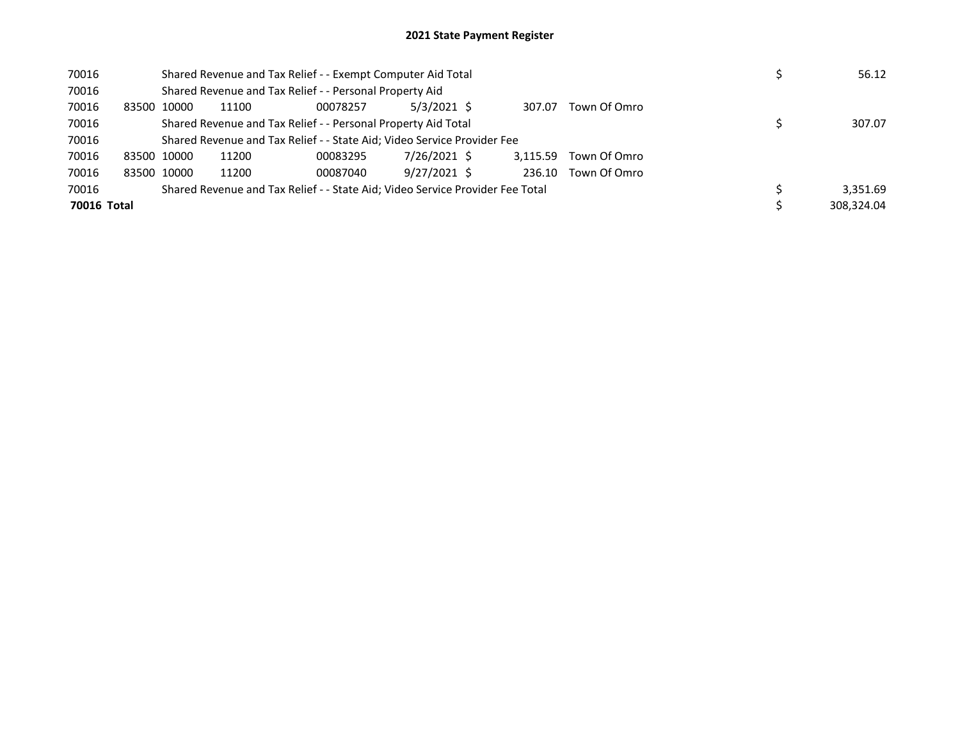| 70016       | Shared Revenue and Tax Relief - - Exempt Computer Aid Total |                                                                               |          |              |  |          |              |  |            |
|-------------|-------------------------------------------------------------|-------------------------------------------------------------------------------|----------|--------------|--|----------|--------------|--|------------|
| 70016       |                                                             | Shared Revenue and Tax Relief - - Personal Property Aid                       |          |              |  |          |              |  |            |
| 70016       | 83500 10000                                                 | 11100                                                                         | 00078257 | 5/3/2021 \$  |  | 307.07   | Town Of Omro |  |            |
| 70016       |                                                             | Shared Revenue and Tax Relief - - Personal Property Aid Total                 |          | 307.07       |  |          |              |  |            |
| 70016       |                                                             | Shared Revenue and Tax Relief - - State Aid; Video Service Provider Fee       |          |              |  |          |              |  |            |
| 70016       | 83500 10000                                                 | 11200                                                                         | 00083295 | 7/26/2021 \$ |  | 3.115.59 | Town Of Omro |  |            |
| 70016       | 83500 10000                                                 | 11200                                                                         | 00087040 | 9/27/2021 \$ |  | 236.10   | Town Of Omro |  |            |
| 70016       |                                                             | Shared Revenue and Tax Relief - - State Aid; Video Service Provider Fee Total |          |              |  |          |              |  | 3.351.69   |
| 70016 Total |                                                             |                                                                               |          |              |  |          |              |  | 308.324.04 |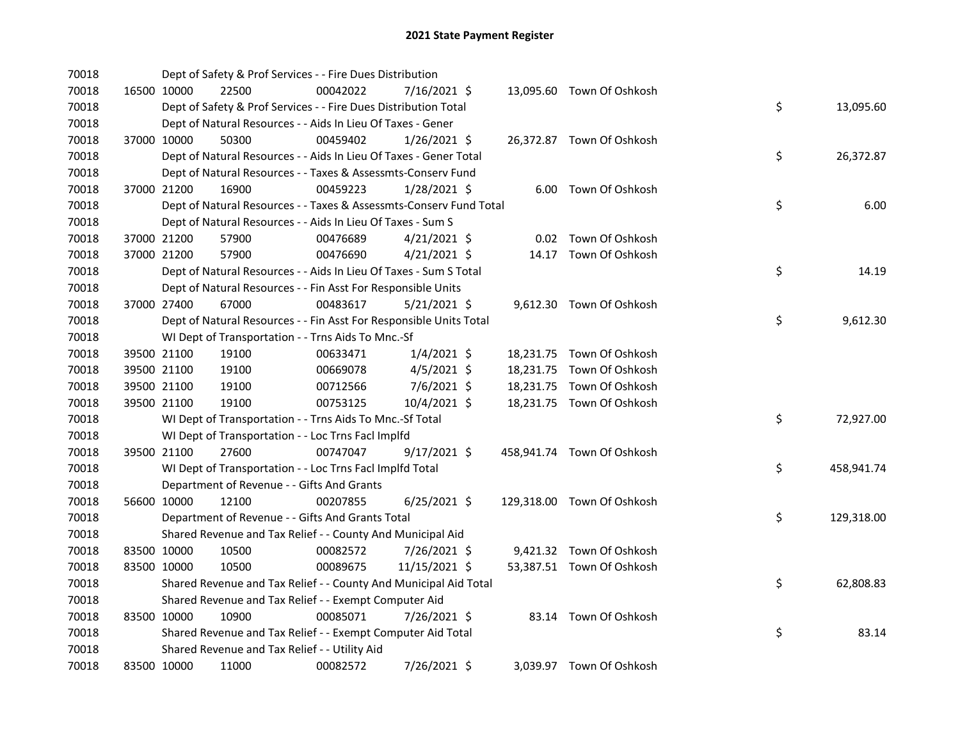| 70018 |             |             | Dept of Safety & Prof Services - - Fire Dues Distribution          |          |                |  |                            |    |            |
|-------|-------------|-------------|--------------------------------------------------------------------|----------|----------------|--|----------------------------|----|------------|
| 70018 |             | 16500 10000 | 22500                                                              | 00042022 | 7/16/2021 \$   |  | 13,095.60 Town Of Oshkosh  |    |            |
| 70018 |             |             | Dept of Safety & Prof Services - - Fire Dues Distribution Total    |          |                |  |                            | \$ | 13,095.60  |
| 70018 |             |             | Dept of Natural Resources - - Aids In Lieu Of Taxes - Gener        |          |                |  |                            |    |            |
| 70018 |             | 37000 10000 | 50300                                                              | 00459402 | 1/26/2021 \$   |  | 26,372.87 Town Of Oshkosh  |    |            |
| 70018 |             |             | Dept of Natural Resources - - Aids In Lieu Of Taxes - Gener Total  |          |                |  |                            | \$ | 26,372.87  |
| 70018 |             |             | Dept of Natural Resources - - Taxes & Assessmts-Conserv Fund       |          |                |  |                            |    |            |
| 70018 |             | 37000 21200 | 16900                                                              | 00459223 | 1/28/2021 \$   |  | 6.00 Town Of Oshkosh       |    |            |
| 70018 |             |             | Dept of Natural Resources - - Taxes & Assessmts-Conserv Fund Total |          |                |  |                            | \$ | 6.00       |
| 70018 |             |             | Dept of Natural Resources - - Aids In Lieu Of Taxes - Sum S        |          |                |  |                            |    |            |
| 70018 |             | 37000 21200 | 57900                                                              | 00476689 | $4/21/2021$ \$ |  | 0.02 Town Of Oshkosh       |    |            |
| 70018 |             | 37000 21200 | 57900                                                              | 00476690 | $4/21/2021$ \$ |  | 14.17 Town Of Oshkosh      |    |            |
| 70018 |             |             | Dept of Natural Resources - - Aids In Lieu Of Taxes - Sum S Total  |          |                |  |                            | \$ | 14.19      |
| 70018 |             |             | Dept of Natural Resources - - Fin Asst For Responsible Units       |          |                |  |                            |    |            |
| 70018 |             | 37000 27400 | 67000                                                              | 00483617 | $5/21/2021$ \$ |  | 9,612.30 Town Of Oshkosh   |    |            |
| 70018 |             |             | Dept of Natural Resources - - Fin Asst For Responsible Units Total |          |                |  |                            | \$ | 9,612.30   |
| 70018 |             |             | WI Dept of Transportation - - Trns Aids To Mnc.-Sf                 |          |                |  |                            |    |            |
| 70018 |             | 39500 21100 | 19100                                                              | 00633471 | $1/4/2021$ \$  |  | 18,231.75 Town Of Oshkosh  |    |            |
| 70018 |             | 39500 21100 | 19100                                                              | 00669078 | $4/5/2021$ \$  |  | 18,231.75 Town Of Oshkosh  |    |            |
| 70018 |             | 39500 21100 | 19100                                                              | 00712566 | 7/6/2021 \$    |  | 18,231.75 Town Of Oshkosh  |    |            |
| 70018 |             | 39500 21100 | 19100                                                              | 00753125 | 10/4/2021 \$   |  | 18,231.75 Town Of Oshkosh  |    |            |
| 70018 |             |             | WI Dept of Transportation - - Trns Aids To Mnc.-Sf Total           |          |                |  |                            | \$ | 72,927.00  |
| 70018 |             |             | WI Dept of Transportation - - Loc Trns Facl Implfd                 |          |                |  |                            |    |            |
| 70018 |             | 39500 21100 | 27600                                                              | 00747047 | 9/17/2021 \$   |  | 458,941.74 Town Of Oshkosh |    |            |
| 70018 |             |             | WI Dept of Transportation - - Loc Trns Facl Implfd Total           |          |                |  |                            | \$ | 458,941.74 |
| 70018 |             |             | Department of Revenue - - Gifts And Grants                         |          |                |  |                            |    |            |
| 70018 |             | 56600 10000 | 12100                                                              | 00207855 | $6/25/2021$ \$ |  | 129,318.00 Town Of Oshkosh |    |            |
| 70018 |             |             | Department of Revenue - - Gifts And Grants Total                   |          |                |  |                            | \$ | 129,318.00 |
| 70018 |             |             | Shared Revenue and Tax Relief - - County And Municipal Aid         |          |                |  |                            |    |            |
| 70018 |             | 83500 10000 | 10500                                                              | 00082572 | 7/26/2021 \$   |  | 9,421.32 Town Of Oshkosh   |    |            |
| 70018 | 83500 10000 |             | 10500                                                              | 00089675 | 11/15/2021 \$  |  | 53,387.51 Town Of Oshkosh  |    |            |
| 70018 |             |             | Shared Revenue and Tax Relief - - County And Municipal Aid Total   |          |                |  |                            | \$ | 62,808.83  |
| 70018 |             |             | Shared Revenue and Tax Relief - - Exempt Computer Aid              |          |                |  |                            |    |            |
| 70018 | 83500 10000 |             | 10900                                                              | 00085071 | 7/26/2021 \$   |  | 83.14 Town Of Oshkosh      |    |            |
| 70018 |             |             | Shared Revenue and Tax Relief - - Exempt Computer Aid Total        |          |                |  |                            | \$ | 83.14      |
| 70018 |             |             | Shared Revenue and Tax Relief - - Utility Aid                      |          |                |  |                            |    |            |
| 70018 |             | 83500 10000 | 11000                                                              | 00082572 | 7/26/2021 \$   |  | 3,039.97 Town Of Oshkosh   |    |            |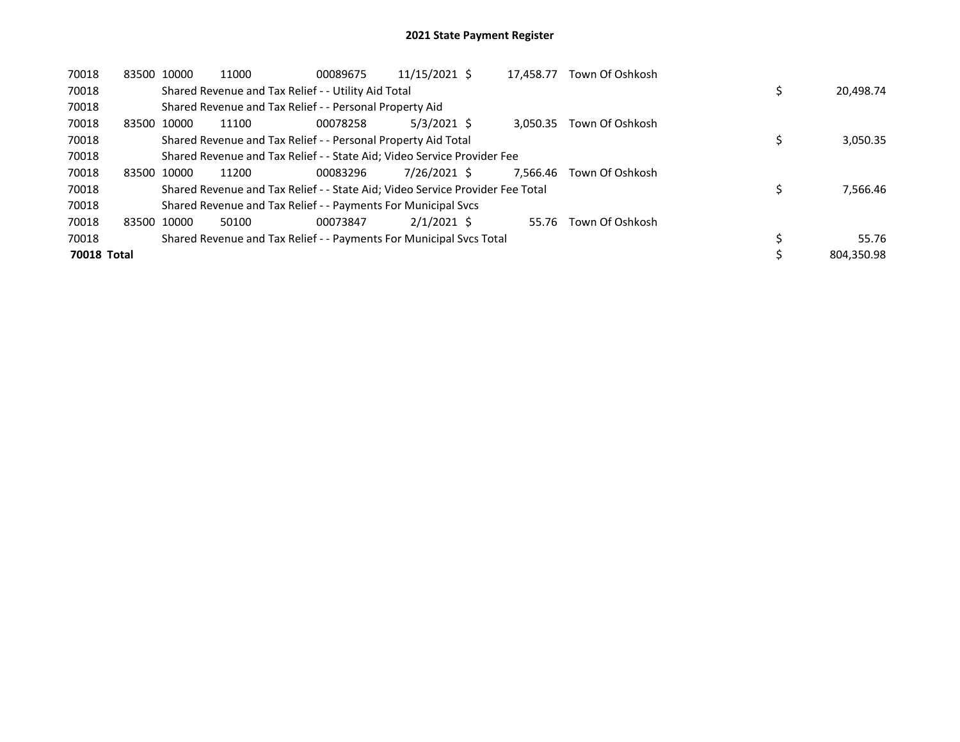| 70018       | 83500 10000 | 11000                                                                         | 00089675 | 11/15/2021 \$ | 17.458.77 | Town Of Oshkosh |            |
|-------------|-------------|-------------------------------------------------------------------------------|----------|---------------|-----------|-----------------|------------|
| 70018       |             | Shared Revenue and Tax Relief - - Utility Aid Total                           |          |               |           |                 | 20,498.74  |
| 70018       |             | Shared Revenue and Tax Relief - - Personal Property Aid                       |          |               |           |                 |            |
| 70018       | 83500 10000 | 11100                                                                         | 00078258 | $5/3/2021$ \$ | 3.050.35  | Town Of Oshkosh |            |
| 70018       |             | Shared Revenue and Tax Relief - - Personal Property Aid Total                 |          |               |           |                 | 3,050.35   |
| 70018       |             | Shared Revenue and Tax Relief - - State Aid; Video Service Provider Fee       |          |               |           |                 |            |
| 70018       | 83500 10000 | 11200                                                                         | 00083296 | 7/26/2021 \$  | 7.566.46  | Town Of Oshkosh |            |
| 70018       |             | Shared Revenue and Tax Relief - - State Aid; Video Service Provider Fee Total |          |               |           |                 | 7,566.46   |
| 70018       |             | Shared Revenue and Tax Relief - - Payments For Municipal Svcs                 |          |               |           |                 |            |
| 70018       | 83500 10000 | 50100                                                                         | 00073847 | $2/1/2021$ \$ | 55.76     | Town Of Oshkosh |            |
| 70018       |             | Shared Revenue and Tax Relief - - Payments For Municipal Svcs Total           |          |               |           |                 | 55.76      |
| 70018 Total |             |                                                                               |          |               |           |                 | 804.350.98 |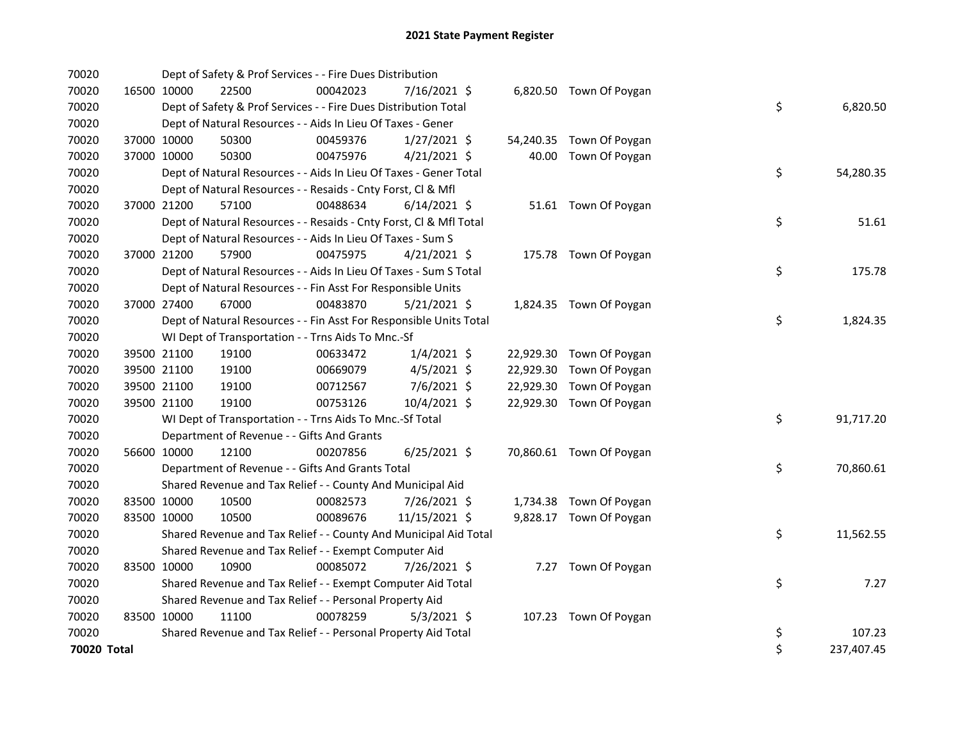| 70020       |             |             | Dept of Safety & Prof Services - - Fire Dues Distribution          |          |                |  |                          |    |            |
|-------------|-------------|-------------|--------------------------------------------------------------------|----------|----------------|--|--------------------------|----|------------|
| 70020       |             | 16500 10000 | 22500                                                              | 00042023 | 7/16/2021 \$   |  | 6,820.50 Town Of Poygan  |    |            |
| 70020       |             |             | Dept of Safety & Prof Services - - Fire Dues Distribution Total    |          |                |  |                          | \$ | 6,820.50   |
| 70020       |             |             | Dept of Natural Resources - - Aids In Lieu Of Taxes - Gener        |          |                |  |                          |    |            |
| 70020       |             | 37000 10000 | 50300                                                              | 00459376 | $1/27/2021$ \$ |  | 54,240.35 Town Of Poygan |    |            |
| 70020       |             | 37000 10000 | 50300                                                              | 00475976 | $4/21/2021$ \$ |  | 40.00 Town Of Poygan     |    |            |
| 70020       |             |             | Dept of Natural Resources - - Aids In Lieu Of Taxes - Gener Total  |          |                |  |                          | \$ | 54,280.35  |
| 70020       |             |             | Dept of Natural Resources - - Resaids - Cnty Forst, Cl & Mfl       |          |                |  |                          |    |            |
| 70020       |             | 37000 21200 | 57100                                                              | 00488634 | $6/14/2021$ \$ |  | 51.61 Town Of Poygan     |    |            |
| 70020       |             |             | Dept of Natural Resources - - Resaids - Cnty Forst, Cl & Mfl Total |          |                |  |                          | \$ | 51.61      |
| 70020       |             |             | Dept of Natural Resources - - Aids In Lieu Of Taxes - Sum S        |          |                |  |                          |    |            |
| 70020       |             | 37000 21200 | 57900                                                              | 00475975 | $4/21/2021$ \$ |  | 175.78 Town Of Poygan    |    |            |
| 70020       |             |             | Dept of Natural Resources - - Aids In Lieu Of Taxes - Sum S Total  |          |                |  |                          | \$ | 175.78     |
| 70020       |             |             | Dept of Natural Resources - - Fin Asst For Responsible Units       |          |                |  |                          |    |            |
| 70020       |             | 37000 27400 | 67000                                                              | 00483870 | $5/21/2021$ \$ |  | 1,824.35 Town Of Poygan  |    |            |
| 70020       |             |             | Dept of Natural Resources - - Fin Asst For Responsible Units Total |          |                |  |                          | \$ | 1,824.35   |
| 70020       |             |             | WI Dept of Transportation - - Trns Aids To Mnc.-Sf                 |          |                |  |                          |    |            |
| 70020       |             | 39500 21100 | 19100                                                              | 00633472 | $1/4/2021$ \$  |  | 22,929.30 Town Of Poygan |    |            |
| 70020       |             | 39500 21100 | 19100                                                              | 00669079 | $4/5/2021$ \$  |  | 22,929.30 Town Of Poygan |    |            |
| 70020       |             | 39500 21100 | 19100                                                              | 00712567 | 7/6/2021 \$    |  | 22,929.30 Town Of Poygan |    |            |
| 70020       |             | 39500 21100 | 19100                                                              | 00753126 | 10/4/2021 \$   |  | 22,929.30 Town Of Poygan |    |            |
| 70020       |             |             | WI Dept of Transportation - - Trns Aids To Mnc.-Sf Total           |          |                |  |                          | \$ | 91,717.20  |
| 70020       |             |             | Department of Revenue - - Gifts And Grants                         |          |                |  |                          |    |            |
| 70020       |             | 56600 10000 | 12100                                                              | 00207856 | $6/25/2021$ \$ |  | 70,860.61 Town Of Poygan |    |            |
| 70020       |             |             | Department of Revenue - - Gifts And Grants Total                   |          |                |  |                          | \$ | 70,860.61  |
| 70020       |             |             | Shared Revenue and Tax Relief - - County And Municipal Aid         |          |                |  |                          |    |            |
| 70020       | 83500 10000 |             | 10500                                                              | 00082573 | 7/26/2021 \$   |  | 1,734.38 Town Of Poygan  |    |            |
| 70020       | 83500 10000 |             | 10500                                                              | 00089676 | 11/15/2021 \$  |  | 9,828.17 Town Of Poygan  |    |            |
| 70020       |             |             | Shared Revenue and Tax Relief - - County And Municipal Aid Total   |          |                |  |                          | \$ | 11,562.55  |
| 70020       |             |             | Shared Revenue and Tax Relief - - Exempt Computer Aid              |          |                |  |                          |    |            |
| 70020       | 83500 10000 |             | 10900                                                              | 00085072 | 7/26/2021 \$   |  | 7.27 Town Of Poygan      |    |            |
| 70020       |             |             | Shared Revenue and Tax Relief - - Exempt Computer Aid Total        |          |                |  |                          | \$ | 7.27       |
| 70020       |             |             | Shared Revenue and Tax Relief - - Personal Property Aid            |          |                |  |                          |    |            |
| 70020       | 83500 10000 |             | 11100                                                              | 00078259 | $5/3/2021$ \$  |  | 107.23 Town Of Poygan    |    |            |
| 70020       |             |             | Shared Revenue and Tax Relief - - Personal Property Aid Total      |          |                |  |                          | \$ | 107.23     |
| 70020 Total |             |             |                                                                    |          |                |  |                          | \$ | 237,407.45 |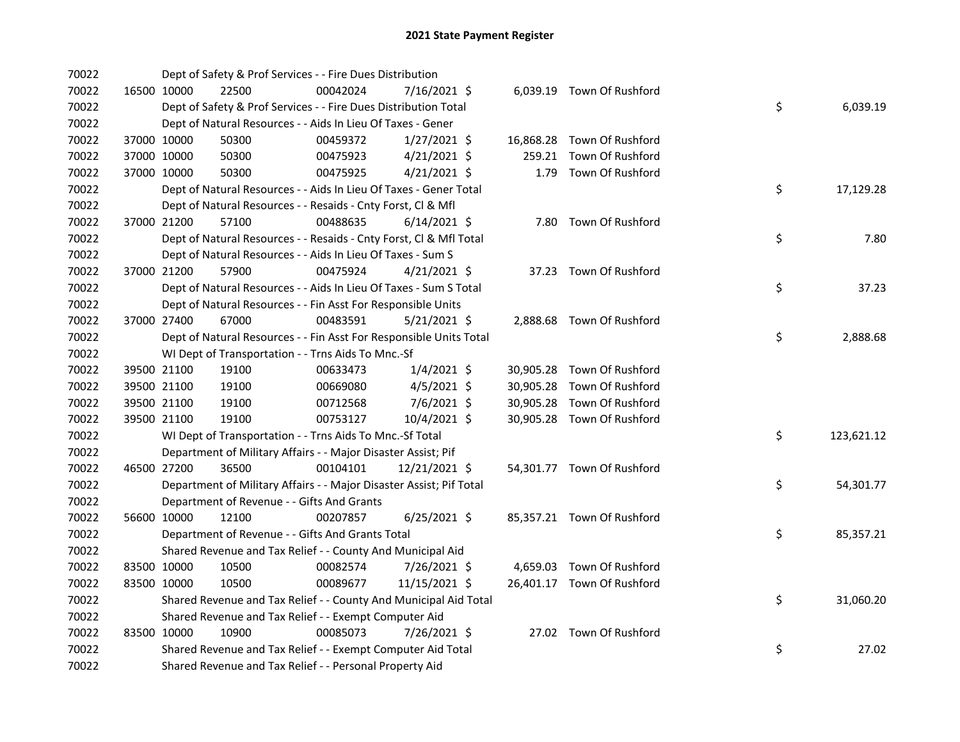| 70022 |             | Dept of Safety & Prof Services - - Fire Dues Distribution           |          |                |        |                            |    |            |
|-------|-------------|---------------------------------------------------------------------|----------|----------------|--------|----------------------------|----|------------|
| 70022 | 16500 10000 | 22500                                                               | 00042024 | 7/16/2021 \$   |        | 6,039.19 Town Of Rushford  |    |            |
| 70022 |             | Dept of Safety & Prof Services - - Fire Dues Distribution Total     |          |                |        |                            | \$ | 6,039.19   |
| 70022 |             | Dept of Natural Resources - - Aids In Lieu Of Taxes - Gener         |          |                |        |                            |    |            |
| 70022 | 37000 10000 | 50300                                                               | 00459372 | $1/27/2021$ \$ |        | 16,868.28 Town Of Rushford |    |            |
| 70022 | 37000 10000 | 50300                                                               | 00475923 | $4/21/2021$ \$ | 259.21 | Town Of Rushford           |    |            |
| 70022 | 37000 10000 | 50300                                                               | 00475925 | $4/21/2021$ \$ | 1.79   | Town Of Rushford           |    |            |
| 70022 |             | Dept of Natural Resources - - Aids In Lieu Of Taxes - Gener Total   |          |                |        |                            | \$ | 17,129.28  |
| 70022 |             | Dept of Natural Resources - - Resaids - Cnty Forst, Cl & Mfl        |          |                |        |                            |    |            |
| 70022 | 37000 21200 | 57100                                                               | 00488635 | $6/14/2021$ \$ |        | 7.80 Town Of Rushford      |    |            |
| 70022 |             | Dept of Natural Resources - - Resaids - Cnty Forst, CI & Mfl Total  |          |                |        |                            | \$ | 7.80       |
| 70022 |             | Dept of Natural Resources - - Aids In Lieu Of Taxes - Sum S         |          |                |        |                            |    |            |
| 70022 | 37000 21200 | 57900                                                               | 00475924 | $4/21/2021$ \$ |        | 37.23 Town Of Rushford     |    |            |
| 70022 |             | Dept of Natural Resources - - Aids In Lieu Of Taxes - Sum S Total   |          |                |        |                            | \$ | 37.23      |
| 70022 |             | Dept of Natural Resources - - Fin Asst For Responsible Units        |          |                |        |                            |    |            |
| 70022 | 37000 27400 | 67000                                                               | 00483591 | $5/21/2021$ \$ |        | 2,888.68 Town Of Rushford  |    |            |
| 70022 |             | Dept of Natural Resources - - Fin Asst For Responsible Units Total  |          |                |        |                            | \$ | 2,888.68   |
| 70022 |             | WI Dept of Transportation - - Trns Aids To Mnc.-Sf                  |          |                |        |                            |    |            |
| 70022 | 39500 21100 | 19100                                                               | 00633473 | $1/4/2021$ \$  |        | 30,905.28 Town Of Rushford |    |            |
| 70022 | 39500 21100 | 19100                                                               | 00669080 | $4/5/2021$ \$  |        | 30,905.28 Town Of Rushford |    |            |
| 70022 | 39500 21100 | 19100                                                               | 00712568 | 7/6/2021 \$    |        | 30,905.28 Town Of Rushford |    |            |
| 70022 | 39500 21100 | 19100                                                               | 00753127 | 10/4/2021 \$   |        | 30,905.28 Town Of Rushford |    |            |
| 70022 |             | WI Dept of Transportation - - Trns Aids To Mnc.-Sf Total            |          |                |        |                            | \$ | 123,621.12 |
| 70022 |             | Department of Military Affairs - - Major Disaster Assist; Pif       |          |                |        |                            |    |            |
| 70022 | 46500 27200 | 36500                                                               | 00104101 | 12/21/2021 \$  |        | 54,301.77 Town Of Rushford |    |            |
| 70022 |             | Department of Military Affairs - - Major Disaster Assist; Pif Total |          |                |        |                            | \$ | 54,301.77  |
| 70022 |             | Department of Revenue - - Gifts And Grants                          |          |                |        |                            |    |            |
| 70022 | 56600 10000 | 12100                                                               | 00207857 | $6/25/2021$ \$ |        | 85,357.21 Town Of Rushford |    |            |
| 70022 |             | Department of Revenue - - Gifts And Grants Total                    |          |                |        |                            | \$ | 85,357.21  |
| 70022 |             | Shared Revenue and Tax Relief - - County And Municipal Aid          |          |                |        |                            |    |            |
| 70022 | 83500 10000 | 10500                                                               | 00082574 | 7/26/2021 \$   |        | 4,659.03 Town Of Rushford  |    |            |
| 70022 | 83500 10000 | 10500                                                               | 00089677 | 11/15/2021 \$  |        | 26,401.17 Town Of Rushford |    |            |
| 70022 |             | Shared Revenue and Tax Relief - - County And Municipal Aid Total    |          |                |        |                            | \$ | 31,060.20  |
| 70022 |             | Shared Revenue and Tax Relief - - Exempt Computer Aid               |          |                |        |                            |    |            |
| 70022 | 83500 10000 | 10900                                                               | 00085073 | 7/26/2021 \$   |        | 27.02 Town Of Rushford     |    |            |
| 70022 |             | Shared Revenue and Tax Relief - - Exempt Computer Aid Total         |          |                |        |                            | \$ | 27.02      |
| 70022 |             | Shared Revenue and Tax Relief - - Personal Property Aid             |          |                |        |                            |    |            |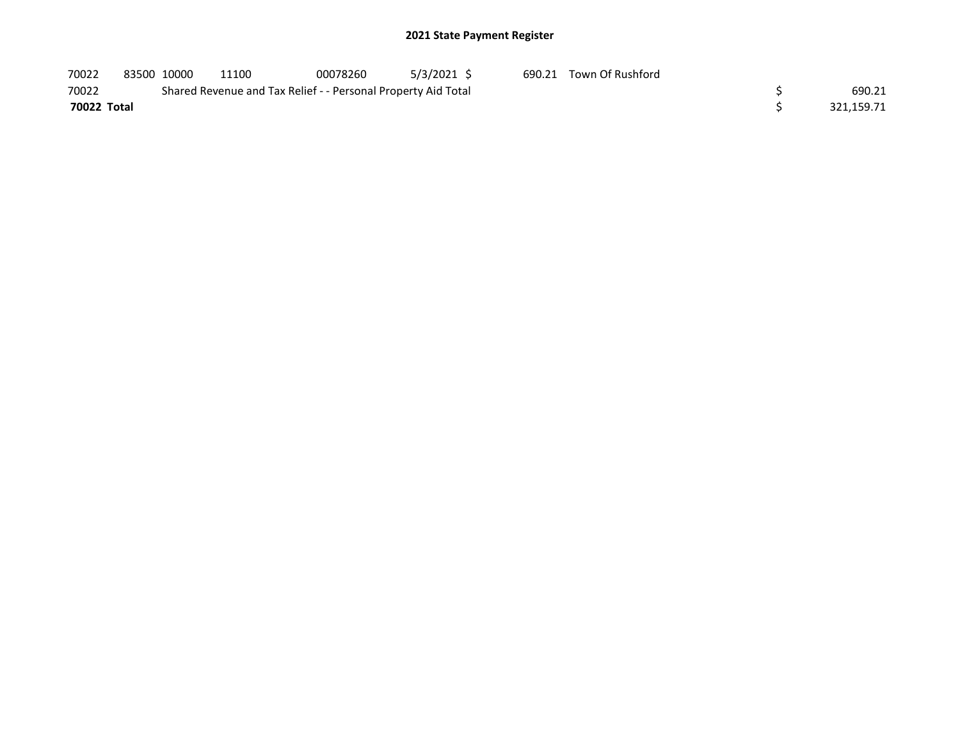| 70022       | 83500 10000 | 11100                                                         | 00078260 | 5/3/2021 \$ | 690.21 Town Of Rushford |            |
|-------------|-------------|---------------------------------------------------------------|----------|-------------|-------------------------|------------|
| 70022       |             | Shared Revenue and Tax Relief - - Personal Property Aid Total |          |             |                         | 690.21     |
| 70022 Total |             |                                                               |          |             |                         | 321.159.71 |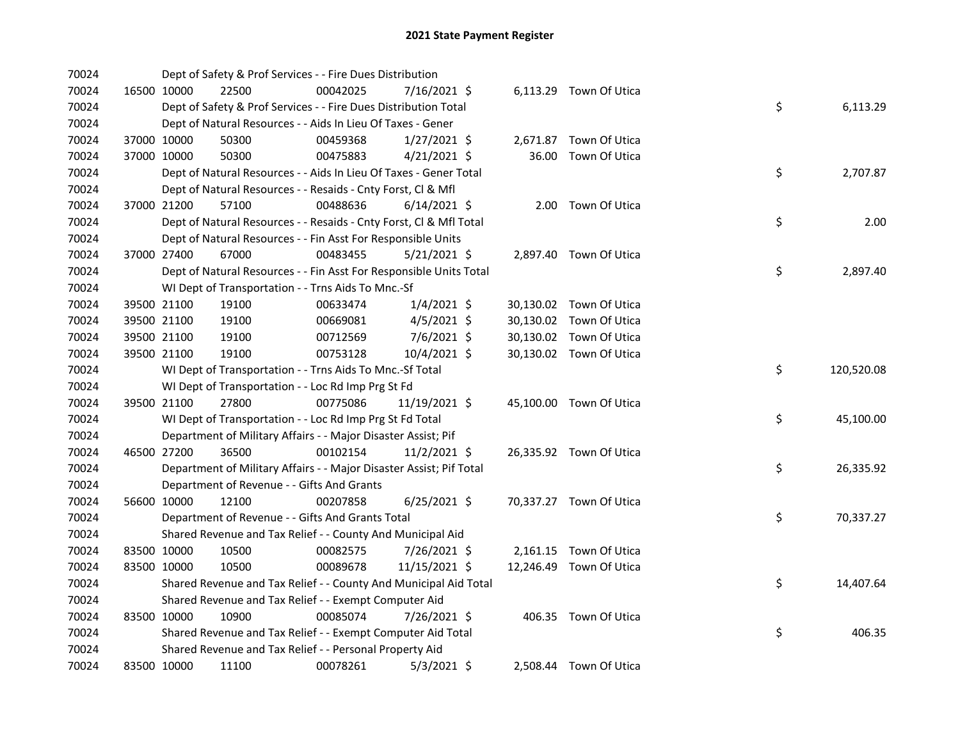| 70024 |             |             | Dept of Safety & Prof Services - - Fire Dues Distribution           |          |                |  |                         |    |            |
|-------|-------------|-------------|---------------------------------------------------------------------|----------|----------------|--|-------------------------|----|------------|
| 70024 |             | 16500 10000 | 22500                                                               | 00042025 | 7/16/2021 \$   |  | 6,113.29 Town Of Utica  |    |            |
| 70024 |             |             | Dept of Safety & Prof Services - - Fire Dues Distribution Total     |          |                |  |                         | \$ | 6,113.29   |
| 70024 |             |             | Dept of Natural Resources - - Aids In Lieu Of Taxes - Gener         |          |                |  |                         |    |            |
| 70024 |             | 37000 10000 | 50300                                                               | 00459368 | $1/27/2021$ \$ |  | 2,671.87 Town Of Utica  |    |            |
| 70024 |             | 37000 10000 | 50300                                                               | 00475883 | $4/21/2021$ \$ |  | 36.00 Town Of Utica     |    |            |
| 70024 |             |             | Dept of Natural Resources - - Aids In Lieu Of Taxes - Gener Total   |          |                |  |                         | \$ | 2,707.87   |
| 70024 |             |             | Dept of Natural Resources - - Resaids - Cnty Forst, Cl & Mfl        |          |                |  |                         |    |            |
| 70024 |             | 37000 21200 | 57100                                                               | 00488636 | $6/14/2021$ \$ |  | 2.00 Town Of Utica      |    |            |
| 70024 |             |             | Dept of Natural Resources - - Resaids - Cnty Forst, Cl & Mfl Total  |          |                |  |                         | \$ | 2.00       |
| 70024 |             |             | Dept of Natural Resources - - Fin Asst For Responsible Units        |          |                |  |                         |    |            |
| 70024 |             | 37000 27400 | 67000                                                               | 00483455 | $5/21/2021$ \$ |  | 2,897.40 Town Of Utica  |    |            |
| 70024 |             |             | Dept of Natural Resources - - Fin Asst For Responsible Units Total  |          |                |  |                         | \$ | 2,897.40   |
| 70024 |             |             | WI Dept of Transportation - - Trns Aids To Mnc.-Sf                  |          |                |  |                         |    |            |
| 70024 |             | 39500 21100 | 19100                                                               | 00633474 | $1/4/2021$ \$  |  | 30,130.02 Town Of Utica |    |            |
| 70024 |             | 39500 21100 | 19100                                                               | 00669081 | $4/5/2021$ \$  |  | 30,130.02 Town Of Utica |    |            |
| 70024 |             | 39500 21100 | 19100                                                               | 00712569 | $7/6/2021$ \$  |  | 30,130.02 Town Of Utica |    |            |
| 70024 |             | 39500 21100 | 19100                                                               | 00753128 | 10/4/2021 \$   |  | 30,130.02 Town Of Utica |    |            |
| 70024 |             |             | WI Dept of Transportation - - Trns Aids To Mnc.-Sf Total            |          |                |  |                         | \$ | 120,520.08 |
| 70024 |             |             | WI Dept of Transportation - - Loc Rd Imp Prg St Fd                  |          |                |  |                         |    |            |
| 70024 |             | 39500 21100 | 27800                                                               | 00775086 | 11/19/2021 \$  |  | 45,100.00 Town Of Utica |    |            |
| 70024 |             |             | WI Dept of Transportation - - Loc Rd Imp Prg St Fd Total            |          |                |  |                         | \$ | 45,100.00  |
| 70024 |             |             | Department of Military Affairs - - Major Disaster Assist; Pif       |          |                |  |                         |    |            |
| 70024 |             | 46500 27200 | 36500                                                               | 00102154 | 11/2/2021 \$   |  | 26,335.92 Town Of Utica |    |            |
| 70024 |             |             | Department of Military Affairs - - Major Disaster Assist; Pif Total |          |                |  |                         | \$ | 26,335.92  |
| 70024 |             |             | Department of Revenue - - Gifts And Grants                          |          |                |  |                         |    |            |
| 70024 |             | 56600 10000 | 12100                                                               | 00207858 | $6/25/2021$ \$ |  | 70,337.27 Town Of Utica |    |            |
| 70024 |             |             | Department of Revenue - - Gifts And Grants Total                    |          |                |  |                         | \$ | 70,337.27  |
| 70024 |             |             | Shared Revenue and Tax Relief - - County And Municipal Aid          |          |                |  |                         |    |            |
| 70024 |             | 83500 10000 | 10500                                                               | 00082575 | 7/26/2021 \$   |  | 2,161.15 Town Of Utica  |    |            |
| 70024 | 83500 10000 |             | 10500                                                               | 00089678 | 11/15/2021 \$  |  | 12,246.49 Town Of Utica |    |            |
| 70024 |             |             | Shared Revenue and Tax Relief - - County And Municipal Aid Total    |          |                |  |                         | \$ | 14,407.64  |
| 70024 |             |             | Shared Revenue and Tax Relief - - Exempt Computer Aid               |          |                |  |                         |    |            |
| 70024 |             | 83500 10000 | 10900                                                               | 00085074 | 7/26/2021 \$   |  | 406.35 Town Of Utica    |    |            |
| 70024 |             |             | Shared Revenue and Tax Relief - - Exempt Computer Aid Total         |          |                |  |                         | \$ | 406.35     |
| 70024 |             |             | Shared Revenue and Tax Relief - - Personal Property Aid             |          |                |  |                         |    |            |
| 70024 |             | 83500 10000 | 11100                                                               | 00078261 | $5/3/2021$ \$  |  | 2,508.44 Town Of Utica  |    |            |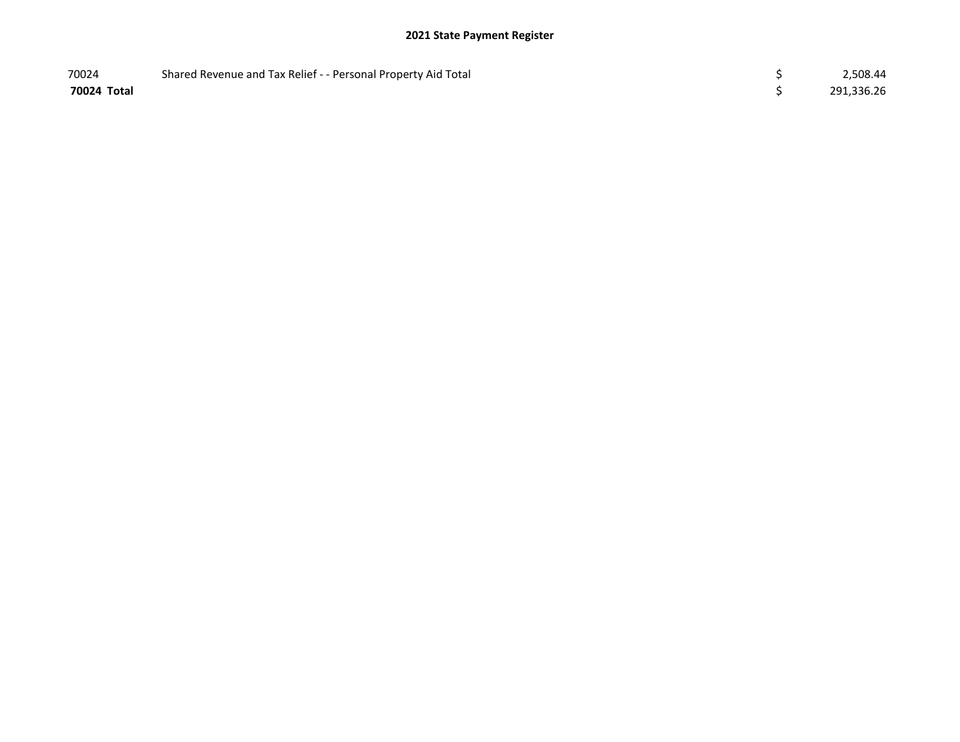| 70024       | Shared Revenue and Tax Relief - - Personal Property Aid Total | 2,508.44   |
|-------------|---------------------------------------------------------------|------------|
| 70024 Total |                                                               | 291,336.26 |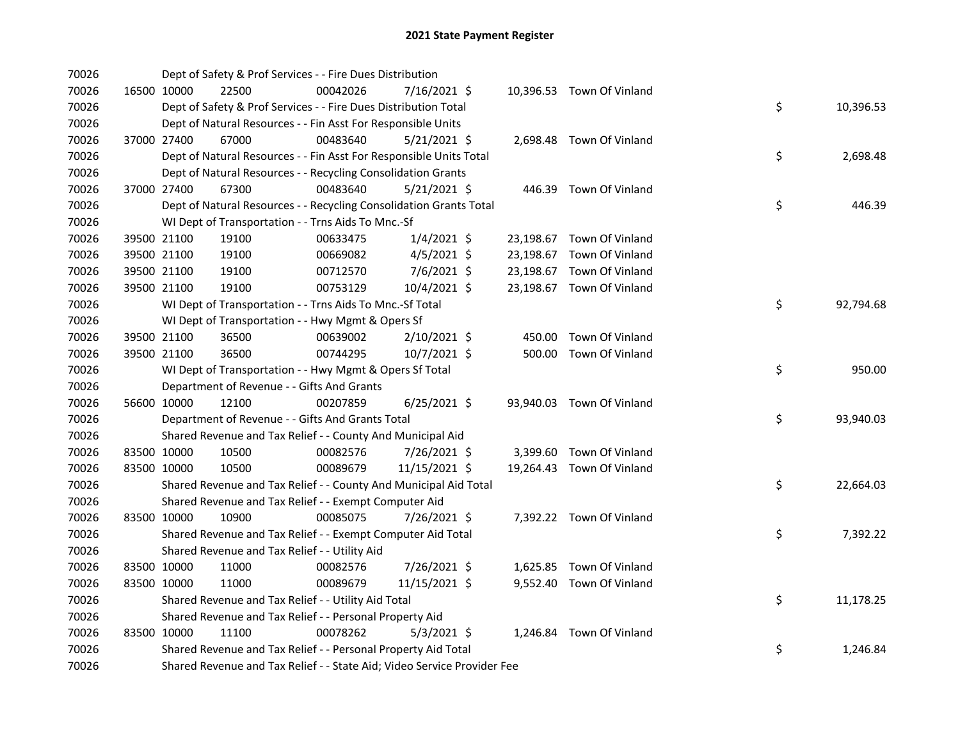| 70026 |             |             | Dept of Safety & Prof Services - - Fire Dues Distribution               |          |                |  |                           |    |           |
|-------|-------------|-------------|-------------------------------------------------------------------------|----------|----------------|--|---------------------------|----|-----------|
| 70026 |             | 16500 10000 | 22500                                                                   | 00042026 | 7/16/2021 \$   |  | 10,396.53 Town Of Vinland |    |           |
| 70026 |             |             | Dept of Safety & Prof Services - - Fire Dues Distribution Total         |          |                |  |                           | \$ | 10,396.53 |
| 70026 |             |             | Dept of Natural Resources - - Fin Asst For Responsible Units            |          |                |  |                           |    |           |
| 70026 |             | 37000 27400 | 67000                                                                   | 00483640 | $5/21/2021$ \$ |  | 2,698.48 Town Of Vinland  |    |           |
| 70026 |             |             | Dept of Natural Resources - - Fin Asst For Responsible Units Total      |          |                |  |                           | \$ | 2,698.48  |
| 70026 |             |             | Dept of Natural Resources - - Recycling Consolidation Grants            |          |                |  |                           |    |           |
| 70026 |             | 37000 27400 | 67300                                                                   | 00483640 | $5/21/2021$ \$ |  | 446.39 Town Of Vinland    |    |           |
| 70026 |             |             | Dept of Natural Resources - - Recycling Consolidation Grants Total      |          |                |  |                           | \$ | 446.39    |
| 70026 |             |             | WI Dept of Transportation - - Trns Aids To Mnc.-Sf                      |          |                |  |                           |    |           |
| 70026 |             | 39500 21100 | 19100                                                                   | 00633475 | $1/4/2021$ \$  |  | 23,198.67 Town Of Vinland |    |           |
| 70026 |             | 39500 21100 | 19100                                                                   | 00669082 | $4/5/2021$ \$  |  | 23,198.67 Town Of Vinland |    |           |
| 70026 |             | 39500 21100 | 19100                                                                   | 00712570 | 7/6/2021 \$    |  | 23,198.67 Town Of Vinland |    |           |
| 70026 |             | 39500 21100 | 19100                                                                   | 00753129 | 10/4/2021 \$   |  | 23,198.67 Town Of Vinland |    |           |
| 70026 |             |             | WI Dept of Transportation - - Trns Aids To Mnc.-Sf Total                |          |                |  |                           | \$ | 92,794.68 |
| 70026 |             |             | WI Dept of Transportation - - Hwy Mgmt & Opers Sf                       |          |                |  |                           |    |           |
| 70026 |             | 39500 21100 | 36500                                                                   | 00639002 | $2/10/2021$ \$ |  | 450.00 Town Of Vinland    |    |           |
| 70026 |             | 39500 21100 | 36500                                                                   | 00744295 | $10/7/2021$ \$ |  | 500.00 Town Of Vinland    |    |           |
| 70026 |             |             | WI Dept of Transportation - - Hwy Mgmt & Opers Sf Total                 |          |                |  |                           | \$ | 950.00    |
| 70026 |             |             | Department of Revenue - - Gifts And Grants                              |          |                |  |                           |    |           |
| 70026 |             | 56600 10000 | 12100                                                                   | 00207859 | $6/25/2021$ \$ |  | 93,940.03 Town Of Vinland |    |           |
| 70026 |             |             | Department of Revenue - - Gifts And Grants Total                        |          |                |  |                           | \$ | 93,940.03 |
| 70026 |             |             | Shared Revenue and Tax Relief - - County And Municipal Aid              |          |                |  |                           |    |           |
| 70026 |             | 83500 10000 | 10500                                                                   | 00082576 | 7/26/2021 \$   |  | 3,399.60 Town Of Vinland  |    |           |
| 70026 |             | 83500 10000 | 10500                                                                   | 00089679 | 11/15/2021 \$  |  | 19,264.43 Town Of Vinland |    |           |
| 70026 |             |             | Shared Revenue and Tax Relief - - County And Municipal Aid Total        |          |                |  |                           | \$ | 22,664.03 |
| 70026 |             |             | Shared Revenue and Tax Relief - - Exempt Computer Aid                   |          |                |  |                           |    |           |
| 70026 | 83500 10000 |             | 10900                                                                   | 00085075 | 7/26/2021 \$   |  | 7,392.22 Town Of Vinland  |    |           |
| 70026 |             |             | Shared Revenue and Tax Relief - - Exempt Computer Aid Total             |          |                |  |                           | \$ | 7,392.22  |
| 70026 |             |             | Shared Revenue and Tax Relief - - Utility Aid                           |          |                |  |                           |    |           |
| 70026 |             | 83500 10000 | 11000                                                                   | 00082576 | 7/26/2021 \$   |  | 1,625.85 Town Of Vinland  |    |           |
| 70026 | 83500 10000 |             | 11000                                                                   | 00089679 | 11/15/2021 \$  |  | 9,552.40 Town Of Vinland  |    |           |
| 70026 |             |             | Shared Revenue and Tax Relief - - Utility Aid Total                     |          |                |  |                           | \$ | 11,178.25 |
| 70026 |             |             | Shared Revenue and Tax Relief - - Personal Property Aid                 |          |                |  |                           |    |           |
| 70026 |             | 83500 10000 | 11100                                                                   | 00078262 | $5/3/2021$ \$  |  | 1,246.84 Town Of Vinland  |    |           |
| 70026 |             |             | Shared Revenue and Tax Relief - - Personal Property Aid Total           |          |                |  |                           | \$ | 1,246.84  |
| 70026 |             |             | Shared Revenue and Tax Relief - - State Aid; Video Service Provider Fee |          |                |  |                           |    |           |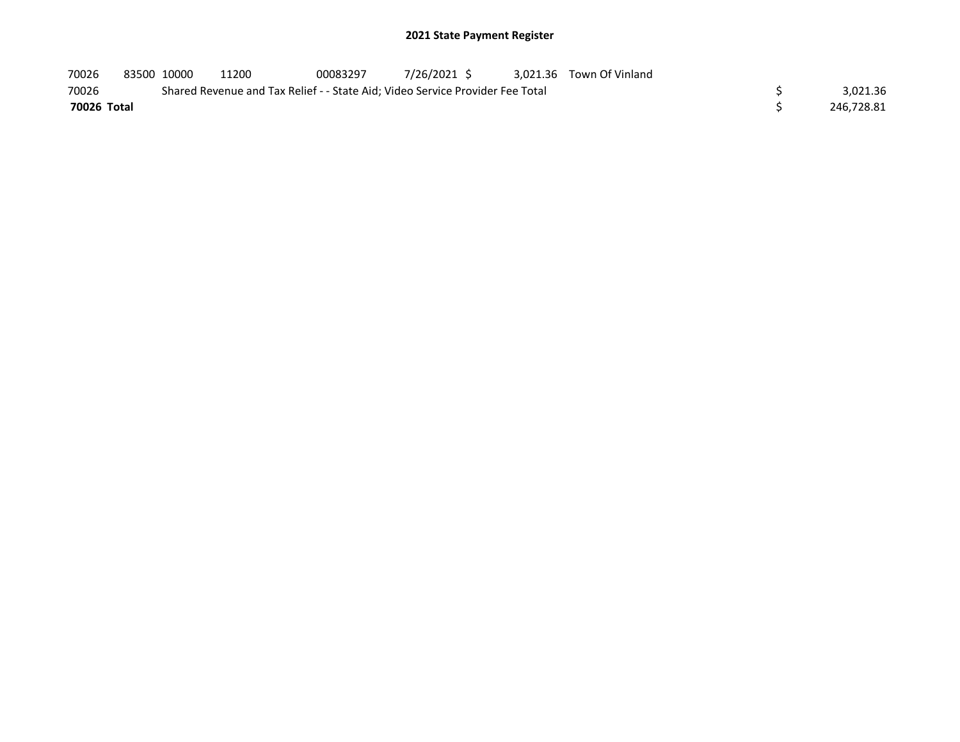| 70026       | 83500 10000 | 11200                                                                         | 00083297 | 7/26/2021 \$ |  | 3.021.36 Town Of Vinland |            |
|-------------|-------------|-------------------------------------------------------------------------------|----------|--------------|--|--------------------------|------------|
| 70026       |             | Shared Revenue and Tax Relief - - State Aid; Video Service Provider Fee Total |          |              |  |                          | 3.021.36   |
| 70026 Total |             |                                                                               |          |              |  |                          | 246.728.81 |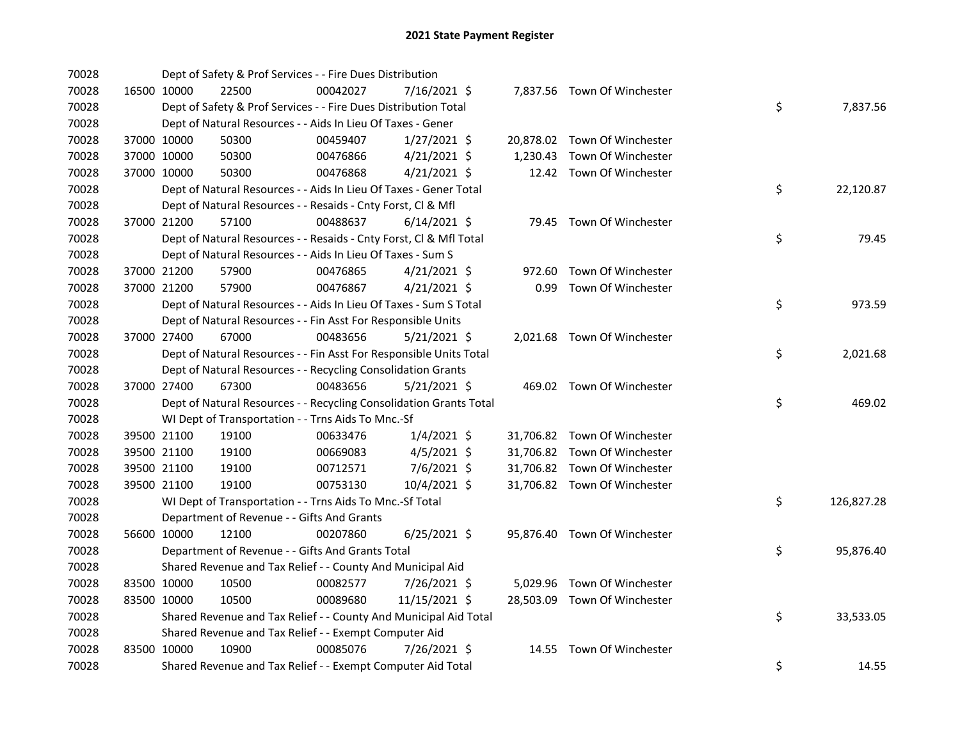| 70028 |             | Dept of Safety & Prof Services - - Fire Dues Distribution          |          |                |  |                              |    |            |
|-------|-------------|--------------------------------------------------------------------|----------|----------------|--|------------------------------|----|------------|
| 70028 | 16500 10000 | 22500                                                              | 00042027 | 7/16/2021 \$   |  | 7,837.56 Town Of Winchester  |    |            |
| 70028 |             | Dept of Safety & Prof Services - - Fire Dues Distribution Total    |          |                |  |                              | \$ | 7,837.56   |
| 70028 |             | Dept of Natural Resources - - Aids In Lieu Of Taxes - Gener        |          |                |  |                              |    |            |
| 70028 | 37000 10000 | 50300                                                              | 00459407 | $1/27/2021$ \$ |  | 20,878.02 Town Of Winchester |    |            |
| 70028 | 37000 10000 | 50300                                                              | 00476866 | $4/21/2021$ \$ |  | 1,230.43 Town Of Winchester  |    |            |
| 70028 | 37000 10000 | 50300                                                              | 00476868 | $4/21/2021$ \$ |  | 12.42 Town Of Winchester     |    |            |
| 70028 |             | Dept of Natural Resources - - Aids In Lieu Of Taxes - Gener Total  |          |                |  |                              | \$ | 22,120.87  |
| 70028 |             | Dept of Natural Resources - - Resaids - Cnty Forst, Cl & Mfl       |          |                |  |                              |    |            |
| 70028 | 37000 21200 | 57100                                                              | 00488637 | $6/14/2021$ \$ |  | 79.45 Town Of Winchester     |    |            |
| 70028 |             | Dept of Natural Resources - - Resaids - Cnty Forst, Cl & Mfl Total |          |                |  |                              | \$ | 79.45      |
| 70028 |             | Dept of Natural Resources - - Aids In Lieu Of Taxes - Sum S        |          |                |  |                              |    |            |
| 70028 | 37000 21200 | 57900                                                              | 00476865 | $4/21/2021$ \$ |  | 972.60 Town Of Winchester    |    |            |
| 70028 | 37000 21200 | 57900                                                              | 00476867 | $4/21/2021$ \$ |  | 0.99 Town Of Winchester      |    |            |
| 70028 |             | Dept of Natural Resources - - Aids In Lieu Of Taxes - Sum S Total  |          |                |  |                              | \$ | 973.59     |
| 70028 |             | Dept of Natural Resources - - Fin Asst For Responsible Units       |          |                |  |                              |    |            |
| 70028 | 37000 27400 | 67000                                                              | 00483656 | 5/21/2021 \$   |  | 2,021.68 Town Of Winchester  |    |            |
| 70028 |             | Dept of Natural Resources - - Fin Asst For Responsible Units Total |          |                |  |                              | \$ | 2,021.68   |
| 70028 |             | Dept of Natural Resources - - Recycling Consolidation Grants       |          |                |  |                              |    |            |
| 70028 | 37000 27400 | 67300                                                              | 00483656 | $5/21/2021$ \$ |  | 469.02 Town Of Winchester    |    |            |
| 70028 |             | Dept of Natural Resources - - Recycling Consolidation Grants Total |          |                |  |                              | \$ | 469.02     |
| 70028 |             | WI Dept of Transportation - - Trns Aids To Mnc.-Sf                 |          |                |  |                              |    |            |
| 70028 | 39500 21100 | 19100                                                              | 00633476 | $1/4/2021$ \$  |  | 31,706.82 Town Of Winchester |    |            |
| 70028 | 39500 21100 | 19100                                                              | 00669083 | $4/5/2021$ \$  |  | 31,706.82 Town Of Winchester |    |            |
| 70028 | 39500 21100 | 19100                                                              | 00712571 | 7/6/2021 \$    |  | 31,706.82 Town Of Winchester |    |            |
| 70028 | 39500 21100 | 19100                                                              | 00753130 | 10/4/2021 \$   |  | 31,706.82 Town Of Winchester |    |            |
| 70028 |             | WI Dept of Transportation - - Trns Aids To Mnc.-Sf Total           |          |                |  |                              | \$ | 126,827.28 |
| 70028 |             | Department of Revenue - - Gifts And Grants                         |          |                |  |                              |    |            |
| 70028 | 56600 10000 | 12100                                                              | 00207860 | $6/25/2021$ \$ |  | 95,876.40 Town Of Winchester |    |            |
| 70028 |             | Department of Revenue - - Gifts And Grants Total                   |          |                |  |                              | \$ | 95,876.40  |
| 70028 |             | Shared Revenue and Tax Relief - - County And Municipal Aid         |          |                |  |                              |    |            |
| 70028 | 83500 10000 | 10500                                                              | 00082577 | 7/26/2021 \$   |  | 5,029.96 Town Of Winchester  |    |            |
| 70028 | 83500 10000 | 10500                                                              | 00089680 | 11/15/2021 \$  |  | 28,503.09 Town Of Winchester |    |            |
| 70028 |             | Shared Revenue and Tax Relief - - County And Municipal Aid Total   |          |                |  |                              | \$ | 33,533.05  |
| 70028 |             | Shared Revenue and Tax Relief - - Exempt Computer Aid              |          |                |  |                              |    |            |
| 70028 | 83500 10000 | 10900                                                              | 00085076 | 7/26/2021 \$   |  | 14.55 Town Of Winchester     |    |            |
| 70028 |             | Shared Revenue and Tax Relief - - Exempt Computer Aid Total        |          |                |  |                              | \$ | 14.55      |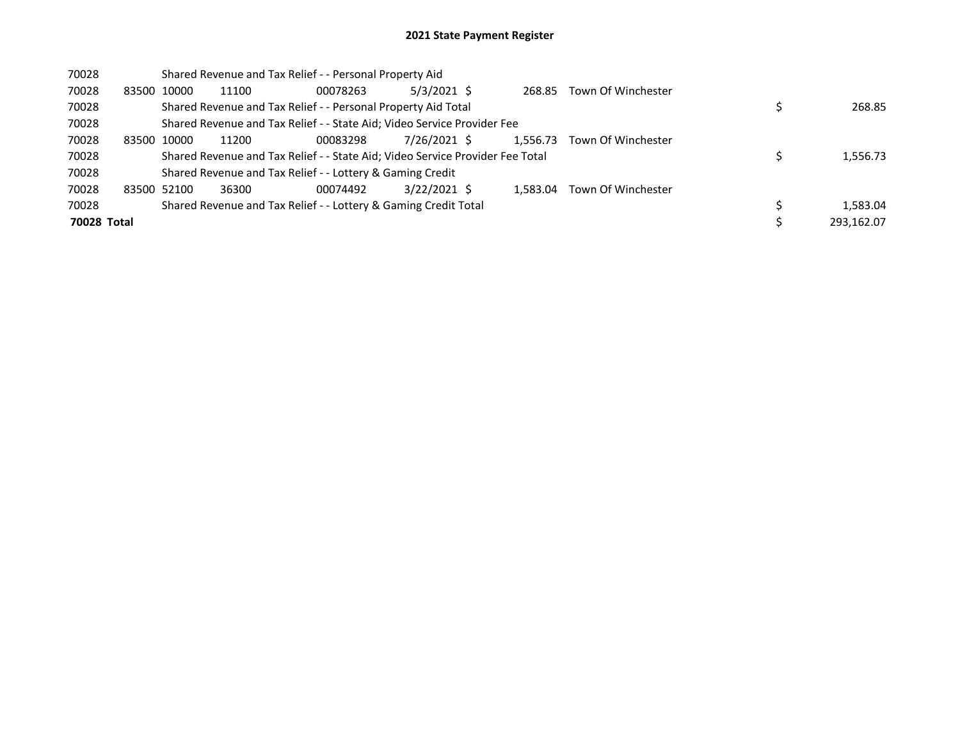| 70028       |       | Shared Revenue and Tax Relief - - Personal Property Aid |       |                                                                               |               |  |          |                    |  |            |  |  |
|-------------|-------|---------------------------------------------------------|-------|-------------------------------------------------------------------------------|---------------|--|----------|--------------------|--|------------|--|--|
| 70028       | 83500 | 10000                                                   | 11100 | 00078263                                                                      | $5/3/2021$ \$ |  | 268.85   | Town Of Winchester |  |            |  |  |
| 70028       |       |                                                         |       | Shared Revenue and Tax Relief - - Personal Property Aid Total                 |               |  |          |                    |  | 268.85     |  |  |
| 70028       |       |                                                         |       | Shared Revenue and Tax Relief - - State Aid; Video Service Provider Fee       |               |  |          |                    |  |            |  |  |
| 70028       | 83500 | 10000                                                   | 11200 | 00083298                                                                      | 7/26/2021 \$  |  | 1,556.73 | Town Of Winchester |  |            |  |  |
| 70028       |       |                                                         |       | Shared Revenue and Tax Relief - - State Aid; Video Service Provider Fee Total |               |  |          |                    |  | 1,556.73   |  |  |
| 70028       |       |                                                         |       | Shared Revenue and Tax Relief - - Lottery & Gaming Credit                     |               |  |          |                    |  |            |  |  |
| 70028       |       | 83500 52100                                             | 36300 | 00074492                                                                      | 3/22/2021 \$  |  | 1.583.04 | Town Of Winchester |  |            |  |  |
| 70028       |       |                                                         |       | Shared Revenue and Tax Relief - - Lottery & Gaming Credit Total               |               |  |          |                    |  | 1,583.04   |  |  |
| 70028 Total |       |                                                         |       |                                                                               |               |  |          |                    |  | 293.162.07 |  |  |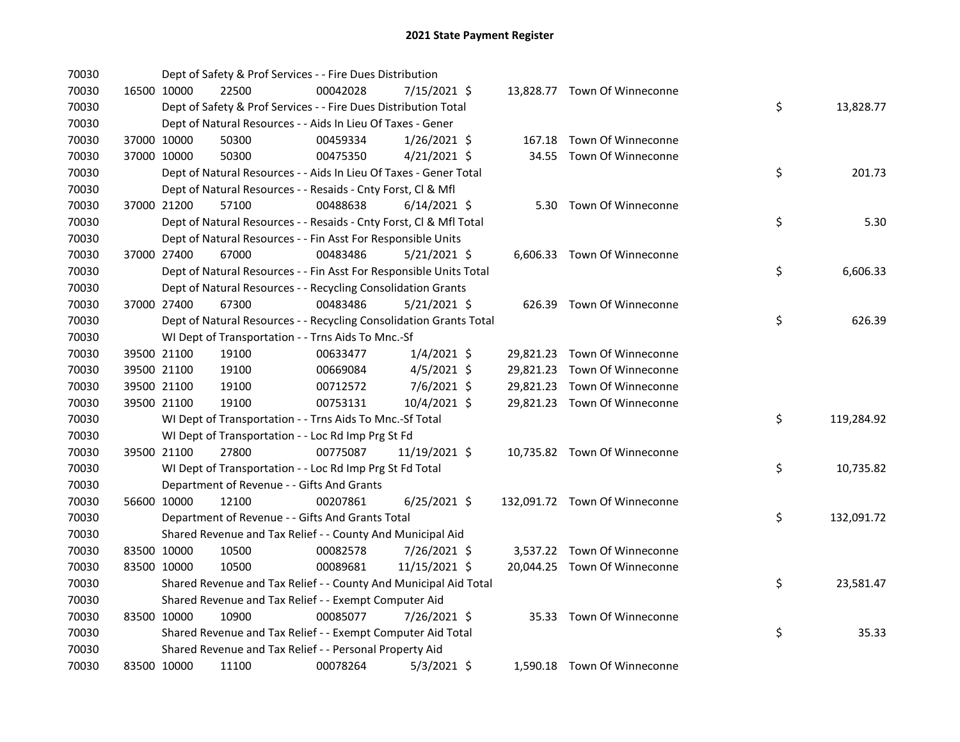| 70030 |             |             | Dept of Safety & Prof Services - - Fire Dues Distribution          |          |                |  |                               |    |            |
|-------|-------------|-------------|--------------------------------------------------------------------|----------|----------------|--|-------------------------------|----|------------|
| 70030 |             | 16500 10000 | 22500                                                              | 00042028 | 7/15/2021 \$   |  | 13,828.77 Town Of Winneconne  |    |            |
| 70030 |             |             | Dept of Safety & Prof Services - - Fire Dues Distribution Total    |          |                |  |                               | \$ | 13,828.77  |
| 70030 |             |             | Dept of Natural Resources - - Aids In Lieu Of Taxes - Gener        |          |                |  |                               |    |            |
| 70030 |             | 37000 10000 | 50300                                                              | 00459334 | $1/26/2021$ \$ |  | 167.18 Town Of Winneconne     |    |            |
| 70030 |             | 37000 10000 | 50300                                                              | 00475350 | 4/21/2021 \$   |  | 34.55 Town Of Winneconne      |    |            |
| 70030 |             |             | Dept of Natural Resources - - Aids In Lieu Of Taxes - Gener Total  |          |                |  |                               | \$ | 201.73     |
| 70030 |             |             | Dept of Natural Resources - - Resaids - Cnty Forst, Cl & Mfl       |          |                |  |                               |    |            |
| 70030 |             | 37000 21200 | 57100                                                              | 00488638 | $6/14/2021$ \$ |  | 5.30 Town Of Winneconne       |    |            |
| 70030 |             |             | Dept of Natural Resources - - Resaids - Cnty Forst, Cl & Mfl Total |          |                |  |                               | \$ | 5.30       |
| 70030 |             |             | Dept of Natural Resources - - Fin Asst For Responsible Units       |          |                |  |                               |    |            |
| 70030 |             | 37000 27400 | 67000                                                              | 00483486 | $5/21/2021$ \$ |  | 6,606.33 Town Of Winneconne   |    |            |
| 70030 |             |             | Dept of Natural Resources - - Fin Asst For Responsible Units Total |          |                |  |                               | \$ | 6,606.33   |
| 70030 |             |             | Dept of Natural Resources - - Recycling Consolidation Grants       |          |                |  |                               |    |            |
| 70030 |             | 37000 27400 | 67300                                                              | 00483486 | $5/21/2021$ \$ |  | 626.39 Town Of Winneconne     |    |            |
| 70030 |             |             | Dept of Natural Resources - - Recycling Consolidation Grants Total |          |                |  |                               | \$ | 626.39     |
| 70030 |             |             | WI Dept of Transportation - - Trns Aids To Mnc.-Sf                 |          |                |  |                               |    |            |
| 70030 |             | 39500 21100 | 19100                                                              | 00633477 | $1/4/2021$ \$  |  | 29,821.23 Town Of Winneconne  |    |            |
| 70030 |             | 39500 21100 | 19100                                                              | 00669084 | $4/5/2021$ \$  |  | 29,821.23 Town Of Winneconne  |    |            |
| 70030 |             | 39500 21100 | 19100                                                              | 00712572 | 7/6/2021 \$    |  | 29,821.23 Town Of Winneconne  |    |            |
| 70030 |             | 39500 21100 | 19100                                                              | 00753131 | 10/4/2021 \$   |  | 29,821.23 Town Of Winneconne  |    |            |
| 70030 |             |             | WI Dept of Transportation - - Trns Aids To Mnc.-Sf Total           |          |                |  |                               | \$ | 119,284.92 |
| 70030 |             |             | WI Dept of Transportation - - Loc Rd Imp Prg St Fd                 |          |                |  |                               |    |            |
| 70030 |             | 39500 21100 | 27800                                                              | 00775087 | 11/19/2021 \$  |  | 10,735.82 Town Of Winneconne  |    |            |
| 70030 |             |             | WI Dept of Transportation - - Loc Rd Imp Prg St Fd Total           |          |                |  |                               | \$ | 10,735.82  |
| 70030 |             |             | Department of Revenue - - Gifts And Grants                         |          |                |  |                               |    |            |
| 70030 |             | 56600 10000 | 12100                                                              | 00207861 | $6/25/2021$ \$ |  | 132,091.72 Town Of Winneconne |    |            |
| 70030 |             |             | Department of Revenue - - Gifts And Grants Total                   |          |                |  |                               | \$ | 132,091.72 |
| 70030 |             |             | Shared Revenue and Tax Relief - - County And Municipal Aid         |          |                |  |                               |    |            |
| 70030 | 83500 10000 |             | 10500                                                              | 00082578 | 7/26/2021 \$   |  | 3,537.22 Town Of Winneconne   |    |            |
| 70030 | 83500 10000 |             | 10500                                                              | 00089681 | 11/15/2021 \$  |  | 20,044.25 Town Of Winneconne  |    |            |
| 70030 |             |             | Shared Revenue and Tax Relief - - County And Municipal Aid Total   |          |                |  |                               | \$ | 23,581.47  |
| 70030 |             |             | Shared Revenue and Tax Relief - - Exempt Computer Aid              |          |                |  |                               |    |            |
| 70030 | 83500 10000 |             | 10900                                                              | 00085077 | 7/26/2021 \$   |  | 35.33 Town Of Winneconne      |    |            |
| 70030 |             |             | Shared Revenue and Tax Relief - - Exempt Computer Aid Total        |          |                |  |                               | \$ | 35.33      |
| 70030 |             |             | Shared Revenue and Tax Relief - - Personal Property Aid            |          |                |  |                               |    |            |
| 70030 |             | 83500 10000 | 11100                                                              | 00078264 | $5/3/2021$ \$  |  | 1,590.18 Town Of Winneconne   |    |            |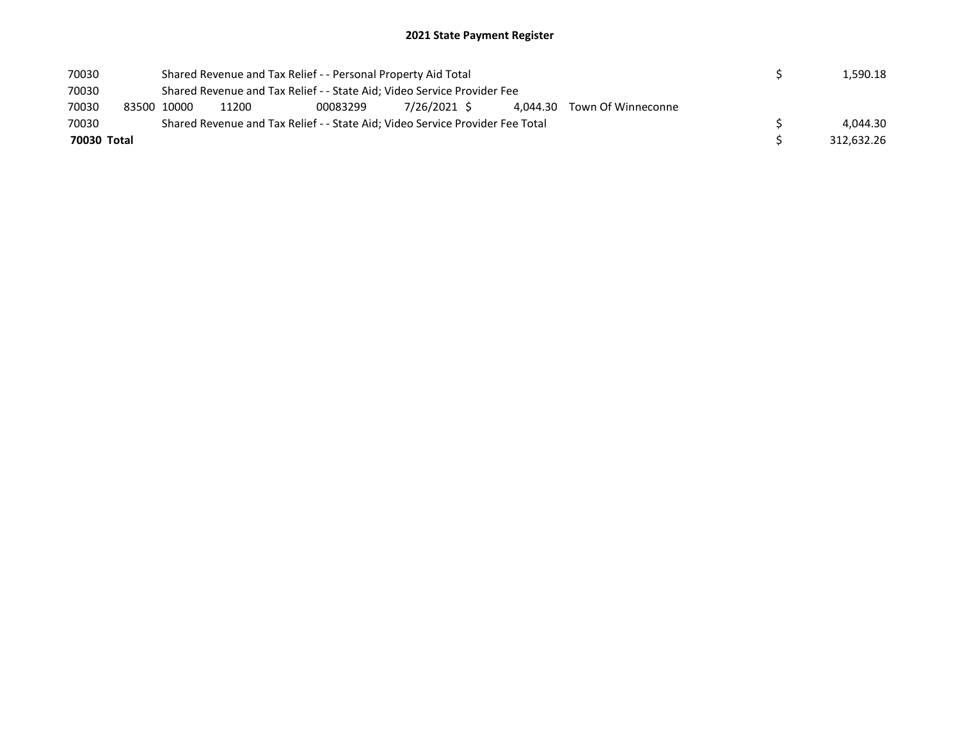| 70030 |                                                                               |             | Shared Revenue and Tax Relief - - Personal Property Aid Total |  | 1.590.18 |  |  |            |          |
|-------|-------------------------------------------------------------------------------|-------------|---------------------------------------------------------------|--|----------|--|--|------------|----------|
| 70030 | Shared Revenue and Tax Relief - - State Aid; Video Service Provider Fee       |             |                                                               |  |          |  |  |            |          |
| 70030 |                                                                               | 83500 10000 | 11200                                                         |  |          |  |  |            |          |
| 70030 | Shared Revenue and Tax Relief - - State Aid; Video Service Provider Fee Total |             |                                                               |  |          |  |  |            | 4.044.30 |
|       | 70030 Total                                                                   |             |                                                               |  |          |  |  | 312,632.26 |          |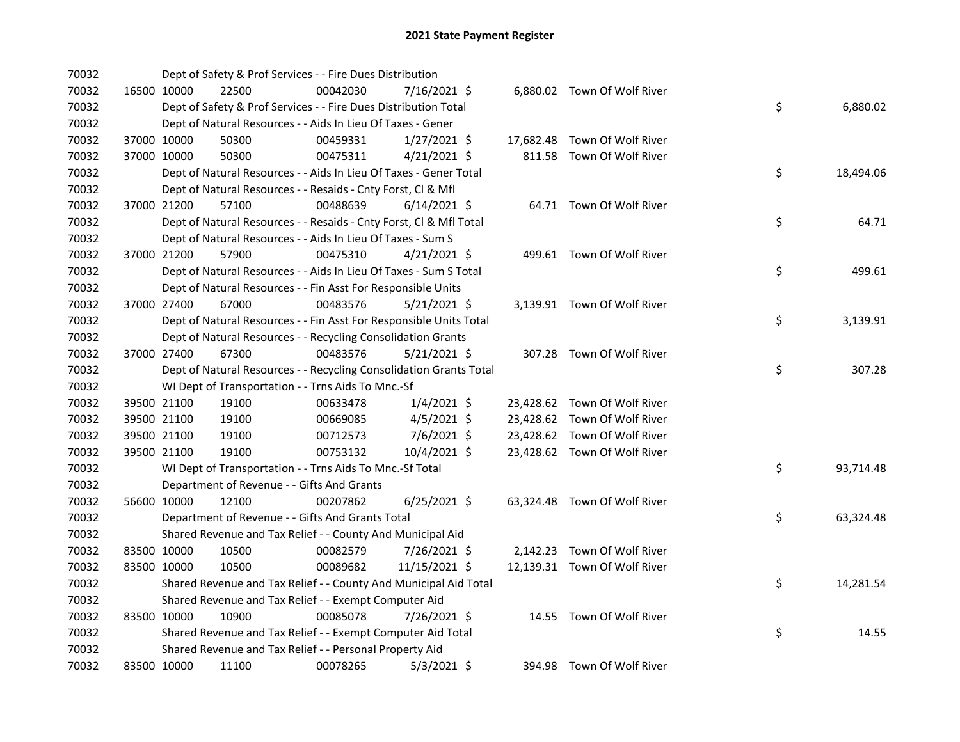| 70032 |             | Dept of Safety & Prof Services - - Fire Dues Distribution          |          |                |  |                              |    |           |
|-------|-------------|--------------------------------------------------------------------|----------|----------------|--|------------------------------|----|-----------|
| 70032 | 16500 10000 | 22500                                                              | 00042030 | 7/16/2021 \$   |  | 6,880.02 Town Of Wolf River  |    |           |
| 70032 |             | Dept of Safety & Prof Services - - Fire Dues Distribution Total    |          |                |  |                              | \$ | 6,880.02  |
| 70032 |             | Dept of Natural Resources - - Aids In Lieu Of Taxes - Gener        |          |                |  |                              |    |           |
| 70032 | 37000 10000 | 50300                                                              | 00459331 | $1/27/2021$ \$ |  | 17,682.48 Town Of Wolf River |    |           |
| 70032 | 37000 10000 | 50300                                                              | 00475311 | $4/21/2021$ \$ |  | 811.58 Town Of Wolf River    |    |           |
| 70032 |             | Dept of Natural Resources - - Aids In Lieu Of Taxes - Gener Total  |          |                |  |                              | \$ | 18,494.06 |
| 70032 |             | Dept of Natural Resources - - Resaids - Cnty Forst, CI & Mfl       |          |                |  |                              |    |           |
| 70032 | 37000 21200 | 57100                                                              | 00488639 | $6/14/2021$ \$ |  | 64.71 Town Of Wolf River     |    |           |
| 70032 |             | Dept of Natural Resources - - Resaids - Cnty Forst, Cl & Mfl Total |          |                |  |                              | \$ | 64.71     |
| 70032 |             | Dept of Natural Resources - - Aids In Lieu Of Taxes - Sum S        |          |                |  |                              |    |           |
| 70032 | 37000 21200 | 57900                                                              | 00475310 | $4/21/2021$ \$ |  | 499.61 Town Of Wolf River    |    |           |
| 70032 |             | Dept of Natural Resources - - Aids In Lieu Of Taxes - Sum S Total  |          |                |  |                              | \$ | 499.61    |
| 70032 |             | Dept of Natural Resources - - Fin Asst For Responsible Units       |          |                |  |                              |    |           |
| 70032 | 37000 27400 | 67000                                                              | 00483576 | $5/21/2021$ \$ |  | 3,139.91 Town Of Wolf River  |    |           |
| 70032 |             | Dept of Natural Resources - - Fin Asst For Responsible Units Total |          |                |  |                              | \$ | 3,139.91  |
| 70032 |             | Dept of Natural Resources - - Recycling Consolidation Grants       |          |                |  |                              |    |           |
| 70032 | 37000 27400 | 67300                                                              | 00483576 | $5/21/2021$ \$ |  | 307.28 Town Of Wolf River    |    |           |
| 70032 |             | Dept of Natural Resources - - Recycling Consolidation Grants Total |          |                |  |                              | \$ | 307.28    |
| 70032 |             | WI Dept of Transportation - - Trns Aids To Mnc.-Sf                 |          |                |  |                              |    |           |
| 70032 | 39500 21100 | 19100                                                              | 00633478 | $1/4/2021$ \$  |  | 23,428.62 Town Of Wolf River |    |           |
| 70032 | 39500 21100 | 19100                                                              | 00669085 | $4/5/2021$ \$  |  | 23,428.62 Town Of Wolf River |    |           |
| 70032 | 39500 21100 | 19100                                                              | 00712573 | 7/6/2021 \$    |  | 23,428.62 Town Of Wolf River |    |           |
| 70032 | 39500 21100 | 19100                                                              | 00753132 | 10/4/2021 \$   |  | 23,428.62 Town Of Wolf River |    |           |
| 70032 |             | WI Dept of Transportation - - Trns Aids To Mnc.-Sf Total           |          |                |  |                              | \$ | 93,714.48 |
| 70032 |             | Department of Revenue - - Gifts And Grants                         |          |                |  |                              |    |           |
| 70032 | 56600 10000 | 12100                                                              | 00207862 | $6/25/2021$ \$ |  | 63,324.48 Town Of Wolf River |    |           |
| 70032 |             | Department of Revenue - - Gifts And Grants Total                   |          |                |  |                              | \$ | 63,324.48 |
| 70032 |             | Shared Revenue and Tax Relief - - County And Municipal Aid         |          |                |  |                              |    |           |
| 70032 | 83500 10000 | 10500                                                              | 00082579 | 7/26/2021 \$   |  | 2,142.23 Town Of Wolf River  |    |           |
| 70032 | 83500 10000 | 10500                                                              | 00089682 | 11/15/2021 \$  |  | 12,139.31 Town Of Wolf River |    |           |
| 70032 |             | Shared Revenue and Tax Relief - - County And Municipal Aid Total   |          |                |  |                              | \$ | 14,281.54 |
| 70032 |             | Shared Revenue and Tax Relief - - Exempt Computer Aid              |          |                |  |                              |    |           |
| 70032 | 83500 10000 | 10900                                                              | 00085078 | 7/26/2021 \$   |  | 14.55 Town Of Wolf River     |    |           |
| 70032 |             | Shared Revenue and Tax Relief - - Exempt Computer Aid Total        |          |                |  |                              | \$ | 14.55     |
| 70032 |             | Shared Revenue and Tax Relief - - Personal Property Aid            |          |                |  |                              |    |           |
| 70032 | 83500 10000 | 11100                                                              | 00078265 | $5/3/2021$ \$  |  | 394.98 Town Of Wolf River    |    |           |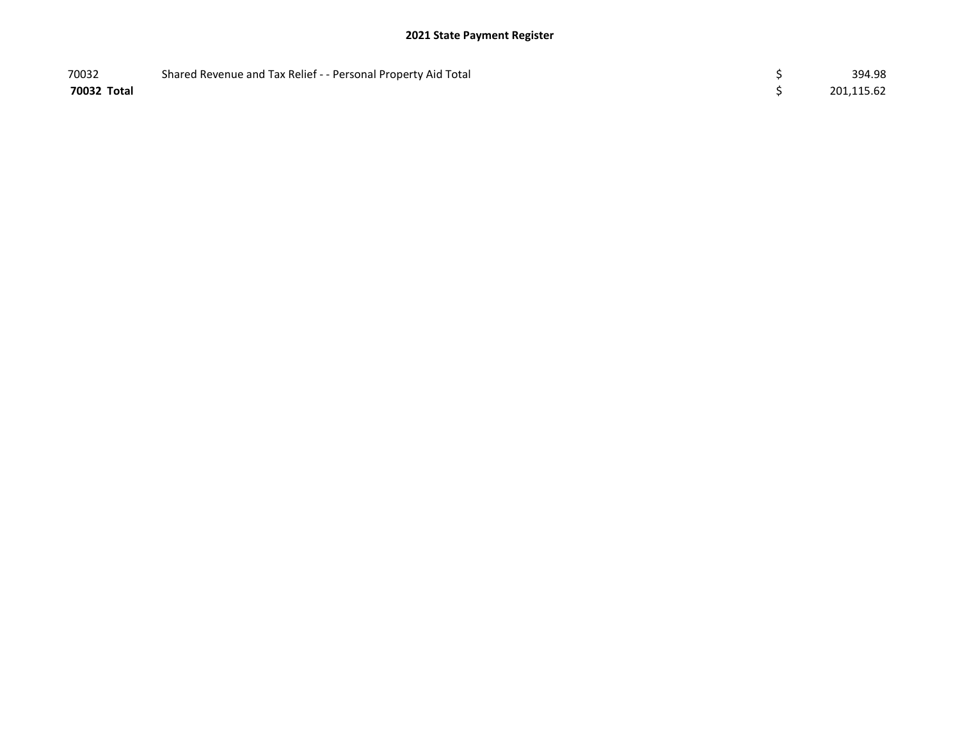| 70032       | Shared Revenue and Tax Relief - - Personal Property Aid Total | 394.98     |
|-------------|---------------------------------------------------------------|------------|
| 70032 Total |                                                               | 201,115.62 |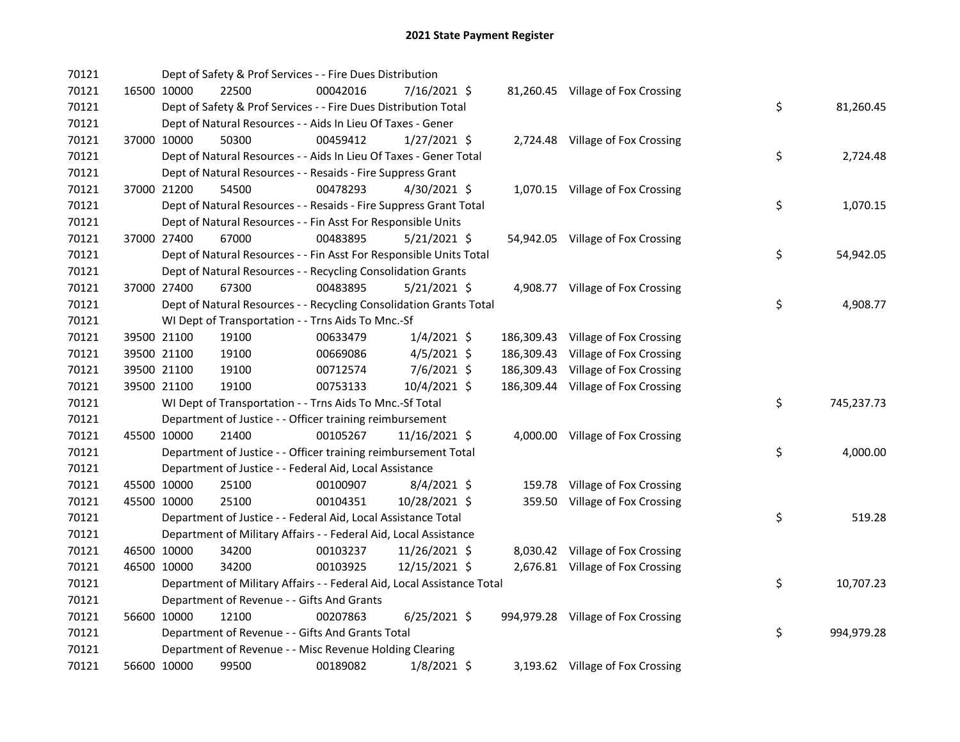| 70121 |             | Dept of Safety & Prof Services - - Fire Dues Distribution              |          |                |            |                                    |    |            |
|-------|-------------|------------------------------------------------------------------------|----------|----------------|------------|------------------------------------|----|------------|
| 70121 | 16500 10000 | 22500                                                                  | 00042016 | 7/16/2021 \$   |            | 81,260.45 Village of Fox Crossing  |    |            |
| 70121 |             | Dept of Safety & Prof Services - - Fire Dues Distribution Total        |          |                |            |                                    | \$ | 81,260.45  |
| 70121 |             | Dept of Natural Resources - - Aids In Lieu Of Taxes - Gener            |          |                |            |                                    |    |            |
| 70121 | 37000 10000 | 50300                                                                  | 00459412 | $1/27/2021$ \$ |            | 2,724.48 Village of Fox Crossing   |    |            |
| 70121 |             | Dept of Natural Resources - - Aids In Lieu Of Taxes - Gener Total      |          |                |            |                                    | \$ | 2,724.48   |
| 70121 |             | Dept of Natural Resources - - Resaids - Fire Suppress Grant            |          |                |            |                                    |    |            |
| 70121 | 37000 21200 | 54500                                                                  | 00478293 | $4/30/2021$ \$ |            | 1,070.15 Village of Fox Crossing   |    |            |
| 70121 |             | Dept of Natural Resources - - Resaids - Fire Suppress Grant Total      |          |                |            |                                    | \$ | 1,070.15   |
| 70121 |             | Dept of Natural Resources - - Fin Asst For Responsible Units           |          |                |            |                                    |    |            |
| 70121 | 37000 27400 | 67000                                                                  | 00483895 | $5/21/2021$ \$ |            | 54,942.05 Village of Fox Crossing  |    |            |
| 70121 |             | Dept of Natural Resources - - Fin Asst For Responsible Units Total     |          |                |            |                                    | \$ | 54,942.05  |
| 70121 |             | Dept of Natural Resources - - Recycling Consolidation Grants           |          |                |            |                                    |    |            |
| 70121 | 37000 27400 | 67300                                                                  | 00483895 | $5/21/2021$ \$ |            | 4,908.77 Village of Fox Crossing   |    |            |
| 70121 |             | Dept of Natural Resources - - Recycling Consolidation Grants Total     |          |                |            |                                    | \$ | 4,908.77   |
| 70121 |             | WI Dept of Transportation - - Trns Aids To Mnc.-Sf                     |          |                |            |                                    |    |            |
| 70121 | 39500 21100 | 19100                                                                  | 00633479 | $1/4/2021$ \$  | 186,309.43 | Village of Fox Crossing            |    |            |
| 70121 | 39500 21100 | 19100                                                                  | 00669086 | $4/5/2021$ \$  | 186,309.43 | Village of Fox Crossing            |    |            |
| 70121 | 39500 21100 | 19100                                                                  | 00712574 | 7/6/2021 \$    | 186,309.43 | Village of Fox Crossing            |    |            |
| 70121 | 39500 21100 | 19100                                                                  | 00753133 | 10/4/2021 \$   |            | 186,309.44 Village of Fox Crossing |    |            |
| 70121 |             | WI Dept of Transportation - - Trns Aids To Mnc.-Sf Total               |          |                |            |                                    | \$ | 745,237.73 |
| 70121 |             | Department of Justice - - Officer training reimbursement               |          |                |            |                                    |    |            |
| 70121 | 45500 10000 | 21400                                                                  | 00105267 | 11/16/2021 \$  |            | 4,000.00 Village of Fox Crossing   |    |            |
| 70121 |             | Department of Justice - - Officer training reimbursement Total         |          |                |            |                                    | \$ | 4,000.00   |
| 70121 |             | Department of Justice - - Federal Aid, Local Assistance                |          |                |            |                                    |    |            |
| 70121 | 45500 10000 | 25100                                                                  | 00100907 | $8/4/2021$ \$  |            | 159.78 Village of Fox Crossing     |    |            |
| 70121 | 45500 10000 | 25100                                                                  | 00104351 | 10/28/2021 \$  |            | 359.50 Village of Fox Crossing     |    |            |
| 70121 |             | Department of Justice - - Federal Aid, Local Assistance Total          |          |                |            |                                    | \$ | 519.28     |
| 70121 |             | Department of Military Affairs - - Federal Aid, Local Assistance       |          |                |            |                                    |    |            |
| 70121 | 46500 10000 | 34200                                                                  | 00103237 | 11/26/2021 \$  |            | 8,030.42 Village of Fox Crossing   |    |            |
| 70121 | 46500 10000 | 34200                                                                  | 00103925 | 12/15/2021 \$  |            | 2,676.81 Village of Fox Crossing   |    |            |
| 70121 |             | Department of Military Affairs - - Federal Aid, Local Assistance Total |          |                |            |                                    | \$ | 10,707.23  |
| 70121 |             | Department of Revenue - - Gifts And Grants                             |          |                |            |                                    |    |            |
| 70121 | 56600 10000 | 12100                                                                  | 00207863 | $6/25/2021$ \$ |            | 994,979.28 Village of Fox Crossing |    |            |
| 70121 |             | Department of Revenue - - Gifts And Grants Total                       |          |                |            |                                    | \$ | 994,979.28 |
| 70121 |             | Department of Revenue - - Misc Revenue Holding Clearing                |          |                |            |                                    |    |            |
| 70121 | 56600 10000 | 99500                                                                  | 00189082 | $1/8/2021$ \$  |            | 3,193.62 Village of Fox Crossing   |    |            |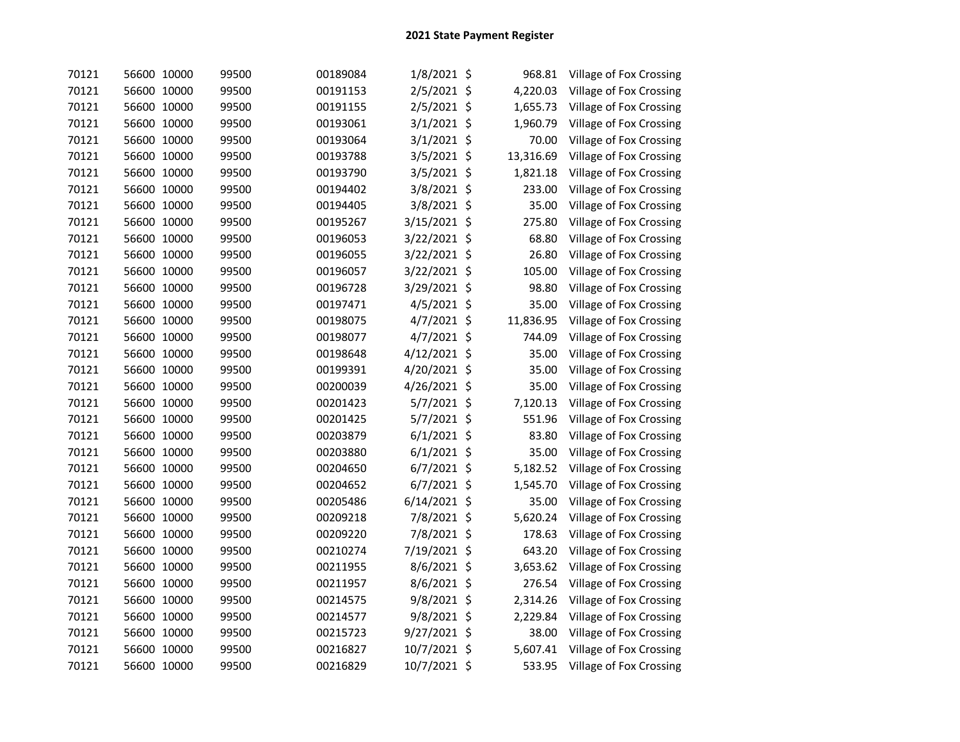| 70121 | 56600 10000 | 99500 | 00189084 | 1/8/2021 \$   | 968.81      | Village of Fox Crossing |
|-------|-------------|-------|----------|---------------|-------------|-------------------------|
| 70121 | 56600 10000 | 99500 | 00191153 | 2/5/2021 \$   | 4,220.03    | Village of Fox Crossing |
| 70121 | 56600 10000 | 99500 | 00191155 | 2/5/2021 \$   | 1,655.73    | Village of Fox Crossing |
| 70121 | 56600 10000 | 99500 | 00193061 | 3/1/2021 \$   | 1,960.79    | Village of Fox Crossing |
| 70121 | 56600 10000 | 99500 | 00193064 | 3/1/2021 \$   | 70.00       | Village of Fox Crossing |
| 70121 | 56600 10000 | 99500 | 00193788 | 3/5/2021 \$   | 13,316.69   | Village of Fox Crossing |
| 70121 | 56600 10000 | 99500 | 00193790 | 3/5/2021 \$   | 1,821.18    | Village of Fox Crossing |
| 70121 | 56600 10000 | 99500 | 00194402 | 3/8/2021 \$   | 233.00      | Village of Fox Crossing |
| 70121 | 56600 10000 | 99500 | 00194405 | 3/8/2021 \$   | 35.00       | Village of Fox Crossing |
| 70121 | 56600 10000 | 99500 | 00195267 | 3/15/2021 \$  | 275.80      | Village of Fox Crossing |
| 70121 | 56600 10000 | 99500 | 00196053 | 3/22/2021 \$  | 68.80       | Village of Fox Crossing |
| 70121 | 56600 10000 | 99500 | 00196055 | 3/22/2021 \$  | 26.80       | Village of Fox Crossing |
| 70121 | 56600 10000 | 99500 | 00196057 | 3/22/2021 \$  | 105.00      | Village of Fox Crossing |
| 70121 | 56600 10000 | 99500 | 00196728 | 3/29/2021 \$  | 98.80       | Village of Fox Crossing |
| 70121 | 56600 10000 | 99500 | 00197471 | 4/5/2021 \$   | 35.00       | Village of Fox Crossing |
| 70121 | 56600 10000 | 99500 | 00198075 | 4/7/2021 \$   | 11,836.95   | Village of Fox Crossing |
| 70121 | 56600 10000 | 99500 | 00198077 | 4/7/2021 \$   | 744.09      | Village of Fox Crossing |
| 70121 | 56600 10000 | 99500 | 00198648 | 4/12/2021 \$  | 35.00       | Village of Fox Crossing |
| 70121 | 56600 10000 | 99500 | 00199391 | 4/20/2021 \$  | 35.00       | Village of Fox Crossing |
| 70121 | 56600 10000 | 99500 | 00200039 | 4/26/2021 \$  | 35.00       | Village of Fox Crossing |
| 70121 | 56600 10000 | 99500 | 00201423 | 5/7/2021 \$   | 7,120.13    | Village of Fox Crossing |
| 70121 | 56600 10000 | 99500 | 00201425 | 5/7/2021 \$   | 551.96      | Village of Fox Crossing |
| 70121 | 56600 10000 | 99500 | 00203879 | $6/1/2021$ \$ | 83.80       | Village of Fox Crossing |
| 70121 | 56600 10000 | 99500 | 00203880 | $6/1/2021$ \$ | 35.00       | Village of Fox Crossing |
| 70121 | 56600 10000 | 99500 | 00204650 | 6/7/2021 \$   | 5,182.52    | Village of Fox Crossing |
| 70121 | 56600 10000 | 99500 | 00204652 | 6/7/2021 \$   | 1,545.70    | Village of Fox Crossing |
| 70121 | 56600 10000 | 99500 | 00205486 | 6/14/2021     | \$<br>35.00 | Village of Fox Crossing |
| 70121 | 56600 10000 | 99500 | 00209218 | 7/8/2021 \$   | 5,620.24    | Village of Fox Crossing |
| 70121 | 56600 10000 | 99500 | 00209220 | 7/8/2021 \$   | 178.63      | Village of Fox Crossing |
| 70121 | 56600 10000 | 99500 | 00210274 | 7/19/2021 \$  | 643.20      | Village of Fox Crossing |
| 70121 | 56600 10000 | 99500 | 00211955 | 8/6/2021 \$   | 3,653.62    | Village of Fox Crossing |
| 70121 | 56600 10000 | 99500 | 00211957 | 8/6/2021 \$   | 276.54      | Village of Fox Crossing |
| 70121 | 56600 10000 | 99500 | 00214575 | 9/8/2021 \$   | 2,314.26    | Village of Fox Crossing |
| 70121 | 56600 10000 | 99500 | 00214577 | 9/8/2021 \$   | 2,229.84    | Village of Fox Crossing |
| 70121 | 56600 10000 | 99500 | 00215723 | 9/27/2021 \$  | 38.00       | Village of Fox Crossing |
| 70121 | 56600 10000 | 99500 | 00216827 | 10/7/2021 \$  | 5,607.41    | Village of Fox Crossing |
| 70121 | 56600 10000 | 99500 | 00216829 | 10/7/2021 \$  | 533.95      | Village of Fox Crossing |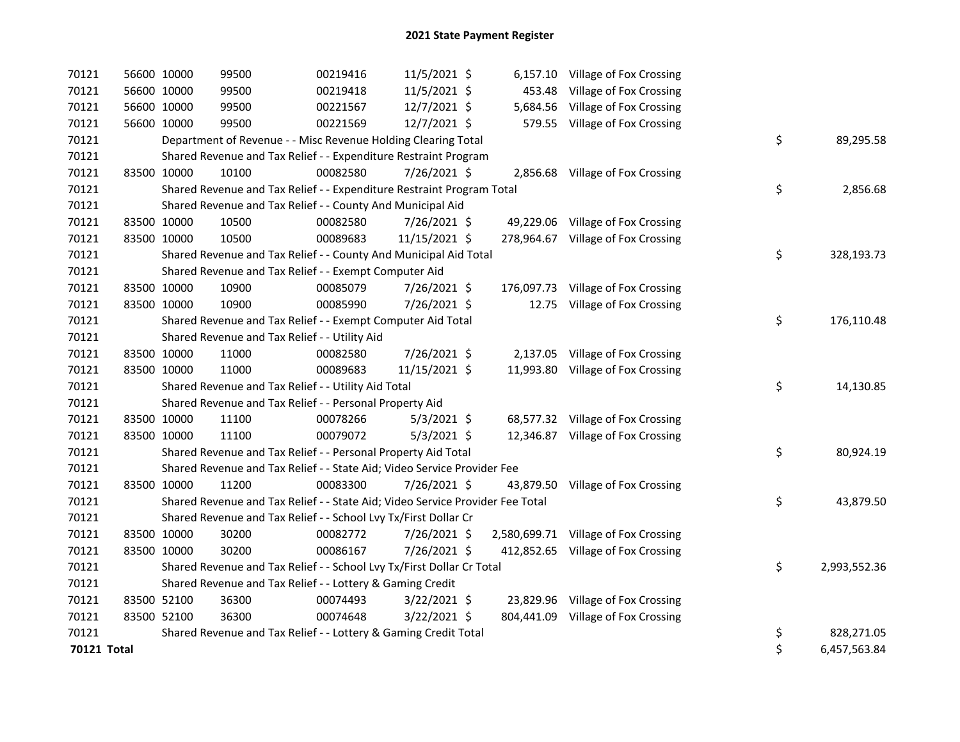| 70121       | 56600 10000 | 99500 | 00219416                                                                      | 11/5/2021 \$   | 6,157.10 Village of Fox Crossing     |                    |
|-------------|-------------|-------|-------------------------------------------------------------------------------|----------------|--------------------------------------|--------------------|
| 70121       | 56600 10000 | 99500 | 00219418                                                                      | 11/5/2021 \$   | 453.48 Village of Fox Crossing       |                    |
| 70121       | 56600 10000 | 99500 | 00221567                                                                      | 12/7/2021 \$   | 5,684.56 Village of Fox Crossing     |                    |
| 70121       | 56600 10000 | 99500 | 00221569                                                                      | 12/7/2021 \$   | 579.55 Village of Fox Crossing       |                    |
| 70121       |             |       | Department of Revenue - - Misc Revenue Holding Clearing Total                 |                |                                      | \$<br>89,295.58    |
| 70121       |             |       | Shared Revenue and Tax Relief - - Expenditure Restraint Program               |                |                                      |                    |
| 70121       | 83500 10000 | 10100 | 00082580                                                                      | 7/26/2021 \$   | 2,856.68 Village of Fox Crossing     |                    |
| 70121       |             |       | Shared Revenue and Tax Relief - - Expenditure Restraint Program Total         |                |                                      | \$<br>2,856.68     |
| 70121       |             |       | Shared Revenue and Tax Relief - - County And Municipal Aid                    |                |                                      |                    |
| 70121       | 83500 10000 | 10500 | 00082580                                                                      | 7/26/2021 \$   | 49,229.06 Village of Fox Crossing    |                    |
| 70121       | 83500 10000 | 10500 | 00089683                                                                      | 11/15/2021 \$  | 278,964.67 Village of Fox Crossing   |                    |
| 70121       |             |       | Shared Revenue and Tax Relief - - County And Municipal Aid Total              |                |                                      | \$<br>328,193.73   |
| 70121       |             |       | Shared Revenue and Tax Relief - - Exempt Computer Aid                         |                |                                      |                    |
| 70121       | 83500 10000 | 10900 | 00085079                                                                      | 7/26/2021 \$   | 176,097.73 Village of Fox Crossing   |                    |
| 70121       | 83500 10000 | 10900 | 00085990                                                                      | 7/26/2021 \$   | 12.75 Village of Fox Crossing        |                    |
| 70121       |             |       | Shared Revenue and Tax Relief - - Exempt Computer Aid Total                   |                |                                      | \$<br>176,110.48   |
| 70121       |             |       | Shared Revenue and Tax Relief - - Utility Aid                                 |                |                                      |                    |
| 70121       | 83500 10000 | 11000 | 00082580                                                                      | 7/26/2021 \$   | 2,137.05 Village of Fox Crossing     |                    |
| 70121       | 83500 10000 | 11000 | 00089683                                                                      | 11/15/2021 \$  | 11,993.80 Village of Fox Crossing    |                    |
| 70121       |             |       | Shared Revenue and Tax Relief - - Utility Aid Total                           |                |                                      | \$<br>14,130.85    |
| 70121       |             |       | Shared Revenue and Tax Relief - - Personal Property Aid                       |                |                                      |                    |
| 70121       | 83500 10000 | 11100 | 00078266                                                                      | $5/3/2021$ \$  | 68,577.32 Village of Fox Crossing    |                    |
| 70121       | 83500 10000 | 11100 | 00079072                                                                      | $5/3/2021$ \$  | 12,346.87 Village of Fox Crossing    |                    |
| 70121       |             |       | Shared Revenue and Tax Relief - - Personal Property Aid Total                 |                |                                      | \$<br>80,924.19    |
| 70121       |             |       | Shared Revenue and Tax Relief - - State Aid; Video Service Provider Fee       |                |                                      |                    |
| 70121       | 83500 10000 | 11200 | 00083300                                                                      | 7/26/2021 \$   | 43,879.50 Village of Fox Crossing    |                    |
| 70121       |             |       | Shared Revenue and Tax Relief - - State Aid; Video Service Provider Fee Total |                |                                      | \$<br>43,879.50    |
| 70121       |             |       | Shared Revenue and Tax Relief - - School Lvy Tx/First Dollar Cr               |                |                                      |                    |
| 70121       | 83500 10000 | 30200 | 00082772                                                                      | 7/26/2021 \$   | 2,580,699.71 Village of Fox Crossing |                    |
| 70121       | 83500 10000 | 30200 | 00086167                                                                      | 7/26/2021 \$   | 412,852.65 Village of Fox Crossing   |                    |
| 70121       |             |       | Shared Revenue and Tax Relief - - School Lvy Tx/First Dollar Cr Total         |                |                                      | \$<br>2,993,552.36 |
| 70121       |             |       | Shared Revenue and Tax Relief - - Lottery & Gaming Credit                     |                |                                      |                    |
| 70121       | 83500 52100 | 36300 | 00074493                                                                      | 3/22/2021 \$   | 23,829.96 Village of Fox Crossing    |                    |
| 70121       | 83500 52100 | 36300 | 00074648                                                                      | $3/22/2021$ \$ | 804,441.09 Village of Fox Crossing   |                    |
| 70121       |             |       | Shared Revenue and Tax Relief - - Lottery & Gaming Credit Total               |                |                                      | \$<br>828,271.05   |
| 70121 Total |             |       |                                                                               |                |                                      | \$<br>6,457,563.84 |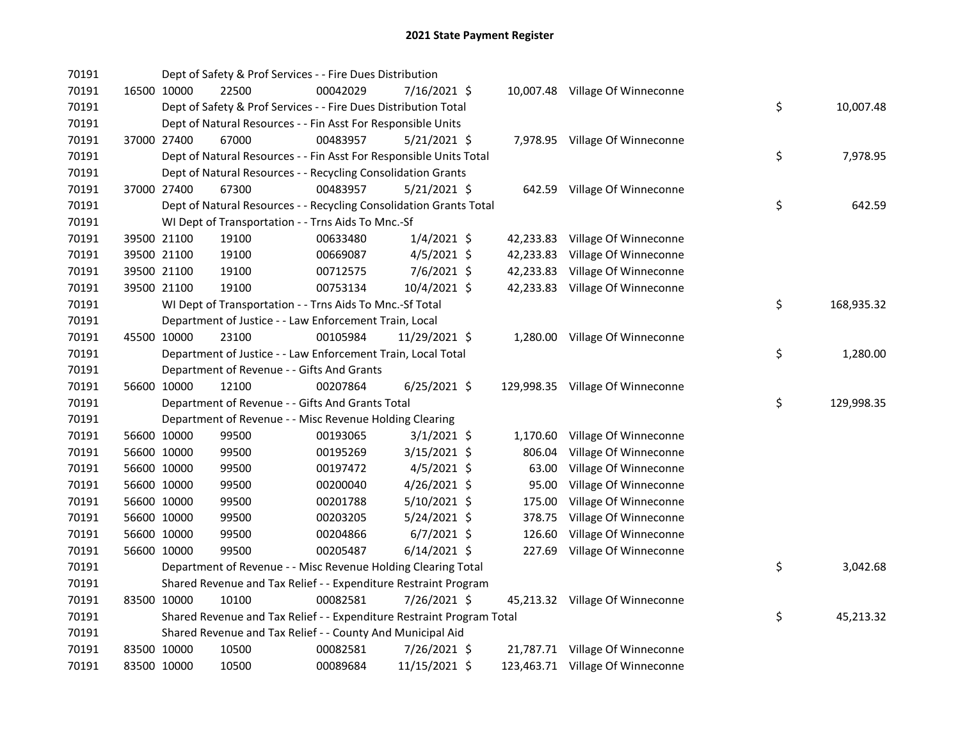| 70191 |             | Dept of Safety & Prof Services - - Fire Dues Distribution             |          |                |          |                                  |    |            |
|-------|-------------|-----------------------------------------------------------------------|----------|----------------|----------|----------------------------------|----|------------|
| 70191 | 16500 10000 | 22500                                                                 | 00042029 | 7/16/2021 \$   |          | 10,007.48 Village Of Winneconne  |    |            |
| 70191 |             | Dept of Safety & Prof Services - - Fire Dues Distribution Total       |          |                |          |                                  | \$ | 10,007.48  |
| 70191 |             | Dept of Natural Resources - - Fin Asst For Responsible Units          |          |                |          |                                  |    |            |
| 70191 | 37000 27400 | 67000                                                                 | 00483957 | $5/21/2021$ \$ |          | 7,978.95 Village Of Winneconne   |    |            |
| 70191 |             | Dept of Natural Resources - - Fin Asst For Responsible Units Total    |          |                |          |                                  | \$ | 7,978.95   |
| 70191 |             | Dept of Natural Resources - - Recycling Consolidation Grants          |          |                |          |                                  |    |            |
| 70191 | 37000 27400 | 67300                                                                 | 00483957 | $5/21/2021$ \$ |          | 642.59 Village Of Winneconne     |    |            |
| 70191 |             | Dept of Natural Resources - - Recycling Consolidation Grants Total    |          |                |          |                                  | \$ | 642.59     |
| 70191 |             | WI Dept of Transportation - - Trns Aids To Mnc.-Sf                    |          |                |          |                                  |    |            |
| 70191 | 39500 21100 | 19100                                                                 | 00633480 | $1/4/2021$ \$  |          | 42,233.83 Village Of Winneconne  |    |            |
| 70191 | 39500 21100 | 19100                                                                 | 00669087 | $4/5/2021$ \$  |          | 42,233.83 Village Of Winneconne  |    |            |
| 70191 | 39500 21100 | 19100                                                                 | 00712575 | $7/6/2021$ \$  |          | 42,233.83 Village Of Winneconne  |    |            |
| 70191 | 39500 21100 | 19100                                                                 | 00753134 | 10/4/2021 \$   |          | 42,233.83 Village Of Winneconne  |    |            |
| 70191 |             | WI Dept of Transportation - - Trns Aids To Mnc.-Sf Total              |          |                |          |                                  | \$ | 168,935.32 |
| 70191 |             | Department of Justice - - Law Enforcement Train, Local                |          |                |          |                                  |    |            |
| 70191 | 45500 10000 | 23100                                                                 | 00105984 | 11/29/2021 \$  |          | 1,280.00 Village Of Winneconne   |    |            |
| 70191 |             | Department of Justice - - Law Enforcement Train, Local Total          |          |                |          |                                  | \$ | 1,280.00   |
| 70191 |             | Department of Revenue - - Gifts And Grants                            |          |                |          |                                  |    |            |
| 70191 | 56600 10000 | 12100                                                                 | 00207864 | $6/25/2021$ \$ |          | 129,998.35 Village Of Winneconne |    |            |
| 70191 |             | Department of Revenue - - Gifts And Grants Total                      |          |                |          |                                  | \$ | 129,998.35 |
| 70191 |             | Department of Revenue - - Misc Revenue Holding Clearing               |          |                |          |                                  |    |            |
| 70191 | 56600 10000 | 99500                                                                 | 00193065 | $3/1/2021$ \$  | 1,170.60 | Village Of Winneconne            |    |            |
| 70191 | 56600 10000 | 99500                                                                 | 00195269 | 3/15/2021 \$   | 806.04   | Village Of Winneconne            |    |            |
| 70191 | 56600 10000 | 99500                                                                 | 00197472 | $4/5/2021$ \$  | 63.00    | Village Of Winneconne            |    |            |
| 70191 | 56600 10000 | 99500                                                                 | 00200040 | 4/26/2021 \$   | 95.00    | Village Of Winneconne            |    |            |
| 70191 | 56600 10000 | 99500                                                                 | 00201788 | 5/10/2021 \$   | 175.00   | Village Of Winneconne            |    |            |
| 70191 | 56600 10000 | 99500                                                                 | 00203205 | $5/24/2021$ \$ | 378.75   | Village Of Winneconne            |    |            |
| 70191 | 56600 10000 | 99500                                                                 | 00204866 | $6/7/2021$ \$  | 126.60   | Village Of Winneconne            |    |            |
| 70191 | 56600 10000 | 99500                                                                 | 00205487 | $6/14/2021$ \$ | 227.69   | Village Of Winneconne            |    |            |
| 70191 |             | Department of Revenue - - Misc Revenue Holding Clearing Total         |          |                |          |                                  | \$ | 3,042.68   |
| 70191 |             | Shared Revenue and Tax Relief - - Expenditure Restraint Program       |          |                |          |                                  |    |            |
| 70191 | 83500 10000 | 10100                                                                 | 00082581 | 7/26/2021 \$   |          | 45,213.32 Village Of Winneconne  |    |            |
| 70191 |             | Shared Revenue and Tax Relief - - Expenditure Restraint Program Total |          |                |          |                                  | \$ | 45,213.32  |
| 70191 |             | Shared Revenue and Tax Relief - - County And Municipal Aid            |          |                |          |                                  |    |            |
| 70191 | 83500 10000 | 10500                                                                 | 00082581 | 7/26/2021 \$   |          | 21,787.71 Village Of Winneconne  |    |            |
| 70191 | 83500 10000 | 10500                                                                 | 00089684 | 11/15/2021 \$  |          | 123,463.71 Village Of Winneconne |    |            |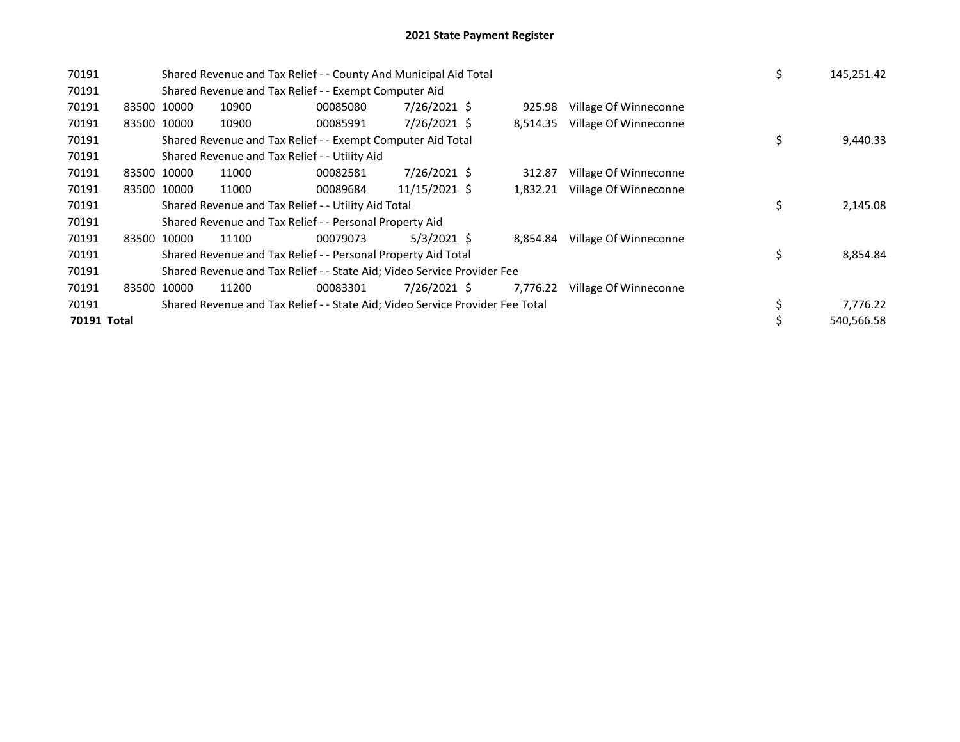| 70191       |             | Shared Revenue and Tax Relief - - County And Municipal Aid Total              |          |               |          |                       | \$ | 145,251.42 |
|-------------|-------------|-------------------------------------------------------------------------------|----------|---------------|----------|-----------------------|----|------------|
| 70191       |             | Shared Revenue and Tax Relief - - Exempt Computer Aid                         |          |               |          |                       |    |            |
| 70191       | 83500 10000 | 10900                                                                         | 00085080 | 7/26/2021 \$  | 925.98   | Village Of Winneconne |    |            |
| 70191       | 83500 10000 | 10900                                                                         | 00085991 | 7/26/2021 \$  | 8.514.35 | Village Of Winneconne |    |            |
| 70191       |             | Shared Revenue and Tax Relief - - Exempt Computer Aid Total                   |          |               |          |                       | \$ | 9,440.33   |
| 70191       |             | Shared Revenue and Tax Relief - - Utility Aid                                 |          |               |          |                       |    |            |
| 70191       | 83500 10000 | 11000                                                                         | 00082581 | 7/26/2021 \$  | 312.87   | Village Of Winneconne |    |            |
| 70191       | 83500 10000 | 11000                                                                         | 00089684 | 11/15/2021 \$ | 1,832.21 | Village Of Winneconne |    |            |
| 70191       |             | Shared Revenue and Tax Relief - - Utility Aid Total                           |          |               |          |                       | \$ | 2,145.08   |
| 70191       |             | Shared Revenue and Tax Relief - - Personal Property Aid                       |          |               |          |                       |    |            |
| 70191       | 83500 10000 | 11100                                                                         | 00079073 | $5/3/2021$ \$ | 8.854.84 | Village Of Winneconne |    |            |
| 70191       |             | Shared Revenue and Tax Relief - - Personal Property Aid Total                 |          |               |          |                       | \$ | 8,854.84   |
| 70191       |             | Shared Revenue and Tax Relief - - State Aid; Video Service Provider Fee       |          |               |          |                       |    |            |
| 70191       | 83500 10000 | 11200                                                                         | 00083301 | 7/26/2021 \$  | 7,776.22 | Village Of Winneconne |    |            |
| 70191       |             | Shared Revenue and Tax Relief - - State Aid; Video Service Provider Fee Total |          |               |          |                       | \$ | 7,776.22   |
| 70191 Total |             |                                                                               |          |               |          |                       |    | 540,566.58 |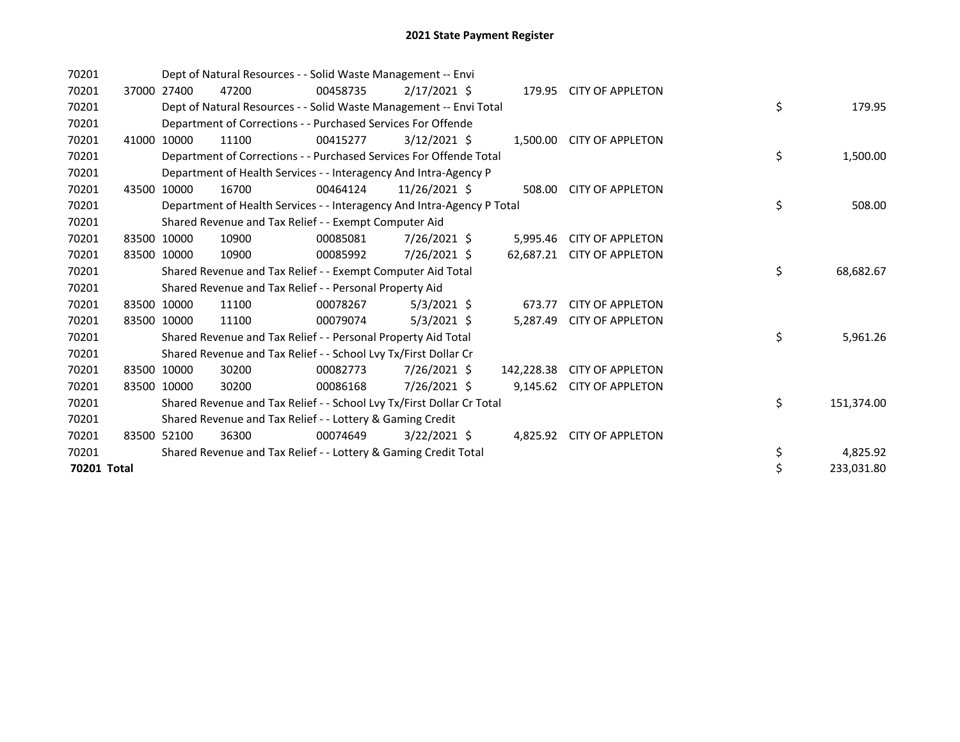| 70201       |       |             | Dept of Natural Resources - - Solid Waste Management -- Envi           |          |                |            |                           |    |            |
|-------------|-------|-------------|------------------------------------------------------------------------|----------|----------------|------------|---------------------------|----|------------|
| 70201       | 37000 | 27400       | 47200                                                                  | 00458735 | $2/17/2021$ \$ |            | 179.95 CITY OF APPLETON   |    |            |
| 70201       |       |             | Dept of Natural Resources - - Solid Waste Management -- Envi Total     |          |                |            |                           | \$ | 179.95     |
| 70201       |       |             | Department of Corrections - - Purchased Services For Offende           |          |                |            |                           |    |            |
| 70201       | 41000 | 10000       | 11100                                                                  | 00415277 | $3/12/2021$ \$ |            | 1,500.00 CITY OF APPLETON |    |            |
| 70201       |       |             | Department of Corrections - - Purchased Services For Offende Total     |          |                |            |                           | \$ | 1,500.00   |
| 70201       |       |             | Department of Health Services - - Interagency And Intra-Agency P       |          |                |            |                           |    |            |
| 70201       | 43500 | 10000       | 16700                                                                  | 00464124 | 11/26/2021 \$  | 508.00     | <b>CITY OF APPLETON</b>   |    |            |
| 70201       |       |             | Department of Health Services - - Interagency And Intra-Agency P Total |          |                |            |                           | \$ | 508.00     |
| 70201       |       |             | Shared Revenue and Tax Relief - - Exempt Computer Aid                  |          |                |            |                           |    |            |
| 70201       |       | 83500 10000 | 10900                                                                  | 00085081 | 7/26/2021 \$   | 5,995.46   | <b>CITY OF APPLETON</b>   |    |            |
| 70201       |       | 83500 10000 | 10900                                                                  | 00085992 | 7/26/2021 \$   | 62,687.21  | <b>CITY OF APPLETON</b>   |    |            |
| 70201       |       |             | Shared Revenue and Tax Relief - - Exempt Computer Aid Total            |          |                |            |                           | \$ | 68,682.67  |
| 70201       |       |             | Shared Revenue and Tax Relief - - Personal Property Aid                |          |                |            |                           |    |            |
| 70201       |       | 83500 10000 | 11100                                                                  | 00078267 | $5/3/2021$ \$  | 673.77     | <b>CITY OF APPLETON</b>   |    |            |
| 70201       |       | 83500 10000 | 11100                                                                  | 00079074 | 5/3/2021 \$    | 5,287.49   | <b>CITY OF APPLETON</b>   |    |            |
| 70201       |       |             | Shared Revenue and Tax Relief - - Personal Property Aid Total          |          |                |            |                           | \$ | 5,961.26   |
| 70201       |       |             | Shared Revenue and Tax Relief - - School Lvy Tx/First Dollar Cr        |          |                |            |                           |    |            |
| 70201       |       | 83500 10000 | 30200                                                                  | 00082773 | 7/26/2021 \$   | 142,228.38 | <b>CITY OF APPLETON</b>   |    |            |
| 70201       |       | 83500 10000 | 30200                                                                  | 00086168 | 7/26/2021 \$   | 9,145.62   | <b>CITY OF APPLETON</b>   |    |            |
| 70201       |       |             | Shared Revenue and Tax Relief - - School Lvy Tx/First Dollar Cr Total  |          |                |            |                           | \$ | 151,374.00 |
| 70201       |       |             | Shared Revenue and Tax Relief - - Lottery & Gaming Credit              |          |                |            |                           |    |            |
| 70201       |       | 83500 52100 | 36300                                                                  | 00074649 | $3/22/2021$ \$ |            | 4,825.92 CITY OF APPLETON |    |            |
| 70201       |       |             | Shared Revenue and Tax Relief - - Lottery & Gaming Credit Total        |          |                |            |                           | \$ | 4,825.92   |
| 70201 Total |       |             |                                                                        |          |                |            |                           | \$ | 233,031.80 |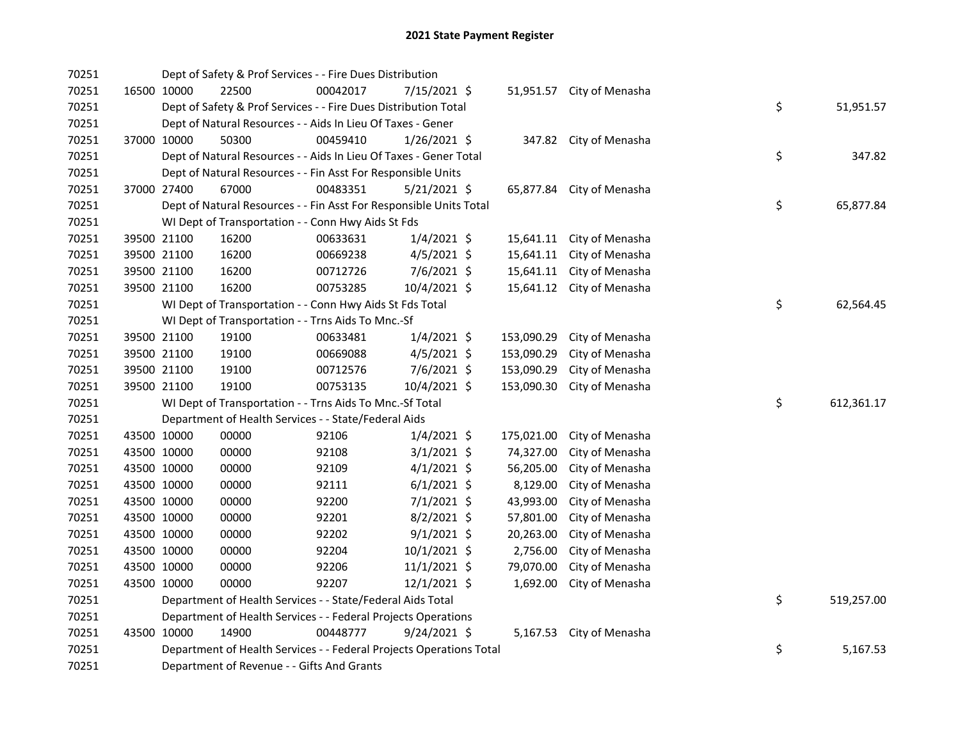| 70251 |             | Dept of Safety & Prof Services - - Fire Dues Distribution           |          |                |            |                           |    |            |
|-------|-------------|---------------------------------------------------------------------|----------|----------------|------------|---------------------------|----|------------|
| 70251 | 16500 10000 | 22500                                                               | 00042017 | 7/15/2021 \$   |            | 51,951.57 City of Menasha |    |            |
| 70251 |             | Dept of Safety & Prof Services - - Fire Dues Distribution Total     |          |                |            |                           | \$ | 51,951.57  |
| 70251 |             | Dept of Natural Resources - - Aids In Lieu Of Taxes - Gener         |          |                |            |                           |    |            |
| 70251 | 37000 10000 | 50300                                                               | 00459410 | $1/26/2021$ \$ |            | 347.82 City of Menasha    |    |            |
| 70251 |             | Dept of Natural Resources - - Aids In Lieu Of Taxes - Gener Total   |          |                |            |                           | \$ | 347.82     |
| 70251 |             | Dept of Natural Resources - - Fin Asst For Responsible Units        |          |                |            |                           |    |            |
| 70251 | 37000 27400 | 67000                                                               | 00483351 | $5/21/2021$ \$ |            | 65,877.84 City of Menasha |    |            |
| 70251 |             | Dept of Natural Resources - - Fin Asst For Responsible Units Total  |          |                |            |                           | \$ | 65,877.84  |
| 70251 |             | WI Dept of Transportation - - Conn Hwy Aids St Fds                  |          |                |            |                           |    |            |
| 70251 | 39500 21100 | 16200                                                               | 00633631 | $1/4/2021$ \$  | 15,641.11  | City of Menasha           |    |            |
| 70251 | 39500 21100 | 16200                                                               | 00669238 | $4/5/2021$ \$  | 15,641.11  | City of Menasha           |    |            |
| 70251 | 39500 21100 | 16200                                                               | 00712726 | $7/6/2021$ \$  | 15,641.11  | City of Menasha           |    |            |
| 70251 | 39500 21100 | 16200                                                               | 00753285 | 10/4/2021 \$   | 15,641.12  | City of Menasha           |    |            |
| 70251 |             | WI Dept of Transportation - - Conn Hwy Aids St Fds Total            |          |                |            |                           | \$ | 62,564.45  |
| 70251 |             | WI Dept of Transportation - - Trns Aids To Mnc.-Sf                  |          |                |            |                           |    |            |
| 70251 | 39500 21100 | 19100                                                               | 00633481 | $1/4/2021$ \$  | 153,090.29 | City of Menasha           |    |            |
| 70251 | 39500 21100 | 19100                                                               | 00669088 | $4/5/2021$ \$  | 153,090.29 | City of Menasha           |    |            |
| 70251 | 39500 21100 | 19100                                                               | 00712576 | 7/6/2021 \$    | 153,090.29 | City of Menasha           |    |            |
| 70251 | 39500 21100 | 19100                                                               | 00753135 | 10/4/2021 \$   | 153,090.30 | City of Menasha           |    |            |
| 70251 |             | WI Dept of Transportation - - Trns Aids To Mnc.-Sf Total            |          |                |            |                           | \$ | 612,361.17 |
| 70251 |             | Department of Health Services - - State/Federal Aids                |          |                |            |                           |    |            |
| 70251 | 43500 10000 | 00000                                                               | 92106    | $1/4/2021$ \$  | 175,021.00 | City of Menasha           |    |            |
| 70251 | 43500 10000 | 00000                                                               | 92108    | $3/1/2021$ \$  | 74,327.00  | City of Menasha           |    |            |
| 70251 | 43500 10000 | 00000                                                               | 92109    | $4/1/2021$ \$  | 56,205.00  | City of Menasha           |    |            |
| 70251 | 43500 10000 | 00000                                                               | 92111    | $6/1/2021$ \$  | 8,129.00   | City of Menasha           |    |            |
| 70251 | 43500 10000 | 00000                                                               | 92200    | $7/1/2021$ \$  | 43,993.00  | City of Menasha           |    |            |
| 70251 | 43500 10000 | 00000                                                               | 92201    | 8/2/2021 \$    | 57,801.00  | City of Menasha           |    |            |
| 70251 | 43500 10000 | 00000                                                               | 92202    | $9/1/2021$ \$  | 20,263.00  | City of Menasha           |    |            |
| 70251 | 43500 10000 | 00000                                                               | 92204    | 10/1/2021 \$   | 2,756.00   | City of Menasha           |    |            |
| 70251 | 43500 10000 | 00000                                                               | 92206    | $11/1/2021$ \$ | 79,070.00  | City of Menasha           |    |            |
| 70251 | 43500 10000 | 00000                                                               | 92207    | $12/1/2021$ \$ | 1,692.00   | City of Menasha           |    |            |
| 70251 |             | Department of Health Services - - State/Federal Aids Total          |          |                |            |                           | \$ | 519,257.00 |
| 70251 |             | Department of Health Services - - Federal Projects Operations       |          |                |            |                           |    |            |
| 70251 | 43500 10000 | 14900                                                               | 00448777 | 9/24/2021 \$   |            | 5,167.53 City of Menasha  |    |            |
| 70251 |             | Department of Health Services - - Federal Projects Operations Total |          |                |            |                           | \$ | 5,167.53   |
| 70251 |             | Department of Revenue - - Gifts And Grants                          |          |                |            |                           |    |            |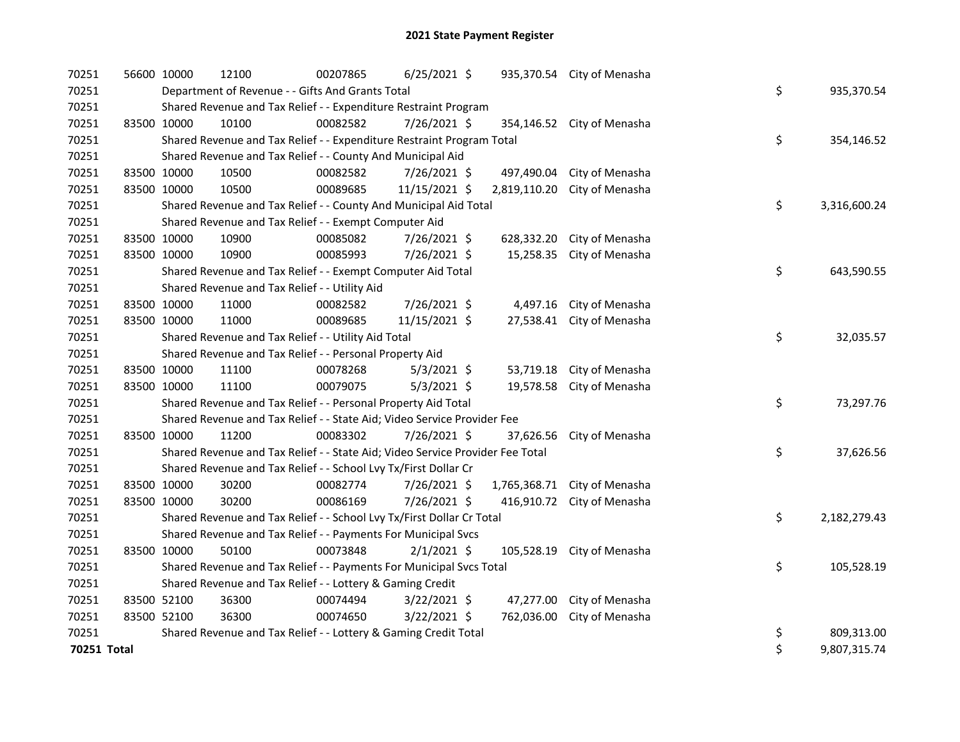| 70251       | 56600 10000 | 12100 | 00207865                                                                      | 6/25/2021 \$   |              | 935,370.54 City of Menasha |                    |
|-------------|-------------|-------|-------------------------------------------------------------------------------|----------------|--------------|----------------------------|--------------------|
| 70251       |             |       | Department of Revenue - - Gifts And Grants Total                              |                |              |                            | \$<br>935,370.54   |
| 70251       |             |       | Shared Revenue and Tax Relief - - Expenditure Restraint Program               |                |              |                            |                    |
| 70251       | 83500 10000 | 10100 | 00082582                                                                      | 7/26/2021 \$   |              | 354,146.52 City of Menasha |                    |
| 70251       |             |       | Shared Revenue and Tax Relief - - Expenditure Restraint Program Total         |                |              |                            | \$<br>354,146.52   |
| 70251       |             |       | Shared Revenue and Tax Relief - - County And Municipal Aid                    |                |              |                            |                    |
| 70251       | 83500 10000 | 10500 | 00082582                                                                      | 7/26/2021 \$   | 497,490.04   | City of Menasha            |                    |
| 70251       | 83500 10000 | 10500 | 00089685                                                                      | 11/15/2021 \$  | 2,819,110.20 | City of Menasha            |                    |
| 70251       |             |       | Shared Revenue and Tax Relief - - County And Municipal Aid Total              |                |              |                            | \$<br>3,316,600.24 |
| 70251       |             |       | Shared Revenue and Tax Relief - - Exempt Computer Aid                         |                |              |                            |                    |
| 70251       | 83500 10000 | 10900 | 00085082                                                                      | 7/26/2021 \$   | 628,332.20   | City of Menasha            |                    |
| 70251       | 83500 10000 | 10900 | 00085993                                                                      | 7/26/2021 \$   | 15,258.35    | City of Menasha            |                    |
| 70251       |             |       | Shared Revenue and Tax Relief - - Exempt Computer Aid Total                   |                |              |                            | \$<br>643,590.55   |
| 70251       |             |       | Shared Revenue and Tax Relief - - Utility Aid                                 |                |              |                            |                    |
| 70251       | 83500 10000 | 11000 | 00082582                                                                      | 7/26/2021 \$   |              | 4,497.16 City of Menasha   |                    |
| 70251       | 83500 10000 | 11000 | 00089685                                                                      | 11/15/2021 \$  | 27,538.41    | City of Menasha            |                    |
| 70251       |             |       | Shared Revenue and Tax Relief - - Utility Aid Total                           |                |              |                            | \$<br>32,035.57    |
| 70251       |             |       | Shared Revenue and Tax Relief - - Personal Property Aid                       |                |              |                            |                    |
| 70251       | 83500 10000 | 11100 | 00078268                                                                      | $5/3/2021$ \$  | 53,719.18    | City of Menasha            |                    |
| 70251       | 83500 10000 | 11100 | 00079075                                                                      | $5/3/2021$ \$  |              | 19,578.58 City of Menasha  |                    |
| 70251       |             |       | Shared Revenue and Tax Relief - - Personal Property Aid Total                 |                |              |                            | \$<br>73,297.76    |
| 70251       |             |       | Shared Revenue and Tax Relief - - State Aid; Video Service Provider Fee       |                |              |                            |                    |
| 70251       | 83500 10000 | 11200 | 00083302                                                                      | 7/26/2021 \$   | 37,626.56    | City of Menasha            |                    |
| 70251       |             |       | Shared Revenue and Tax Relief - - State Aid; Video Service Provider Fee Total |                |              |                            | \$<br>37,626.56    |
| 70251       |             |       | Shared Revenue and Tax Relief - - School Lvy Tx/First Dollar Cr               |                |              |                            |                    |
| 70251       | 83500 10000 | 30200 | 00082774                                                                      | 7/26/2021 \$   | 1,765,368.71 | City of Menasha            |                    |
| 70251       | 83500 10000 | 30200 | 00086169                                                                      | 7/26/2021 \$   | 416,910.72   | City of Menasha            |                    |
| 70251       |             |       | Shared Revenue and Tax Relief - - School Lvy Tx/First Dollar Cr Total         |                |              |                            | \$<br>2,182,279.43 |
| 70251       |             |       | Shared Revenue and Tax Relief - - Payments For Municipal Svcs                 |                |              |                            |                    |
| 70251       | 83500 10000 | 50100 | 00073848                                                                      | $2/1/2021$ \$  | 105,528.19   | City of Menasha            |                    |
| 70251       |             |       | Shared Revenue and Tax Relief - - Payments For Municipal Svcs Total           |                |              |                            | \$<br>105,528.19   |
| 70251       |             |       | Shared Revenue and Tax Relief - - Lottery & Gaming Credit                     |                |              |                            |                    |
| 70251       | 83500 52100 | 36300 | 00074494                                                                      | 3/22/2021 \$   | 47,277.00    | City of Menasha            |                    |
| 70251       | 83500 52100 | 36300 | 00074650                                                                      | $3/22/2021$ \$ | 762,036.00   | City of Menasha            |                    |
| 70251       |             |       | Shared Revenue and Tax Relief - - Lottery & Gaming Credit Total               |                |              |                            | \$<br>809,313.00   |
| 70251 Total |             |       |                                                                               |                |              |                            | \$<br>9,807,315.74 |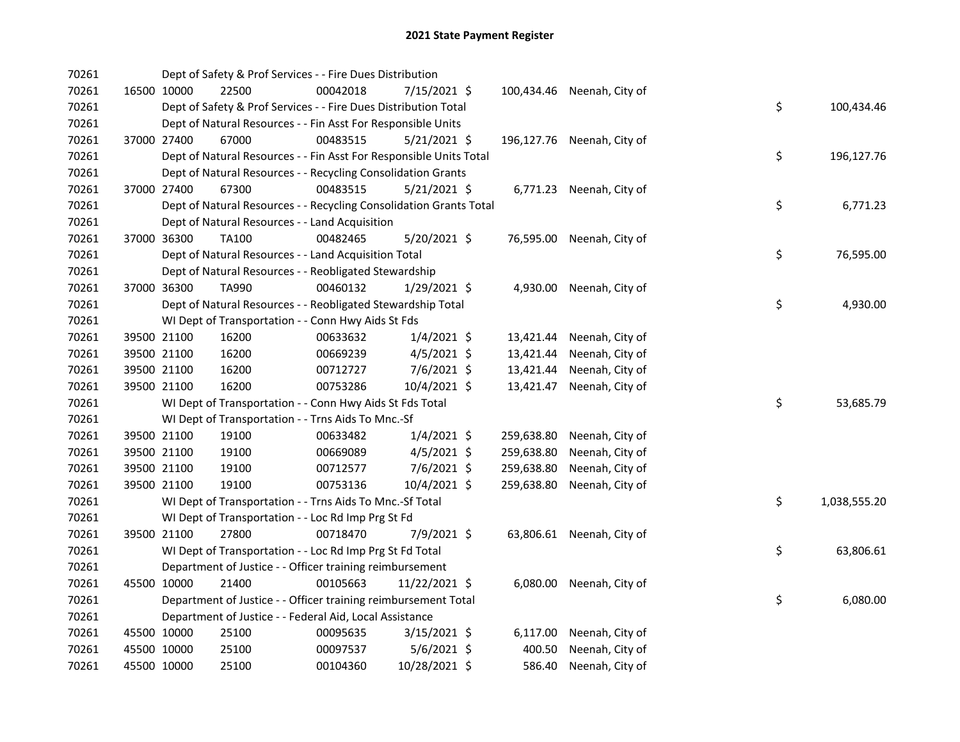| 70261 |             | Dept of Safety & Prof Services - - Fire Dues Distribution          |          |                |            |                            |    |              |
|-------|-------------|--------------------------------------------------------------------|----------|----------------|------------|----------------------------|----|--------------|
| 70261 | 16500 10000 | 22500                                                              | 00042018 | 7/15/2021 \$   |            | 100,434.46 Neenah, City of |    |              |
| 70261 |             | Dept of Safety & Prof Services - - Fire Dues Distribution Total    |          |                |            |                            | \$ | 100,434.46   |
| 70261 |             | Dept of Natural Resources - - Fin Asst For Responsible Units       |          |                |            |                            |    |              |
| 70261 | 37000 27400 | 67000                                                              | 00483515 | $5/21/2021$ \$ |            | 196,127.76 Neenah, City of |    |              |
| 70261 |             | Dept of Natural Resources - - Fin Asst For Responsible Units Total |          |                |            |                            | \$ | 196,127.76   |
| 70261 |             | Dept of Natural Resources - - Recycling Consolidation Grants       |          |                |            |                            |    |              |
| 70261 | 37000 27400 | 67300                                                              | 00483515 | $5/21/2021$ \$ |            | 6,771.23 Neenah, City of   |    |              |
| 70261 |             | Dept of Natural Resources - - Recycling Consolidation Grants Total |          |                |            |                            | \$ | 6,771.23     |
| 70261 |             | Dept of Natural Resources - - Land Acquisition                     |          |                |            |                            |    |              |
| 70261 | 37000 36300 | TA100                                                              | 00482465 | $5/20/2021$ \$ |            | 76,595.00 Neenah, City of  |    |              |
| 70261 |             | Dept of Natural Resources - - Land Acquisition Total               |          |                |            |                            | \$ | 76,595.00    |
| 70261 |             | Dept of Natural Resources - - Reobligated Stewardship              |          |                |            |                            |    |              |
| 70261 | 37000 36300 | TA990                                                              | 00460132 | $1/29/2021$ \$ |            | 4,930.00 Neenah, City of   |    |              |
| 70261 |             | Dept of Natural Resources - - Reobligated Stewardship Total        |          |                |            |                            | \$ | 4,930.00     |
| 70261 |             | WI Dept of Transportation - - Conn Hwy Aids St Fds                 |          |                |            |                            |    |              |
| 70261 | 39500 21100 | 16200                                                              | 00633632 | $1/4/2021$ \$  | 13,421.44  | Neenah, City of            |    |              |
| 70261 | 39500 21100 | 16200                                                              | 00669239 | $4/5/2021$ \$  | 13,421.44  | Neenah, City of            |    |              |
| 70261 | 39500 21100 | 16200                                                              | 00712727 | 7/6/2021 \$    | 13,421.44  | Neenah, City of            |    |              |
| 70261 | 39500 21100 | 16200                                                              | 00753286 | 10/4/2021 \$   | 13,421.47  | Neenah, City of            |    |              |
| 70261 |             | WI Dept of Transportation - - Conn Hwy Aids St Fds Total           |          |                |            |                            | \$ | 53,685.79    |
| 70261 |             | WI Dept of Transportation - - Trns Aids To Mnc.-Sf                 |          |                |            |                            |    |              |
| 70261 | 39500 21100 | 19100                                                              | 00633482 | $1/4/2021$ \$  | 259,638.80 | Neenah, City of            |    |              |
| 70261 | 39500 21100 | 19100                                                              | 00669089 | $4/5/2021$ \$  | 259,638.80 | Neenah, City of            |    |              |
| 70261 | 39500 21100 | 19100                                                              | 00712577 | 7/6/2021 \$    | 259,638.80 | Neenah, City of            |    |              |
| 70261 | 39500 21100 | 19100                                                              | 00753136 | 10/4/2021 \$   | 259,638.80 | Neenah, City of            |    |              |
| 70261 |             | WI Dept of Transportation - - Trns Aids To Mnc.-Sf Total           |          |                |            |                            | \$ | 1,038,555.20 |
| 70261 |             | WI Dept of Transportation - - Loc Rd Imp Prg St Fd                 |          |                |            |                            |    |              |
| 70261 | 39500 21100 | 27800                                                              | 00718470 | 7/9/2021 \$    |            | 63,806.61 Neenah, City of  |    |              |
| 70261 |             | WI Dept of Transportation - - Loc Rd Imp Prg St Fd Total           |          |                |            |                            | \$ | 63,806.61    |
| 70261 |             | Department of Justice - - Officer training reimbursement           |          |                |            |                            |    |              |
| 70261 | 45500 10000 | 21400                                                              | 00105663 | 11/22/2021 \$  |            | 6,080.00 Neenah, City of   |    |              |
| 70261 |             | Department of Justice - - Officer training reimbursement Total     |          |                |            |                            | \$ | 6,080.00     |
| 70261 |             | Department of Justice - - Federal Aid, Local Assistance            |          |                |            |                            |    |              |
| 70261 | 45500 10000 | 25100                                                              | 00095635 | $3/15/2021$ \$ |            | 6,117.00 Neenah, City of   |    |              |
| 70261 | 45500 10000 | 25100                                                              | 00097537 | $5/6/2021$ \$  | 400.50     | Neenah, City of            |    |              |
| 70261 | 45500 10000 | 25100                                                              | 00104360 | 10/28/2021 \$  | 586.40     | Neenah, City of            |    |              |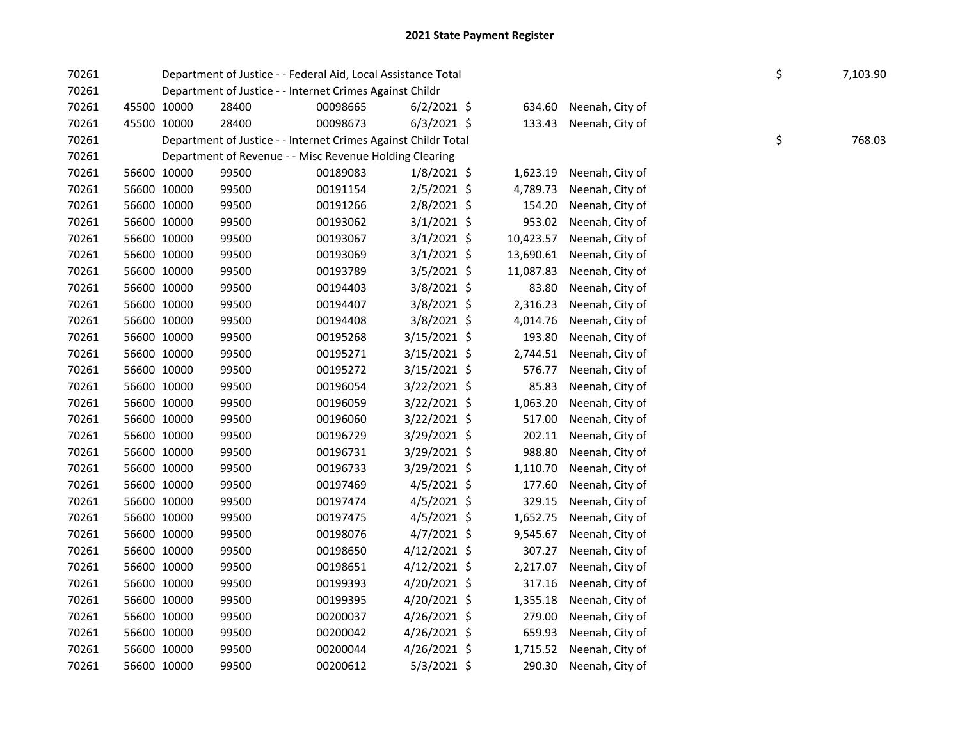| 70261 |             |       | Department of Justice - - Federal Aid, Local Assistance Total  |                |           |                        | \$ | 7,103.90 |
|-------|-------------|-------|----------------------------------------------------------------|----------------|-----------|------------------------|----|----------|
| 70261 |             |       | Department of Justice - - Internet Crimes Against Childr       |                |           |                        |    |          |
| 70261 | 45500 10000 | 28400 | 00098665                                                       | $6/2/2021$ \$  | 634.60    | Neenah, City of        |    |          |
| 70261 | 45500 10000 | 28400 | 00098673                                                       | $6/3/2021$ \$  | 133.43    | Neenah, City of        |    |          |
| 70261 |             |       | Department of Justice - - Internet Crimes Against Childr Total |                |           |                        | \$ | 768.03   |
| 70261 |             |       | Department of Revenue - - Misc Revenue Holding Clearing        |                |           |                        |    |          |
| 70261 | 56600 10000 | 99500 | 00189083                                                       | $1/8/2021$ \$  | 1,623.19  | Neenah, City of        |    |          |
| 70261 | 56600 10000 | 99500 | 00191154                                                       | $2/5/2021$ \$  | 4,789.73  | Neenah, City of        |    |          |
| 70261 | 56600 10000 | 99500 | 00191266                                                       | 2/8/2021 \$    | 154.20    | Neenah, City of        |    |          |
| 70261 | 56600 10000 | 99500 | 00193062                                                       | $3/1/2021$ \$  | 953.02    | Neenah, City of        |    |          |
| 70261 | 56600 10000 | 99500 | 00193067                                                       | $3/1/2021$ \$  | 10,423.57 | Neenah, City of        |    |          |
| 70261 | 56600 10000 | 99500 | 00193069                                                       | $3/1/2021$ \$  | 13,690.61 | Neenah, City of        |    |          |
| 70261 | 56600 10000 | 99500 | 00193789                                                       | 3/5/2021 \$    | 11,087.83 | Neenah, City of        |    |          |
| 70261 | 56600 10000 | 99500 | 00194403                                                       | 3/8/2021 \$    | 83.80     | Neenah, City of        |    |          |
| 70261 | 56600 10000 | 99500 | 00194407                                                       | 3/8/2021 \$    | 2,316.23  | Neenah, City of        |    |          |
| 70261 | 56600 10000 | 99500 | 00194408                                                       | 3/8/2021 \$    | 4,014.76  | Neenah, City of        |    |          |
| 70261 | 56600 10000 | 99500 | 00195268                                                       | $3/15/2021$ \$ | 193.80    | Neenah, City of        |    |          |
| 70261 | 56600 10000 | 99500 | 00195271                                                       | 3/15/2021 \$   | 2,744.51  | Neenah, City of        |    |          |
| 70261 | 56600 10000 | 99500 | 00195272                                                       | $3/15/2021$ \$ | 576.77    | Neenah, City of        |    |          |
| 70261 | 56600 10000 | 99500 | 00196054                                                       | $3/22/2021$ \$ | 85.83     | Neenah, City of        |    |          |
| 70261 | 56600 10000 | 99500 | 00196059                                                       | 3/22/2021 \$   | 1,063.20  | Neenah, City of        |    |          |
| 70261 | 56600 10000 | 99500 | 00196060                                                       | $3/22/2021$ \$ | 517.00    | Neenah, City of        |    |          |
| 70261 | 56600 10000 | 99500 | 00196729                                                       | $3/29/2021$ \$ | 202.11    | Neenah, City of        |    |          |
| 70261 | 56600 10000 | 99500 | 00196731                                                       | $3/29/2021$ \$ | 988.80    | Neenah, City of        |    |          |
| 70261 | 56600 10000 | 99500 | 00196733                                                       | 3/29/2021 \$   | 1,110.70  | Neenah, City of        |    |          |
| 70261 | 56600 10000 | 99500 | 00197469                                                       | $4/5/2021$ \$  | 177.60    | Neenah, City of        |    |          |
| 70261 | 56600 10000 | 99500 | 00197474                                                       | $4/5/2021$ \$  | 329.15    | Neenah, City of        |    |          |
| 70261 | 56600 10000 | 99500 | 00197475                                                       | $4/5/2021$ \$  | 1,652.75  | Neenah, City of        |    |          |
| 70261 | 56600 10000 | 99500 | 00198076                                                       | $4/7/2021$ \$  | 9,545.67  | Neenah, City of        |    |          |
| 70261 | 56600 10000 | 99500 | 00198650                                                       | $4/12/2021$ \$ | 307.27    | Neenah, City of        |    |          |
| 70261 | 56600 10000 | 99500 | 00198651                                                       | 4/12/2021 \$   | 2,217.07  | Neenah, City of        |    |          |
| 70261 | 56600 10000 | 99500 | 00199393                                                       | 4/20/2021 \$   | 317.16    | Neenah, City of        |    |          |
| 70261 | 56600 10000 | 99500 | 00199395                                                       | 4/20/2021 \$   | 1,355.18  | Neenah, City of        |    |          |
| 70261 | 56600 10000 | 99500 | 00200037                                                       | $4/26/2021$ \$ | 279.00    | Neenah, City of        |    |          |
| 70261 | 56600 10000 | 99500 | 00200042                                                       | $4/26/2021$ \$ | 659.93    | Neenah, City of        |    |          |
| 70261 | 56600 10000 | 99500 | 00200044                                                       | 4/26/2021 \$   | 1,715.52  | Neenah, City of        |    |          |
| 70261 | 56600 10000 | 99500 | 00200612                                                       | 5/3/2021 \$    |           | 290.30 Neenah, City of |    |          |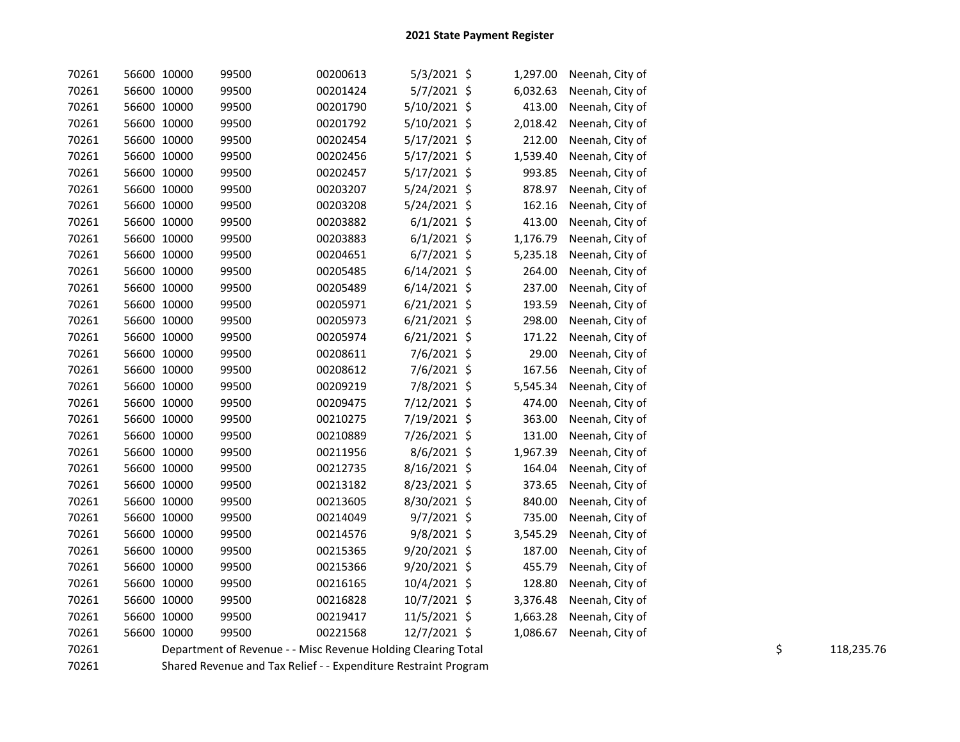| 70261 | 56600 10000 | 99500 | 00200613                                                      | $5/3/2021$ \$  | 1,297.00 | Neenah, City of |    |            |
|-------|-------------|-------|---------------------------------------------------------------|----------------|----------|-----------------|----|------------|
| 70261 | 56600 10000 | 99500 | 00201424                                                      | 5/7/2021 \$    | 6,032.63 | Neenah, City of |    |            |
| 70261 | 56600 10000 | 99500 | 00201790                                                      | $5/10/2021$ \$ | 413.00   | Neenah, City of |    |            |
| 70261 | 56600 10000 | 99500 | 00201792                                                      | $5/10/2021$ \$ | 2,018.42 | Neenah, City of |    |            |
| 70261 | 56600 10000 | 99500 | 00202454                                                      | 5/17/2021 \$   | 212.00   | Neenah, City of |    |            |
| 70261 | 56600 10000 | 99500 | 00202456                                                      | $5/17/2021$ \$ | 1,539.40 | Neenah, City of |    |            |
| 70261 | 56600 10000 | 99500 | 00202457                                                      | $5/17/2021$ \$ | 993.85   | Neenah, City of |    |            |
| 70261 | 56600 10000 | 99500 | 00203207                                                      | 5/24/2021 \$   | 878.97   | Neenah, City of |    |            |
| 70261 | 56600 10000 | 99500 | 00203208                                                      | 5/24/2021 \$   | 162.16   | Neenah, City of |    |            |
| 70261 | 56600 10000 | 99500 | 00203882                                                      | $6/1/2021$ \$  | 413.00   | Neenah, City of |    |            |
| 70261 | 56600 10000 | 99500 | 00203883                                                      | $6/1/2021$ \$  | 1,176.79 | Neenah, City of |    |            |
| 70261 | 56600 10000 | 99500 | 00204651                                                      | $6/7/2021$ \$  | 5,235.18 | Neenah, City of |    |            |
| 70261 | 56600 10000 | 99500 | 00205485                                                      | $6/14/2021$ \$ | 264.00   | Neenah, City of |    |            |
| 70261 | 56600 10000 | 99500 | 00205489                                                      | $6/14/2021$ \$ | 237.00   | Neenah, City of |    |            |
| 70261 | 56600 10000 | 99500 | 00205971                                                      | $6/21/2021$ \$ | 193.59   | Neenah, City of |    |            |
| 70261 | 56600 10000 | 99500 | 00205973                                                      | $6/21/2021$ \$ | 298.00   | Neenah, City of |    |            |
| 70261 | 56600 10000 | 99500 | 00205974                                                      | $6/21/2021$ \$ | 171.22   | Neenah, City of |    |            |
| 70261 | 56600 10000 | 99500 | 00208611                                                      | 7/6/2021 \$    | 29.00    | Neenah, City of |    |            |
| 70261 | 56600 10000 | 99500 | 00208612                                                      | 7/6/2021 \$    | 167.56   | Neenah, City of |    |            |
| 70261 | 56600 10000 | 99500 | 00209219                                                      | 7/8/2021 \$    | 5,545.34 | Neenah, City of |    |            |
| 70261 | 56600 10000 | 99500 | 00209475                                                      | 7/12/2021 \$   | 474.00   | Neenah, City of |    |            |
| 70261 | 56600 10000 | 99500 | 00210275                                                      | 7/19/2021 \$   | 363.00   | Neenah, City of |    |            |
| 70261 | 56600 10000 | 99500 | 00210889                                                      | 7/26/2021 \$   | 131.00   | Neenah, City of |    |            |
| 70261 | 56600 10000 | 99500 | 00211956                                                      | 8/6/2021 \$    | 1,967.39 | Neenah, City of |    |            |
| 70261 | 56600 10000 | 99500 | 00212735                                                      | 8/16/2021 \$   | 164.04   | Neenah, City of |    |            |
| 70261 | 56600 10000 | 99500 | 00213182                                                      | 8/23/2021 \$   | 373.65   | Neenah, City of |    |            |
| 70261 | 56600 10000 | 99500 | 00213605                                                      | 8/30/2021 \$   | 840.00   | Neenah, City of |    |            |
| 70261 | 56600 10000 | 99500 | 00214049                                                      | $9/7/2021$ \$  | 735.00   | Neenah, City of |    |            |
| 70261 | 56600 10000 | 99500 | 00214576                                                      | $9/8/2021$ \$  | 3,545.29 | Neenah, City of |    |            |
| 70261 | 56600 10000 | 99500 | 00215365                                                      | 9/20/2021 \$   | 187.00   | Neenah, City of |    |            |
| 70261 | 56600 10000 | 99500 | 00215366                                                      | 9/20/2021 \$   | 455.79   | Neenah, City of |    |            |
| 70261 | 56600 10000 | 99500 | 00216165                                                      | 10/4/2021 \$   | 128.80   | Neenah, City of |    |            |
| 70261 | 56600 10000 | 99500 | 00216828                                                      | 10/7/2021 \$   | 3,376.48 | Neenah, City of |    |            |
| 70261 | 56600 10000 | 99500 | 00219417                                                      | 11/5/2021 \$   | 1,663.28 | Neenah, City of |    |            |
| 70261 | 56600 10000 | 99500 | 00221568                                                      | 12/7/2021 \$   | 1,086.67 | Neenah, City of |    |            |
| 70261 |             |       | Department of Revenue - - Misc Revenue Holding Clearing Total |                |          |                 | \$ | 118,235.76 |

70261 Shared Revenue and Tax Relief - - Expenditure Restraint Program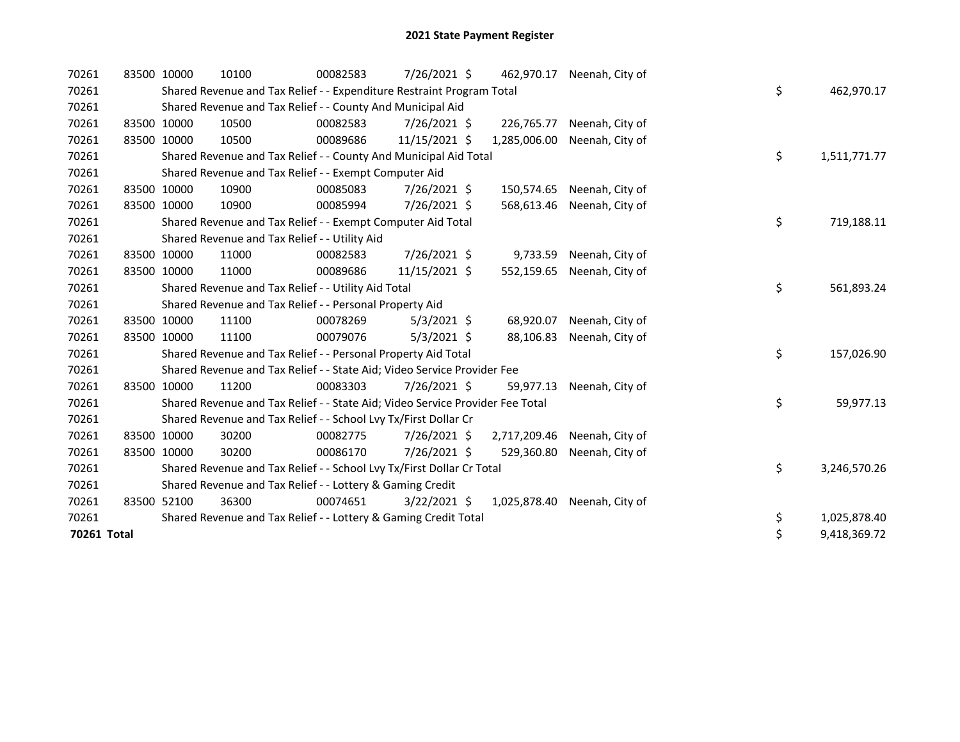| 70261       | 83500 10000 |             | 10100                                                                         | 00082583 | 7/26/2021 \$   | 462,970.17   | Neenah, City of |    |              |
|-------------|-------------|-------------|-------------------------------------------------------------------------------|----------|----------------|--------------|-----------------|----|--------------|
| 70261       |             |             | Shared Revenue and Tax Relief - - Expenditure Restraint Program Total         |          |                |              |                 | \$ | 462,970.17   |
| 70261       |             |             | Shared Revenue and Tax Relief - - County And Municipal Aid                    |          |                |              |                 |    |              |
| 70261       | 83500 10000 |             | 10500                                                                         | 00082583 | 7/26/2021 \$   | 226,765.77   | Neenah, City of |    |              |
| 70261       | 83500 10000 |             | 10500                                                                         | 00089686 | 11/15/2021 \$  | 1,285,006.00 | Neenah, City of |    |              |
| 70261       |             |             | Shared Revenue and Tax Relief - - County And Municipal Aid Total              |          |                |              |                 | \$ | 1,511,771.77 |
| 70261       |             |             | Shared Revenue and Tax Relief - - Exempt Computer Aid                         |          |                |              |                 |    |              |
| 70261       | 83500 10000 |             | 10900                                                                         | 00085083 | 7/26/2021 \$   | 150,574.65   | Neenah, City of |    |              |
| 70261       | 83500 10000 |             | 10900                                                                         | 00085994 | 7/26/2021 \$   | 568,613.46   | Neenah, City of |    |              |
| 70261       |             |             | Shared Revenue and Tax Relief - - Exempt Computer Aid Total                   |          |                |              |                 | \$ | 719,188.11   |
| 70261       |             |             | Shared Revenue and Tax Relief - - Utility Aid                                 |          |                |              |                 |    |              |
| 70261       | 83500 10000 |             | 11000                                                                         | 00082583 | 7/26/2021 \$   | 9,733.59     | Neenah, City of |    |              |
| 70261       | 83500 10000 |             | 11000                                                                         | 00089686 | 11/15/2021 \$  | 552,159.65   | Neenah, City of |    |              |
| 70261       |             |             | Shared Revenue and Tax Relief - - Utility Aid Total                           |          |                |              |                 | \$ | 561,893.24   |
| 70261       |             |             | Shared Revenue and Tax Relief - - Personal Property Aid                       |          |                |              |                 |    |              |
| 70261       | 83500 10000 |             | 11100                                                                         | 00078269 | $5/3/2021$ \$  | 68,920.07    | Neenah, City of |    |              |
| 70261       | 83500 10000 |             | 11100                                                                         | 00079076 | $5/3/2021$ \$  | 88,106.83    | Neenah, City of |    |              |
| 70261       |             |             | Shared Revenue and Tax Relief - - Personal Property Aid Total                 |          |                |              |                 | \$ | 157,026.90   |
| 70261       |             |             | Shared Revenue and Tax Relief - - State Aid; Video Service Provider Fee       |          |                |              |                 |    |              |
| 70261       | 83500 10000 |             | 11200                                                                         | 00083303 | 7/26/2021 \$   | 59,977.13    | Neenah, City of |    |              |
| 70261       |             |             | Shared Revenue and Tax Relief - - State Aid; Video Service Provider Fee Total |          |                |              |                 | \$ | 59,977.13    |
| 70261       |             |             | Shared Revenue and Tax Relief - - School Lvy Tx/First Dollar Cr               |          |                |              |                 |    |              |
| 70261       | 83500 10000 |             | 30200                                                                         | 00082775 | 7/26/2021 \$   | 2,717,209.46 | Neenah, City of |    |              |
| 70261       |             | 83500 10000 | 30200                                                                         | 00086170 | 7/26/2021 \$   | 529,360.80   | Neenah, City of |    |              |
| 70261       |             |             | Shared Revenue and Tax Relief - - School Lvy Tx/First Dollar Cr Total         |          |                |              |                 | \$ | 3,246,570.26 |
| 70261       |             |             | Shared Revenue and Tax Relief - - Lottery & Gaming Credit                     |          |                |              |                 |    |              |
| 70261       | 83500 52100 |             | 36300                                                                         | 00074651 | $3/22/2021$ \$ | 1,025,878.40 | Neenah, City of |    |              |
| 70261       |             |             | Shared Revenue and Tax Relief - - Lottery & Gaming Credit Total               |          |                |              |                 | \$ | 1,025,878.40 |
| 70261 Total |             |             |                                                                               |          |                |              |                 | \$ | 9,418,369.72 |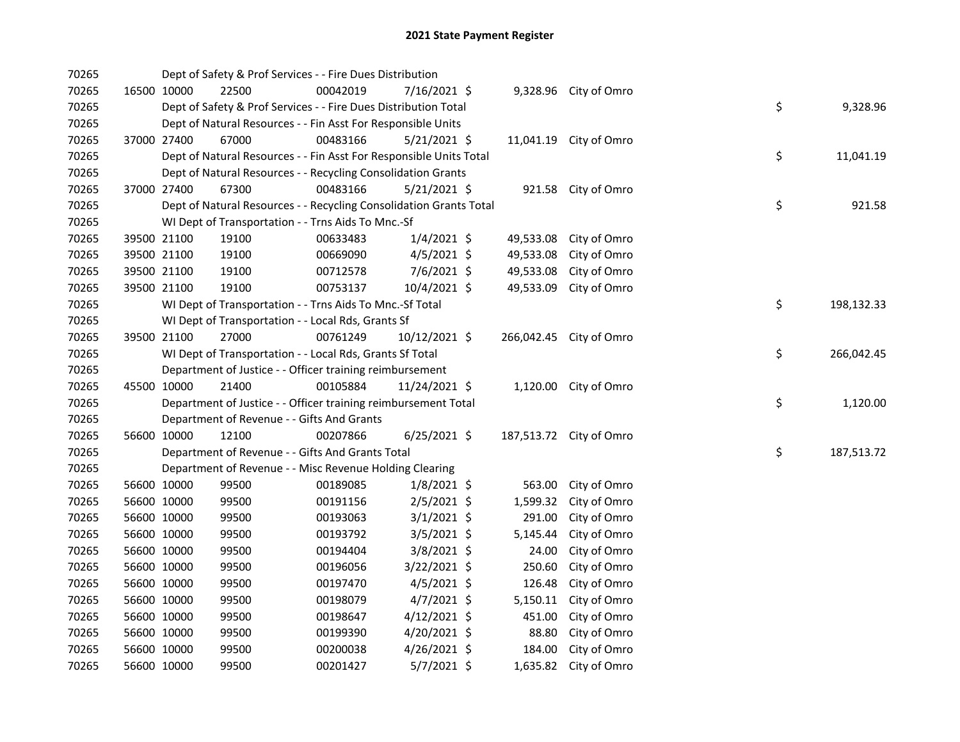| 70265 |             | Dept of Safety & Prof Services - - Fire Dues Distribution          |          |                |           |                         |    |            |
|-------|-------------|--------------------------------------------------------------------|----------|----------------|-----------|-------------------------|----|------------|
| 70265 | 16500 10000 | 22500                                                              | 00042019 | 7/16/2021 \$   |           | 9,328.96 City of Omro   |    |            |
| 70265 |             | Dept of Safety & Prof Services - - Fire Dues Distribution Total    |          |                |           |                         | \$ | 9,328.96   |
| 70265 |             | Dept of Natural Resources - - Fin Asst For Responsible Units       |          |                |           |                         |    |            |
| 70265 | 37000 27400 | 67000                                                              | 00483166 | $5/21/2021$ \$ |           | 11,041.19 City of Omro  |    |            |
| 70265 |             | Dept of Natural Resources - - Fin Asst For Responsible Units Total |          |                |           |                         | \$ | 11,041.19  |
| 70265 |             | Dept of Natural Resources - - Recycling Consolidation Grants       |          |                |           |                         |    |            |
| 70265 | 37000 27400 | 67300                                                              | 00483166 | $5/21/2021$ \$ |           | 921.58 City of Omro     |    |            |
| 70265 |             | Dept of Natural Resources - - Recycling Consolidation Grants Total |          |                |           |                         | \$ | 921.58     |
| 70265 |             | WI Dept of Transportation - - Trns Aids To Mnc.-Sf                 |          |                |           |                         |    |            |
| 70265 | 39500 21100 | 19100                                                              | 00633483 | $1/4/2021$ \$  | 49,533.08 | City of Omro            |    |            |
| 70265 | 39500 21100 | 19100                                                              | 00669090 | $4/5/2021$ \$  | 49,533.08 | City of Omro            |    |            |
| 70265 | 39500 21100 | 19100                                                              | 00712578 | 7/6/2021 \$    | 49,533.08 | City of Omro            |    |            |
| 70265 | 39500 21100 | 19100                                                              | 00753137 | 10/4/2021 \$   | 49,533.09 | City of Omro            |    |            |
| 70265 |             | WI Dept of Transportation - - Trns Aids To Mnc.-Sf Total           |          |                |           |                         | \$ | 198,132.33 |
| 70265 |             | WI Dept of Transportation - - Local Rds, Grants Sf                 |          |                |           |                         |    |            |
| 70265 | 39500 21100 | 27000                                                              | 00761249 | 10/12/2021 \$  |           | 266,042.45 City of Omro |    |            |
| 70265 |             | WI Dept of Transportation - - Local Rds, Grants Sf Total           |          |                |           |                         | \$ | 266,042.45 |
| 70265 |             | Department of Justice - - Officer training reimbursement           |          |                |           |                         |    |            |
| 70265 | 45500 10000 | 21400                                                              | 00105884 | 11/24/2021 \$  |           | 1,120.00 City of Omro   |    |            |
| 70265 |             | Department of Justice - - Officer training reimbursement Total     |          |                |           |                         | \$ | 1,120.00   |
| 70265 |             | Department of Revenue - - Gifts And Grants                         |          |                |           |                         |    |            |
| 70265 | 56600 10000 | 12100                                                              | 00207866 | $6/25/2021$ \$ |           | 187,513.72 City of Omro |    |            |
| 70265 |             | Department of Revenue - - Gifts And Grants Total                   |          |                |           |                         | \$ | 187,513.72 |
| 70265 |             | Department of Revenue - - Misc Revenue Holding Clearing            |          |                |           |                         |    |            |
| 70265 | 56600 10000 | 99500                                                              | 00189085 | $1/8/2021$ \$  | 563.00    | City of Omro            |    |            |
| 70265 | 56600 10000 | 99500                                                              | 00191156 | 2/5/2021 \$    | 1,599.32  | City of Omro            |    |            |
| 70265 | 56600 10000 | 99500                                                              | 00193063 | $3/1/2021$ \$  | 291.00    | City of Omro            |    |            |
| 70265 | 56600 10000 | 99500                                                              | 00193792 | 3/5/2021 \$    | 5,145.44  | City of Omro            |    |            |
| 70265 | 56600 10000 | 99500                                                              | 00194404 | $3/8/2021$ \$  | 24.00     | City of Omro            |    |            |
| 70265 | 56600 10000 | 99500                                                              | 00196056 | 3/22/2021 \$   | 250.60    | City of Omro            |    |            |
| 70265 | 56600 10000 | 99500                                                              | 00197470 | $4/5/2021$ \$  | 126.48    | City of Omro            |    |            |
| 70265 | 56600 10000 | 99500                                                              | 00198079 | $4/7/2021$ \$  | 5,150.11  | City of Omro            |    |            |
| 70265 | 56600 10000 | 99500                                                              | 00198647 | 4/12/2021 \$   | 451.00    | City of Omro            |    |            |
| 70265 | 56600 10000 | 99500                                                              | 00199390 | 4/20/2021 \$   | 88.80     | City of Omro            |    |            |
| 70265 | 56600 10000 | 99500                                                              | 00200038 | $4/26/2021$ \$ | 184.00    | City of Omro            |    |            |
| 70265 | 56600 10000 | 99500                                                              | 00201427 | 5/7/2021 \$    |           | 1,635.82 City of Omro   |    |            |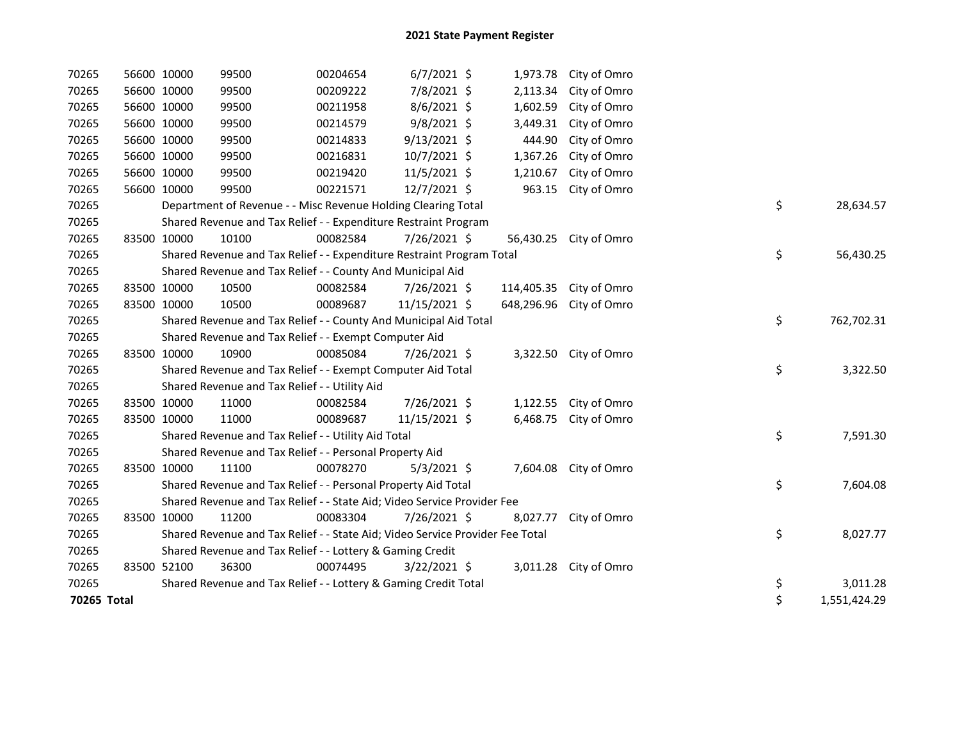| 70265       | 56600 10000 | 99500                                                                         | 00204654 | $6/7/2021$ \$  | 1,973.78   | City of Omro          |    |              |
|-------------|-------------|-------------------------------------------------------------------------------|----------|----------------|------------|-----------------------|----|--------------|
| 70265       | 56600 10000 | 99500                                                                         | 00209222 | 7/8/2021 \$    | 2,113.34   | City of Omro          |    |              |
| 70265       | 56600 10000 | 99500                                                                         | 00211958 | $8/6/2021$ \$  | 1,602.59   | City of Omro          |    |              |
| 70265       | 56600 10000 | 99500                                                                         | 00214579 | 9/8/2021 \$    | 3,449.31   | City of Omro          |    |              |
| 70265       | 56600 10000 | 99500                                                                         | 00214833 | $9/13/2021$ \$ | 444.90     | City of Omro          |    |              |
| 70265       | 56600 10000 | 99500                                                                         | 00216831 | 10/7/2021 \$   | 1,367.26   | City of Omro          |    |              |
| 70265       | 56600 10000 | 99500                                                                         | 00219420 | 11/5/2021 \$   | 1,210.67   | City of Omro          |    |              |
| 70265       | 56600 10000 | 99500                                                                         | 00221571 | 12/7/2021 \$   | 963.15     | City of Omro          |    |              |
| 70265       |             | Department of Revenue - - Misc Revenue Holding Clearing Total                 |          |                |            |                       | \$ | 28,634.57    |
| 70265       |             | Shared Revenue and Tax Relief - - Expenditure Restraint Program               |          |                |            |                       |    |              |
| 70265       | 83500 10000 | 10100                                                                         | 00082584 | 7/26/2021 \$   | 56,430.25  | City of Omro          |    |              |
| 70265       |             | Shared Revenue and Tax Relief - - Expenditure Restraint Program Total         |          |                |            |                       | \$ | 56,430.25    |
| 70265       |             | Shared Revenue and Tax Relief - - County And Municipal Aid                    |          |                |            |                       |    |              |
| 70265       | 83500 10000 | 10500                                                                         | 00082584 | 7/26/2021 \$   | 114,405.35 | City of Omro          |    |              |
| 70265       | 83500 10000 | 10500                                                                         | 00089687 | 11/15/2021 \$  | 648,296.96 | City of Omro          |    |              |
| 70265       |             | Shared Revenue and Tax Relief - - County And Municipal Aid Total              |          |                |            |                       | \$ | 762,702.31   |
| 70265       |             | Shared Revenue and Tax Relief - - Exempt Computer Aid                         |          |                |            |                       |    |              |
| 70265       | 83500 10000 | 10900                                                                         | 00085084 | 7/26/2021 \$   |            | 3,322.50 City of Omro |    |              |
| 70265       |             | Shared Revenue and Tax Relief - - Exempt Computer Aid Total                   |          |                |            |                       | \$ | 3,322.50     |
| 70265       |             | Shared Revenue and Tax Relief - - Utility Aid                                 |          |                |            |                       |    |              |
| 70265       | 83500 10000 | 11000                                                                         | 00082584 | 7/26/2021 \$   | 1,122.55   | City of Omro          |    |              |
| 70265       | 83500 10000 | 11000                                                                         | 00089687 | 11/15/2021 \$  | 6,468.75   | City of Omro          |    |              |
| 70265       |             | Shared Revenue and Tax Relief - - Utility Aid Total                           |          |                |            |                       | \$ | 7,591.30     |
| 70265       |             | Shared Revenue and Tax Relief - - Personal Property Aid                       |          |                |            |                       |    |              |
| 70265       | 83500 10000 | 11100                                                                         | 00078270 | $5/3/2021$ \$  | 7,604.08   | City of Omro          |    |              |
| 70265       |             | Shared Revenue and Tax Relief - - Personal Property Aid Total                 |          |                |            |                       | \$ | 7,604.08     |
| 70265       |             | Shared Revenue and Tax Relief - - State Aid; Video Service Provider Fee       |          |                |            |                       |    |              |
| 70265       | 83500 10000 | 11200                                                                         | 00083304 | 7/26/2021 \$   | 8,027.77   | City of Omro          |    |              |
| 70265       |             | Shared Revenue and Tax Relief - - State Aid; Video Service Provider Fee Total |          |                |            |                       | \$ | 8,027.77     |
| 70265       |             | Shared Revenue and Tax Relief - - Lottery & Gaming Credit                     |          |                |            |                       |    |              |
| 70265       | 83500 52100 | 36300                                                                         | 00074495 | $3/22/2021$ \$ | 3,011.28   | City of Omro          |    |              |
| 70265       |             | Shared Revenue and Tax Relief - - Lottery & Gaming Credit Total               |          |                |            |                       | \$ | 3,011.28     |
| 70265 Total |             |                                                                               |          |                |            |                       | \$ | 1,551,424.29 |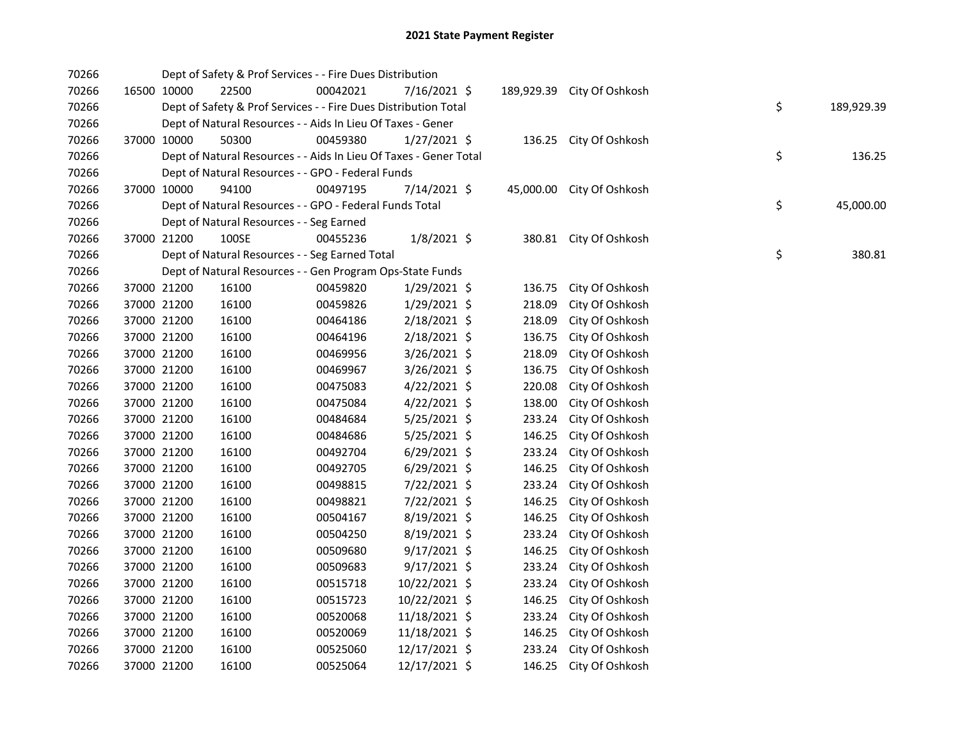| 70266 |             | Dept of Safety & Prof Services - - Fire Dues Distribution         |          |                |            |                           |    |            |
|-------|-------------|-------------------------------------------------------------------|----------|----------------|------------|---------------------------|----|------------|
| 70266 | 16500 10000 | 22500                                                             | 00042021 | 7/16/2021 \$   | 189,929.39 | City Of Oshkosh           |    |            |
| 70266 |             | Dept of Safety & Prof Services - - Fire Dues Distribution Total   |          |                |            |                           | \$ | 189,929.39 |
| 70266 |             | Dept of Natural Resources - - Aids In Lieu Of Taxes - Gener       |          |                |            |                           |    |            |
| 70266 | 37000 10000 | 50300                                                             | 00459380 | $1/27/2021$ \$ |            | 136.25 City Of Oshkosh    |    |            |
| 70266 |             | Dept of Natural Resources - - Aids In Lieu Of Taxes - Gener Total |          |                |            |                           | \$ | 136.25     |
| 70266 |             | Dept of Natural Resources - - GPO - Federal Funds                 |          |                |            |                           |    |            |
| 70266 | 37000 10000 | 94100                                                             | 00497195 | 7/14/2021 \$   |            | 45,000.00 City Of Oshkosh |    |            |
| 70266 |             | Dept of Natural Resources - - GPO - Federal Funds Total           |          |                |            |                           | \$ | 45,000.00  |
| 70266 |             | Dept of Natural Resources - - Seg Earned                          |          |                |            |                           |    |            |
| 70266 | 37000 21200 | 100SE                                                             | 00455236 | $1/8/2021$ \$  |            | 380.81 City Of Oshkosh    |    |            |
| 70266 |             | Dept of Natural Resources - - Seg Earned Total                    |          |                |            |                           | \$ | 380.81     |
| 70266 |             | Dept of Natural Resources - - Gen Program Ops-State Funds         |          |                |            |                           |    |            |
| 70266 | 37000 21200 | 16100                                                             | 00459820 | 1/29/2021 \$   | 136.75     | City Of Oshkosh           |    |            |
| 70266 | 37000 21200 | 16100                                                             | 00459826 | 1/29/2021 \$   | 218.09     | City Of Oshkosh           |    |            |
| 70266 | 37000 21200 | 16100                                                             | 00464186 | 2/18/2021 \$   | 218.09     | City Of Oshkosh           |    |            |
| 70266 | 37000 21200 | 16100                                                             | 00464196 | 2/18/2021 \$   | 136.75     | City Of Oshkosh           |    |            |
| 70266 | 37000 21200 | 16100                                                             | 00469956 | 3/26/2021 \$   | 218.09     | City Of Oshkosh           |    |            |
| 70266 | 37000 21200 | 16100                                                             | 00469967 | $3/26/2021$ \$ | 136.75     | City Of Oshkosh           |    |            |
| 70266 | 37000 21200 | 16100                                                             | 00475083 | $4/22/2021$ \$ | 220.08     | City Of Oshkosh           |    |            |
| 70266 | 37000 21200 | 16100                                                             | 00475084 | $4/22/2021$ \$ | 138.00     | City Of Oshkosh           |    |            |
| 70266 | 37000 21200 | 16100                                                             | 00484684 | $5/25/2021$ \$ | 233.24     | City Of Oshkosh           |    |            |
| 70266 | 37000 21200 | 16100                                                             | 00484686 | 5/25/2021 \$   | 146.25     | City Of Oshkosh           |    |            |
| 70266 | 37000 21200 | 16100                                                             | 00492704 | $6/29/2021$ \$ | 233.24     | City Of Oshkosh           |    |            |
| 70266 | 37000 21200 | 16100                                                             | 00492705 | $6/29/2021$ \$ | 146.25     | City Of Oshkosh           |    |            |
| 70266 | 37000 21200 | 16100                                                             | 00498815 | 7/22/2021 \$   | 233.24     | City Of Oshkosh           |    |            |
| 70266 | 37000 21200 | 16100                                                             | 00498821 | 7/22/2021 \$   | 146.25     | City Of Oshkosh           |    |            |
| 70266 | 37000 21200 | 16100                                                             | 00504167 | 8/19/2021 \$   | 146.25     | City Of Oshkosh           |    |            |
| 70266 | 37000 21200 | 16100                                                             | 00504250 | $8/19/2021$ \$ | 233.24     | City Of Oshkosh           |    |            |
| 70266 | 37000 21200 | 16100                                                             | 00509680 | $9/17/2021$ \$ | 146.25     | City Of Oshkosh           |    |            |
| 70266 | 37000 21200 | 16100                                                             | 00509683 | $9/17/2021$ \$ | 233.24     | City Of Oshkosh           |    |            |
| 70266 | 37000 21200 | 16100                                                             | 00515718 | 10/22/2021 \$  | 233.24     | City Of Oshkosh           |    |            |
| 70266 | 37000 21200 | 16100                                                             | 00515723 | 10/22/2021 \$  | 146.25     | City Of Oshkosh           |    |            |
| 70266 | 37000 21200 | 16100                                                             | 00520068 | 11/18/2021 \$  | 233.24     | City Of Oshkosh           |    |            |
| 70266 | 37000 21200 | 16100                                                             | 00520069 | 11/18/2021 \$  | 146.25     | City Of Oshkosh           |    |            |
| 70266 | 37000 21200 | 16100                                                             | 00525060 | 12/17/2021 \$  | 233.24     | City Of Oshkosh           |    |            |
| 70266 | 37000 21200 | 16100                                                             | 00525064 | 12/17/2021 \$  | 146.25     | City Of Oshkosh           |    |            |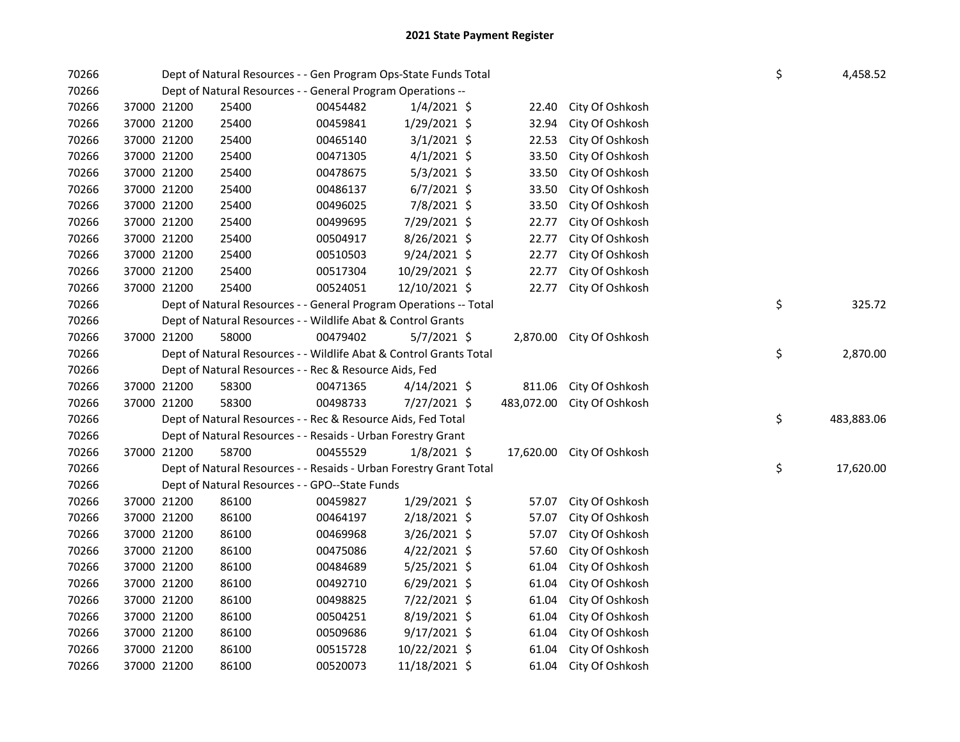| 70266 |             |             | Dept of Natural Resources - - Gen Program Ops-State Funds Total    |          |                |       |                            | \$ | 4,458.52   |
|-------|-------------|-------------|--------------------------------------------------------------------|----------|----------------|-------|----------------------------|----|------------|
| 70266 |             |             | Dept of Natural Resources - - General Program Operations --        |          |                |       |                            |    |            |
| 70266 | 37000 21200 |             | 25400                                                              | 00454482 | $1/4/2021$ \$  | 22.40 | City Of Oshkosh            |    |            |
| 70266 | 37000 21200 |             | 25400                                                              | 00459841 | 1/29/2021 \$   | 32.94 | City Of Oshkosh            |    |            |
| 70266 | 37000 21200 |             | 25400                                                              | 00465140 | $3/1/2021$ \$  | 22.53 | City Of Oshkosh            |    |            |
| 70266 | 37000 21200 |             | 25400                                                              | 00471305 | $4/1/2021$ \$  | 33.50 | City Of Oshkosh            |    |            |
| 70266 | 37000 21200 |             | 25400                                                              | 00478675 | $5/3/2021$ \$  | 33.50 | City Of Oshkosh            |    |            |
| 70266 | 37000 21200 |             | 25400                                                              | 00486137 | $6/7/2021$ \$  | 33.50 | City Of Oshkosh            |    |            |
| 70266 | 37000 21200 |             | 25400                                                              | 00496025 | 7/8/2021 \$    | 33.50 | City Of Oshkosh            |    |            |
| 70266 | 37000 21200 |             | 25400                                                              | 00499695 | 7/29/2021 \$   | 22.77 | City Of Oshkosh            |    |            |
| 70266 | 37000 21200 |             | 25400                                                              | 00504917 | $8/26/2021$ \$ | 22.77 | City Of Oshkosh            |    |            |
| 70266 | 37000 21200 |             | 25400                                                              | 00510503 | $9/24/2021$ \$ | 22.77 | City Of Oshkosh            |    |            |
| 70266 | 37000 21200 |             | 25400                                                              | 00517304 | 10/29/2021 \$  | 22.77 | City Of Oshkosh            |    |            |
| 70266 | 37000 21200 |             | 25400                                                              | 00524051 | 12/10/2021 \$  | 22.77 | City Of Oshkosh            |    |            |
| 70266 |             |             | Dept of Natural Resources - - General Program Operations -- Total  |          |                |       |                            | \$ | 325.72     |
| 70266 |             |             | Dept of Natural Resources - - Wildlife Abat & Control Grants       |          |                |       |                            |    |            |
| 70266 | 37000 21200 |             | 58000                                                              | 00479402 | $5/7/2021$ \$  |       | 2,870.00 City Of Oshkosh   |    |            |
| 70266 |             |             | Dept of Natural Resources - - Wildlife Abat & Control Grants Total |          |                |       |                            | \$ | 2,870.00   |
| 70266 |             |             | Dept of Natural Resources - - Rec & Resource Aids, Fed             |          |                |       |                            |    |            |
| 70266 | 37000 21200 |             | 58300                                                              | 00471365 | $4/14/2021$ \$ |       | 811.06 City Of Oshkosh     |    |            |
| 70266 | 37000 21200 |             | 58300                                                              | 00498733 | 7/27/2021 \$   |       | 483,072.00 City Of Oshkosh |    |            |
| 70266 |             |             | Dept of Natural Resources - - Rec & Resource Aids, Fed Total       |          |                |       |                            | \$ | 483,883.06 |
| 70266 |             |             | Dept of Natural Resources - - Resaids - Urban Forestry Grant       |          |                |       |                            |    |            |
| 70266 |             | 37000 21200 | 58700                                                              | 00455529 | 1/8/2021 \$    |       | 17,620.00 City Of Oshkosh  |    |            |
| 70266 |             |             | Dept of Natural Resources - - Resaids - Urban Forestry Grant Total |          |                |       |                            | \$ | 17,620.00  |
| 70266 |             |             | Dept of Natural Resources - - GPO--State Funds                     |          |                |       |                            |    |            |
| 70266 |             | 37000 21200 | 86100                                                              | 00459827 | $1/29/2021$ \$ | 57.07 | City Of Oshkosh            |    |            |
| 70266 |             | 37000 21200 | 86100                                                              | 00464197 | 2/18/2021 \$   | 57.07 | City Of Oshkosh            |    |            |
| 70266 | 37000 21200 |             | 86100                                                              | 00469968 | 3/26/2021 \$   | 57.07 | City Of Oshkosh            |    |            |
| 70266 | 37000 21200 |             | 86100                                                              | 00475086 | 4/22/2021 \$   | 57.60 | City Of Oshkosh            |    |            |
| 70266 | 37000 21200 |             | 86100                                                              | 00484689 | 5/25/2021 \$   | 61.04 | City Of Oshkosh            |    |            |
| 70266 | 37000 21200 |             | 86100                                                              | 00492710 | $6/29/2021$ \$ | 61.04 | City Of Oshkosh            |    |            |
| 70266 | 37000 21200 |             | 86100                                                              | 00498825 | 7/22/2021 \$   | 61.04 | City Of Oshkosh            |    |            |
| 70266 | 37000 21200 |             | 86100                                                              | 00504251 | 8/19/2021 \$   | 61.04 | City Of Oshkosh            |    |            |
| 70266 | 37000 21200 |             | 86100                                                              | 00509686 | $9/17/2021$ \$ | 61.04 | City Of Oshkosh            |    |            |
| 70266 | 37000 21200 |             | 86100                                                              | 00515728 | 10/22/2021 \$  | 61.04 | City Of Oshkosh            |    |            |
| 70266 | 37000 21200 |             | 86100                                                              | 00520073 | 11/18/2021 \$  | 61.04 | City Of Oshkosh            |    |            |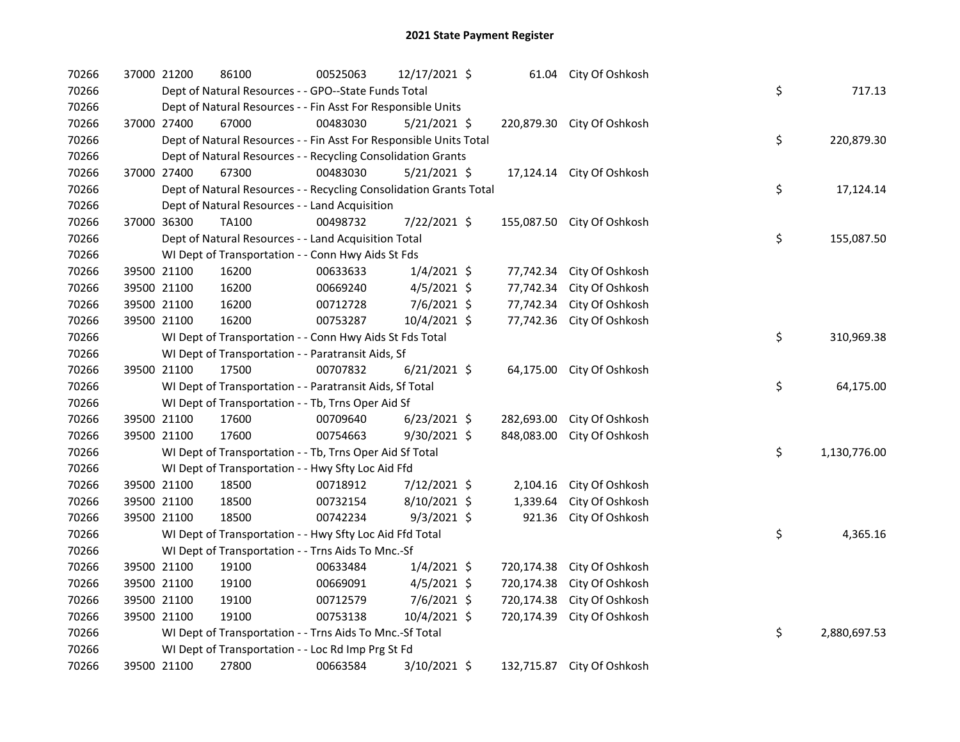| 70266 | 37000 21200 | 86100                                                              | 00525063 | 12/17/2021 \$  |            | 61.04 City Of Oshkosh      |    |              |
|-------|-------------|--------------------------------------------------------------------|----------|----------------|------------|----------------------------|----|--------------|
| 70266 |             | Dept of Natural Resources - - GPO--State Funds Total               |          |                |            |                            | \$ | 717.13       |
| 70266 |             | Dept of Natural Resources - - Fin Asst For Responsible Units       |          |                |            |                            |    |              |
| 70266 | 37000 27400 | 67000                                                              | 00483030 | $5/21/2021$ \$ |            | 220,879.30 City Of Oshkosh |    |              |
| 70266 |             | Dept of Natural Resources - - Fin Asst For Responsible Units Total |          |                |            |                            | \$ | 220,879.30   |
| 70266 |             | Dept of Natural Resources - - Recycling Consolidation Grants       |          |                |            |                            |    |              |
| 70266 | 37000 27400 | 67300                                                              | 00483030 | $5/21/2021$ \$ |            | 17,124.14 City Of Oshkosh  |    |              |
| 70266 |             | Dept of Natural Resources - - Recycling Consolidation Grants Total |          |                |            |                            | \$ | 17,124.14    |
| 70266 |             | Dept of Natural Resources - - Land Acquisition                     |          |                |            |                            |    |              |
| 70266 | 37000 36300 | <b>TA100</b>                                                       | 00498732 | 7/22/2021 \$   |            | 155,087.50 City Of Oshkosh |    |              |
| 70266 |             | Dept of Natural Resources - - Land Acquisition Total               |          |                |            |                            | \$ | 155,087.50   |
| 70266 |             | WI Dept of Transportation - - Conn Hwy Aids St Fds                 |          |                |            |                            |    |              |
| 70266 | 39500 21100 | 16200                                                              | 00633633 | $1/4/2021$ \$  | 77,742.34  | City Of Oshkosh            |    |              |
| 70266 | 39500 21100 | 16200                                                              | 00669240 | $4/5/2021$ \$  | 77,742.34  | City Of Oshkosh            |    |              |
| 70266 | 39500 21100 | 16200                                                              | 00712728 | 7/6/2021 \$    | 77,742.34  | City Of Oshkosh            |    |              |
| 70266 | 39500 21100 | 16200                                                              | 00753287 | 10/4/2021 \$   |            | 77,742.36 City Of Oshkosh  |    |              |
| 70266 |             | WI Dept of Transportation - - Conn Hwy Aids St Fds Total           |          |                |            |                            | \$ | 310,969.38   |
| 70266 |             | WI Dept of Transportation - - Paratransit Aids, Sf                 |          |                |            |                            |    |              |
| 70266 | 39500 21100 | 17500                                                              | 00707832 | $6/21/2021$ \$ |            | 64,175.00 City Of Oshkosh  |    |              |
| 70266 |             | WI Dept of Transportation - - Paratransit Aids, Sf Total           |          |                |            |                            | \$ | 64,175.00    |
| 70266 |             | WI Dept of Transportation - - Tb, Trns Oper Aid Sf                 |          |                |            |                            |    |              |
| 70266 | 39500 21100 | 17600                                                              | 00709640 | $6/23/2021$ \$ | 282,693.00 | City Of Oshkosh            |    |              |
| 70266 | 39500 21100 | 17600                                                              | 00754663 | 9/30/2021 \$   | 848,083.00 | City Of Oshkosh            |    |              |
| 70266 |             | WI Dept of Transportation - - Tb, Trns Oper Aid Sf Total           |          |                |            |                            | \$ | 1,130,776.00 |
| 70266 |             | WI Dept of Transportation - - Hwy Sfty Loc Aid Ffd                 |          |                |            |                            |    |              |
| 70266 | 39500 21100 | 18500                                                              | 00718912 | 7/12/2021 \$   | 2,104.16   | City Of Oshkosh            |    |              |
| 70266 | 39500 21100 | 18500                                                              | 00732154 | 8/10/2021 \$   | 1,339.64   | City Of Oshkosh            |    |              |
| 70266 | 39500 21100 | 18500                                                              | 00742234 | $9/3/2021$ \$  | 921.36     | City Of Oshkosh            |    |              |
| 70266 |             | WI Dept of Transportation - - Hwy Sfty Loc Aid Ffd Total           |          |                |            |                            | \$ | 4,365.16     |
| 70266 |             | WI Dept of Transportation - - Trns Aids To Mnc.-Sf                 |          |                |            |                            |    |              |
| 70266 | 39500 21100 | 19100                                                              | 00633484 | $1/4/2021$ \$  | 720,174.38 | City Of Oshkosh            |    |              |
| 70266 | 39500 21100 | 19100                                                              | 00669091 | $4/5/2021$ \$  | 720,174.38 | City Of Oshkosh            |    |              |
| 70266 | 39500 21100 | 19100                                                              | 00712579 | 7/6/2021 \$    | 720,174.38 | City Of Oshkosh            |    |              |
| 70266 | 39500 21100 | 19100                                                              | 00753138 | 10/4/2021 \$   | 720,174.39 | City Of Oshkosh            |    |              |
| 70266 |             | WI Dept of Transportation - - Trns Aids To Mnc .- Sf Total         |          |                |            |                            | \$ | 2,880,697.53 |
| 70266 |             | WI Dept of Transportation - - Loc Rd Imp Prg St Fd                 |          |                |            |                            |    |              |
| 70266 | 39500 21100 | 27800                                                              | 00663584 | 3/10/2021 \$   |            | 132,715.87 City Of Oshkosh |    |              |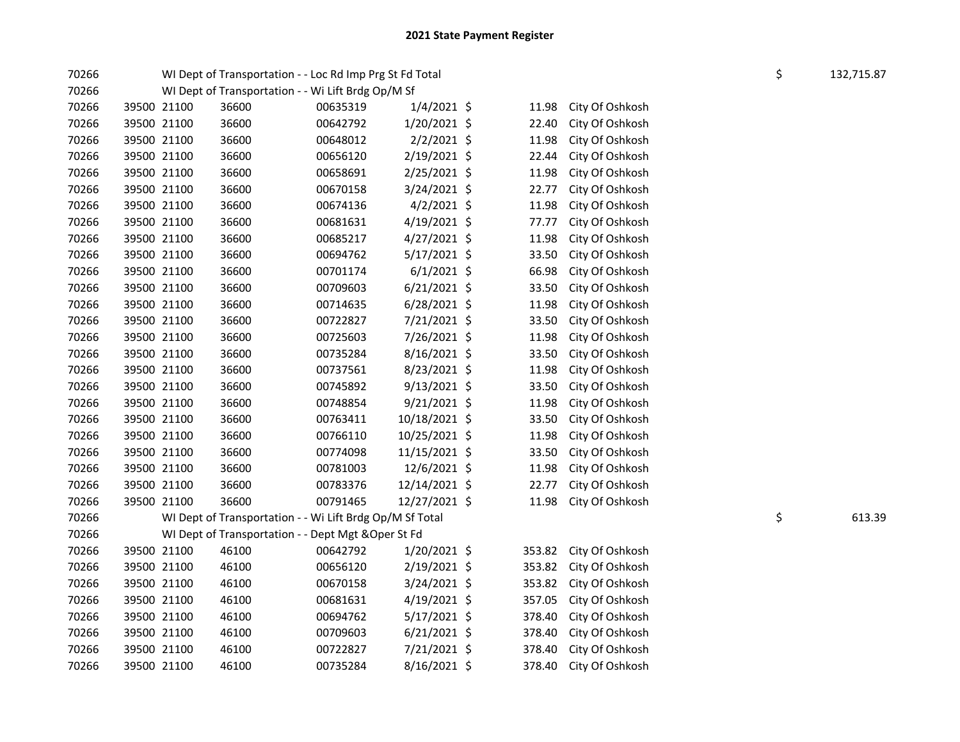| 70266 |             | WI Dept of Transportation - - Loc Rd Imp Prg St Fd Total |          |                |        |                 | \$<br>132,715.87 |
|-------|-------------|----------------------------------------------------------|----------|----------------|--------|-----------------|------------------|
| 70266 |             | WI Dept of Transportation - - Wi Lift Brdg Op/M Sf       |          |                |        |                 |                  |
| 70266 | 39500 21100 | 36600                                                    | 00635319 | $1/4/2021$ \$  | 11.98  | City Of Oshkosh |                  |
| 70266 | 39500 21100 | 36600                                                    | 00642792 | 1/20/2021 \$   | 22.40  | City Of Oshkosh |                  |
| 70266 | 39500 21100 | 36600                                                    | 00648012 | $2/2/2021$ \$  | 11.98  | City Of Oshkosh |                  |
| 70266 | 39500 21100 | 36600                                                    | 00656120 | 2/19/2021 \$   | 22.44  | City Of Oshkosh |                  |
| 70266 | 39500 21100 | 36600                                                    | 00658691 | 2/25/2021 \$   | 11.98  | City Of Oshkosh |                  |
| 70266 | 39500 21100 | 36600                                                    | 00670158 | 3/24/2021 \$   | 22.77  | City Of Oshkosh |                  |
| 70266 | 39500 21100 | 36600                                                    | 00674136 | $4/2/2021$ \$  | 11.98  | City Of Oshkosh |                  |
| 70266 | 39500 21100 | 36600                                                    | 00681631 | $4/19/2021$ \$ | 77.77  | City Of Oshkosh |                  |
| 70266 | 39500 21100 | 36600                                                    | 00685217 | 4/27/2021 \$   | 11.98  | City Of Oshkosh |                  |
| 70266 | 39500 21100 | 36600                                                    | 00694762 | $5/17/2021$ \$ | 33.50  | City Of Oshkosh |                  |
| 70266 | 39500 21100 | 36600                                                    | 00701174 | $6/1/2021$ \$  | 66.98  | City Of Oshkosh |                  |
| 70266 | 39500 21100 | 36600                                                    | 00709603 | $6/21/2021$ \$ | 33.50  | City Of Oshkosh |                  |
| 70266 | 39500 21100 | 36600                                                    | 00714635 | $6/28/2021$ \$ | 11.98  | City Of Oshkosh |                  |
| 70266 | 39500 21100 | 36600                                                    | 00722827 | 7/21/2021 \$   | 33.50  | City Of Oshkosh |                  |
| 70266 | 39500 21100 | 36600                                                    | 00725603 | 7/26/2021 \$   | 11.98  | City Of Oshkosh |                  |
| 70266 | 39500 21100 | 36600                                                    | 00735284 | $8/16/2021$ \$ | 33.50  | City Of Oshkosh |                  |
| 70266 | 39500 21100 | 36600                                                    | 00737561 | 8/23/2021 \$   | 11.98  | City Of Oshkosh |                  |
| 70266 | 39500 21100 | 36600                                                    | 00745892 | 9/13/2021 \$   | 33.50  | City Of Oshkosh |                  |
| 70266 | 39500 21100 | 36600                                                    | 00748854 | $9/21/2021$ \$ | 11.98  | City Of Oshkosh |                  |
| 70266 | 39500 21100 | 36600                                                    | 00763411 | 10/18/2021 \$  | 33.50  | City Of Oshkosh |                  |
| 70266 | 39500 21100 | 36600                                                    | 00766110 | 10/25/2021 \$  | 11.98  | City Of Oshkosh |                  |
| 70266 | 39500 21100 | 36600                                                    | 00774098 | 11/15/2021 \$  | 33.50  | City Of Oshkosh |                  |
| 70266 | 39500 21100 | 36600                                                    | 00781003 | 12/6/2021 \$   | 11.98  | City Of Oshkosh |                  |
| 70266 | 39500 21100 | 36600                                                    | 00783376 | 12/14/2021 \$  | 22.77  | City Of Oshkosh |                  |
| 70266 | 39500 21100 | 36600                                                    | 00791465 | 12/27/2021 \$  | 11.98  | City Of Oshkosh |                  |
| 70266 |             | WI Dept of Transportation - - Wi Lift Brdg Op/M Sf Total |          |                |        |                 | \$<br>613.39     |
| 70266 |             | WI Dept of Transportation - - Dept Mgt & Oper St Fd      |          |                |        |                 |                  |
| 70266 | 39500 21100 | 46100                                                    | 00642792 | 1/20/2021 \$   | 353.82 | City Of Oshkosh |                  |
| 70266 | 39500 21100 | 46100                                                    | 00656120 | $2/19/2021$ \$ | 353.82 | City Of Oshkosh |                  |
| 70266 | 39500 21100 | 46100                                                    | 00670158 | $3/24/2021$ \$ | 353.82 | City Of Oshkosh |                  |
| 70266 | 39500 21100 | 46100                                                    | 00681631 | $4/19/2021$ \$ | 357.05 | City Of Oshkosh |                  |
| 70266 | 39500 21100 | 46100                                                    | 00694762 | 5/17/2021 \$   | 378.40 | City Of Oshkosh |                  |
| 70266 | 39500 21100 | 46100                                                    | 00709603 | $6/21/2021$ \$ | 378.40 | City Of Oshkosh |                  |
| 70266 | 39500 21100 | 46100                                                    | 00722827 | 7/21/2021 \$   | 378.40 | City Of Oshkosh |                  |
| 70266 | 39500 21100 | 46100                                                    | 00735284 | 8/16/2021 \$   | 378.40 | City Of Oshkosh |                  |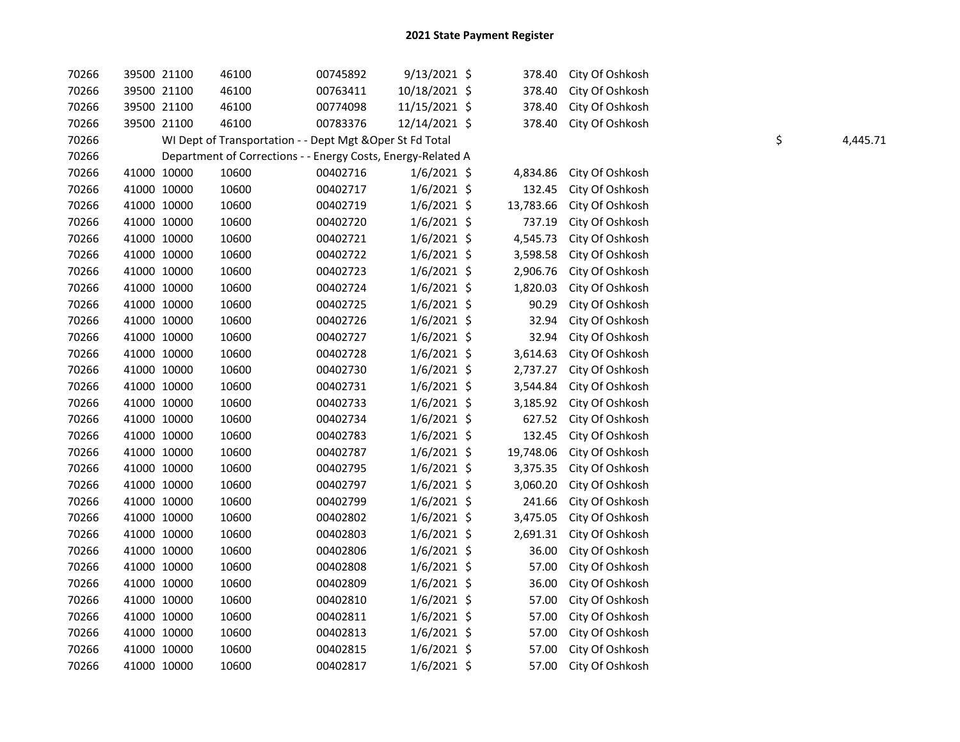| 70266 |             | 39500 21100 | 46100                                                        | 00745892 | 9/13/2021 \$  | 378.40    | City Of Oshkosh |    |          |
|-------|-------------|-------------|--------------------------------------------------------------|----------|---------------|-----------|-----------------|----|----------|
| 70266 |             | 39500 21100 | 46100                                                        | 00763411 | 10/18/2021 \$ | 378.40    | City Of Oshkosh |    |          |
| 70266 |             | 39500 21100 | 46100                                                        | 00774098 | 11/15/2021 \$ | 378.40    | City Of Oshkosh |    |          |
| 70266 |             | 39500 21100 | 46100                                                        | 00783376 | 12/14/2021 \$ | 378.40    | City Of Oshkosh |    |          |
| 70266 |             |             | WI Dept of Transportation - - Dept Mgt & Oper St Fd Total    |          |               |           |                 | \$ | 4,445.71 |
| 70266 |             |             | Department of Corrections - - Energy Costs, Energy-Related A |          |               |           |                 |    |          |
| 70266 |             | 41000 10000 | 10600                                                        | 00402716 | $1/6/2021$ \$ | 4,834.86  | City Of Oshkosh |    |          |
| 70266 |             | 41000 10000 | 10600                                                        | 00402717 | $1/6/2021$ \$ | 132.45    | City Of Oshkosh |    |          |
| 70266 |             | 41000 10000 | 10600                                                        | 00402719 | $1/6/2021$ \$ | 13,783.66 | City Of Oshkosh |    |          |
| 70266 |             | 41000 10000 | 10600                                                        | 00402720 | $1/6/2021$ \$ | 737.19    | City Of Oshkosh |    |          |
| 70266 |             | 41000 10000 | 10600                                                        | 00402721 | $1/6/2021$ \$ | 4,545.73  | City Of Oshkosh |    |          |
| 70266 |             | 41000 10000 | 10600                                                        | 00402722 | $1/6/2021$ \$ | 3,598.58  | City Of Oshkosh |    |          |
| 70266 |             | 41000 10000 | 10600                                                        | 00402723 | $1/6/2021$ \$ | 2,906.76  | City Of Oshkosh |    |          |
| 70266 |             | 41000 10000 | 10600                                                        | 00402724 | $1/6/2021$ \$ | 1,820.03  | City Of Oshkosh |    |          |
| 70266 |             | 41000 10000 | 10600                                                        | 00402725 | $1/6/2021$ \$ | 90.29     | City Of Oshkosh |    |          |
| 70266 |             | 41000 10000 | 10600                                                        | 00402726 | $1/6/2021$ \$ | 32.94     | City Of Oshkosh |    |          |
| 70266 |             | 41000 10000 | 10600                                                        | 00402727 | $1/6/2021$ \$ | 32.94     | City Of Oshkosh |    |          |
| 70266 |             | 41000 10000 | 10600                                                        | 00402728 | $1/6/2021$ \$ | 3,614.63  | City Of Oshkosh |    |          |
| 70266 |             | 41000 10000 | 10600                                                        | 00402730 | $1/6/2021$ \$ | 2,737.27  | City Of Oshkosh |    |          |
| 70266 |             | 41000 10000 | 10600                                                        | 00402731 | $1/6/2021$ \$ | 3,544.84  | City Of Oshkosh |    |          |
| 70266 |             | 41000 10000 | 10600                                                        | 00402733 | $1/6/2021$ \$ | 3,185.92  | City Of Oshkosh |    |          |
| 70266 |             | 41000 10000 | 10600                                                        | 00402734 | $1/6/2021$ \$ | 627.52    | City Of Oshkosh |    |          |
| 70266 |             | 41000 10000 | 10600                                                        | 00402783 | $1/6/2021$ \$ | 132.45    | City Of Oshkosh |    |          |
| 70266 |             | 41000 10000 | 10600                                                        | 00402787 | $1/6/2021$ \$ | 19,748.06 | City Of Oshkosh |    |          |
| 70266 |             | 41000 10000 | 10600                                                        | 00402795 | $1/6/2021$ \$ | 3,375.35  | City Of Oshkosh |    |          |
| 70266 |             | 41000 10000 | 10600                                                        | 00402797 | $1/6/2021$ \$ | 3,060.20  | City Of Oshkosh |    |          |
| 70266 |             | 41000 10000 | 10600                                                        | 00402799 | $1/6/2021$ \$ | 241.66    | City Of Oshkosh |    |          |
| 70266 |             | 41000 10000 | 10600                                                        | 00402802 | $1/6/2021$ \$ | 3,475.05  | City Of Oshkosh |    |          |
| 70266 |             | 41000 10000 | 10600                                                        | 00402803 | $1/6/2021$ \$ | 2,691.31  | City Of Oshkosh |    |          |
| 70266 |             | 41000 10000 | 10600                                                        | 00402806 | $1/6/2021$ \$ | 36.00     | City Of Oshkosh |    |          |
| 70266 |             | 41000 10000 | 10600                                                        | 00402808 | 1/6/2021 \$   | 57.00     | City Of Oshkosh |    |          |
| 70266 |             | 41000 10000 | 10600                                                        | 00402809 | $1/6/2021$ \$ | 36.00     | City Of Oshkosh |    |          |
| 70266 | 41000 10000 |             | 10600                                                        | 00402810 | $1/6/2021$ \$ | 57.00     | City Of Oshkosh |    |          |
| 70266 |             | 41000 10000 | 10600                                                        | 00402811 | 1/6/2021 \$   | 57.00     | City Of Oshkosh |    |          |
| 70266 |             | 41000 10000 | 10600                                                        | 00402813 | 1/6/2021 \$   | 57.00     | City Of Oshkosh |    |          |
| 70266 |             | 41000 10000 | 10600                                                        | 00402815 | $1/6/2021$ \$ | 57.00     | City Of Oshkosh |    |          |
| 70266 |             | 41000 10000 | 10600                                                        | 00402817 | $1/6/2021$ \$ | 57.00     | City Of Oshkosh |    |          |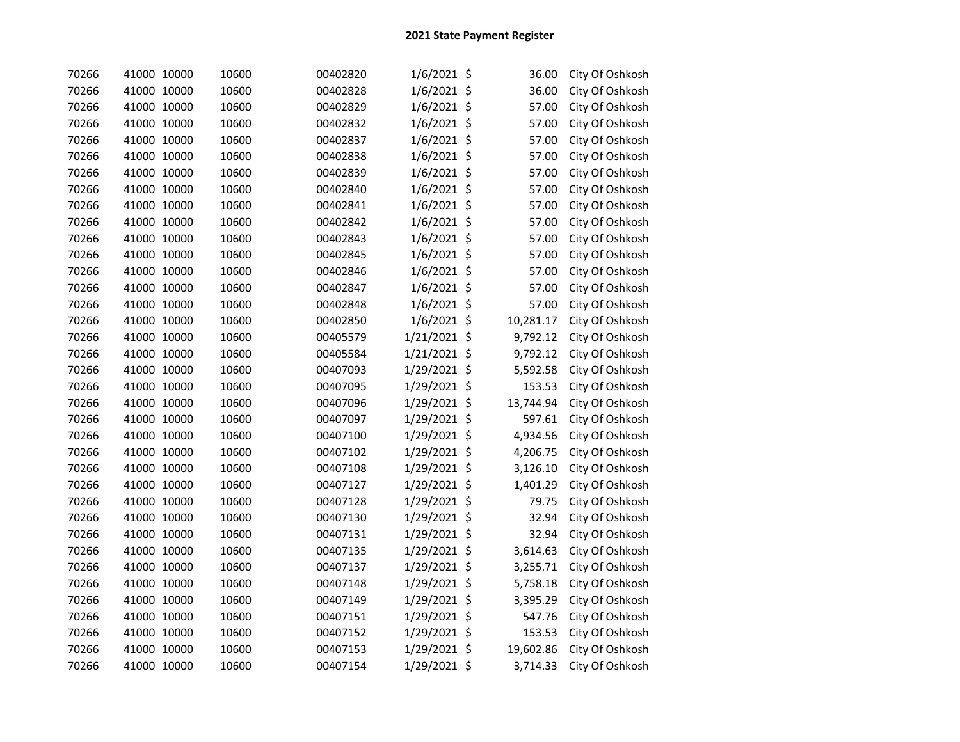| 70266 | 41000 10000 | 10600 | 00402820 | $1/6/2021$ \$ | 36.00     | City Of Oshkosh |
|-------|-------------|-------|----------|---------------|-----------|-----------------|
| 70266 | 41000 10000 | 10600 | 00402828 | $1/6/2021$ \$ | 36.00     | City Of Oshkosh |
| 70266 | 41000 10000 | 10600 | 00402829 | $1/6/2021$ \$ | 57.00     | City Of Oshkosh |
| 70266 | 41000 10000 | 10600 | 00402832 | $1/6/2021$ \$ | 57.00     | City Of Oshkosh |
| 70266 | 41000 10000 | 10600 | 00402837 | 1/6/2021 \$   | 57.00     | City Of Oshkosh |
| 70266 | 41000 10000 | 10600 | 00402838 | $1/6/2021$ \$ | 57.00     | City Of Oshkosh |
| 70266 | 41000 10000 | 10600 | 00402839 | $1/6/2021$ \$ | 57.00     | City Of Oshkosh |
| 70266 | 41000 10000 | 10600 | 00402840 | $1/6/2021$ \$ | 57.00     | City Of Oshkosh |
| 70266 | 41000 10000 | 10600 | 00402841 | 1/6/2021 \$   | 57.00     | City Of Oshkosh |
| 70266 | 41000 10000 | 10600 | 00402842 | $1/6/2021$ \$ | 57.00     | City Of Oshkosh |
| 70266 | 41000 10000 | 10600 | 00402843 | $1/6/2021$ \$ | 57.00     | City Of Oshkosh |
| 70266 | 41000 10000 | 10600 | 00402845 | 1/6/2021 \$   | 57.00     | City Of Oshkosh |
| 70266 | 41000 10000 | 10600 | 00402846 | $1/6/2021$ \$ | 57.00     | City Of Oshkosh |
| 70266 | 41000 10000 | 10600 | 00402847 | $1/6/2021$ \$ | 57.00     | City Of Oshkosh |
| 70266 | 41000 10000 | 10600 | 00402848 | $1/6/2021$ \$ | 57.00     | City Of Oshkosh |
| 70266 | 41000 10000 | 10600 | 00402850 | 1/6/2021 \$   | 10,281.17 | City Of Oshkosh |
| 70266 | 41000 10000 | 10600 | 00405579 | 1/21/2021 \$  | 9,792.12  | City Of Oshkosh |
| 70266 | 41000 10000 | 10600 | 00405584 | 1/21/2021 \$  | 9,792.12  | City Of Oshkosh |
| 70266 | 41000 10000 | 10600 | 00407093 | 1/29/2021 \$  | 5,592.58  | City Of Oshkosh |
| 70266 | 41000 10000 | 10600 | 00407095 | 1/29/2021 \$  | 153.53    | City Of Oshkosh |
| 70266 | 41000 10000 | 10600 | 00407096 | 1/29/2021 \$  | 13,744.94 | City Of Oshkosh |
| 70266 | 41000 10000 | 10600 | 00407097 | 1/29/2021 \$  | 597.61    | City Of Oshkosh |
| 70266 | 41000 10000 | 10600 | 00407100 | 1/29/2021 \$  | 4,934.56  | City Of Oshkosh |
| 70266 | 41000 10000 | 10600 | 00407102 | 1/29/2021 \$  | 4,206.75  | City Of Oshkosh |
| 70266 | 41000 10000 | 10600 | 00407108 | 1/29/2021 \$  | 3,126.10  | City Of Oshkosh |
| 70266 | 41000 10000 | 10600 | 00407127 | 1/29/2021 \$  | 1,401.29  | City Of Oshkosh |
| 70266 | 41000 10000 | 10600 | 00407128 | 1/29/2021 \$  | 79.75     | City Of Oshkosh |
| 70266 | 41000 10000 | 10600 | 00407130 | 1/29/2021 \$  | 32.94     | City Of Oshkosh |
| 70266 | 41000 10000 | 10600 | 00407131 | 1/29/2021 \$  | 32.94     | City Of Oshkosh |
| 70266 | 41000 10000 | 10600 | 00407135 | 1/29/2021 \$  | 3,614.63  | City Of Oshkosh |
| 70266 | 41000 10000 | 10600 | 00407137 | 1/29/2021 \$  | 3,255.71  | City Of Oshkosh |
| 70266 | 41000 10000 | 10600 | 00407148 | 1/29/2021 \$  | 5,758.18  | City Of Oshkosh |
| 70266 | 41000 10000 | 10600 | 00407149 | 1/29/2021 \$  | 3,395.29  | City Of Oshkosh |
| 70266 | 41000 10000 | 10600 | 00407151 | 1/29/2021 \$  | 547.76    | City Of Oshkosh |
| 70266 | 41000 10000 | 10600 | 00407152 | 1/29/2021 \$  | 153.53    | City Of Oshkosh |
| 70266 | 41000 10000 | 10600 | 00407153 | 1/29/2021 \$  | 19,602.86 | City Of Oshkosh |
| 70266 | 41000 10000 | 10600 | 00407154 | 1/29/2021 \$  | 3,714.33  | City Of Oshkosh |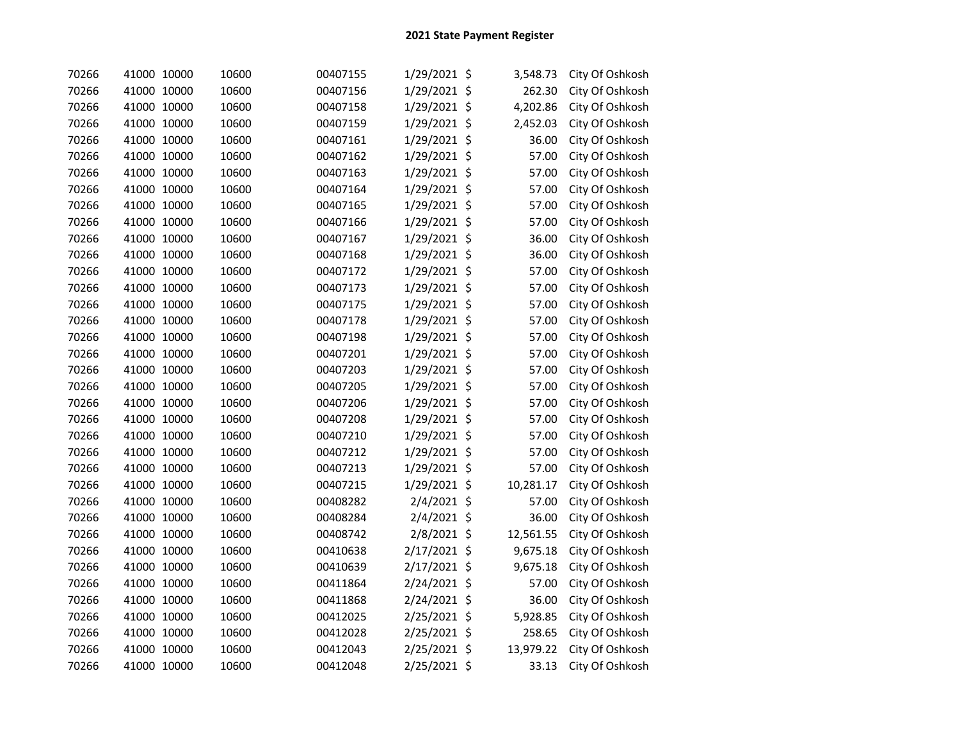| 70266 | 41000 10000 | 10600 | 00407155 | 1/29/2021 \$ | 3,548.73  | City Of Oshkosh |
|-------|-------------|-------|----------|--------------|-----------|-----------------|
| 70266 | 41000 10000 | 10600 | 00407156 | 1/29/2021 \$ | 262.30    | City Of Oshkosh |
| 70266 | 41000 10000 | 10600 | 00407158 | 1/29/2021 \$ | 4,202.86  | City Of Oshkosh |
| 70266 | 41000 10000 | 10600 | 00407159 | 1/29/2021 \$ | 2,452.03  | City Of Oshkosh |
| 70266 | 41000 10000 | 10600 | 00407161 | 1/29/2021 \$ | 36.00     | City Of Oshkosh |
| 70266 | 41000 10000 | 10600 | 00407162 | 1/29/2021 \$ | 57.00     | City Of Oshkosh |
| 70266 | 41000 10000 | 10600 | 00407163 | 1/29/2021 \$ | 57.00     | City Of Oshkosh |
| 70266 | 41000 10000 | 10600 | 00407164 | 1/29/2021 \$ | 57.00     | City Of Oshkosh |
| 70266 | 41000 10000 | 10600 | 00407165 | 1/29/2021 \$ | 57.00     | City Of Oshkosh |
| 70266 | 41000 10000 | 10600 | 00407166 | 1/29/2021 \$ | 57.00     | City Of Oshkosh |
| 70266 | 41000 10000 | 10600 | 00407167 | 1/29/2021 \$ | 36.00     | City Of Oshkosh |
| 70266 | 41000 10000 | 10600 | 00407168 | 1/29/2021 \$ | 36.00     | City Of Oshkosh |
| 70266 | 41000 10000 | 10600 | 00407172 | 1/29/2021 \$ | 57.00     | City Of Oshkosh |
| 70266 | 41000 10000 | 10600 | 00407173 | 1/29/2021 \$ | 57.00     | City Of Oshkosh |
| 70266 | 41000 10000 | 10600 | 00407175 | 1/29/2021 \$ | 57.00     | City Of Oshkosh |
| 70266 | 41000 10000 | 10600 | 00407178 | 1/29/2021 \$ | 57.00     | City Of Oshkosh |
| 70266 | 41000 10000 | 10600 | 00407198 | 1/29/2021 \$ | 57.00     | City Of Oshkosh |
| 70266 | 41000 10000 | 10600 | 00407201 | 1/29/2021 \$ | 57.00     | City Of Oshkosh |
| 70266 | 41000 10000 | 10600 | 00407203 | 1/29/2021 \$ | 57.00     | City Of Oshkosh |
| 70266 | 41000 10000 | 10600 | 00407205 | 1/29/2021 \$ | 57.00     | City Of Oshkosh |
| 70266 | 41000 10000 | 10600 | 00407206 | 1/29/2021 \$ | 57.00     | City Of Oshkosh |
| 70266 | 41000 10000 | 10600 | 00407208 | 1/29/2021 \$ | 57.00     | City Of Oshkosh |
| 70266 | 41000 10000 | 10600 | 00407210 | 1/29/2021 \$ | 57.00     | City Of Oshkosh |
| 70266 | 41000 10000 | 10600 | 00407212 | 1/29/2021 \$ | 57.00     | City Of Oshkosh |
| 70266 | 41000 10000 | 10600 | 00407213 | 1/29/2021 \$ | 57.00     | City Of Oshkosh |
| 70266 | 41000 10000 | 10600 | 00407215 | 1/29/2021 \$ | 10,281.17 | City Of Oshkosh |
| 70266 | 41000 10000 | 10600 | 00408282 | 2/4/2021 \$  | 57.00     | City Of Oshkosh |
| 70266 | 41000 10000 | 10600 | 00408284 | 2/4/2021 \$  | 36.00     | City Of Oshkosh |
| 70266 | 41000 10000 | 10600 | 00408742 | 2/8/2021 \$  | 12,561.55 | City Of Oshkosh |
| 70266 | 41000 10000 | 10600 | 00410638 | 2/17/2021 \$ | 9,675.18  | City Of Oshkosh |
| 70266 | 41000 10000 | 10600 | 00410639 | 2/17/2021 \$ | 9,675.18  | City Of Oshkosh |
| 70266 | 41000 10000 | 10600 | 00411864 | 2/24/2021 \$ | 57.00     | City Of Oshkosh |
| 70266 | 41000 10000 | 10600 | 00411868 | 2/24/2021 \$ | 36.00     | City Of Oshkosh |
| 70266 | 41000 10000 | 10600 | 00412025 | 2/25/2021 \$ | 5,928.85  | City Of Oshkosh |
| 70266 | 41000 10000 | 10600 | 00412028 | 2/25/2021 \$ | 258.65    | City Of Oshkosh |
| 70266 | 41000 10000 | 10600 | 00412043 | 2/25/2021 \$ | 13,979.22 | City Of Oshkosh |
| 70266 | 41000 10000 | 10600 | 00412048 | 2/25/2021 \$ | 33.13     | City Of Oshkosh |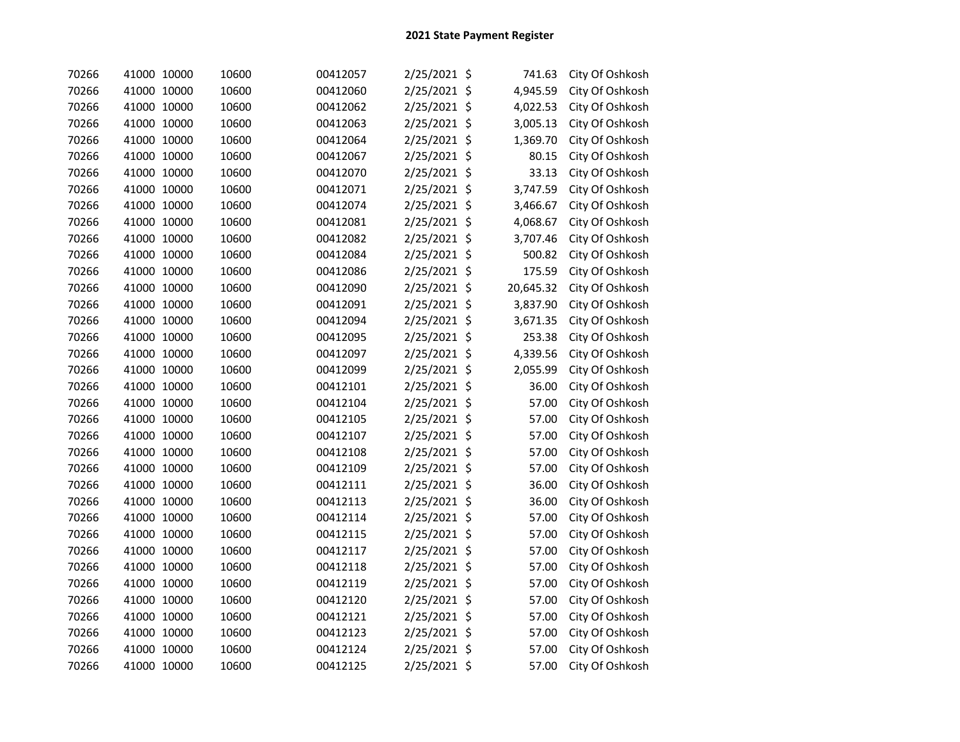| 70266 | 41000 10000 | 10600 | 00412057 | 2/25/2021 \$ | 741.63    | City Of Oshkosh |
|-------|-------------|-------|----------|--------------|-----------|-----------------|
| 70266 | 41000 10000 | 10600 | 00412060 | 2/25/2021 \$ | 4,945.59  | City Of Oshkosh |
| 70266 | 41000 10000 | 10600 | 00412062 | 2/25/2021 \$ | 4,022.53  | City Of Oshkosh |
| 70266 | 41000 10000 | 10600 | 00412063 | 2/25/2021 \$ | 3,005.13  | City Of Oshkosh |
| 70266 | 41000 10000 | 10600 | 00412064 | 2/25/2021 \$ | 1,369.70  | City Of Oshkosh |
| 70266 | 41000 10000 | 10600 | 00412067 | 2/25/2021 \$ | 80.15     | City Of Oshkosh |
| 70266 | 41000 10000 | 10600 | 00412070 | 2/25/2021 \$ | 33.13     | City Of Oshkosh |
| 70266 | 41000 10000 | 10600 | 00412071 | 2/25/2021 \$ | 3,747.59  | City Of Oshkosh |
| 70266 | 41000 10000 | 10600 | 00412074 | 2/25/2021 \$ | 3,466.67  | City Of Oshkosh |
| 70266 | 41000 10000 | 10600 | 00412081 | 2/25/2021 \$ | 4,068.67  | City Of Oshkosh |
| 70266 | 41000 10000 | 10600 | 00412082 | 2/25/2021 \$ | 3,707.46  | City Of Oshkosh |
| 70266 | 41000 10000 | 10600 | 00412084 | 2/25/2021 \$ | 500.82    | City Of Oshkosh |
| 70266 | 41000 10000 | 10600 | 00412086 | 2/25/2021 \$ | 175.59    | City Of Oshkosh |
| 70266 | 41000 10000 | 10600 | 00412090 | 2/25/2021 \$ | 20,645.32 | City Of Oshkosh |
| 70266 | 41000 10000 | 10600 | 00412091 | 2/25/2021 \$ | 3,837.90  | City Of Oshkosh |
| 70266 | 41000 10000 | 10600 | 00412094 | 2/25/2021 \$ | 3,671.35  | City Of Oshkosh |
| 70266 | 41000 10000 | 10600 | 00412095 | 2/25/2021 \$ | 253.38    | City Of Oshkosh |
| 70266 | 41000 10000 | 10600 | 00412097 | 2/25/2021 \$ | 4,339.56  | City Of Oshkosh |
| 70266 | 41000 10000 | 10600 | 00412099 | 2/25/2021 \$ | 2,055.99  | City Of Oshkosh |
| 70266 | 41000 10000 | 10600 | 00412101 | 2/25/2021 \$ | 36.00     | City Of Oshkosh |
| 70266 | 41000 10000 | 10600 | 00412104 | 2/25/2021 \$ | 57.00     | City Of Oshkosh |
| 70266 | 41000 10000 | 10600 | 00412105 | 2/25/2021 \$ | 57.00     | City Of Oshkosh |
| 70266 | 41000 10000 | 10600 | 00412107 | 2/25/2021 \$ | 57.00     | City Of Oshkosh |
| 70266 | 41000 10000 | 10600 | 00412108 | 2/25/2021 \$ | 57.00     | City Of Oshkosh |
| 70266 | 41000 10000 | 10600 | 00412109 | 2/25/2021 \$ | 57.00     | City Of Oshkosh |
| 70266 | 41000 10000 | 10600 | 00412111 | 2/25/2021 \$ | 36.00     | City Of Oshkosh |
| 70266 | 41000 10000 | 10600 | 00412113 | 2/25/2021 \$ | 36.00     | City Of Oshkosh |
| 70266 | 41000 10000 | 10600 | 00412114 | 2/25/2021 \$ | 57.00     | City Of Oshkosh |
| 70266 | 41000 10000 | 10600 | 00412115 | 2/25/2021 \$ | 57.00     | City Of Oshkosh |
| 70266 | 41000 10000 | 10600 | 00412117 | 2/25/2021 \$ | 57.00     | City Of Oshkosh |
| 70266 | 41000 10000 | 10600 | 00412118 | 2/25/2021 \$ | 57.00     | City Of Oshkosh |
| 70266 | 41000 10000 | 10600 | 00412119 | 2/25/2021 \$ | 57.00     | City Of Oshkosh |
| 70266 | 41000 10000 | 10600 | 00412120 | 2/25/2021 \$ | 57.00     | City Of Oshkosh |
| 70266 | 41000 10000 | 10600 | 00412121 | 2/25/2021 \$ | 57.00     | City Of Oshkosh |
| 70266 | 41000 10000 | 10600 | 00412123 | 2/25/2021 \$ | 57.00     | City Of Oshkosh |
| 70266 | 41000 10000 | 10600 | 00412124 | 2/25/2021 \$ | 57.00     | City Of Oshkosh |
| 70266 | 41000 10000 | 10600 | 00412125 | 2/25/2021 \$ | 57.00     | City Of Oshkosh |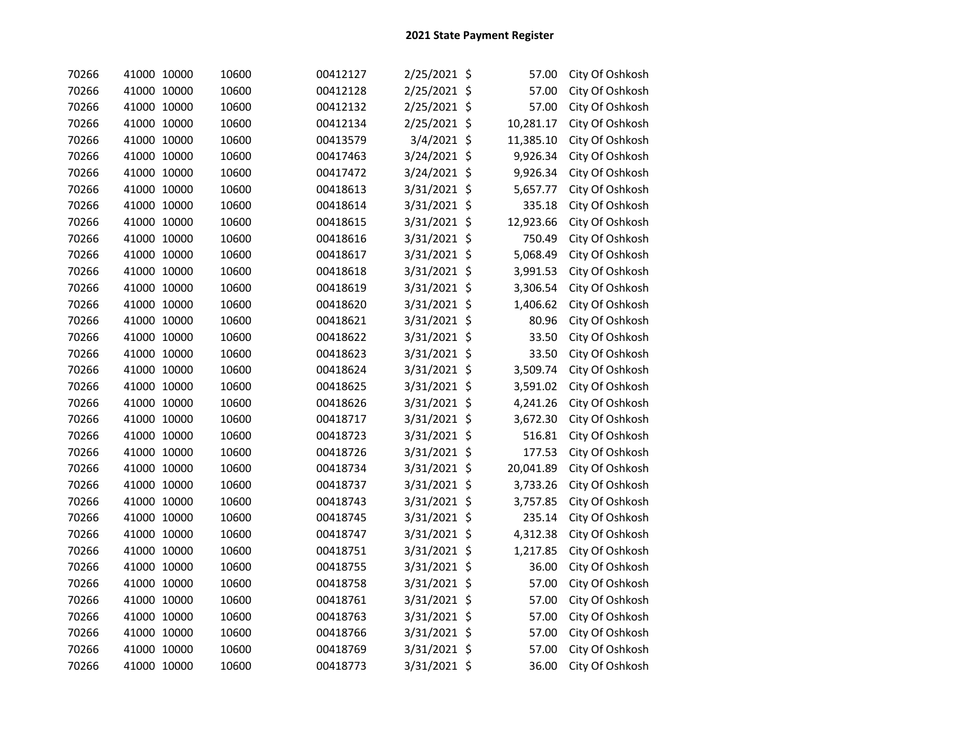| 70266 | 41000 10000 |       | 10600 | 00412127 | 2/25/2021 \$ | 57.00           | City Of Oshkosh |
|-------|-------------|-------|-------|----------|--------------|-----------------|-----------------|
| 70266 | 41000 10000 |       | 10600 | 00412128 | 2/25/2021 \$ | 57.00           | City Of Oshkosh |
| 70266 | 41000 10000 |       | 10600 | 00412132 | 2/25/2021    | \$<br>57.00     | City Of Oshkosh |
| 70266 | 41000 10000 |       | 10600 | 00412134 | 2/25/2021    | \$<br>10,281.17 | City Of Oshkosh |
| 70266 | 41000 10000 |       | 10600 | 00413579 | 3/4/2021     | \$<br>11,385.10 | City Of Oshkosh |
| 70266 | 41000 10000 |       | 10600 | 00417463 | 3/24/2021    | \$<br>9,926.34  | City Of Oshkosh |
| 70266 | 41000 10000 |       | 10600 | 00417472 | 3/24/2021    | \$<br>9,926.34  | City Of Oshkosh |
| 70266 | 41000 10000 |       | 10600 | 00418613 | 3/31/2021    | \$<br>5,657.77  | City Of Oshkosh |
| 70266 | 41000 10000 |       | 10600 | 00418614 | 3/31/2021    | \$<br>335.18    | City Of Oshkosh |
| 70266 | 41000 10000 |       | 10600 | 00418615 | 3/31/2021    | \$<br>12,923.66 | City Of Oshkosh |
| 70266 | 41000 10000 |       | 10600 | 00418616 | 3/31/2021    | \$<br>750.49    | City Of Oshkosh |
| 70266 | 41000 10000 |       | 10600 | 00418617 | 3/31/2021    | \$<br>5,068.49  | City Of Oshkosh |
| 70266 | 41000 10000 |       | 10600 | 00418618 | 3/31/2021    | \$<br>3,991.53  | City Of Oshkosh |
| 70266 | 41000 10000 |       | 10600 | 00418619 | 3/31/2021 \$ | 3,306.54        | City Of Oshkosh |
| 70266 | 41000 10000 |       | 10600 | 00418620 | 3/31/2021 \$ | 1,406.62        | City Of Oshkosh |
| 70266 | 41000 10000 |       | 10600 | 00418621 | 3/31/2021 \$ | 80.96           | City Of Oshkosh |
| 70266 | 41000 10000 |       | 10600 | 00418622 | 3/31/2021 \$ | 33.50           | City Of Oshkosh |
| 70266 | 41000 10000 |       | 10600 | 00418623 | 3/31/2021 \$ | 33.50           | City Of Oshkosh |
| 70266 | 41000 10000 |       | 10600 | 00418624 | 3/31/2021 \$ | 3,509.74        | City Of Oshkosh |
| 70266 | 41000 10000 |       | 10600 | 00418625 | 3/31/2021 \$ | 3,591.02        | City Of Oshkosh |
| 70266 | 41000 10000 |       | 10600 | 00418626 | 3/31/2021 \$ | 4,241.26        | City Of Oshkosh |
| 70266 | 41000 10000 |       | 10600 | 00418717 | 3/31/2021 \$ | 3,672.30        | City Of Oshkosh |
| 70266 | 41000 10000 |       | 10600 | 00418723 | 3/31/2021 \$ | 516.81          | City Of Oshkosh |
| 70266 | 41000 10000 |       | 10600 | 00418726 | 3/31/2021 \$ | 177.53          | City Of Oshkosh |
| 70266 | 41000 10000 |       | 10600 | 00418734 | 3/31/2021 \$ | 20,041.89       | City Of Oshkosh |
| 70266 | 41000       | 10000 | 10600 | 00418737 | 3/31/2021 \$ | 3,733.26        | City Of Oshkosh |
| 70266 | 41000 10000 |       | 10600 | 00418743 | 3/31/2021 \$ | 3,757.85        | City Of Oshkosh |
| 70266 | 41000 10000 |       | 10600 | 00418745 | 3/31/2021    | \$<br>235.14    | City Of Oshkosh |
| 70266 | 41000 10000 |       | 10600 | 00418747 | 3/31/2021    | \$<br>4,312.38  | City Of Oshkosh |
| 70266 | 41000 10000 |       | 10600 | 00418751 | 3/31/2021 \$ | 1,217.85        | City Of Oshkosh |
| 70266 | 41000 10000 |       | 10600 | 00418755 | 3/31/2021 \$ | 36.00           | City Of Oshkosh |
| 70266 | 41000 10000 |       | 10600 | 00418758 | 3/31/2021 \$ | 57.00           | City Of Oshkosh |
| 70266 | 41000 10000 |       | 10600 | 00418761 | 3/31/2021 \$ | 57.00           | City Of Oshkosh |
| 70266 | 41000 10000 |       | 10600 | 00418763 | 3/31/2021 \$ | 57.00           | City Of Oshkosh |
| 70266 | 41000 10000 |       | 10600 | 00418766 | 3/31/2021 \$ | 57.00           | City Of Oshkosh |
| 70266 | 41000 10000 |       | 10600 | 00418769 | 3/31/2021    | \$<br>57.00     | City Of Oshkosh |
| 70266 | 41000 10000 |       | 10600 | 00418773 | 3/31/2021 \$ | 36.00           | City Of Oshkosh |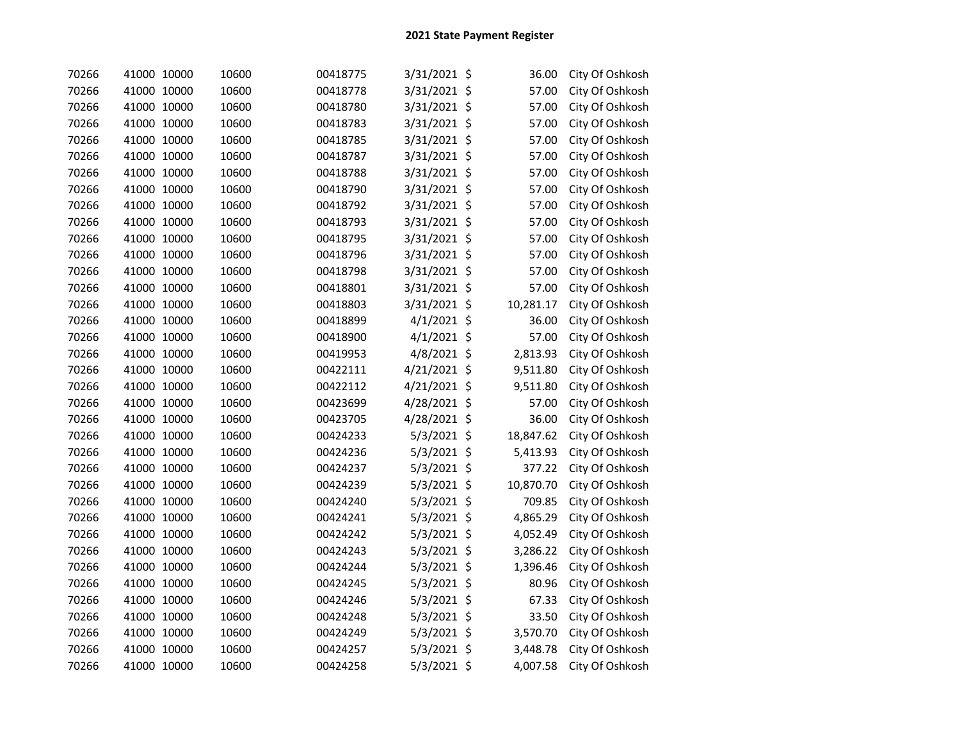| 70266 | 41000 10000 | 10600 | 00418775 | 3/31/2021 \$  | 36.00     | City Of Oshkosh |
|-------|-------------|-------|----------|---------------|-----------|-----------------|
| 70266 | 41000 10000 | 10600 | 00418778 | 3/31/2021 \$  | 57.00     | City Of Oshkosh |
| 70266 | 41000 10000 | 10600 | 00418780 | 3/31/2021 \$  | 57.00     | City Of Oshkosh |
| 70266 | 41000 10000 | 10600 | 00418783 | 3/31/2021 \$  | 57.00     | City Of Oshkosh |
| 70266 | 41000 10000 | 10600 | 00418785 | 3/31/2021 \$  | 57.00     | City Of Oshkosh |
| 70266 | 41000 10000 | 10600 | 00418787 | 3/31/2021 \$  | 57.00     | City Of Oshkosh |
| 70266 | 41000 10000 | 10600 | 00418788 | 3/31/2021 \$  | 57.00     | City Of Oshkosh |
| 70266 | 41000 10000 | 10600 | 00418790 | 3/31/2021 \$  | 57.00     | City Of Oshkosh |
| 70266 | 41000 10000 | 10600 | 00418792 | 3/31/2021 \$  | 57.00     | City Of Oshkosh |
| 70266 | 41000 10000 | 10600 | 00418793 | 3/31/2021 \$  | 57.00     | City Of Oshkosh |
| 70266 | 41000 10000 | 10600 | 00418795 | 3/31/2021 \$  | 57.00     | City Of Oshkosh |
| 70266 | 41000 10000 | 10600 | 00418796 | 3/31/2021 \$  | 57.00     | City Of Oshkosh |
| 70266 | 41000 10000 | 10600 | 00418798 | 3/31/2021 \$  | 57.00     | City Of Oshkosh |
| 70266 | 41000 10000 | 10600 | 00418801 | 3/31/2021 \$  | 57.00     | City Of Oshkosh |
| 70266 | 41000 10000 | 10600 | 00418803 | 3/31/2021 \$  | 10,281.17 | City Of Oshkosh |
| 70266 | 41000 10000 | 10600 | 00418899 | $4/1/2021$ \$ | 36.00     | City Of Oshkosh |
| 70266 | 41000 10000 | 10600 | 00418900 | $4/1/2021$ \$ | 57.00     | City Of Oshkosh |
| 70266 | 41000 10000 | 10600 | 00419953 | $4/8/2021$ \$ | 2,813.93  | City Of Oshkosh |
| 70266 | 41000 10000 | 10600 | 00422111 | 4/21/2021 \$  | 9,511.80  | City Of Oshkosh |
| 70266 | 41000 10000 | 10600 | 00422112 | 4/21/2021 \$  | 9,511.80  | City Of Oshkosh |
| 70266 | 41000 10000 | 10600 | 00423699 | 4/28/2021 \$  | 57.00     | City Of Oshkosh |
| 70266 | 41000 10000 | 10600 | 00423705 | 4/28/2021 \$  | 36.00     | City Of Oshkosh |
| 70266 | 41000 10000 | 10600 | 00424233 | 5/3/2021 \$   | 18,847.62 | City Of Oshkosh |
| 70266 | 41000 10000 | 10600 | 00424236 | 5/3/2021 \$   | 5,413.93  | City Of Oshkosh |
| 70266 | 41000 10000 | 10600 | 00424237 | 5/3/2021 \$   | 377.22    | City Of Oshkosh |
| 70266 | 41000 10000 | 10600 | 00424239 | $5/3/2021$ \$ | 10,870.70 | City Of Oshkosh |
| 70266 | 41000 10000 | 10600 | 00424240 | 5/3/2021 \$   | 709.85    | City Of Oshkosh |
| 70266 | 41000 10000 | 10600 | 00424241 | 5/3/2021 \$   | 4,865.29  | City Of Oshkosh |
| 70266 | 41000 10000 | 10600 | 00424242 | $5/3/2021$ \$ | 4,052.49  | City Of Oshkosh |
| 70266 | 41000 10000 | 10600 | 00424243 | 5/3/2021 \$   | 3,286.22  | City Of Oshkosh |
| 70266 | 41000 10000 | 10600 | 00424244 | 5/3/2021 \$   | 1,396.46  | City Of Oshkosh |
| 70266 | 41000 10000 | 10600 | 00424245 | $5/3/2021$ \$ | 80.96     | City Of Oshkosh |
| 70266 | 41000 10000 | 10600 | 00424246 | $5/3/2021$ \$ | 67.33     | City Of Oshkosh |
| 70266 | 41000 10000 | 10600 | 00424248 | 5/3/2021 \$   | 33.50     | City Of Oshkosh |
| 70266 | 41000 10000 | 10600 | 00424249 | 5/3/2021 \$   | 3,570.70  | City Of Oshkosh |
| 70266 | 41000 10000 | 10600 | 00424257 | 5/3/2021 \$   | 3,448.78  | City Of Oshkosh |
| 70266 | 41000 10000 | 10600 | 00424258 | 5/3/2021 \$   | 4,007.58  | City Of Oshkosh |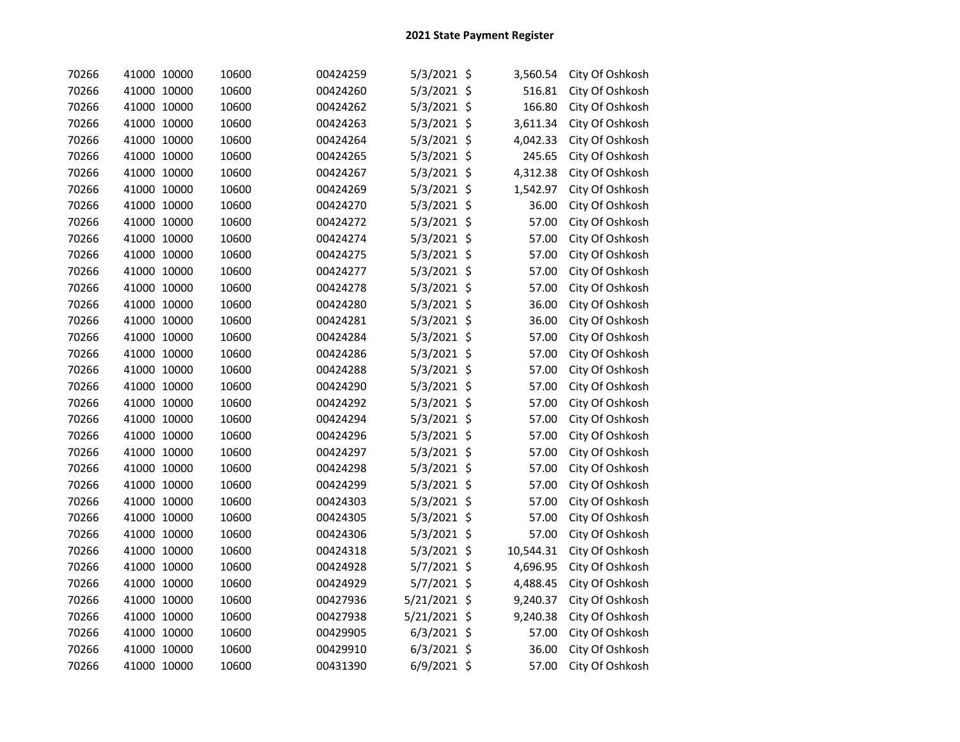| 70266 | 41000 10000 | 10600 | 00424259 | $5/3/2021$ \$ | 3,560.54  | City Of Oshkosh |
|-------|-------------|-------|----------|---------------|-----------|-----------------|
| 70266 | 41000 10000 | 10600 | 00424260 | 5/3/2021 \$   | 516.81    | City Of Oshkosh |
| 70266 | 41000 10000 | 10600 | 00424262 | $5/3/2021$ \$ | 166.80    | City Of Oshkosh |
| 70266 | 41000 10000 | 10600 | 00424263 | 5/3/2021 \$   | 3,611.34  | City Of Oshkosh |
| 70266 | 41000 10000 | 10600 | 00424264 | 5/3/2021 \$   | 4,042.33  | City Of Oshkosh |
| 70266 | 41000 10000 | 10600 | 00424265 | $5/3/2021$ \$ | 245.65    | City Of Oshkosh |
| 70266 | 41000 10000 | 10600 | 00424267 | $5/3/2021$ \$ | 4,312.38  | City Of Oshkosh |
| 70266 | 41000 10000 | 10600 | 00424269 | $5/3/2021$ \$ | 1,542.97  | City Of Oshkosh |
| 70266 | 41000 10000 | 10600 | 00424270 | 5/3/2021 \$   | 36.00     | City Of Oshkosh |
| 70266 | 41000 10000 | 10600 | 00424272 | $5/3/2021$ \$ | 57.00     | City Of Oshkosh |
| 70266 | 41000 10000 | 10600 | 00424274 | $5/3/2021$ \$ | 57.00     | City Of Oshkosh |
| 70266 | 41000 10000 | 10600 | 00424275 | 5/3/2021 \$   | 57.00     | City Of Oshkosh |
| 70266 | 41000 10000 | 10600 | 00424277 | $5/3/2021$ \$ | 57.00     | City Of Oshkosh |
| 70266 | 41000 10000 | 10600 | 00424278 | $5/3/2021$ \$ | 57.00     | City Of Oshkosh |
| 70266 | 41000 10000 | 10600 | 00424280 | $5/3/2021$ \$ | 36.00     | City Of Oshkosh |
| 70266 | 41000 10000 | 10600 | 00424281 | 5/3/2021 \$   | 36.00     | City Of Oshkosh |
| 70266 | 41000 10000 | 10600 | 00424284 | $5/3/2021$ \$ | 57.00     | City Of Oshkosh |
| 70266 | 41000 10000 | 10600 | 00424286 | $5/3/2021$ \$ | 57.00     | City Of Oshkosh |
| 70266 | 41000 10000 | 10600 | 00424288 | 5/3/2021 \$   | 57.00     | City Of Oshkosh |
| 70266 | 41000 10000 | 10600 | 00424290 | 5/3/2021 \$   | 57.00     | City Of Oshkosh |
| 70266 | 41000 10000 | 10600 | 00424292 | $5/3/2021$ \$ | 57.00     | City Of Oshkosh |
| 70266 | 41000 10000 | 10600 | 00424294 | $5/3/2021$ \$ | 57.00     | City Of Oshkosh |
| 70266 | 41000 10000 | 10600 | 00424296 | 5/3/2021 \$   | 57.00     | City Of Oshkosh |
| 70266 | 41000 10000 | 10600 | 00424297 | 5/3/2021 \$   | 57.00     | City Of Oshkosh |
| 70266 | 41000 10000 | 10600 | 00424298 | $5/3/2021$ \$ | 57.00     | City Of Oshkosh |
| 70266 | 41000 10000 | 10600 | 00424299 | $5/3/2021$ \$ | 57.00     | City Of Oshkosh |
| 70266 | 41000 10000 | 10600 | 00424303 | 5/3/2021 \$   | 57.00     | City Of Oshkosh |
| 70266 | 41000 10000 | 10600 | 00424305 | 5/3/2021 \$   | 57.00     | City Of Oshkosh |
| 70266 | 41000 10000 | 10600 | 00424306 | 5/3/2021 \$   | 57.00     | City Of Oshkosh |
| 70266 | 41000 10000 | 10600 | 00424318 | $5/3/2021$ \$ | 10,544.31 | City Of Oshkosh |
| 70266 | 41000 10000 | 10600 | 00424928 | 5/7/2021 \$   | 4,696.95  | City Of Oshkosh |
| 70266 | 41000 10000 | 10600 | 00424929 | 5/7/2021 \$   | 4,488.45  | City Of Oshkosh |
| 70266 | 41000 10000 | 10600 | 00427936 | 5/21/2021 \$  | 9,240.37  | City Of Oshkosh |
| 70266 | 41000 10000 | 10600 | 00427938 | 5/21/2021 \$  | 9,240.38  | City Of Oshkosh |
| 70266 | 41000 10000 | 10600 | 00429905 | $6/3/2021$ \$ | 57.00     | City Of Oshkosh |
| 70266 | 41000 10000 | 10600 | 00429910 | $6/3/2021$ \$ | 36.00     | City Of Oshkosh |
| 70266 | 41000 10000 | 10600 | 00431390 | 6/9/2021 \$   | 57.00     | City Of Oshkosh |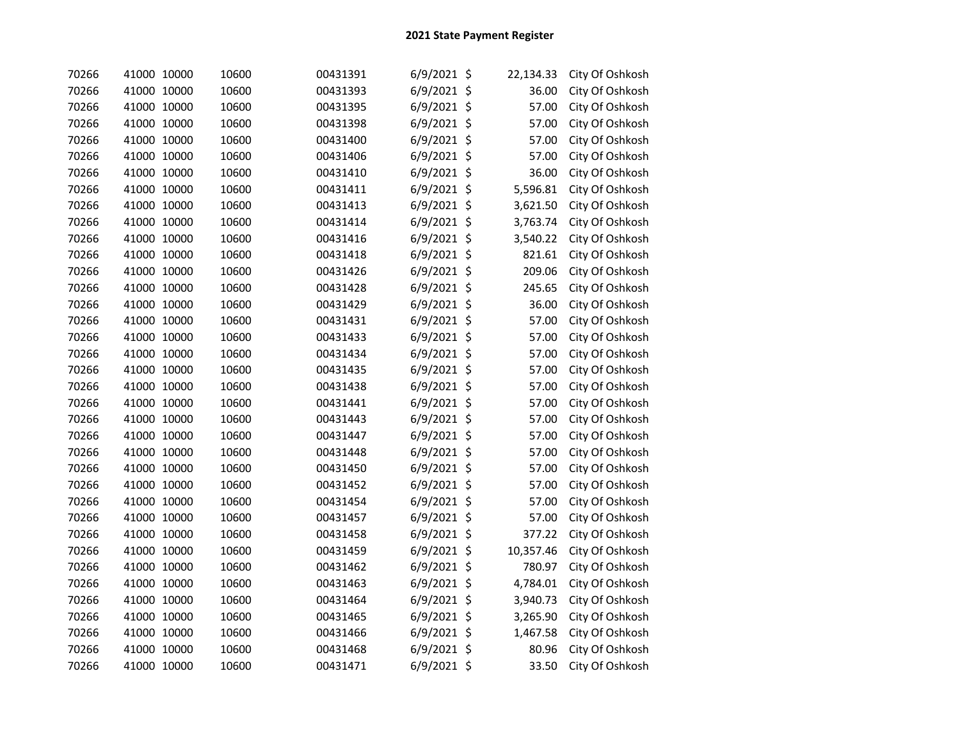| 70266 | 41000 10000 | 10600 | 00431391 | $6/9/2021$ \$ | 22,134.33 | City Of Oshkosh |
|-------|-------------|-------|----------|---------------|-----------|-----------------|
| 70266 | 41000 10000 | 10600 | 00431393 | $6/9/2021$ \$ | 36.00     | City Of Oshkosh |
| 70266 | 41000 10000 | 10600 | 00431395 | $6/9/2021$ \$ | 57.00     | City Of Oshkosh |
| 70266 | 41000 10000 | 10600 | 00431398 | $6/9/2021$ \$ | 57.00     | City Of Oshkosh |
| 70266 | 41000 10000 | 10600 | 00431400 | $6/9/2021$ \$ | 57.00     | City Of Oshkosh |
| 70266 | 41000 10000 | 10600 | 00431406 | $6/9/2021$ \$ | 57.00     | City Of Oshkosh |
| 70266 | 41000 10000 | 10600 | 00431410 | $6/9/2021$ \$ | 36.00     | City Of Oshkosh |
| 70266 | 41000 10000 | 10600 | 00431411 | $6/9/2021$ \$ | 5,596.81  | City Of Oshkosh |
| 70266 | 41000 10000 | 10600 | 00431413 | $6/9/2021$ \$ | 3,621.50  | City Of Oshkosh |
| 70266 | 41000 10000 | 10600 | 00431414 | $6/9/2021$ \$ | 3,763.74  | City Of Oshkosh |
| 70266 | 41000 10000 | 10600 | 00431416 | $6/9/2021$ \$ | 3,540.22  | City Of Oshkosh |
| 70266 | 41000 10000 | 10600 | 00431418 | $6/9/2021$ \$ | 821.61    | City Of Oshkosh |
| 70266 | 41000 10000 | 10600 | 00431426 | $6/9/2021$ \$ | 209.06    | City Of Oshkosh |
| 70266 | 41000 10000 | 10600 | 00431428 | $6/9/2021$ \$ | 245.65    | City Of Oshkosh |
| 70266 | 41000 10000 | 10600 | 00431429 | $6/9/2021$ \$ | 36.00     | City Of Oshkosh |
| 70266 | 41000 10000 | 10600 | 00431431 | $6/9/2021$ \$ | 57.00     | City Of Oshkosh |
| 70266 | 41000 10000 | 10600 | 00431433 | $6/9/2021$ \$ | 57.00     | City Of Oshkosh |
| 70266 | 41000 10000 | 10600 | 00431434 | $6/9/2021$ \$ | 57.00     | City Of Oshkosh |
| 70266 | 41000 10000 | 10600 | 00431435 | $6/9/2021$ \$ | 57.00     | City Of Oshkosh |
| 70266 | 41000 10000 | 10600 | 00431438 | $6/9/2021$ \$ | 57.00     | City Of Oshkosh |
| 70266 | 41000 10000 | 10600 | 00431441 | $6/9/2021$ \$ | 57.00     | City Of Oshkosh |
| 70266 | 41000 10000 | 10600 | 00431443 | $6/9/2021$ \$ | 57.00     | City Of Oshkosh |
| 70266 | 41000 10000 | 10600 | 00431447 | $6/9/2021$ \$ | 57.00     | City Of Oshkosh |
| 70266 | 41000 10000 | 10600 | 00431448 | $6/9/2021$ \$ | 57.00     | City Of Oshkosh |
| 70266 | 41000 10000 | 10600 | 00431450 | $6/9/2021$ \$ | 57.00     | City Of Oshkosh |
| 70266 | 41000 10000 | 10600 | 00431452 | $6/9/2021$ \$ | 57.00     | City Of Oshkosh |
| 70266 | 41000 10000 | 10600 | 00431454 | $6/9/2021$ \$ | 57.00     | City Of Oshkosh |
| 70266 | 41000 10000 | 10600 | 00431457 | 6/9/2021 \$   | 57.00     | City Of Oshkosh |
| 70266 | 41000 10000 | 10600 | 00431458 | $6/9/2021$ \$ | 377.22    | City Of Oshkosh |
| 70266 | 41000 10000 | 10600 | 00431459 | 6/9/2021 \$   | 10,357.46 | City Of Oshkosh |
| 70266 | 41000 10000 | 10600 | 00431462 | 6/9/2021 \$   | 780.97    | City Of Oshkosh |
| 70266 | 41000 10000 | 10600 | 00431463 | $6/9/2021$ \$ | 4,784.01  | City Of Oshkosh |
| 70266 | 41000 10000 | 10600 | 00431464 | $6/9/2021$ \$ | 3,940.73  | City Of Oshkosh |
| 70266 | 41000 10000 | 10600 | 00431465 | $6/9/2021$ \$ | 3,265.90  | City Of Oshkosh |
| 70266 | 41000 10000 | 10600 | 00431466 | 6/9/2021 \$   | 1,467.58  | City Of Oshkosh |
| 70266 | 41000 10000 | 10600 | 00431468 | 6/9/2021 \$   | 80.96     | City Of Oshkosh |
| 70266 | 41000 10000 | 10600 | 00431471 | $6/9/2021$ \$ | 33.50     | City Of Oshkosh |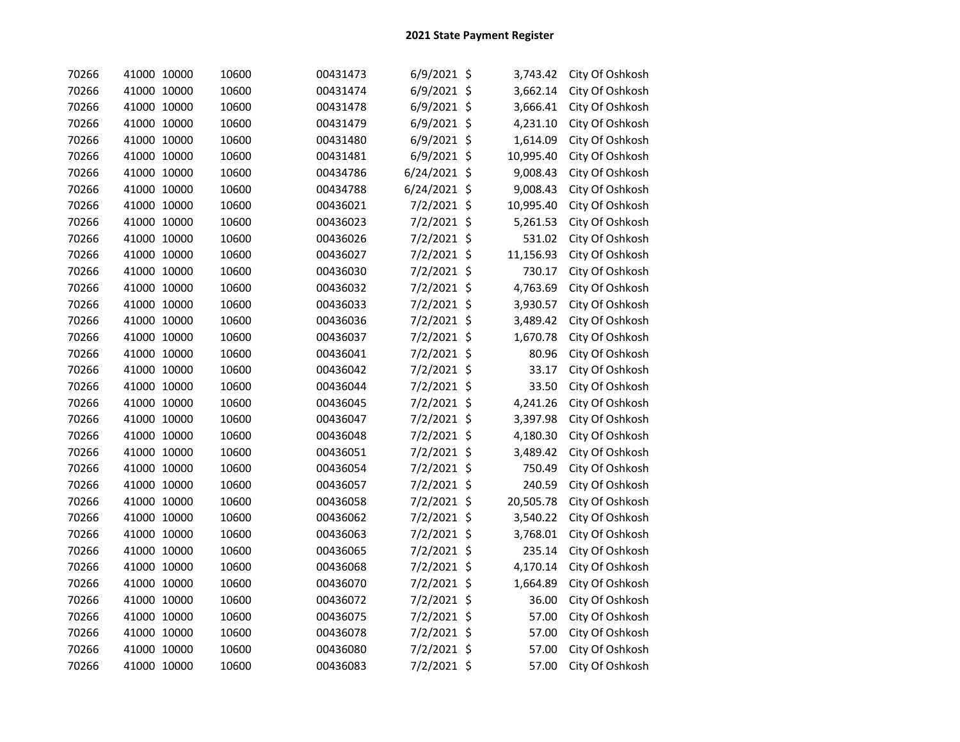| 70266 | 41000 10000 | 10600 | 00431473 | $6/9/2021$ \$  | 3,743.42  | City Of Oshkosh |
|-------|-------------|-------|----------|----------------|-----------|-----------------|
| 70266 | 41000 10000 | 10600 | 00431474 | $6/9/2021$ \$  | 3,662.14  | City Of Oshkosh |
| 70266 | 41000 10000 | 10600 | 00431478 | $6/9/2021$ \$  | 3,666.41  | City Of Oshkosh |
| 70266 | 41000 10000 | 10600 | 00431479 | $6/9/2021$ \$  | 4,231.10  | City Of Oshkosh |
| 70266 | 41000 10000 | 10600 | 00431480 | 6/9/2021 \$    | 1,614.09  | City Of Oshkosh |
| 70266 | 41000 10000 | 10600 | 00431481 | $6/9/2021$ \$  | 10,995.40 | City Of Oshkosh |
| 70266 | 41000 10000 | 10600 | 00434786 | $6/24/2021$ \$ | 9,008.43  | City Of Oshkosh |
| 70266 | 41000 10000 | 10600 | 00434788 | $6/24/2021$ \$ | 9,008.43  | City Of Oshkosh |
| 70266 | 41000 10000 | 10600 | 00436021 | 7/2/2021 \$    | 10,995.40 | City Of Oshkosh |
| 70266 | 41000 10000 | 10600 | 00436023 | 7/2/2021 \$    | 5,261.53  | City Of Oshkosh |
| 70266 | 41000 10000 | 10600 | 00436026 | 7/2/2021 \$    | 531.02    | City Of Oshkosh |
| 70266 | 41000 10000 | 10600 | 00436027 | 7/2/2021 \$    | 11,156.93 | City Of Oshkosh |
| 70266 | 41000 10000 | 10600 | 00436030 | 7/2/2021 \$    | 730.17    | City Of Oshkosh |
| 70266 | 41000 10000 | 10600 | 00436032 | 7/2/2021 \$    | 4,763.69  | City Of Oshkosh |
| 70266 | 41000 10000 | 10600 | 00436033 | 7/2/2021 \$    | 3,930.57  | City Of Oshkosh |
| 70266 | 41000 10000 | 10600 | 00436036 | 7/2/2021 \$    | 3,489.42  | City Of Oshkosh |
| 70266 | 41000 10000 | 10600 | 00436037 | 7/2/2021 \$    | 1,670.78  | City Of Oshkosh |
| 70266 | 41000 10000 | 10600 | 00436041 | 7/2/2021 \$    | 80.96     | City Of Oshkosh |
| 70266 | 41000 10000 | 10600 | 00436042 | 7/2/2021 \$    | 33.17     | City Of Oshkosh |
| 70266 | 41000 10000 | 10600 | 00436044 | 7/2/2021 \$    | 33.50     | City Of Oshkosh |
| 70266 | 41000 10000 | 10600 | 00436045 | 7/2/2021 \$    | 4,241.26  | City Of Oshkosh |
| 70266 | 41000 10000 | 10600 | 00436047 | 7/2/2021 \$    | 3,397.98  | City Of Oshkosh |
| 70266 | 41000 10000 | 10600 | 00436048 | 7/2/2021 \$    | 4,180.30  | City Of Oshkosh |
| 70266 | 41000 10000 | 10600 | 00436051 | 7/2/2021 \$    | 3,489.42  | City Of Oshkosh |
| 70266 | 41000 10000 | 10600 | 00436054 | 7/2/2021 \$    | 750.49    | City Of Oshkosh |
| 70266 | 41000 10000 | 10600 | 00436057 | 7/2/2021 \$    | 240.59    | City Of Oshkosh |
| 70266 | 41000 10000 | 10600 | 00436058 | 7/2/2021 \$    | 20,505.78 | City Of Oshkosh |
| 70266 | 41000 10000 | 10600 | 00436062 | 7/2/2021 \$    | 3,540.22  | City Of Oshkosh |
| 70266 | 41000 10000 | 10600 | 00436063 | 7/2/2021 \$    | 3,768.01  | City Of Oshkosh |
| 70266 | 41000 10000 | 10600 | 00436065 | 7/2/2021 \$    | 235.14    | City Of Oshkosh |
| 70266 | 41000 10000 | 10600 | 00436068 | 7/2/2021 \$    | 4,170.14  | City Of Oshkosh |
| 70266 | 41000 10000 | 10600 | 00436070 | 7/2/2021 \$    | 1,664.89  | City Of Oshkosh |
| 70266 | 41000 10000 | 10600 | 00436072 | 7/2/2021 \$    | 36.00     | City Of Oshkosh |
| 70266 | 41000 10000 | 10600 | 00436075 | 7/2/2021 \$    | 57.00     | City Of Oshkosh |
| 70266 | 41000 10000 | 10600 | 00436078 | 7/2/2021 \$    | 57.00     | City Of Oshkosh |
| 70266 | 41000 10000 | 10600 | 00436080 | 7/2/2021 \$    | 57.00     | City Of Oshkosh |
| 70266 | 41000 10000 | 10600 | 00436083 | 7/2/2021 \$    | 57.00     | City Of Oshkosh |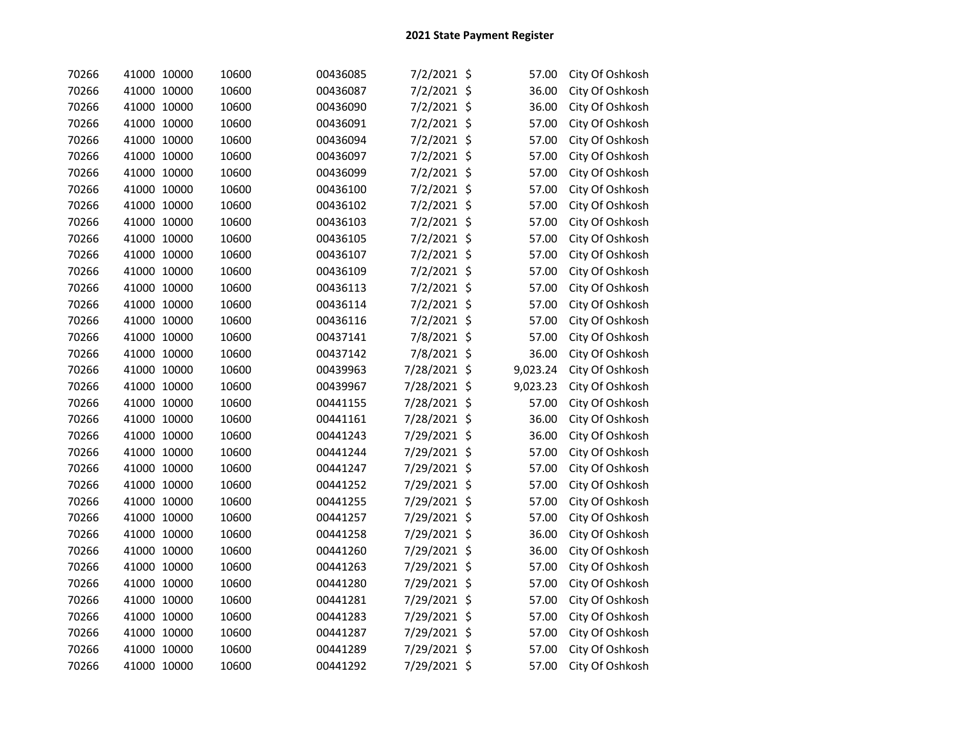| 70266 | 41000 10000 | 10600 | 00436085 | 7/2/2021 \$   | 57.00    | City Of Oshkosh |
|-------|-------------|-------|----------|---------------|----------|-----------------|
| 70266 | 41000 10000 | 10600 | 00436087 | 7/2/2021 \$   | 36.00    | City Of Oshkosh |
| 70266 | 41000 10000 | 10600 | 00436090 | 7/2/2021 \$   | 36.00    | City Of Oshkosh |
| 70266 | 41000 10000 | 10600 | 00436091 | 7/2/2021 \$   | 57.00    | City Of Oshkosh |
| 70266 | 41000 10000 | 10600 | 00436094 | 7/2/2021 \$   | 57.00    | City Of Oshkosh |
| 70266 | 41000 10000 | 10600 | 00436097 | 7/2/2021 \$   | 57.00    | City Of Oshkosh |
| 70266 | 41000 10000 | 10600 | 00436099 | 7/2/2021 \$   | 57.00    | City Of Oshkosh |
| 70266 | 41000 10000 | 10600 | 00436100 | 7/2/2021 \$   | 57.00    | City Of Oshkosh |
| 70266 | 41000 10000 | 10600 | 00436102 | 7/2/2021 \$   | 57.00    | City Of Oshkosh |
| 70266 | 41000 10000 | 10600 | 00436103 | 7/2/2021 \$   | 57.00    | City Of Oshkosh |
| 70266 | 41000 10000 | 10600 | 00436105 | $7/2/2021$ \$ | 57.00    | City Of Oshkosh |
| 70266 | 41000 10000 | 10600 | 00436107 | 7/2/2021 \$   | 57.00    | City Of Oshkosh |
| 70266 | 41000 10000 | 10600 | 00436109 | 7/2/2021 \$   | 57.00    | City Of Oshkosh |
| 70266 | 41000 10000 | 10600 | 00436113 | 7/2/2021 \$   | 57.00    | City Of Oshkosh |
| 70266 | 41000 10000 | 10600 | 00436114 | $7/2/2021$ \$ | 57.00    | City Of Oshkosh |
| 70266 | 41000 10000 | 10600 | 00436116 | 7/2/2021 \$   | 57.00    | City Of Oshkosh |
| 70266 | 41000 10000 | 10600 | 00437141 | 7/8/2021 \$   | 57.00    | City Of Oshkosh |
| 70266 | 41000 10000 | 10600 | 00437142 | 7/8/2021 \$   | 36.00    | City Of Oshkosh |
| 70266 | 41000 10000 | 10600 | 00439963 | 7/28/2021 \$  | 9,023.24 | City Of Oshkosh |
| 70266 | 41000 10000 | 10600 | 00439967 | 7/28/2021 \$  | 9,023.23 | City Of Oshkosh |
| 70266 | 41000 10000 | 10600 | 00441155 | 7/28/2021 \$  | 57.00    | City Of Oshkosh |
| 70266 | 41000 10000 | 10600 | 00441161 | 7/28/2021 \$  | 36.00    | City Of Oshkosh |
| 70266 | 41000 10000 | 10600 | 00441243 | 7/29/2021 \$  | 36.00    | City Of Oshkosh |
| 70266 | 41000 10000 | 10600 | 00441244 | 7/29/2021 \$  | 57.00    | City Of Oshkosh |
| 70266 | 41000 10000 | 10600 | 00441247 | 7/29/2021 \$  | 57.00    | City Of Oshkosh |
| 70266 | 41000 10000 | 10600 | 00441252 | 7/29/2021 \$  | 57.00    | City Of Oshkosh |
| 70266 | 41000 10000 | 10600 | 00441255 | 7/29/2021 \$  | 57.00    | City Of Oshkosh |
| 70266 | 41000 10000 | 10600 | 00441257 | 7/29/2021 \$  | 57.00    | City Of Oshkosh |
| 70266 | 41000 10000 | 10600 | 00441258 | 7/29/2021 \$  | 36.00    | City Of Oshkosh |
| 70266 | 41000 10000 | 10600 | 00441260 | 7/29/2021 \$  | 36.00    | City Of Oshkosh |
| 70266 | 41000 10000 | 10600 | 00441263 | 7/29/2021 \$  | 57.00    | City Of Oshkosh |
| 70266 | 41000 10000 | 10600 | 00441280 | 7/29/2021 \$  | 57.00    | City Of Oshkosh |
| 70266 | 41000 10000 | 10600 | 00441281 | 7/29/2021 \$  | 57.00    | City Of Oshkosh |
| 70266 | 41000 10000 | 10600 | 00441283 | 7/29/2021 \$  | 57.00    | City Of Oshkosh |
| 70266 | 41000 10000 | 10600 | 00441287 | 7/29/2021 \$  | 57.00    | City Of Oshkosh |
| 70266 | 41000 10000 | 10600 | 00441289 | 7/29/2021 \$  | 57.00    | City Of Oshkosh |
| 70266 | 41000 10000 | 10600 | 00441292 | 7/29/2021 \$  | 57.00    | City Of Oshkosh |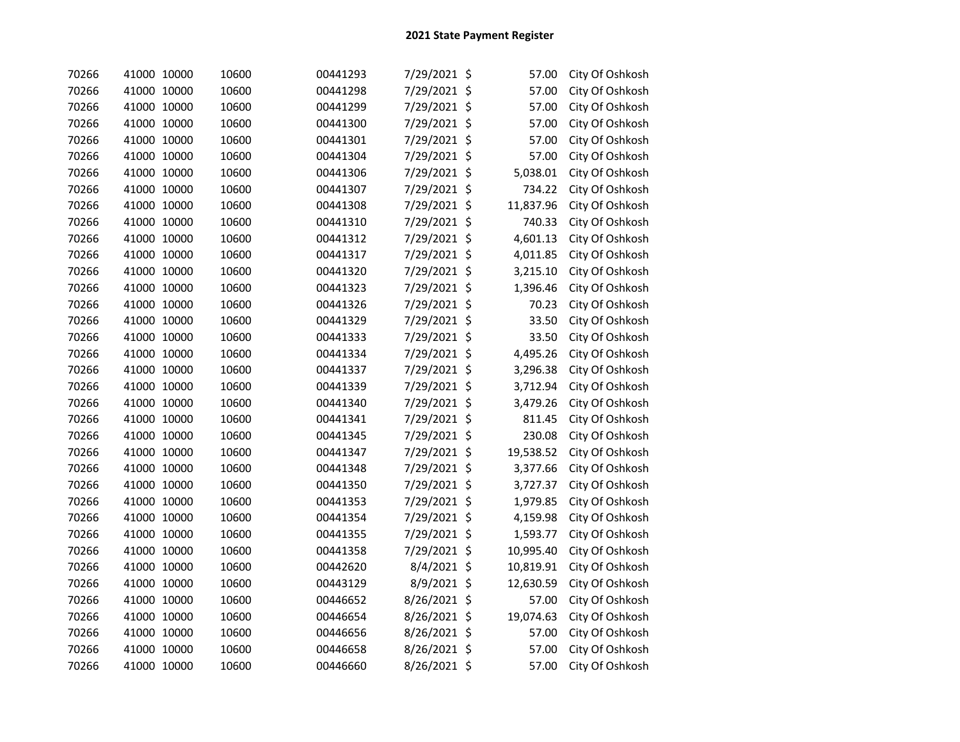| 70266 | 41000 10000 | 10600 | 00441293 | 7/29/2021 \$ |         | 57.00     | City Of Oshkosh |
|-------|-------------|-------|----------|--------------|---------|-----------|-----------------|
| 70266 | 41000 10000 | 10600 | 00441298 | 7/29/2021 \$ |         | 57.00     | City Of Oshkosh |
| 70266 | 41000 10000 | 10600 | 00441299 | 7/29/2021 \$ |         | 57.00     | City Of Oshkosh |
| 70266 | 41000 10000 | 10600 | 00441300 | 7/29/2021 \$ |         | 57.00     | City Of Oshkosh |
| 70266 | 41000 10000 | 10600 | 00441301 | 7/29/2021 \$ |         | 57.00     | City Of Oshkosh |
| 70266 | 41000 10000 | 10600 | 00441304 | 7/29/2021    | $\zeta$ | 57.00     | City Of Oshkosh |
| 70266 | 41000 10000 | 10600 | 00441306 | 7/29/2021    | \$      | 5,038.01  | City Of Oshkosh |
| 70266 | 41000 10000 | 10600 | 00441307 | 7/29/2021    | \$      | 734.22    | City Of Oshkosh |
| 70266 | 41000 10000 | 10600 | 00441308 | 7/29/2021    | \$      | 11,837.96 | City Of Oshkosh |
| 70266 | 41000 10000 | 10600 | 00441310 | 7/29/2021    | $\zeta$ | 740.33    | City Of Oshkosh |
| 70266 | 41000 10000 | 10600 | 00441312 | 7/29/2021    | \$      | 4,601.13  | City Of Oshkosh |
| 70266 | 41000 10000 | 10600 | 00441317 | 7/29/2021 \$ |         | 4,011.85  | City Of Oshkosh |
| 70266 | 41000 10000 | 10600 | 00441320 | 7/29/2021 \$ |         | 3,215.10  | City Of Oshkosh |
| 70266 | 41000 10000 | 10600 | 00441323 | 7/29/2021 \$ |         | 1,396.46  | City Of Oshkosh |
| 70266 | 41000 10000 | 10600 | 00441326 | 7/29/2021 \$ |         | 70.23     | City Of Oshkosh |
| 70266 | 41000 10000 | 10600 | 00441329 | 7/29/2021 \$ |         | 33.50     | City Of Oshkosh |
| 70266 | 41000 10000 | 10600 | 00441333 | 7/29/2021 \$ |         | 33.50     | City Of Oshkosh |
| 70266 | 41000 10000 | 10600 | 00441334 | 7/29/2021 \$ |         | 4,495.26  | City Of Oshkosh |
| 70266 | 41000 10000 | 10600 | 00441337 | 7/29/2021 \$ |         | 3,296.38  | City Of Oshkosh |
| 70266 | 41000 10000 | 10600 | 00441339 | 7/29/2021 \$ |         | 3,712.94  | City Of Oshkosh |
| 70266 | 41000 10000 | 10600 | 00441340 | 7/29/2021 \$ |         | 3,479.26  | City Of Oshkosh |
| 70266 | 41000 10000 | 10600 | 00441341 | 7/29/2021 \$ |         | 811.45    | City Of Oshkosh |
| 70266 | 41000 10000 | 10600 | 00441345 | 7/29/2021 \$ |         | 230.08    | City Of Oshkosh |
| 70266 | 41000 10000 | 10600 | 00441347 | 7/29/2021 \$ |         | 19,538.52 | City Of Oshkosh |
| 70266 | 41000 10000 | 10600 | 00441348 | 7/29/2021 \$ |         | 3,377.66  | City Of Oshkosh |
| 70266 | 41000 10000 | 10600 | 00441350 | 7/29/2021 \$ |         | 3,727.37  | City Of Oshkosh |
| 70266 | 41000 10000 | 10600 | 00441353 | 7/29/2021 \$ |         | 1,979.85  | City Of Oshkosh |
| 70266 | 41000 10000 | 10600 | 00441354 | 7/29/2021    | \$      | 4,159.98  | City Of Oshkosh |
| 70266 | 41000 10000 | 10600 | 00441355 | 7/29/2021    | \$      | 1,593.77  | City Of Oshkosh |
| 70266 | 41000 10000 | 10600 | 00441358 | 7/29/2021 \$ |         | 10,995.40 | City Of Oshkosh |
| 70266 | 41000 10000 | 10600 | 00442620 | 8/4/2021 \$  |         | 10,819.91 | City Of Oshkosh |
| 70266 | 41000 10000 | 10600 | 00443129 | 8/9/2021 \$  |         | 12,630.59 | City Of Oshkosh |
| 70266 | 41000 10000 | 10600 | 00446652 | 8/26/2021 \$ |         | 57.00     | City Of Oshkosh |
| 70266 | 41000 10000 | 10600 | 00446654 | 8/26/2021 \$ |         | 19,074.63 | City Of Oshkosh |
| 70266 | 41000 10000 | 10600 | 00446656 | 8/26/2021 \$ |         | 57.00     | City Of Oshkosh |
| 70266 | 41000 10000 | 10600 | 00446658 | 8/26/2021 \$ |         | 57.00     | City Of Oshkosh |
| 70266 | 41000 10000 | 10600 | 00446660 | 8/26/2021 \$ |         | 57.00     | City Of Oshkosh |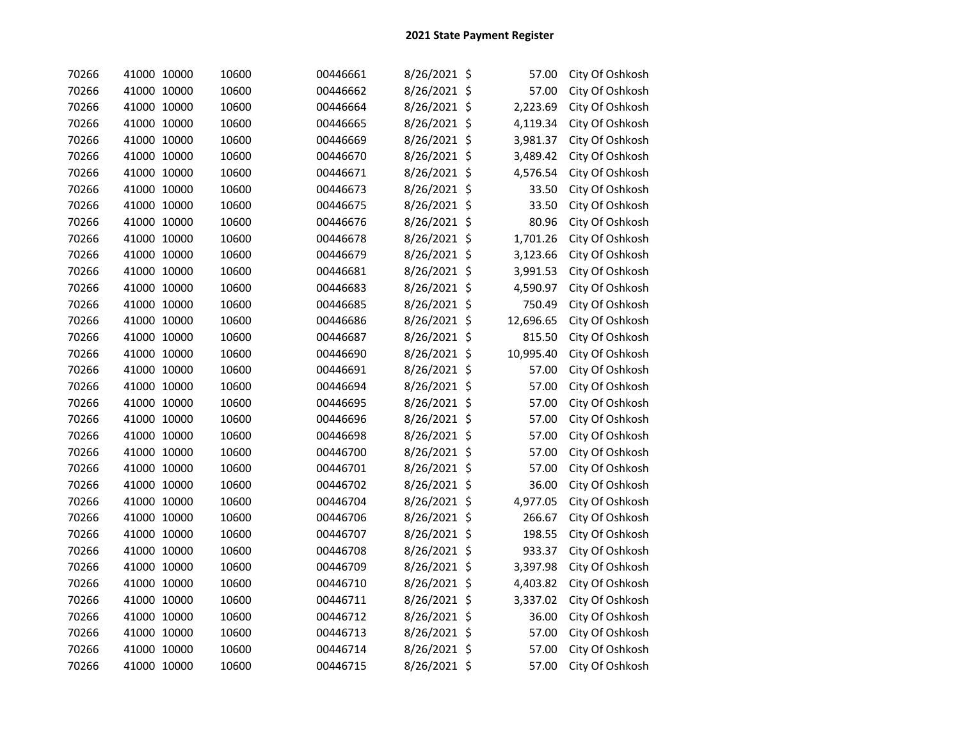| 70266 | 41000 10000 |       | 10600 | 00446661 | 8/26/2021 \$ | 57.00     | City Of Oshkosh |
|-------|-------------|-------|-------|----------|--------------|-----------|-----------------|
| 70266 | 41000 10000 |       | 10600 | 00446662 | 8/26/2021 \$ | 57.00     | City Of Oshkosh |
| 70266 | 41000 10000 |       | 10600 | 00446664 | 8/26/2021 \$ | 2,223.69  | City Of Oshkosh |
| 70266 | 41000 10000 |       | 10600 | 00446665 | 8/26/2021 \$ | 4,119.34  | City Of Oshkosh |
| 70266 | 41000 10000 |       | 10600 | 00446669 | 8/26/2021 \$ | 3,981.37  | City Of Oshkosh |
| 70266 | 41000 10000 |       | 10600 | 00446670 | 8/26/2021 \$ | 3,489.42  | City Of Oshkosh |
| 70266 | 41000 10000 |       | 10600 | 00446671 | 8/26/2021 \$ | 4,576.54  | City Of Oshkosh |
| 70266 | 41000 10000 |       | 10600 | 00446673 | 8/26/2021 \$ | 33.50     | City Of Oshkosh |
| 70266 | 41000 10000 |       | 10600 | 00446675 | 8/26/2021 \$ | 33.50     | City Of Oshkosh |
| 70266 | 41000 10000 |       | 10600 | 00446676 | 8/26/2021 \$ | 80.96     | City Of Oshkosh |
| 70266 | 41000 10000 |       | 10600 | 00446678 | 8/26/2021 \$ | 1,701.26  | City Of Oshkosh |
| 70266 | 41000 10000 |       | 10600 | 00446679 | 8/26/2021 \$ | 3,123.66  | City Of Oshkosh |
| 70266 | 41000 10000 |       | 10600 | 00446681 | 8/26/2021 \$ | 3,991.53  | City Of Oshkosh |
| 70266 | 41000 10000 |       | 10600 | 00446683 | 8/26/2021 \$ | 4,590.97  | City Of Oshkosh |
| 70266 | 41000 10000 |       | 10600 | 00446685 | 8/26/2021 \$ | 750.49    | City Of Oshkosh |
| 70266 | 41000 10000 |       | 10600 | 00446686 | 8/26/2021 \$ | 12,696.65 | City Of Oshkosh |
| 70266 | 41000 10000 |       | 10600 | 00446687 | 8/26/2021 \$ | 815.50    | City Of Oshkosh |
| 70266 | 41000 10000 |       | 10600 | 00446690 | 8/26/2021 \$ | 10,995.40 | City Of Oshkosh |
| 70266 | 41000 10000 |       | 10600 | 00446691 | 8/26/2021 \$ | 57.00     | City Of Oshkosh |
| 70266 | 41000 10000 |       | 10600 | 00446694 | 8/26/2021 \$ | 57.00     | City Of Oshkosh |
| 70266 | 41000 10000 |       | 10600 | 00446695 | 8/26/2021 \$ | 57.00     | City Of Oshkosh |
| 70266 | 41000 10000 |       | 10600 | 00446696 | 8/26/2021 \$ | 57.00     | City Of Oshkosh |
| 70266 | 41000 10000 |       | 10600 | 00446698 | 8/26/2021 \$ | 57.00     | City Of Oshkosh |
| 70266 | 41000 10000 |       | 10600 | 00446700 | 8/26/2021 \$ | 57.00     | City Of Oshkosh |
| 70266 | 41000 10000 |       | 10600 | 00446701 | 8/26/2021 \$ | 57.00     | City Of Oshkosh |
| 70266 | 41000       | 10000 | 10600 | 00446702 | 8/26/2021 \$ | 36.00     | City Of Oshkosh |
| 70266 | 41000 10000 |       | 10600 | 00446704 | 8/26/2021 \$ | 4,977.05  | City Of Oshkosh |
| 70266 | 41000 10000 |       | 10600 | 00446706 | 8/26/2021 \$ | 266.67    | City Of Oshkosh |
| 70266 | 41000 10000 |       | 10600 | 00446707 | 8/26/2021 \$ | 198.55    | City Of Oshkosh |
| 70266 | 41000 10000 |       | 10600 | 00446708 | 8/26/2021 \$ | 933.37    | City Of Oshkosh |
| 70266 | 41000 10000 |       | 10600 | 00446709 | 8/26/2021 \$ | 3,397.98  | City Of Oshkosh |
| 70266 | 41000 10000 |       | 10600 | 00446710 | 8/26/2021 \$ | 4,403.82  | City Of Oshkosh |
| 70266 | 41000 10000 |       | 10600 | 00446711 | 8/26/2021 \$ | 3,337.02  | City Of Oshkosh |
| 70266 | 41000 10000 |       | 10600 | 00446712 | 8/26/2021 \$ | 36.00     | City Of Oshkosh |
| 70266 | 41000 10000 |       | 10600 | 00446713 | 8/26/2021 \$ | 57.00     | City Of Oshkosh |
| 70266 | 41000 10000 |       | 10600 | 00446714 | 8/26/2021 \$ | 57.00     | City Of Oshkosh |
| 70266 | 41000 10000 |       | 10600 | 00446715 | 8/26/2021 \$ | 57.00     | City Of Oshkosh |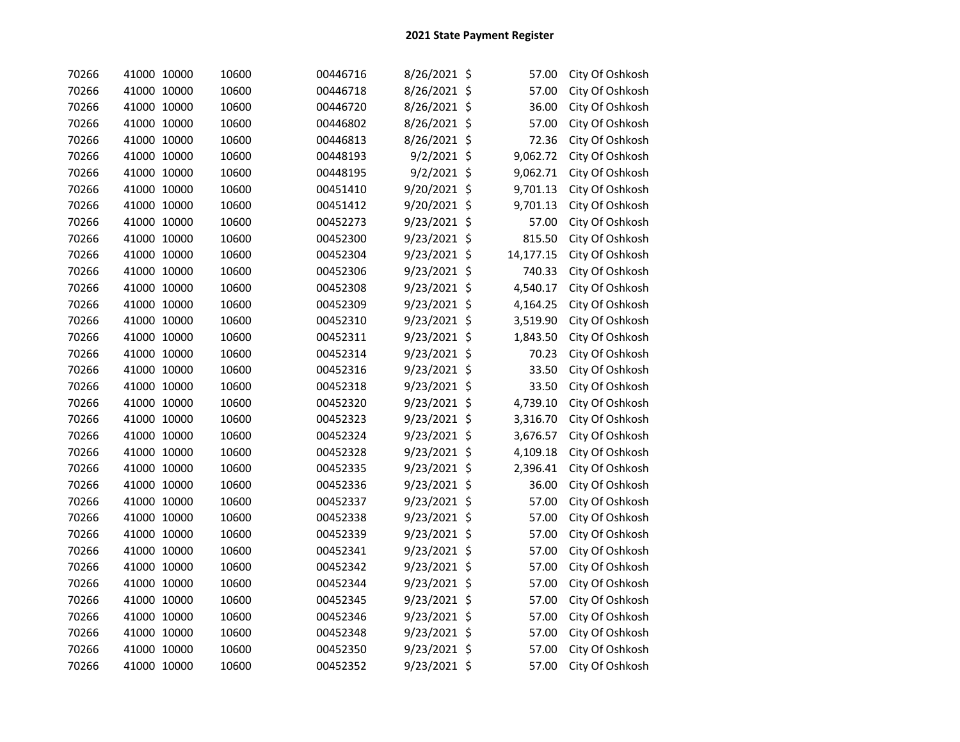| 70266 | 41000 10000 | 10600 | 00446716 | 8/26/2021 \$   | 57.00          | City Of Oshkosh |
|-------|-------------|-------|----------|----------------|----------------|-----------------|
| 70266 | 41000 10000 | 10600 | 00446718 | 8/26/2021 \$   | 57.00          | City Of Oshkosh |
| 70266 | 41000 10000 | 10600 | 00446720 | 8/26/2021      | \$<br>36.00    | City Of Oshkosh |
| 70266 | 41000 10000 | 10600 | 00446802 | 8/26/2021 \$   | 57.00          | City Of Oshkosh |
| 70266 | 41000 10000 | 10600 | 00446813 | 8/26/2021      | \$<br>72.36    | City Of Oshkosh |
| 70266 | 41000 10000 | 10600 | 00448193 | 9/2/2021       | \$<br>9,062.72 | City Of Oshkosh |
| 70266 | 41000 10000 | 10600 | 00448195 | 9/2/2021       | \$<br>9,062.71 | City Of Oshkosh |
| 70266 | 41000 10000 | 10600 | 00451410 | 9/20/2021      | \$<br>9,701.13 | City Of Oshkosh |
| 70266 | 41000 10000 | 10600 | 00451412 | 9/20/2021      | \$<br>9,701.13 | City Of Oshkosh |
| 70266 | 41000 10000 | 10600 | 00452273 | 9/23/2021      | \$<br>57.00    | City Of Oshkosh |
| 70266 | 41000 10000 | 10600 | 00452300 | $9/23/2021$ \$ | 815.50         | City Of Oshkosh |
| 70266 | 41000 10000 | 10600 | 00452304 | 9/23/2021 \$   | 14,177.15      | City Of Oshkosh |
| 70266 | 41000 10000 | 10600 | 00452306 | 9/23/2021 \$   | 740.33         | City Of Oshkosh |
| 70266 | 41000 10000 | 10600 | 00452308 | 9/23/2021 \$   | 4,540.17       | City Of Oshkosh |
| 70266 | 41000 10000 | 10600 | 00452309 | 9/23/2021 \$   | 4,164.25       | City Of Oshkosh |
| 70266 | 41000 10000 | 10600 | 00452310 | 9/23/2021 \$   | 3,519.90       | City Of Oshkosh |
| 70266 | 41000 10000 | 10600 | 00452311 | 9/23/2021 \$   | 1,843.50       | City Of Oshkosh |
| 70266 | 41000 10000 | 10600 | 00452314 | 9/23/2021 \$   | 70.23          | City Of Oshkosh |
| 70266 | 41000 10000 | 10600 | 00452316 | 9/23/2021 \$   | 33.50          | City Of Oshkosh |
| 70266 | 41000 10000 | 10600 | 00452318 | 9/23/2021 \$   | 33.50          | City Of Oshkosh |
| 70266 | 41000 10000 | 10600 | 00452320 | 9/23/2021 \$   | 4,739.10       | City Of Oshkosh |
| 70266 | 41000 10000 | 10600 | 00452323 | $9/23/2021$ \$ | 3,316.70       | City Of Oshkosh |
| 70266 | 41000 10000 | 10600 | 00452324 | 9/23/2021 \$   | 3,676.57       | City Of Oshkosh |
| 70266 | 41000 10000 | 10600 | 00452328 | 9/23/2021 \$   | 4,109.18       | City Of Oshkosh |
| 70266 | 41000 10000 | 10600 | 00452335 | 9/23/2021 \$   | 2,396.41       | City Of Oshkosh |
| 70266 | 41000 10000 | 10600 | 00452336 | 9/23/2021 \$   | 36.00          | City Of Oshkosh |
| 70266 | 41000 10000 | 10600 | 00452337 | 9/23/2021 \$   | 57.00          | City Of Oshkosh |
| 70266 | 41000 10000 | 10600 | 00452338 | 9/23/2021      | \$<br>57.00    | City Of Oshkosh |
| 70266 | 41000 10000 | 10600 | 00452339 | 9/23/2021 \$   | 57.00          | City Of Oshkosh |
| 70266 | 41000 10000 | 10600 | 00452341 | 9/23/2021 \$   | 57.00          | City Of Oshkosh |
| 70266 | 41000 10000 | 10600 | 00452342 | 9/23/2021 \$   | 57.00          | City Of Oshkosh |
| 70266 | 41000 10000 | 10600 | 00452344 | 9/23/2021 \$   | 57.00          | City Of Oshkosh |
| 70266 | 41000 10000 | 10600 | 00452345 | 9/23/2021 \$   | 57.00          | City Of Oshkosh |
| 70266 | 41000 10000 | 10600 | 00452346 | 9/23/2021 \$   | 57.00          | City Of Oshkosh |
| 70266 | 41000 10000 | 10600 | 00452348 | 9/23/2021      | \$<br>57.00    | City Of Oshkosh |
| 70266 | 41000 10000 | 10600 | 00452350 | 9/23/2021      | \$<br>57.00    | City Of Oshkosh |
| 70266 | 41000 10000 | 10600 | 00452352 | $9/23/2021$ \$ | 57.00          | City Of Oshkosh |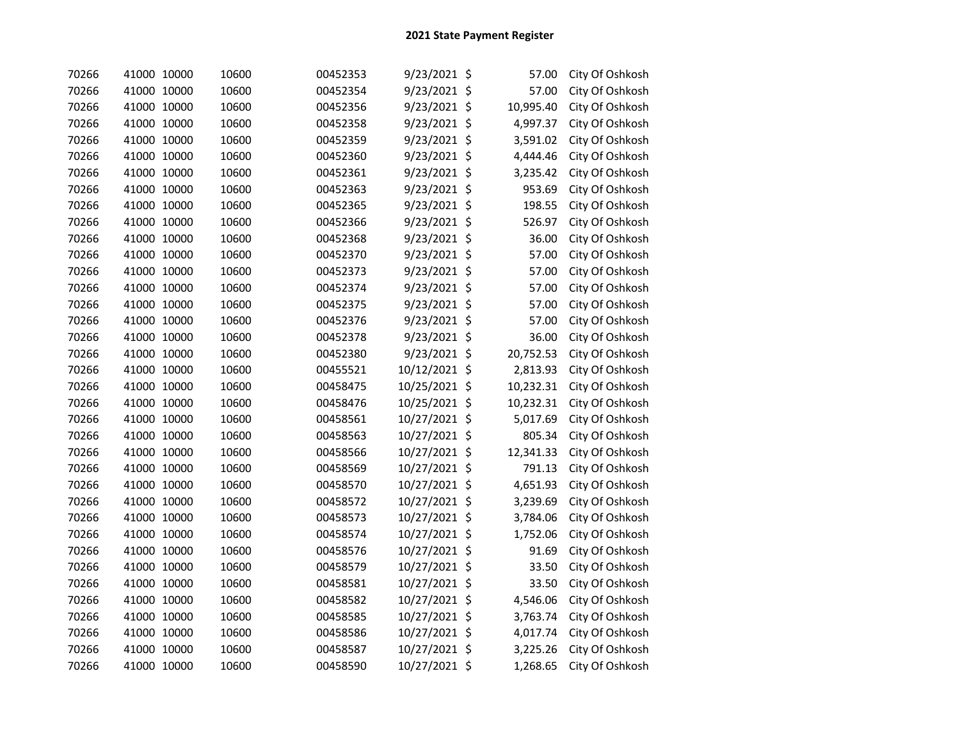| 70266 | 41000 10000 | 10600 | 00452353 | 9/23/2021 \$   | 57.00     | City Of Oshkosh |
|-------|-------------|-------|----------|----------------|-----------|-----------------|
| 70266 | 41000 10000 | 10600 | 00452354 | 9/23/2021 \$   | 57.00     | City Of Oshkosh |
| 70266 | 41000 10000 | 10600 | 00452356 | 9/23/2021 \$   | 10,995.40 | City Of Oshkosh |
| 70266 | 41000 10000 | 10600 | 00452358 | 9/23/2021 \$   | 4,997.37  | City Of Oshkosh |
| 70266 | 41000 10000 | 10600 | 00452359 | 9/23/2021 \$   | 3,591.02  | City Of Oshkosh |
| 70266 | 41000 10000 | 10600 | 00452360 | 9/23/2021 \$   | 4,444.46  | City Of Oshkosh |
| 70266 | 41000 10000 | 10600 | 00452361 | 9/23/2021 \$   | 3,235.42  | City Of Oshkosh |
| 70266 | 41000 10000 | 10600 | 00452363 | 9/23/2021 \$   | 953.69    | City Of Oshkosh |
| 70266 | 41000 10000 | 10600 | 00452365 | 9/23/2021 \$   | 198.55    | City Of Oshkosh |
| 70266 | 41000 10000 | 10600 | 00452366 | $9/23/2021$ \$ | 526.97    | City Of Oshkosh |
| 70266 | 41000 10000 | 10600 | 00452368 | $9/23/2021$ \$ | 36.00     | City Of Oshkosh |
| 70266 | 41000 10000 | 10600 | 00452370 | 9/23/2021 \$   | 57.00     | City Of Oshkosh |
| 70266 | 41000 10000 | 10600 | 00452373 | 9/23/2021 \$   | 57.00     | City Of Oshkosh |
| 70266 | 41000 10000 | 10600 | 00452374 | 9/23/2021 \$   | 57.00     | City Of Oshkosh |
| 70266 | 41000 10000 | 10600 | 00452375 | 9/23/2021 \$   | 57.00     | City Of Oshkosh |
| 70266 | 41000 10000 | 10600 | 00452376 | 9/23/2021 \$   | 57.00     | City Of Oshkosh |
| 70266 | 41000 10000 | 10600 | 00452378 | 9/23/2021 \$   | 36.00     | City Of Oshkosh |
| 70266 | 41000 10000 | 10600 | 00452380 | $9/23/2021$ \$ | 20,752.53 | City Of Oshkosh |
| 70266 | 41000 10000 | 10600 | 00455521 | 10/12/2021 \$  | 2,813.93  | City Of Oshkosh |
| 70266 | 41000 10000 | 10600 | 00458475 | 10/25/2021 \$  | 10,232.31 | City Of Oshkosh |
| 70266 | 41000 10000 | 10600 | 00458476 | 10/25/2021 \$  | 10,232.31 | City Of Oshkosh |
| 70266 | 41000 10000 | 10600 | 00458561 | 10/27/2021 \$  | 5,017.69  | City Of Oshkosh |
| 70266 | 41000 10000 | 10600 | 00458563 | 10/27/2021 \$  | 805.34    | City Of Oshkosh |
| 70266 | 41000 10000 | 10600 | 00458566 | 10/27/2021 \$  | 12,341.33 | City Of Oshkosh |
| 70266 | 41000 10000 | 10600 | 00458569 | 10/27/2021 \$  | 791.13    | City Of Oshkosh |
| 70266 | 41000 10000 | 10600 | 00458570 | 10/27/2021 \$  | 4,651.93  | City Of Oshkosh |
| 70266 | 41000 10000 | 10600 | 00458572 | 10/27/2021 \$  | 3,239.69  | City Of Oshkosh |
| 70266 | 41000 10000 | 10600 | 00458573 | 10/27/2021 \$  | 3,784.06  | City Of Oshkosh |
| 70266 | 41000 10000 | 10600 | 00458574 | 10/27/2021 \$  | 1,752.06  | City Of Oshkosh |
| 70266 | 41000 10000 | 10600 | 00458576 | 10/27/2021 \$  | 91.69     | City Of Oshkosh |
| 70266 | 41000 10000 | 10600 | 00458579 | 10/27/2021 \$  | 33.50     | City Of Oshkosh |
| 70266 | 41000 10000 | 10600 | 00458581 | 10/27/2021 \$  | 33.50     | City Of Oshkosh |
| 70266 | 41000 10000 | 10600 | 00458582 | 10/27/2021 \$  | 4,546.06  | City Of Oshkosh |
| 70266 | 41000 10000 | 10600 | 00458585 | 10/27/2021 \$  | 3,763.74  | City Of Oshkosh |
| 70266 | 41000 10000 | 10600 | 00458586 | 10/27/2021 \$  | 4,017.74  | City Of Oshkosh |
| 70266 | 41000 10000 | 10600 | 00458587 | 10/27/2021 \$  | 3,225.26  | City Of Oshkosh |
| 70266 | 41000 10000 | 10600 | 00458590 | 10/27/2021 \$  | 1,268.65  | City Of Oshkosh |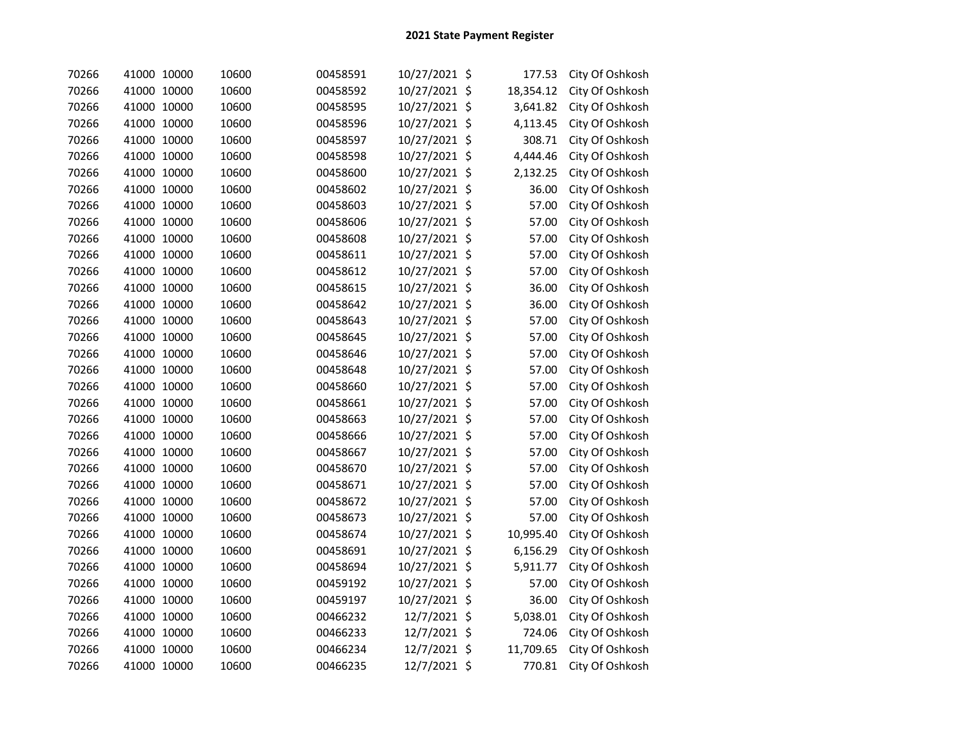| 70266 | 41000 10000 | 10600 | 00458591 | 10/27/2021 \$ | 177.53    | City Of Oshkosh |
|-------|-------------|-------|----------|---------------|-----------|-----------------|
| 70266 | 41000 10000 | 10600 | 00458592 | 10/27/2021 \$ | 18,354.12 | City Of Oshkosh |
| 70266 | 41000 10000 | 10600 | 00458595 | 10/27/2021 \$ | 3,641.82  | City Of Oshkosh |
| 70266 | 41000 10000 | 10600 | 00458596 | 10/27/2021 \$ | 4,113.45  | City Of Oshkosh |
| 70266 | 41000 10000 | 10600 | 00458597 | 10/27/2021 \$ | 308.71    | City Of Oshkosh |
| 70266 | 41000 10000 | 10600 | 00458598 | 10/27/2021 \$ | 4,444.46  | City Of Oshkosh |
| 70266 | 41000 10000 | 10600 | 00458600 | 10/27/2021 \$ | 2,132.25  | City Of Oshkosh |
| 70266 | 41000 10000 | 10600 | 00458602 | 10/27/2021 \$ | 36.00     | City Of Oshkosh |
| 70266 | 41000 10000 | 10600 | 00458603 | 10/27/2021 \$ | 57.00     | City Of Oshkosh |
| 70266 | 41000 10000 | 10600 | 00458606 | 10/27/2021 \$ | 57.00     | City Of Oshkosh |
| 70266 | 41000 10000 | 10600 | 00458608 | 10/27/2021 \$ | 57.00     | City Of Oshkosh |
| 70266 | 41000 10000 | 10600 | 00458611 | 10/27/2021 \$ | 57.00     | City Of Oshkosh |
| 70266 | 41000 10000 | 10600 | 00458612 | 10/27/2021 \$ | 57.00     | City Of Oshkosh |
| 70266 | 41000 10000 | 10600 | 00458615 | 10/27/2021 \$ | 36.00     | City Of Oshkosh |
| 70266 | 41000 10000 | 10600 | 00458642 | 10/27/2021 \$ | 36.00     | City Of Oshkosh |
| 70266 | 41000 10000 | 10600 | 00458643 | 10/27/2021 \$ | 57.00     | City Of Oshkosh |
| 70266 | 41000 10000 | 10600 | 00458645 | 10/27/2021 \$ | 57.00     | City Of Oshkosh |
| 70266 | 41000 10000 | 10600 | 00458646 | 10/27/2021 \$ | 57.00     | City Of Oshkosh |
| 70266 | 41000 10000 | 10600 | 00458648 | 10/27/2021 \$ | 57.00     | City Of Oshkosh |
| 70266 | 41000 10000 | 10600 | 00458660 | 10/27/2021 \$ | 57.00     | City Of Oshkosh |
| 70266 | 41000 10000 | 10600 | 00458661 | 10/27/2021 \$ | 57.00     | City Of Oshkosh |
| 70266 | 41000 10000 | 10600 | 00458663 | 10/27/2021 \$ | 57.00     | City Of Oshkosh |
| 70266 | 41000 10000 | 10600 | 00458666 | 10/27/2021 \$ | 57.00     | City Of Oshkosh |
| 70266 | 41000 10000 | 10600 | 00458667 | 10/27/2021 \$ | 57.00     | City Of Oshkosh |
| 70266 | 41000 10000 | 10600 | 00458670 | 10/27/2021 \$ | 57.00     | City Of Oshkosh |
| 70266 | 41000 10000 | 10600 | 00458671 | 10/27/2021 \$ | 57.00     | City Of Oshkosh |
| 70266 | 41000 10000 | 10600 | 00458672 | 10/27/2021 \$ | 57.00     | City Of Oshkosh |
| 70266 | 41000 10000 | 10600 | 00458673 | 10/27/2021 \$ | 57.00     | City Of Oshkosh |
| 70266 | 41000 10000 | 10600 | 00458674 | 10/27/2021 \$ | 10,995.40 | City Of Oshkosh |
| 70266 | 41000 10000 | 10600 | 00458691 | 10/27/2021 \$ | 6,156.29  | City Of Oshkosh |
| 70266 | 41000 10000 | 10600 | 00458694 | 10/27/2021 \$ | 5,911.77  | City Of Oshkosh |
| 70266 | 41000 10000 | 10600 | 00459192 | 10/27/2021 \$ | 57.00     | City Of Oshkosh |
| 70266 | 41000 10000 | 10600 | 00459197 | 10/27/2021 \$ | 36.00     | City Of Oshkosh |
| 70266 | 41000 10000 | 10600 | 00466232 | 12/7/2021 \$  | 5,038.01  | City Of Oshkosh |
| 70266 | 41000 10000 | 10600 | 00466233 | 12/7/2021 \$  | 724.06    | City Of Oshkosh |
| 70266 | 41000 10000 | 10600 | 00466234 | 12/7/2021 \$  | 11,709.65 | City Of Oshkosh |
| 70266 | 41000 10000 | 10600 | 00466235 | 12/7/2021 \$  | 770.81    | City Of Oshkosh |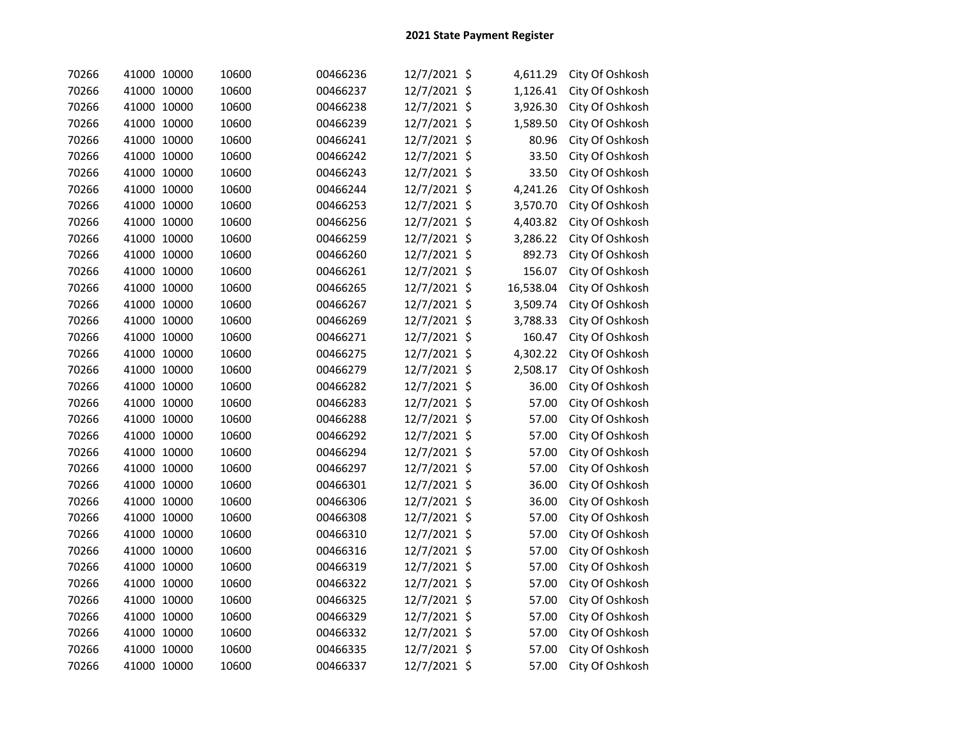| 70266 | 41000 10000 | 10600 | 00466236 | 12/7/2021 \$ | 4,611.29       | City Of Oshkosh |
|-------|-------------|-------|----------|--------------|----------------|-----------------|
| 70266 | 41000 10000 | 10600 | 00466237 | 12/7/2021 \$ | 1,126.41       | City Of Oshkosh |
| 70266 | 41000 10000 | 10600 | 00466238 | 12/7/2021    | \$<br>3,926.30 | City Of Oshkosh |
| 70266 | 41000 10000 | 10600 | 00466239 | 12/7/2021    | \$<br>1,589.50 | City Of Oshkosh |
| 70266 | 41000 10000 | 10600 | 00466241 | 12/7/2021    | \$<br>80.96    | City Of Oshkosh |
| 70266 | 41000 10000 | 10600 | 00466242 | 12/7/2021    | \$<br>33.50    | City Of Oshkosh |
| 70266 | 41000 10000 | 10600 | 00466243 | 12/7/2021    | \$<br>33.50    | City Of Oshkosh |
| 70266 | 41000 10000 | 10600 | 00466244 | 12/7/2021    | \$<br>4,241.26 | City Of Oshkosh |
| 70266 | 41000 10000 | 10600 | 00466253 | 12/7/2021    | \$<br>3,570.70 | City Of Oshkosh |
| 70266 | 41000 10000 | 10600 | 00466256 | 12/7/2021    | \$<br>4,403.82 | City Of Oshkosh |
| 70266 | 41000 10000 | 10600 | 00466259 | 12/7/2021    | \$<br>3,286.22 | City Of Oshkosh |
| 70266 | 41000 10000 | 10600 | 00466260 | 12/7/2021 \$ | 892.73         | City Of Oshkosh |
| 70266 | 41000 10000 | 10600 | 00466261 | 12/7/2021 \$ | 156.07         | City Of Oshkosh |
| 70266 | 41000 10000 | 10600 | 00466265 | 12/7/2021 \$ | 16,538.04      | City Of Oshkosh |
| 70266 | 41000 10000 | 10600 | 00466267 | 12/7/2021 \$ | 3,509.74       | City Of Oshkosh |
| 70266 | 41000 10000 | 10600 | 00466269 | 12/7/2021 \$ | 3,788.33       | City Of Oshkosh |
| 70266 | 41000 10000 | 10600 | 00466271 | 12/7/2021 \$ | 160.47         | City Of Oshkosh |
| 70266 | 41000 10000 | 10600 | 00466275 | 12/7/2021 \$ | 4,302.22       | City Of Oshkosh |
| 70266 | 41000 10000 | 10600 | 00466279 | 12/7/2021 \$ | 2,508.17       | City Of Oshkosh |
| 70266 | 41000 10000 | 10600 | 00466282 | 12/7/2021 \$ | 36.00          | City Of Oshkosh |
| 70266 | 41000 10000 | 10600 | 00466283 | 12/7/2021 \$ | 57.00          | City Of Oshkosh |
| 70266 | 41000 10000 | 10600 | 00466288 | 12/7/2021 \$ | 57.00          | City Of Oshkosh |
| 70266 | 41000 10000 | 10600 | 00466292 | 12/7/2021 \$ | 57.00          | City Of Oshkosh |
| 70266 | 41000 10000 | 10600 | 00466294 | 12/7/2021 \$ | 57.00          | City Of Oshkosh |
| 70266 | 41000 10000 | 10600 | 00466297 | 12/7/2021 \$ | 57.00          | City Of Oshkosh |
| 70266 | 41000 10000 | 10600 | 00466301 | 12/7/2021 \$ | 36.00          | City Of Oshkosh |
| 70266 | 41000 10000 | 10600 | 00466306 | 12/7/2021 \$ | 36.00          | City Of Oshkosh |
| 70266 | 41000 10000 | 10600 | 00466308 | 12/7/2021    | \$<br>57.00    | City Of Oshkosh |
| 70266 | 41000 10000 | 10600 | 00466310 | 12/7/2021 \$ | 57.00          | City Of Oshkosh |
| 70266 | 41000 10000 | 10600 | 00466316 | 12/7/2021 \$ | 57.00          | City Of Oshkosh |
| 70266 | 41000 10000 | 10600 | 00466319 | 12/7/2021 \$ | 57.00          | City Of Oshkosh |
| 70266 | 41000 10000 | 10600 | 00466322 | 12/7/2021 \$ | 57.00          | City Of Oshkosh |
| 70266 | 41000 10000 | 10600 | 00466325 | 12/7/2021 \$ | 57.00          | City Of Oshkosh |
| 70266 | 41000 10000 | 10600 | 00466329 | 12/7/2021 \$ | 57.00          | City Of Oshkosh |
| 70266 | 41000 10000 | 10600 | 00466332 | 12/7/2021 \$ | 57.00          | City Of Oshkosh |
| 70266 | 41000 10000 | 10600 | 00466335 | 12/7/2021    | \$<br>57.00    | City Of Oshkosh |
| 70266 | 41000 10000 | 10600 | 00466337 | 12/7/2021 \$ | 57.00          | City Of Oshkosh |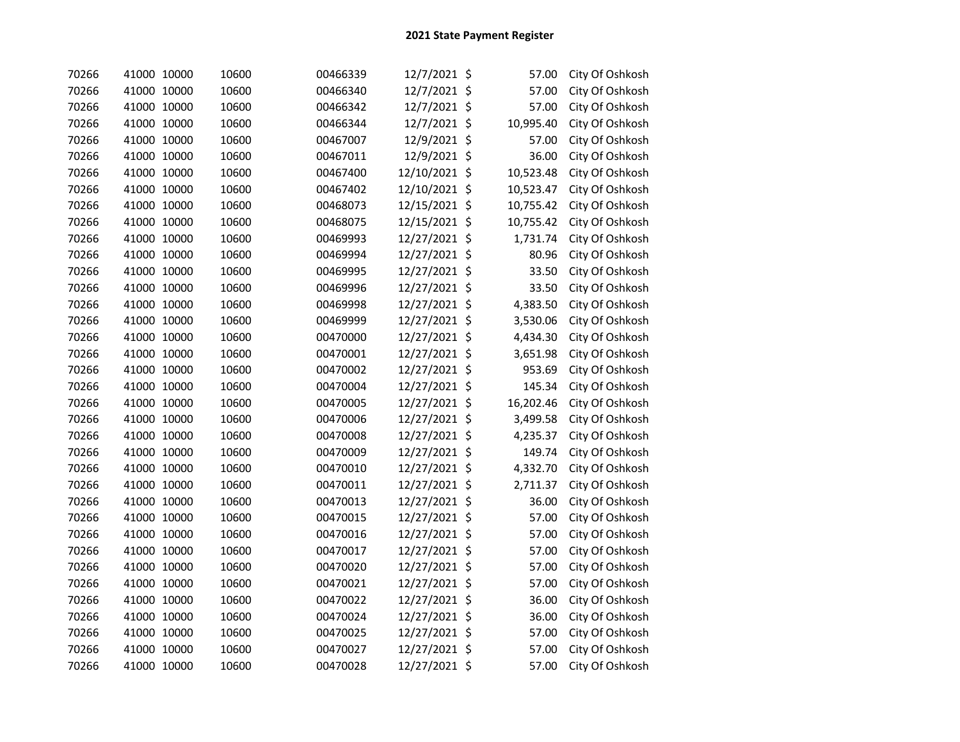| 70266 | 41000 10000 | 10600 | 00466339 | 12/7/2021 \$  |                    | 57.00     | City Of Oshkosh |
|-------|-------------|-------|----------|---------------|--------------------|-----------|-----------------|
| 70266 | 41000 10000 | 10600 | 00466340 | 12/7/2021 \$  |                    | 57.00     | City Of Oshkosh |
| 70266 | 41000 10000 | 10600 | 00466342 | 12/7/2021 \$  |                    | 57.00     | City Of Oshkosh |
| 70266 | 41000 10000 | 10600 | 00466344 | 12/7/2021 \$  |                    | 10,995.40 | City Of Oshkosh |
| 70266 | 41000 10000 | 10600 | 00467007 | 12/9/2021     | $\ddot{\varsigma}$ | 57.00     | City Of Oshkosh |
| 70266 | 41000 10000 | 10600 | 00467011 | 12/9/2021     | $\zeta$            | 36.00     | City Of Oshkosh |
| 70266 | 41000 10000 | 10600 | 00467400 | 12/10/2021    | \$                 | 10,523.48 | City Of Oshkosh |
| 70266 | 41000 10000 | 10600 | 00467402 | 12/10/2021    | \$                 | 10,523.47 | City Of Oshkosh |
| 70266 | 41000 10000 | 10600 | 00468073 | 12/15/2021    | \$                 | 10,755.42 | City Of Oshkosh |
| 70266 | 41000 10000 | 10600 | 00468075 | 12/15/2021    | \$                 | 10,755.42 | City Of Oshkosh |
| 70266 | 41000 10000 | 10600 | 00469993 | 12/27/2021    | \$                 | 1,731.74  | City Of Oshkosh |
| 70266 | 41000 10000 | 10600 | 00469994 | 12/27/2021 \$ |                    | 80.96     | City Of Oshkosh |
| 70266 | 41000 10000 | 10600 | 00469995 | 12/27/2021 \$ |                    | 33.50     | City Of Oshkosh |
| 70266 | 41000 10000 | 10600 | 00469996 | 12/27/2021 \$ |                    | 33.50     | City Of Oshkosh |
| 70266 | 41000 10000 | 10600 | 00469998 | 12/27/2021 \$ |                    | 4,383.50  | City Of Oshkosh |
| 70266 | 41000 10000 | 10600 | 00469999 | 12/27/2021 \$ |                    | 3,530.06  | City Of Oshkosh |
| 70266 | 41000 10000 | 10600 | 00470000 | 12/27/2021 \$ |                    | 4,434.30  | City Of Oshkosh |
| 70266 | 41000 10000 | 10600 | 00470001 | 12/27/2021 \$ |                    | 3,651.98  | City Of Oshkosh |
| 70266 | 41000 10000 | 10600 | 00470002 | 12/27/2021 \$ |                    | 953.69    | City Of Oshkosh |
| 70266 | 41000 10000 | 10600 | 00470004 | 12/27/2021 \$ |                    | 145.34    | City Of Oshkosh |
| 70266 | 41000 10000 | 10600 | 00470005 | 12/27/2021 \$ |                    | 16,202.46 | City Of Oshkosh |
| 70266 | 41000 10000 | 10600 | 00470006 | 12/27/2021 \$ |                    | 3,499.58  | City Of Oshkosh |
| 70266 | 41000 10000 | 10600 | 00470008 | 12/27/2021 \$ |                    | 4,235.37  | City Of Oshkosh |
| 70266 | 41000 10000 | 10600 | 00470009 | 12/27/2021 \$ |                    | 149.74    | City Of Oshkosh |
| 70266 | 41000 10000 | 10600 | 00470010 | 12/27/2021 \$ |                    | 4,332.70  | City Of Oshkosh |
| 70266 | 41000 10000 | 10600 | 00470011 | 12/27/2021 \$ |                    | 2,711.37  | City Of Oshkosh |
| 70266 | 41000 10000 | 10600 | 00470013 | 12/27/2021 \$ |                    | 36.00     | City Of Oshkosh |
| 70266 | 41000 10000 | 10600 | 00470015 | 12/27/2021    | \$                 | 57.00     | City Of Oshkosh |
| 70266 | 41000 10000 | 10600 | 00470016 | 12/27/2021    | \$                 | 57.00     | City Of Oshkosh |
| 70266 | 41000 10000 | 10600 | 00470017 | 12/27/2021 \$ |                    | 57.00     | City Of Oshkosh |
| 70266 | 41000 10000 | 10600 | 00470020 | 12/27/2021 \$ |                    | 57.00     | City Of Oshkosh |
| 70266 | 41000 10000 | 10600 | 00470021 | 12/27/2021 \$ |                    | 57.00     | City Of Oshkosh |
| 70266 | 41000 10000 | 10600 | 00470022 | 12/27/2021 \$ |                    | 36.00     | City Of Oshkosh |
| 70266 | 41000 10000 | 10600 | 00470024 | 12/27/2021 \$ |                    | 36.00     | City Of Oshkosh |
| 70266 | 41000 10000 | 10600 | 00470025 | 12/27/2021 \$ |                    | 57.00     | City Of Oshkosh |
| 70266 | 41000 10000 | 10600 | 00470027 | 12/27/2021 \$ |                    | 57.00     | City Of Oshkosh |
| 70266 | 41000 10000 | 10600 | 00470028 | 12/27/2021 \$ |                    | 57.00     | City Of Oshkosh |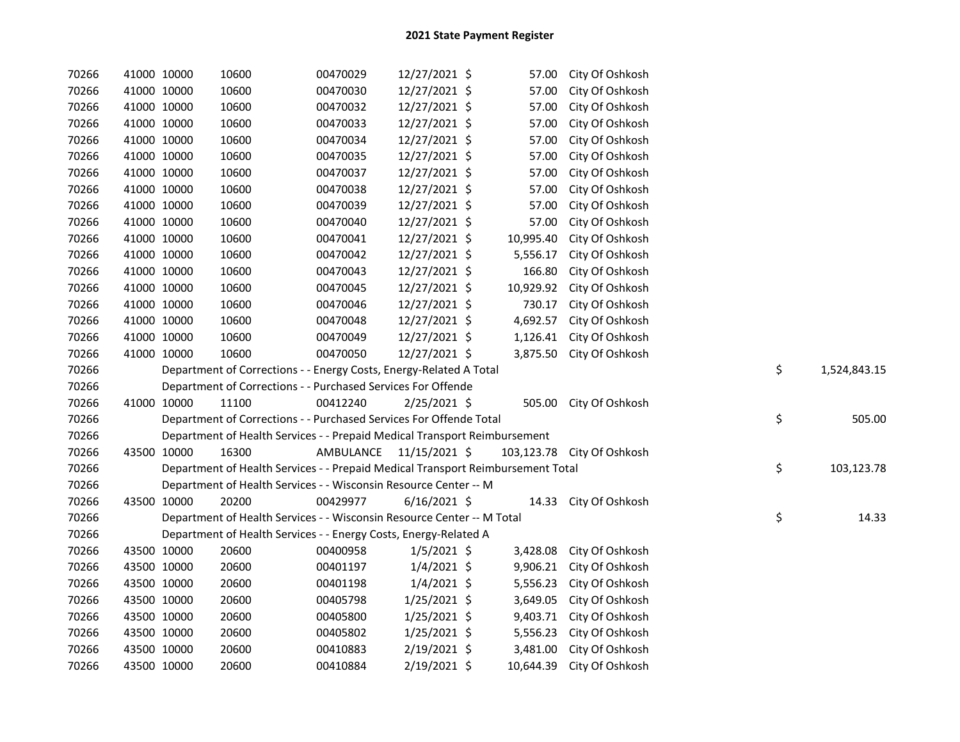| 70266 | 41000 10000 |             | 10600                                                                           | 00470029                | 12/27/2021 \$  | 57.00     | City Of Oshkosh            |    |              |
|-------|-------------|-------------|---------------------------------------------------------------------------------|-------------------------|----------------|-----------|----------------------------|----|--------------|
| 70266 | 41000 10000 |             | 10600                                                                           | 00470030                | 12/27/2021 \$  | 57.00     | City Of Oshkosh            |    |              |
| 70266 | 41000 10000 |             | 10600                                                                           | 00470032                | 12/27/2021 \$  | 57.00     | City Of Oshkosh            |    |              |
| 70266 | 41000 10000 |             | 10600                                                                           | 00470033                | 12/27/2021 \$  | 57.00     | City Of Oshkosh            |    |              |
| 70266 | 41000 10000 |             | 10600                                                                           | 00470034                | 12/27/2021 \$  | 57.00     | City Of Oshkosh            |    |              |
| 70266 | 41000 10000 |             | 10600                                                                           | 00470035                | 12/27/2021 \$  | 57.00     | City Of Oshkosh            |    |              |
| 70266 | 41000 10000 |             | 10600                                                                           | 00470037                | 12/27/2021 \$  | 57.00     | City Of Oshkosh            |    |              |
| 70266 | 41000 10000 |             | 10600                                                                           | 00470038                | 12/27/2021 \$  | 57.00     | City Of Oshkosh            |    |              |
| 70266 | 41000 10000 |             | 10600                                                                           | 00470039                | 12/27/2021 \$  | 57.00     | City Of Oshkosh            |    |              |
| 70266 | 41000 10000 |             | 10600                                                                           | 00470040                | 12/27/2021 \$  | 57.00     | City Of Oshkosh            |    |              |
| 70266 | 41000 10000 |             | 10600                                                                           | 00470041                | 12/27/2021 \$  | 10,995.40 | City Of Oshkosh            |    |              |
| 70266 | 41000 10000 |             | 10600                                                                           | 00470042                | 12/27/2021 \$  | 5,556.17  | City Of Oshkosh            |    |              |
| 70266 | 41000 10000 |             | 10600                                                                           | 00470043                | 12/27/2021 \$  | 166.80    | City Of Oshkosh            |    |              |
| 70266 | 41000 10000 |             | 10600                                                                           | 00470045                | 12/27/2021 \$  | 10,929.92 | City Of Oshkosh            |    |              |
| 70266 | 41000 10000 |             | 10600                                                                           | 00470046                | 12/27/2021 \$  | 730.17    | City Of Oshkosh            |    |              |
| 70266 | 41000 10000 |             | 10600                                                                           | 00470048                | 12/27/2021 \$  | 4,692.57  | City Of Oshkosh            |    |              |
| 70266 | 41000 10000 |             | 10600                                                                           | 00470049                | 12/27/2021 \$  | 1,126.41  | City Of Oshkosh            |    |              |
| 70266 | 41000 10000 |             | 10600                                                                           | 00470050                | 12/27/2021 \$  |           | 3,875.50 City Of Oshkosh   |    |              |
| 70266 |             |             | Department of Corrections - - Energy Costs, Energy-Related A Total              |                         |                |           |                            | \$ | 1,524,843.15 |
| 70266 |             |             | Department of Corrections - - Purchased Services For Offende                    |                         |                |           |                            |    |              |
| 70266 | 41000 10000 |             | 11100                                                                           | 00412240                | $2/25/2021$ \$ |           | 505.00 City Of Oshkosh     |    |              |
| 70266 |             |             | Department of Corrections - - Purchased Services For Offende Total              |                         |                |           |                            | \$ | 505.00       |
| 70266 |             |             | Department of Health Services - - Prepaid Medical Transport Reimbursement       |                         |                |           |                            |    |              |
| 70266 | 43500 10000 |             | 16300                                                                           | AMBULANCE 11/15/2021 \$ |                |           | 103,123.78 City Of Oshkosh |    |              |
| 70266 |             |             | Department of Health Services - - Prepaid Medical Transport Reimbursement Total |                         |                |           |                            | \$ | 103,123.78   |
| 70266 |             |             | Department of Health Services - - Wisconsin Resource Center -- M                |                         |                |           |                            |    |              |
| 70266 | 43500 10000 |             | 20200                                                                           | 00429977                | $6/16/2021$ \$ |           | 14.33 City Of Oshkosh      |    |              |
| 70266 |             |             | Department of Health Services - - Wisconsin Resource Center -- M Total          |                         |                |           |                            | \$ | 14.33        |
| 70266 |             |             | Department of Health Services - - Energy Costs, Energy-Related A                |                         |                |           |                            |    |              |
| 70266 |             | 43500 10000 | 20600                                                                           | 00400958                | $1/5/2021$ \$  | 3,428.08  | City Of Oshkosh            |    |              |
| 70266 |             | 43500 10000 | 20600                                                                           | 00401197                | $1/4/2021$ \$  | 9,906.21  | City Of Oshkosh            |    |              |
| 70266 | 43500 10000 |             | 20600                                                                           | 00401198                | $1/4/2021$ \$  |           | 5,556.23 City Of Oshkosh   |    |              |
| 70266 | 43500 10000 |             | 20600                                                                           | 00405798                | $1/25/2021$ \$ |           | 3,649.05 City Of Oshkosh   |    |              |
| 70266 | 43500 10000 |             | 20600                                                                           | 00405800                | $1/25/2021$ \$ |           | 9,403.71 City Of Oshkosh   |    |              |
| 70266 | 43500 10000 |             | 20600                                                                           | 00405802                | $1/25/2021$ \$ |           | 5,556.23 City Of Oshkosh   |    |              |
| 70266 |             |             |                                                                                 |                         |                |           |                            |    |              |
|       | 43500 10000 |             | 20600                                                                           | 00410883                | 2/19/2021 \$   | 3,481.00  | City Of Oshkosh            |    |              |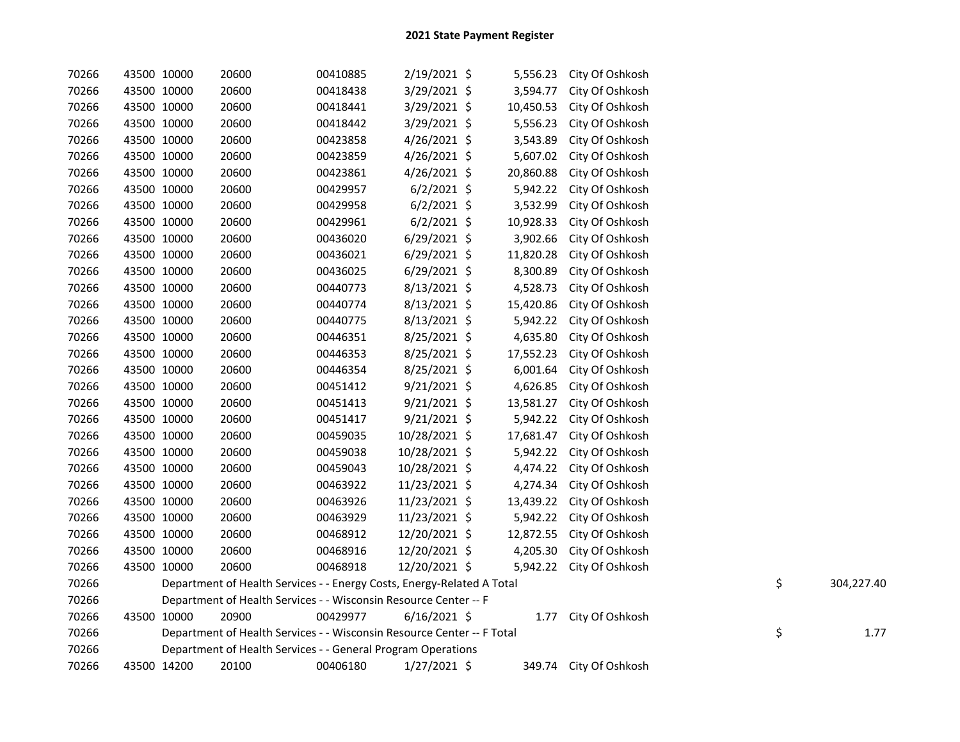| 70266 | 43500 10000 | 20600                                                                  | 00410885 | $2/19/2021$ \$ | 5,556.23  | City Of Oshkosh        |    |            |
|-------|-------------|------------------------------------------------------------------------|----------|----------------|-----------|------------------------|----|------------|
| 70266 | 43500 10000 | 20600                                                                  | 00418438 | 3/29/2021 \$   | 3,594.77  | City Of Oshkosh        |    |            |
| 70266 | 43500 10000 | 20600                                                                  | 00418441 | $3/29/2021$ \$ | 10,450.53 | City Of Oshkosh        |    |            |
| 70266 | 43500 10000 | 20600                                                                  | 00418442 | $3/29/2021$ \$ | 5,556.23  | City Of Oshkosh        |    |            |
| 70266 | 43500 10000 | 20600                                                                  | 00423858 | $4/26/2021$ \$ | 3,543.89  | City Of Oshkosh        |    |            |
| 70266 | 43500 10000 | 20600                                                                  | 00423859 | $4/26/2021$ \$ | 5,607.02  | City Of Oshkosh        |    |            |
| 70266 | 43500 10000 | 20600                                                                  | 00423861 | $4/26/2021$ \$ | 20,860.88 | City Of Oshkosh        |    |            |
| 70266 | 43500 10000 | 20600                                                                  | 00429957 | $6/2/2021$ \$  | 5,942.22  | City Of Oshkosh        |    |            |
| 70266 | 43500 10000 | 20600                                                                  | 00429958 | $6/2/2021$ \$  | 3,532.99  | City Of Oshkosh        |    |            |
| 70266 | 43500 10000 | 20600                                                                  | 00429961 | $6/2/2021$ \$  | 10,928.33 | City Of Oshkosh        |    |            |
| 70266 | 43500 10000 | 20600                                                                  | 00436020 | $6/29/2021$ \$ | 3,902.66  | City Of Oshkosh        |    |            |
| 70266 | 43500 10000 | 20600                                                                  | 00436021 | $6/29/2021$ \$ | 11,820.28 | City Of Oshkosh        |    |            |
| 70266 | 43500 10000 | 20600                                                                  | 00436025 | $6/29/2021$ \$ | 8,300.89  | City Of Oshkosh        |    |            |
| 70266 | 43500 10000 | 20600                                                                  | 00440773 | 8/13/2021 \$   | 4,528.73  | City Of Oshkosh        |    |            |
| 70266 | 43500 10000 | 20600                                                                  | 00440774 | 8/13/2021 \$   | 15,420.86 | City Of Oshkosh        |    |            |
| 70266 | 43500 10000 | 20600                                                                  | 00440775 | $8/13/2021$ \$ | 5,942.22  | City Of Oshkosh        |    |            |
| 70266 | 43500 10000 | 20600                                                                  | 00446351 | 8/25/2021 \$   | 4,635.80  | City Of Oshkosh        |    |            |
| 70266 | 43500 10000 | 20600                                                                  | 00446353 | 8/25/2021 \$   | 17,552.23 | City Of Oshkosh        |    |            |
| 70266 | 43500 10000 | 20600                                                                  | 00446354 | 8/25/2021 \$   | 6,001.64  | City Of Oshkosh        |    |            |
| 70266 | 43500 10000 | 20600                                                                  | 00451412 | 9/21/2021 \$   | 4,626.85  | City Of Oshkosh        |    |            |
| 70266 | 43500 10000 | 20600                                                                  | 00451413 | 9/21/2021 \$   | 13,581.27 | City Of Oshkosh        |    |            |
| 70266 | 43500 10000 | 20600                                                                  | 00451417 | 9/21/2021 \$   | 5,942.22  | City Of Oshkosh        |    |            |
| 70266 | 43500 10000 | 20600                                                                  | 00459035 | 10/28/2021 \$  | 17,681.47 | City Of Oshkosh        |    |            |
| 70266 | 43500 10000 | 20600                                                                  | 00459038 | 10/28/2021 \$  | 5,942.22  | City Of Oshkosh        |    |            |
| 70266 | 43500 10000 | 20600                                                                  | 00459043 | 10/28/2021 \$  | 4,474.22  | City Of Oshkosh        |    |            |
| 70266 | 43500 10000 | 20600                                                                  | 00463922 | 11/23/2021 \$  | 4,274.34  | City Of Oshkosh        |    |            |
| 70266 | 43500 10000 | 20600                                                                  | 00463926 | 11/23/2021 \$  | 13,439.22 | City Of Oshkosh        |    |            |
| 70266 | 43500 10000 | 20600                                                                  | 00463929 | 11/23/2021 \$  | 5,942.22  | City Of Oshkosh        |    |            |
| 70266 | 43500 10000 | 20600                                                                  | 00468912 | 12/20/2021 \$  | 12,872.55 | City Of Oshkosh        |    |            |
| 70266 | 43500 10000 | 20600                                                                  | 00468916 | 12/20/2021 \$  | 4,205.30  | City Of Oshkosh        |    |            |
| 70266 | 43500 10000 | 20600                                                                  | 00468918 | 12/20/2021 \$  | 5,942.22  | City Of Oshkosh        |    |            |
| 70266 |             | Department of Health Services - - Energy Costs, Energy-Related A Total |          |                |           |                        | \$ | 304,227.40 |
| 70266 |             | Department of Health Services - - Wisconsin Resource Center -- F       |          |                |           |                        |    |            |
| 70266 | 43500 10000 | 20900                                                                  | 00429977 | $6/16/2021$ \$ | 1.77      | City Of Oshkosh        |    |            |
| 70266 |             | Department of Health Services - - Wisconsin Resource Center -- F Total |          |                |           |                        | \$ | 1.77       |
| 70266 |             | Department of Health Services - - General Program Operations           |          |                |           |                        |    |            |
| 70266 | 43500 14200 | 20100                                                                  | 00406180 | $1/27/2021$ \$ |           | 349.74 City Of Oshkosh |    |            |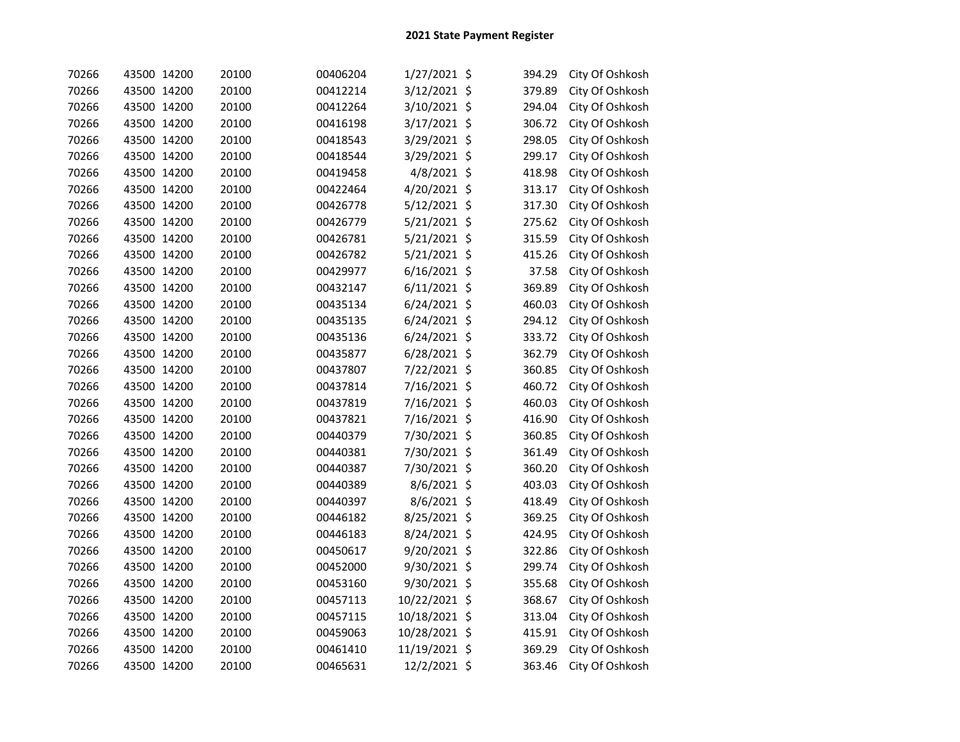| 70266 | 43500 14200 | 20100 | 00406204 | 1/27/2021 \$   | 394.29 | City Of Oshkosh |
|-------|-------------|-------|----------|----------------|--------|-----------------|
| 70266 | 43500 14200 | 20100 | 00412214 | 3/12/2021 \$   | 379.89 | City Of Oshkosh |
| 70266 | 43500 14200 | 20100 | 00412264 | 3/10/2021 \$   | 294.04 | City Of Oshkosh |
| 70266 | 43500 14200 | 20100 | 00416198 | 3/17/2021 \$   | 306.72 | City Of Oshkosh |
| 70266 | 43500 14200 | 20100 | 00418543 | 3/29/2021 \$   | 298.05 | City Of Oshkosh |
| 70266 | 43500 14200 | 20100 | 00418544 | 3/29/2021 \$   | 299.17 | City Of Oshkosh |
| 70266 | 43500 14200 | 20100 | 00419458 | 4/8/2021 \$    | 418.98 | City Of Oshkosh |
| 70266 | 43500 14200 | 20100 | 00422464 | 4/20/2021 \$   | 313.17 | City Of Oshkosh |
| 70266 | 43500 14200 | 20100 | 00426778 | 5/12/2021 \$   | 317.30 | City Of Oshkosh |
| 70266 | 43500 14200 | 20100 | 00426779 | 5/21/2021 \$   | 275.62 | City Of Oshkosh |
| 70266 | 43500 14200 | 20100 | 00426781 | $5/21/2021$ \$ | 315.59 | City Of Oshkosh |
| 70266 | 43500 14200 | 20100 | 00426782 | 5/21/2021 \$   | 415.26 | City Of Oshkosh |
| 70266 | 43500 14200 | 20100 | 00429977 | $6/16/2021$ \$ | 37.58  | City Of Oshkosh |
| 70266 | 43500 14200 | 20100 | 00432147 | $6/11/2021$ \$ | 369.89 | City Of Oshkosh |
| 70266 | 43500 14200 | 20100 | 00435134 | $6/24/2021$ \$ | 460.03 | City Of Oshkosh |
| 70266 | 43500 14200 | 20100 | 00435135 | 6/24/2021 \$   | 294.12 | City Of Oshkosh |
| 70266 | 43500 14200 | 20100 | 00435136 | $6/24/2021$ \$ | 333.72 | City Of Oshkosh |
| 70266 | 43500 14200 | 20100 | 00435877 | 6/28/2021 \$   | 362.79 | City Of Oshkosh |
| 70266 | 43500 14200 | 20100 | 00437807 | 7/22/2021 \$   | 360.85 | City Of Oshkosh |
| 70266 | 43500 14200 | 20100 | 00437814 | 7/16/2021 \$   | 460.72 | City Of Oshkosh |
| 70266 | 43500 14200 | 20100 | 00437819 | 7/16/2021 \$   | 460.03 | City Of Oshkosh |
| 70266 | 43500 14200 | 20100 | 00437821 | 7/16/2021 \$   | 416.90 | City Of Oshkosh |
| 70266 | 43500 14200 | 20100 | 00440379 | 7/30/2021 \$   | 360.85 | City Of Oshkosh |
| 70266 | 43500 14200 | 20100 | 00440381 | 7/30/2021 \$   | 361.49 | City Of Oshkosh |
| 70266 | 43500 14200 | 20100 | 00440387 | 7/30/2021 \$   | 360.20 | City Of Oshkosh |
| 70266 | 43500 14200 | 20100 | 00440389 | 8/6/2021 \$    | 403.03 | City Of Oshkosh |
| 70266 | 43500 14200 | 20100 | 00440397 | 8/6/2021 \$    | 418.49 | City Of Oshkosh |
| 70266 | 43500 14200 | 20100 | 00446182 | 8/25/2021 \$   | 369.25 | City Of Oshkosh |
| 70266 | 43500 14200 | 20100 | 00446183 | 8/24/2021 \$   | 424.95 | City Of Oshkosh |
| 70266 | 43500 14200 | 20100 | 00450617 | 9/20/2021 \$   | 322.86 | City Of Oshkosh |
| 70266 | 43500 14200 | 20100 | 00452000 | 9/30/2021 \$   | 299.74 | City Of Oshkosh |
| 70266 | 43500 14200 | 20100 | 00453160 | 9/30/2021 \$   | 355.68 | City Of Oshkosh |
| 70266 | 43500 14200 | 20100 | 00457113 | 10/22/2021 \$  | 368.67 | City Of Oshkosh |
| 70266 | 43500 14200 | 20100 | 00457115 | 10/18/2021 \$  | 313.04 | City Of Oshkosh |
| 70266 | 43500 14200 | 20100 | 00459063 | 10/28/2021 \$  | 415.91 | City Of Oshkosh |
| 70266 | 43500 14200 | 20100 | 00461410 | 11/19/2021 \$  | 369.29 | City Of Oshkosh |
| 70266 | 43500 14200 | 20100 | 00465631 | 12/2/2021 \$   | 363.46 | City Of Oshkosh |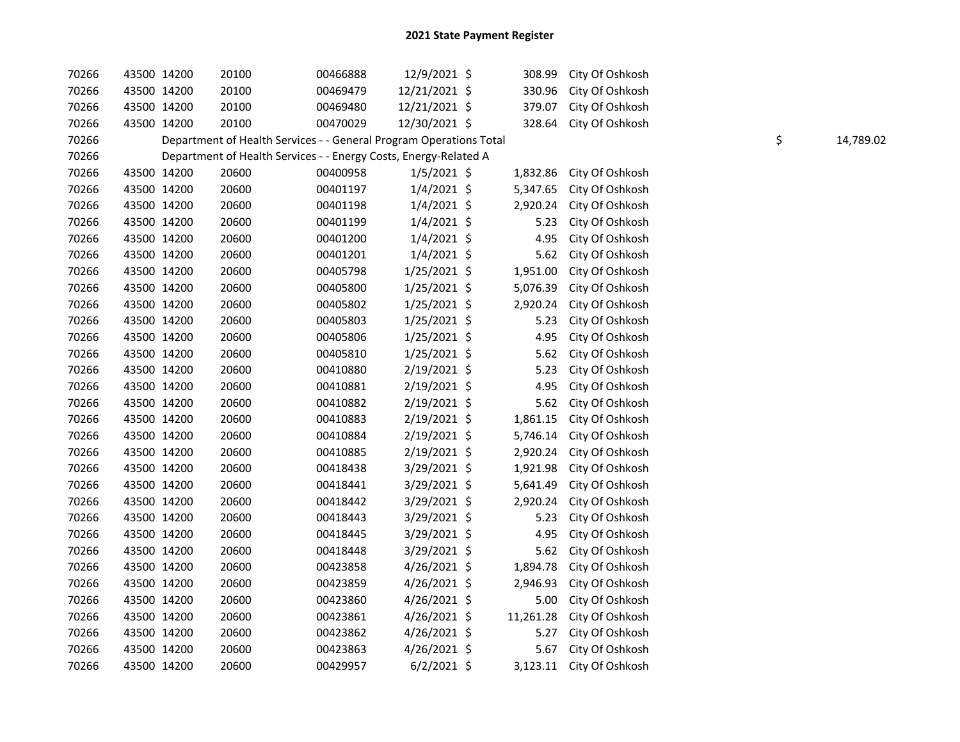| 70266 |             | 43500 14200 | 20100                                                              | 00466888 | 12/9/2021 \$   | 308.99    | City Of Oshkosh          |    |           |
|-------|-------------|-------------|--------------------------------------------------------------------|----------|----------------|-----------|--------------------------|----|-----------|
| 70266 | 43500 14200 |             | 20100                                                              | 00469479 | 12/21/2021 \$  | 330.96    | City Of Oshkosh          |    |           |
| 70266 | 43500 14200 |             | 20100                                                              | 00469480 | 12/21/2021 \$  | 379.07    | City Of Oshkosh          |    |           |
| 70266 | 43500 14200 |             | 20100                                                              | 00470029 | 12/30/2021 \$  | 328.64    | City Of Oshkosh          |    |           |
| 70266 |             |             | Department of Health Services - - General Program Operations Total |          |                |           |                          | \$ | 14,789.02 |
| 70266 |             |             | Department of Health Services - - Energy Costs, Energy-Related A   |          |                |           |                          |    |           |
| 70266 | 43500 14200 |             | 20600                                                              | 00400958 | $1/5/2021$ \$  | 1,832.86  | City Of Oshkosh          |    |           |
| 70266 | 43500 14200 |             | 20600                                                              | 00401197 | $1/4/2021$ \$  | 5,347.65  | City Of Oshkosh          |    |           |
| 70266 | 43500 14200 |             | 20600                                                              | 00401198 | $1/4/2021$ \$  | 2,920.24  | City Of Oshkosh          |    |           |
| 70266 | 43500 14200 |             | 20600                                                              | 00401199 | $1/4/2021$ \$  | 5.23      | City Of Oshkosh          |    |           |
| 70266 | 43500 14200 |             | 20600                                                              | 00401200 | $1/4/2021$ \$  | 4.95      | City Of Oshkosh          |    |           |
| 70266 | 43500 14200 |             | 20600                                                              | 00401201 | $1/4/2021$ \$  | 5.62      | City Of Oshkosh          |    |           |
| 70266 | 43500 14200 |             | 20600                                                              | 00405798 | 1/25/2021 \$   | 1,951.00  | City Of Oshkosh          |    |           |
| 70266 | 43500 14200 |             | 20600                                                              | 00405800 | $1/25/2021$ \$ | 5,076.39  | City Of Oshkosh          |    |           |
| 70266 | 43500 14200 |             | 20600                                                              | 00405802 | $1/25/2021$ \$ | 2,920.24  | City Of Oshkosh          |    |           |
| 70266 | 43500 14200 |             | 20600                                                              | 00405803 | $1/25/2021$ \$ | 5.23      | City Of Oshkosh          |    |           |
| 70266 | 43500 14200 |             | 20600                                                              | 00405806 | $1/25/2021$ \$ | 4.95      | City Of Oshkosh          |    |           |
| 70266 | 43500 14200 |             | 20600                                                              | 00405810 | $1/25/2021$ \$ | 5.62      | City Of Oshkosh          |    |           |
| 70266 | 43500 14200 |             | 20600                                                              | 00410880 | $2/19/2021$ \$ | 5.23      | City Of Oshkosh          |    |           |
| 70266 | 43500 14200 |             | 20600                                                              | 00410881 | 2/19/2021 \$   | 4.95      | City Of Oshkosh          |    |           |
| 70266 | 43500 14200 |             | 20600                                                              | 00410882 | 2/19/2021 \$   | 5.62      | City Of Oshkosh          |    |           |
| 70266 | 43500 14200 |             | 20600                                                              | 00410883 | 2/19/2021 \$   | 1,861.15  | City Of Oshkosh          |    |           |
| 70266 | 43500 14200 |             | 20600                                                              | 00410884 | 2/19/2021 \$   | 5,746.14  | City Of Oshkosh          |    |           |
| 70266 | 43500 14200 |             | 20600                                                              | 00410885 | 2/19/2021 \$   | 2,920.24  | City Of Oshkosh          |    |           |
| 70266 | 43500 14200 |             | 20600                                                              | 00418438 | 3/29/2021 \$   | 1,921.98  | City Of Oshkosh          |    |           |
| 70266 | 43500 14200 |             | 20600                                                              | 00418441 | 3/29/2021 \$   | 5,641.49  | City Of Oshkosh          |    |           |
| 70266 | 43500 14200 |             | 20600                                                              | 00418442 | 3/29/2021 \$   | 2,920.24  | City Of Oshkosh          |    |           |
| 70266 | 43500 14200 |             | 20600                                                              | 00418443 | 3/29/2021 \$   | 5.23      | City Of Oshkosh          |    |           |
| 70266 | 43500 14200 |             | 20600                                                              | 00418445 | 3/29/2021 \$   | 4.95      | City Of Oshkosh          |    |           |
| 70266 | 43500 14200 |             | 20600                                                              | 00418448 | $3/29/2021$ \$ | 5.62      | City Of Oshkosh          |    |           |
| 70266 | 43500 14200 |             | 20600                                                              | 00423858 | 4/26/2021 \$   | 1,894.78  | City Of Oshkosh          |    |           |
| 70266 | 43500 14200 |             | 20600                                                              | 00423859 | $4/26/2021$ \$ | 2,946.93  | City Of Oshkosh          |    |           |
| 70266 | 43500 14200 |             | 20600                                                              | 00423860 | 4/26/2021 \$   | 5.00      | City Of Oshkosh          |    |           |
| 70266 | 43500 14200 |             | 20600                                                              | 00423861 | $4/26/2021$ \$ | 11,261.28 | City Of Oshkosh          |    |           |
| 70266 | 43500 14200 |             | 20600                                                              | 00423862 | 4/26/2021 \$   | 5.27      | City Of Oshkosh          |    |           |
| 70266 | 43500 14200 |             | 20600                                                              | 00423863 | $4/26/2021$ \$ | 5.67      | City Of Oshkosh          |    |           |
| 70266 | 43500 14200 |             | 20600                                                              | 00429957 | $6/2/2021$ \$  |           | 3,123.11 City Of Oshkosh |    |           |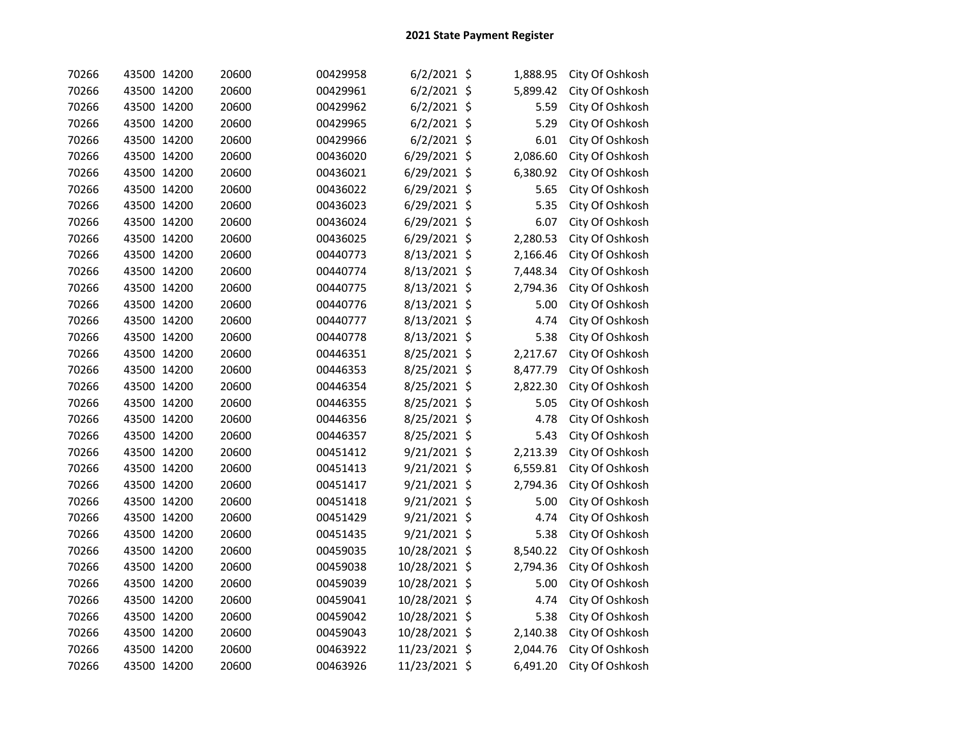| 70266 | 43500 14200 | 20600 | 00429958 | $6/2/2021$ \$  | 1,888.95       | City Of Oshkosh |
|-------|-------------|-------|----------|----------------|----------------|-----------------|
| 70266 | 43500 14200 | 20600 | 00429961 | $6/2/2021$ \$  | 5,899.42       | City Of Oshkosh |
| 70266 | 43500 14200 | 20600 | 00429962 | $6/2/2021$ \$  | 5.59           | City Of Oshkosh |
| 70266 | 43500 14200 | 20600 | 00429965 | $6/2/2021$ \$  | 5.29           | City Of Oshkosh |
| 70266 | 43500 14200 | 20600 | 00429966 | $6/2/2021$ \$  | 6.01           | City Of Oshkosh |
| 70266 | 43500 14200 | 20600 | 00436020 | 6/29/2021 \$   | 2,086.60       | City Of Oshkosh |
| 70266 | 43500 14200 | 20600 | 00436021 | 6/29/2021      | \$<br>6,380.92 | City Of Oshkosh |
| 70266 | 43500 14200 | 20600 | 00436022 | $6/29/2021$ \$ | 5.65           | City Of Oshkosh |
| 70266 | 43500 14200 | 20600 | 00436023 | 6/29/2021 \$   | 5.35           | City Of Oshkosh |
| 70266 | 43500 14200 | 20600 | 00436024 | 6/29/2021 \$   | 6.07           | City Of Oshkosh |
| 70266 | 43500 14200 | 20600 | 00436025 | $6/29/2021$ \$ | 2,280.53       | City Of Oshkosh |
| 70266 | 43500 14200 | 20600 | 00440773 | 8/13/2021 \$   | 2,166.46       | City Of Oshkosh |
| 70266 | 43500 14200 | 20600 | 00440774 | 8/13/2021 \$   | 7,448.34       | City Of Oshkosh |
| 70266 | 43500 14200 | 20600 | 00440775 | 8/13/2021 \$   | 2,794.36       | City Of Oshkosh |
| 70266 | 43500 14200 | 20600 | 00440776 | 8/13/2021 \$   | 5.00           | City Of Oshkosh |
| 70266 | 43500 14200 | 20600 | 00440777 | 8/13/2021 \$   | 4.74           | City Of Oshkosh |
| 70266 | 43500 14200 | 20600 | 00440778 | 8/13/2021 \$   | 5.38           | City Of Oshkosh |
| 70266 | 43500 14200 | 20600 | 00446351 | 8/25/2021 \$   | 2,217.67       | City Of Oshkosh |
| 70266 | 43500 14200 | 20600 | 00446353 | 8/25/2021 \$   | 8,477.79       | City Of Oshkosh |
| 70266 | 43500 14200 | 20600 | 00446354 | 8/25/2021 \$   | 2,822.30       | City Of Oshkosh |
| 70266 | 43500 14200 | 20600 | 00446355 | 8/25/2021 \$   | 5.05           | City Of Oshkosh |
| 70266 | 43500 14200 | 20600 | 00446356 | 8/25/2021 \$   | 4.78           | City Of Oshkosh |
| 70266 | 43500 14200 | 20600 | 00446357 | 8/25/2021 \$   | 5.43           | City Of Oshkosh |
| 70266 | 43500 14200 | 20600 | 00451412 | 9/21/2021 \$   | 2,213.39       | City Of Oshkosh |
| 70266 | 43500 14200 | 20600 | 00451413 | 9/21/2021 \$   | 6,559.81       | City Of Oshkosh |
| 70266 | 43500 14200 | 20600 | 00451417 | 9/21/2021 \$   | 2,794.36       | City Of Oshkosh |
| 70266 | 43500 14200 | 20600 | 00451418 | 9/21/2021 \$   | 5.00           | City Of Oshkosh |
| 70266 | 43500 14200 | 20600 | 00451429 | 9/21/2021 \$   | 4.74           | City Of Oshkosh |
| 70266 | 43500 14200 | 20600 | 00451435 | 9/21/2021 \$   | 5.38           | City Of Oshkosh |
| 70266 | 43500 14200 | 20600 | 00459035 | 10/28/2021 \$  | 8,540.22       | City Of Oshkosh |
| 70266 | 43500 14200 | 20600 | 00459038 | 10/28/2021 \$  | 2,794.36       | City Of Oshkosh |
| 70266 | 43500 14200 | 20600 | 00459039 | 10/28/2021 \$  | 5.00           | City Of Oshkosh |
| 70266 | 43500 14200 | 20600 | 00459041 | 10/28/2021 \$  | 4.74           | City Of Oshkosh |
| 70266 | 43500 14200 | 20600 | 00459042 | 10/28/2021 \$  | 5.38           | City Of Oshkosh |
| 70266 | 43500 14200 | 20600 | 00459043 | 10/28/2021 \$  | 2,140.38       | City Of Oshkosh |
| 70266 | 43500 14200 | 20600 | 00463922 | 11/23/2021     | \$<br>2,044.76 | City Of Oshkosh |
| 70266 | 43500 14200 | 20600 | 00463926 | 11/23/2021 \$  | 6,491.20       | City Of Oshkosh |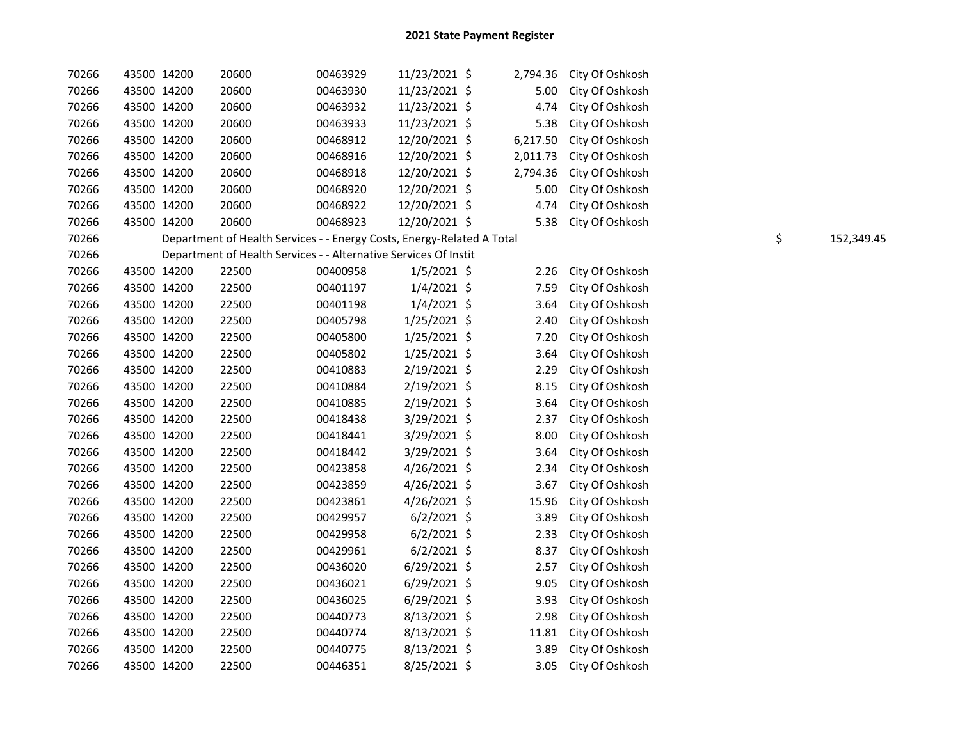| 70266 | 43500 14200 |             | 20600                                                                  | 00463929 | 11/23/2021 \$  | 2,794.36 | City Of Oshkosh |                  |
|-------|-------------|-------------|------------------------------------------------------------------------|----------|----------------|----------|-----------------|------------------|
| 70266 | 43500 14200 |             | 20600                                                                  | 00463930 | 11/23/2021 \$  | 5.00     | City Of Oshkosh |                  |
| 70266 | 43500 14200 |             | 20600                                                                  | 00463932 | 11/23/2021 \$  | 4.74     | City Of Oshkosh |                  |
| 70266 | 43500 14200 |             | 20600                                                                  | 00463933 | 11/23/2021 \$  | 5.38     | City Of Oshkosh |                  |
| 70266 | 43500 14200 |             | 20600                                                                  | 00468912 | 12/20/2021 \$  | 6,217.50 | City Of Oshkosh |                  |
| 70266 | 43500 14200 |             | 20600                                                                  | 00468916 | 12/20/2021 \$  | 2,011.73 | City Of Oshkosh |                  |
| 70266 | 43500 14200 |             | 20600                                                                  | 00468918 | 12/20/2021 \$  | 2,794.36 | City Of Oshkosh |                  |
| 70266 | 43500 14200 |             | 20600                                                                  | 00468920 | 12/20/2021 \$  | 5.00     | City Of Oshkosh |                  |
| 70266 | 43500 14200 |             | 20600                                                                  | 00468922 | 12/20/2021 \$  | 4.74     | City Of Oshkosh |                  |
| 70266 | 43500 14200 |             | 20600                                                                  | 00468923 | 12/20/2021 \$  | 5.38     | City Of Oshkosh |                  |
| 70266 |             |             | Department of Health Services - - Energy Costs, Energy-Related A Total |          |                |          |                 | \$<br>152,349.45 |
| 70266 |             |             | Department of Health Services - - Alternative Services Of Instit       |          |                |          |                 |                  |
| 70266 | 43500 14200 |             | 22500                                                                  | 00400958 | $1/5/2021$ \$  | 2.26     | City Of Oshkosh |                  |
| 70266 | 43500 14200 |             | 22500                                                                  | 00401197 | $1/4/2021$ \$  | 7.59     | City Of Oshkosh |                  |
| 70266 |             | 43500 14200 | 22500                                                                  | 00401198 | $1/4/2021$ \$  | 3.64     | City Of Oshkosh |                  |
| 70266 |             | 43500 14200 | 22500                                                                  | 00405798 | $1/25/2021$ \$ | 2.40     | City Of Oshkosh |                  |
| 70266 | 43500 14200 |             | 22500                                                                  | 00405800 | $1/25/2021$ \$ | 7.20     | City Of Oshkosh |                  |
| 70266 | 43500 14200 |             | 22500                                                                  | 00405802 | $1/25/2021$ \$ | 3.64     | City Of Oshkosh |                  |
| 70266 | 43500 14200 |             | 22500                                                                  | 00410883 | $2/19/2021$ \$ | 2.29     | City Of Oshkosh |                  |
| 70266 |             | 43500 14200 | 22500                                                                  | 00410884 | 2/19/2021 \$   | 8.15     | City Of Oshkosh |                  |
| 70266 |             | 43500 14200 | 22500                                                                  | 00410885 | 2/19/2021 \$   | 3.64     | City Of Oshkosh |                  |
| 70266 | 43500 14200 |             | 22500                                                                  | 00418438 | 3/29/2021 \$   | 2.37     | City Of Oshkosh |                  |
| 70266 | 43500 14200 |             | 22500                                                                  | 00418441 | 3/29/2021 \$   | 8.00     | City Of Oshkosh |                  |
| 70266 | 43500 14200 |             | 22500                                                                  | 00418442 | 3/29/2021 \$   | 3.64     | City Of Oshkosh |                  |
| 70266 | 43500 14200 |             | 22500                                                                  | 00423858 | 4/26/2021 \$   | 2.34     | City Of Oshkosh |                  |
| 70266 | 43500 14200 |             | 22500                                                                  | 00423859 | 4/26/2021 \$   | 3.67     | City Of Oshkosh |                  |
| 70266 | 43500 14200 |             | 22500                                                                  | 00423861 | 4/26/2021 \$   | 15.96    | City Of Oshkosh |                  |
| 70266 | 43500 14200 |             | 22500                                                                  | 00429957 | $6/2/2021$ \$  | 3.89     | City Of Oshkosh |                  |
| 70266 | 43500 14200 |             | 22500                                                                  | 00429958 | $6/2/2021$ \$  | 2.33     | City Of Oshkosh |                  |
| 70266 | 43500 14200 |             | 22500                                                                  | 00429961 | $6/2/2021$ \$  | 8.37     | City Of Oshkosh |                  |
| 70266 | 43500 14200 |             | 22500                                                                  | 00436020 | $6/29/2021$ \$ | 2.57     | City Of Oshkosh |                  |
| 70266 | 43500 14200 |             | 22500                                                                  | 00436021 | $6/29/2021$ \$ | 9.05     | City Of Oshkosh |                  |
| 70266 | 43500 14200 |             | 22500                                                                  | 00436025 | $6/29/2021$ \$ | 3.93     | City Of Oshkosh |                  |
| 70266 | 43500 14200 |             | 22500                                                                  | 00440773 | 8/13/2021 \$   | 2.98     | City Of Oshkosh |                  |
| 70266 | 43500 14200 |             | 22500                                                                  | 00440774 | 8/13/2021 \$   | 11.81    | City Of Oshkosh |                  |
| 70266 | 43500 14200 |             | 22500                                                                  | 00440775 | 8/13/2021 \$   | 3.89     | City Of Oshkosh |                  |
| 70266 | 43500 14200 |             | 22500                                                                  | 00446351 | 8/25/2021 \$   | 3.05     | City Of Oshkosh |                  |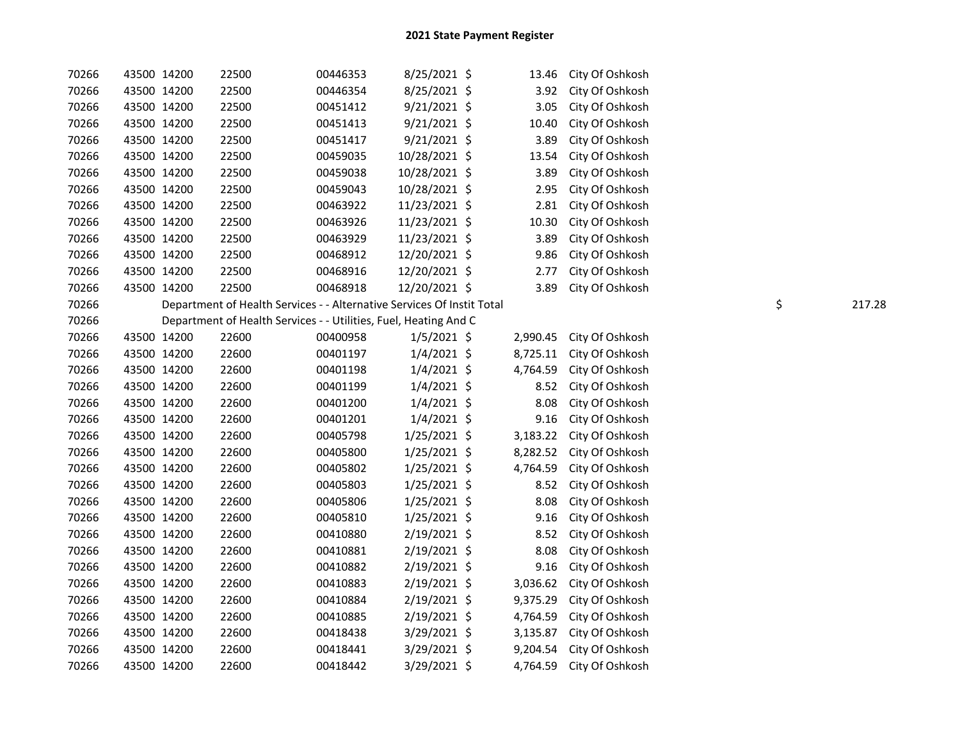| 70266 | 43500 14200 | 22500                                                                  | 00446353 | 8/25/2021 \$   | 13.46    | City Of Oshkosh |              |
|-------|-------------|------------------------------------------------------------------------|----------|----------------|----------|-----------------|--------------|
| 70266 | 43500 14200 | 22500                                                                  | 00446354 | 8/25/2021 \$   | 3.92     | City Of Oshkosh |              |
| 70266 | 43500 14200 | 22500                                                                  | 00451412 | $9/21/2021$ \$ | 3.05     | City Of Oshkosh |              |
| 70266 | 43500 14200 | 22500                                                                  | 00451413 | $9/21/2021$ \$ | 10.40    | City Of Oshkosh |              |
| 70266 | 43500 14200 | 22500                                                                  | 00451417 | 9/21/2021 \$   | 3.89     | City Of Oshkosh |              |
| 70266 | 43500 14200 | 22500                                                                  | 00459035 | 10/28/2021 \$  | 13.54    | City Of Oshkosh |              |
| 70266 | 43500 14200 | 22500                                                                  | 00459038 | 10/28/2021 \$  | 3.89     | City Of Oshkosh |              |
| 70266 | 43500 14200 | 22500                                                                  | 00459043 | 10/28/2021 \$  | 2.95     | City Of Oshkosh |              |
| 70266 | 43500 14200 | 22500                                                                  | 00463922 | 11/23/2021 \$  | 2.81     | City Of Oshkosh |              |
| 70266 | 43500 14200 | 22500                                                                  | 00463926 | 11/23/2021 \$  | 10.30    | City Of Oshkosh |              |
| 70266 | 43500 14200 | 22500                                                                  | 00463929 | 11/23/2021 \$  | 3.89     | City Of Oshkosh |              |
| 70266 | 43500 14200 | 22500                                                                  | 00468912 | 12/20/2021 \$  | 9.86     | City Of Oshkosh |              |
| 70266 | 43500 14200 | 22500                                                                  | 00468916 | 12/20/2021 \$  | 2.77     | City Of Oshkosh |              |
| 70266 | 43500 14200 | 22500                                                                  | 00468918 | 12/20/2021 \$  | 3.89     | City Of Oshkosh |              |
| 70266 |             | Department of Health Services - - Alternative Services Of Instit Total |          |                |          |                 | \$<br>217.28 |
| 70266 |             | Department of Health Services - - Utilities, Fuel, Heating And C       |          |                |          |                 |              |
| 70266 | 43500 14200 | 22600                                                                  | 00400958 | $1/5/2021$ \$  | 2,990.45 | City Of Oshkosh |              |
| 70266 | 43500 14200 | 22600                                                                  | 00401197 | $1/4/2021$ \$  | 8,725.11 | City Of Oshkosh |              |
| 70266 | 43500 14200 | 22600                                                                  | 00401198 | $1/4/2021$ \$  | 4,764.59 | City Of Oshkosh |              |
| 70266 | 43500 14200 | 22600                                                                  | 00401199 | $1/4/2021$ \$  | 8.52     | City Of Oshkosh |              |
| 70266 | 43500 14200 | 22600                                                                  | 00401200 | $1/4/2021$ \$  | 8.08     | City Of Oshkosh |              |
| 70266 | 43500 14200 | 22600                                                                  | 00401201 | $1/4/2021$ \$  | 9.16     | City Of Oshkosh |              |
| 70266 | 43500 14200 | 22600                                                                  | 00405798 | 1/25/2021 \$   | 3,183.22 | City Of Oshkosh |              |
| 70266 | 43500 14200 | 22600                                                                  | 00405800 | $1/25/2021$ \$ | 8,282.52 | City Of Oshkosh |              |
| 70266 | 43500 14200 | 22600                                                                  | 00405802 | $1/25/2021$ \$ | 4,764.59 | City Of Oshkosh |              |
| 70266 | 43500 14200 | 22600                                                                  | 00405803 | $1/25/2021$ \$ | 8.52     | City Of Oshkosh |              |
| 70266 | 43500 14200 | 22600                                                                  | 00405806 | 1/25/2021 \$   | 8.08     | City Of Oshkosh |              |
| 70266 | 43500 14200 | 22600                                                                  | 00405810 | 1/25/2021 \$   | 9.16     | City Of Oshkosh |              |
| 70266 | 43500 14200 | 22600                                                                  | 00410880 | 2/19/2021 \$   | 8.52     | City Of Oshkosh |              |
| 70266 | 43500 14200 | 22600                                                                  | 00410881 | $2/19/2021$ \$ | 8.08     | City Of Oshkosh |              |
| 70266 | 43500 14200 | 22600                                                                  | 00410882 | 2/19/2021 \$   | 9.16     | City Of Oshkosh |              |
| 70266 | 43500 14200 | 22600                                                                  | 00410883 | $2/19/2021$ \$ | 3,036.62 | City Of Oshkosh |              |
| 70266 | 43500 14200 | 22600                                                                  | 00410884 | 2/19/2021 \$   | 9,375.29 | City Of Oshkosh |              |
| 70266 | 43500 14200 | 22600                                                                  | 00410885 | $2/19/2021$ \$ | 4,764.59 | City Of Oshkosh |              |
| 70266 | 43500 14200 | 22600                                                                  | 00418438 | 3/29/2021 \$   | 3,135.87 | City Of Oshkosh |              |
| 70266 | 43500 14200 | 22600                                                                  | 00418441 | 3/29/2021 \$   | 9,204.54 | City Of Oshkosh |              |
| 70266 | 43500 14200 | 22600                                                                  | 00418442 | 3/29/2021 \$   | 4,764.59 | City Of Oshkosh |              |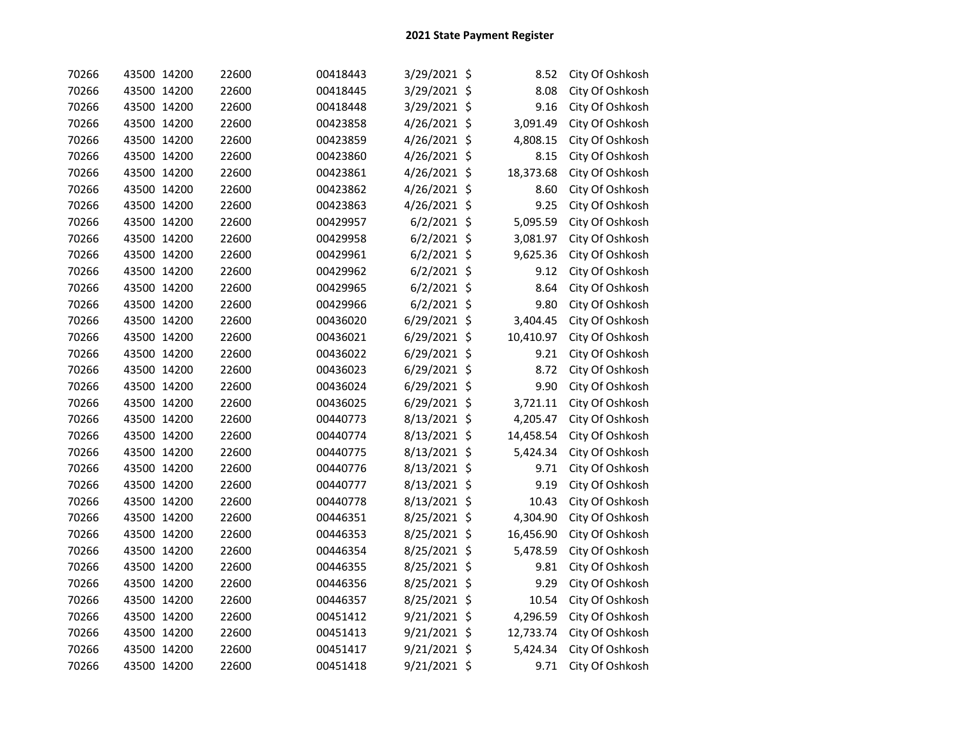| 70266 | 43500 14200 | 22600 | 00418443 | 3/29/2021 \$  |         | 8.52      | City Of Oshkosh |
|-------|-------------|-------|----------|---------------|---------|-----------|-----------------|
| 70266 | 43500 14200 | 22600 | 00418445 | 3/29/2021 \$  |         | 8.08      | City Of Oshkosh |
| 70266 | 43500 14200 | 22600 | 00418448 | 3/29/2021 \$  |         | 9.16      | City Of Oshkosh |
| 70266 | 43500 14200 | 22600 | 00423858 | 4/26/2021 \$  |         | 3,091.49  | City Of Oshkosh |
| 70266 | 43500 14200 | 22600 | 00423859 | 4/26/2021 \$  |         | 4,808.15  | City Of Oshkosh |
| 70266 | 43500 14200 | 22600 | 00423860 | 4/26/2021     | $\zeta$ | 8.15      | City Of Oshkosh |
| 70266 | 43500 14200 | 22600 | 00423861 | 4/26/2021     | \$      | 18,373.68 | City Of Oshkosh |
| 70266 | 43500 14200 | 22600 | 00423862 | 4/26/2021 \$  |         | 8.60      | City Of Oshkosh |
| 70266 | 43500 14200 | 22600 | 00423863 | 4/26/2021     | \$      | 9.25      | City Of Oshkosh |
| 70266 | 43500 14200 | 22600 | 00429957 | 6/2/2021      | \$      | 5,095.59  | City Of Oshkosh |
| 70266 | 43500 14200 | 22600 | 00429958 | $6/2/2021$ \$ |         | 3,081.97  | City Of Oshkosh |
| 70266 | 43500 14200 | 22600 | 00429961 | $6/2/2021$ \$ |         | 9,625.36  | City Of Oshkosh |
| 70266 | 43500 14200 | 22600 | 00429962 | $6/2/2021$ \$ |         | 9.12      | City Of Oshkosh |
| 70266 | 43500 14200 | 22600 | 00429965 | $6/2/2021$ \$ |         | 8.64      | City Of Oshkosh |
| 70266 | 43500 14200 | 22600 | 00429966 | $6/2/2021$ \$ |         | 9.80      | City Of Oshkosh |
| 70266 | 43500 14200 | 22600 | 00436020 | 6/29/2021 \$  |         | 3,404.45  | City Of Oshkosh |
| 70266 | 43500 14200 | 22600 | 00436021 | 6/29/2021 \$  |         | 10,410.97 | City Of Oshkosh |
| 70266 | 43500 14200 | 22600 | 00436022 | 6/29/2021 \$  |         | 9.21      | City Of Oshkosh |
| 70266 | 43500 14200 | 22600 | 00436023 | 6/29/2021 \$  |         | 8.72      | City Of Oshkosh |
| 70266 | 43500 14200 | 22600 | 00436024 | 6/29/2021 \$  |         | 9.90      | City Of Oshkosh |
| 70266 | 43500 14200 | 22600 | 00436025 | 6/29/2021 \$  |         | 3,721.11  | City Of Oshkosh |
| 70266 | 43500 14200 | 22600 | 00440773 | 8/13/2021 \$  |         | 4,205.47  | City Of Oshkosh |
| 70266 | 43500 14200 | 22600 | 00440774 | 8/13/2021 \$  |         | 14,458.54 | City Of Oshkosh |
| 70266 | 43500 14200 | 22600 | 00440775 | 8/13/2021 \$  |         | 5,424.34  | City Of Oshkosh |
| 70266 | 43500 14200 | 22600 | 00440776 | 8/13/2021 \$  |         | 9.71      | City Of Oshkosh |
| 70266 | 43500 14200 | 22600 | 00440777 | 8/13/2021 \$  |         | 9.19      | City Of Oshkosh |
| 70266 | 43500 14200 | 22600 | 00440778 | 8/13/2021 \$  |         | 10.43     | City Of Oshkosh |
| 70266 | 43500 14200 | 22600 | 00446351 | 8/25/2021     | \$      | 4,304.90  | City Of Oshkosh |
| 70266 | 43500 14200 | 22600 | 00446353 | 8/25/2021     | \$      | 16,456.90 | City Of Oshkosh |
| 70266 | 43500 14200 | 22600 | 00446354 | 8/25/2021 \$  |         | 5,478.59  | City Of Oshkosh |
| 70266 | 43500 14200 | 22600 | 00446355 | 8/25/2021 \$  |         | 9.81      | City Of Oshkosh |
| 70266 | 43500 14200 | 22600 | 00446356 | 8/25/2021 \$  |         | 9.29      | City Of Oshkosh |
| 70266 | 43500 14200 | 22600 | 00446357 | 8/25/2021 \$  |         | 10.54     | City Of Oshkosh |
| 70266 | 43500 14200 | 22600 | 00451412 | 9/21/2021 \$  |         | 4,296.59  | City Of Oshkosh |
| 70266 | 43500 14200 | 22600 | 00451413 | 9/21/2021 \$  |         | 12,733.74 | City Of Oshkosh |
| 70266 | 43500 14200 | 22600 | 00451417 | 9/21/2021 \$  |         | 5,424.34  | City Of Oshkosh |
| 70266 | 43500 14200 | 22600 | 00451418 | 9/21/2021 \$  |         | 9.71      | City Of Oshkosh |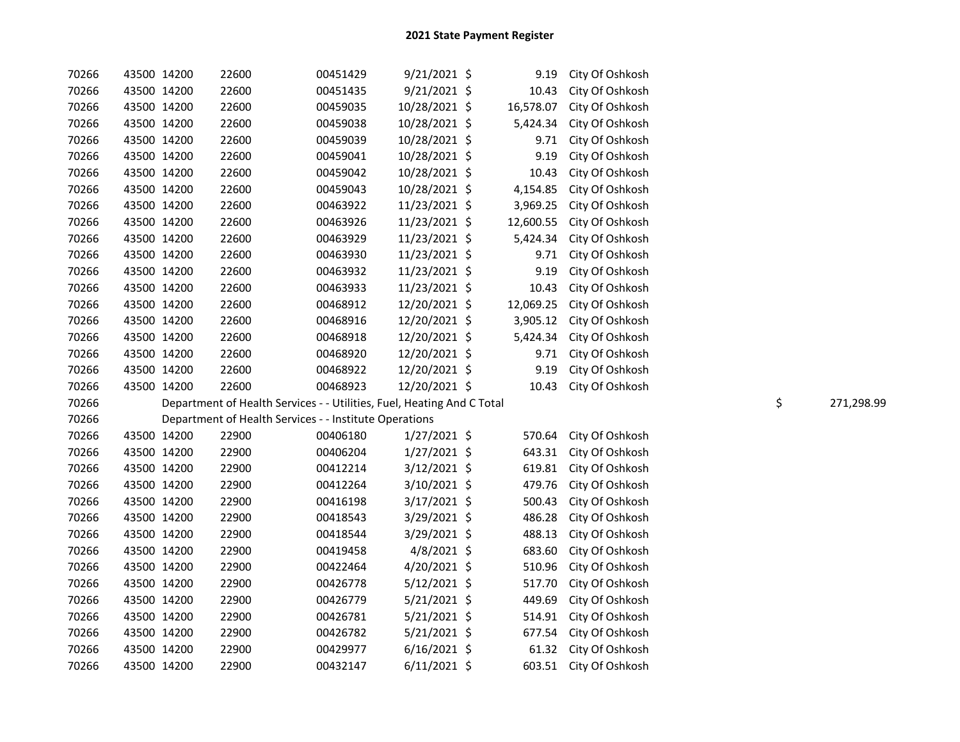| 70266 | 43500 14200 | 22600                                                                  | 00451429 | $9/21/2021$ \$ |           | 9.19  | City Of Oshkosh |                  |
|-------|-------------|------------------------------------------------------------------------|----------|----------------|-----------|-------|-----------------|------------------|
| 70266 | 43500 14200 | 22600                                                                  | 00451435 | 9/21/2021 \$   |           | 10.43 | City Of Oshkosh |                  |
| 70266 | 43500 14200 | 22600                                                                  | 00459035 | 10/28/2021 \$  | 16,578.07 |       | City Of Oshkosh |                  |
| 70266 | 43500 14200 | 22600                                                                  | 00459038 | 10/28/2021 \$  | 5,424.34  |       | City Of Oshkosh |                  |
| 70266 | 43500 14200 | 22600                                                                  | 00459039 | 10/28/2021 \$  |           | 9.71  | City Of Oshkosh |                  |
| 70266 | 43500 14200 | 22600                                                                  | 00459041 | 10/28/2021 \$  |           | 9.19  | City Of Oshkosh |                  |
| 70266 | 43500 14200 | 22600                                                                  | 00459042 | 10/28/2021 \$  |           | 10.43 | City Of Oshkosh |                  |
| 70266 | 43500 14200 | 22600                                                                  | 00459043 | 10/28/2021 \$  | 4,154.85  |       | City Of Oshkosh |                  |
| 70266 | 43500 14200 | 22600                                                                  | 00463922 | 11/23/2021 \$  | 3,969.25  |       | City Of Oshkosh |                  |
| 70266 | 43500 14200 | 22600                                                                  | 00463926 | 11/23/2021 \$  | 12,600.55 |       | City Of Oshkosh |                  |
| 70266 | 43500 14200 | 22600                                                                  | 00463929 | 11/23/2021 \$  | 5,424.34  |       | City Of Oshkosh |                  |
| 70266 | 43500 14200 | 22600                                                                  | 00463930 | 11/23/2021 \$  |           | 9.71  | City Of Oshkosh |                  |
| 70266 | 43500 14200 | 22600                                                                  | 00463932 | 11/23/2021 \$  |           | 9.19  | City Of Oshkosh |                  |
| 70266 | 43500 14200 | 22600                                                                  | 00463933 | 11/23/2021 \$  |           | 10.43 | City Of Oshkosh |                  |
| 70266 | 43500 14200 | 22600                                                                  | 00468912 | 12/20/2021 \$  | 12,069.25 |       | City Of Oshkosh |                  |
| 70266 | 43500 14200 | 22600                                                                  | 00468916 | 12/20/2021 \$  | 3,905.12  |       | City Of Oshkosh |                  |
| 70266 | 43500 14200 | 22600                                                                  | 00468918 | 12/20/2021 \$  | 5,424.34  |       | City Of Oshkosh |                  |
| 70266 | 43500 14200 | 22600                                                                  | 00468920 | 12/20/2021 \$  |           | 9.71  | City Of Oshkosh |                  |
| 70266 | 43500 14200 | 22600                                                                  | 00468922 | 12/20/2021 \$  |           | 9.19  | City Of Oshkosh |                  |
| 70266 | 43500 14200 |                                                                        |          |                |           |       |                 |                  |
|       |             | 22600                                                                  | 00468923 | 12/20/2021 \$  |           | 10.43 | City Of Oshkosh |                  |
| 70266 |             | Department of Health Services - - Utilities, Fuel, Heating And C Total |          |                |           |       |                 | \$<br>271,298.99 |
| 70266 |             | Department of Health Services - - Institute Operations                 |          |                |           |       |                 |                  |
| 70266 | 43500 14200 | 22900                                                                  | 00406180 | 1/27/2021 \$   | 570.64    |       | City Of Oshkosh |                  |
| 70266 | 43500 14200 | 22900                                                                  | 00406204 | $1/27/2021$ \$ | 643.31    |       | City Of Oshkosh |                  |
| 70266 | 43500 14200 | 22900                                                                  | 00412214 | $3/12/2021$ \$ | 619.81    |       | City Of Oshkosh |                  |
| 70266 | 43500 14200 | 22900                                                                  | 00412264 | 3/10/2021 \$   | 479.76    |       | City Of Oshkosh |                  |
| 70266 | 43500 14200 | 22900                                                                  | 00416198 | $3/17/2021$ \$ | 500.43    |       | City Of Oshkosh |                  |
| 70266 | 43500 14200 | 22900                                                                  | 00418543 | 3/29/2021 \$   | 486.28    |       | City Of Oshkosh |                  |
| 70266 | 43500 14200 | 22900                                                                  | 00418544 | $3/29/2021$ \$ | 488.13    |       | City Of Oshkosh |                  |
| 70266 | 43500 14200 | 22900                                                                  | 00419458 | $4/8/2021$ \$  | 683.60    |       | City Of Oshkosh |                  |
| 70266 | 43500 14200 | 22900                                                                  | 00422464 | 4/20/2021 \$   | 510.96    |       | City Of Oshkosh |                  |
| 70266 | 43500 14200 | 22900                                                                  | 00426778 | $5/12/2021$ \$ | 517.70    |       | City Of Oshkosh |                  |
| 70266 | 43500 14200 | 22900                                                                  | 00426779 | $5/21/2021$ \$ | 449.69    |       | City Of Oshkosh |                  |
| 70266 | 43500 14200 | 22900                                                                  | 00426781 | $5/21/2021$ \$ | 514.91    |       | City Of Oshkosh |                  |
| 70266 | 43500 14200 | 22900                                                                  | 00426782 | 5/21/2021 \$   | 677.54    |       | City Of Oshkosh |                  |
| 70266 | 43500 14200 | 22900                                                                  | 00429977 | $6/16/2021$ \$ |           | 61.32 | City Of Oshkosh |                  |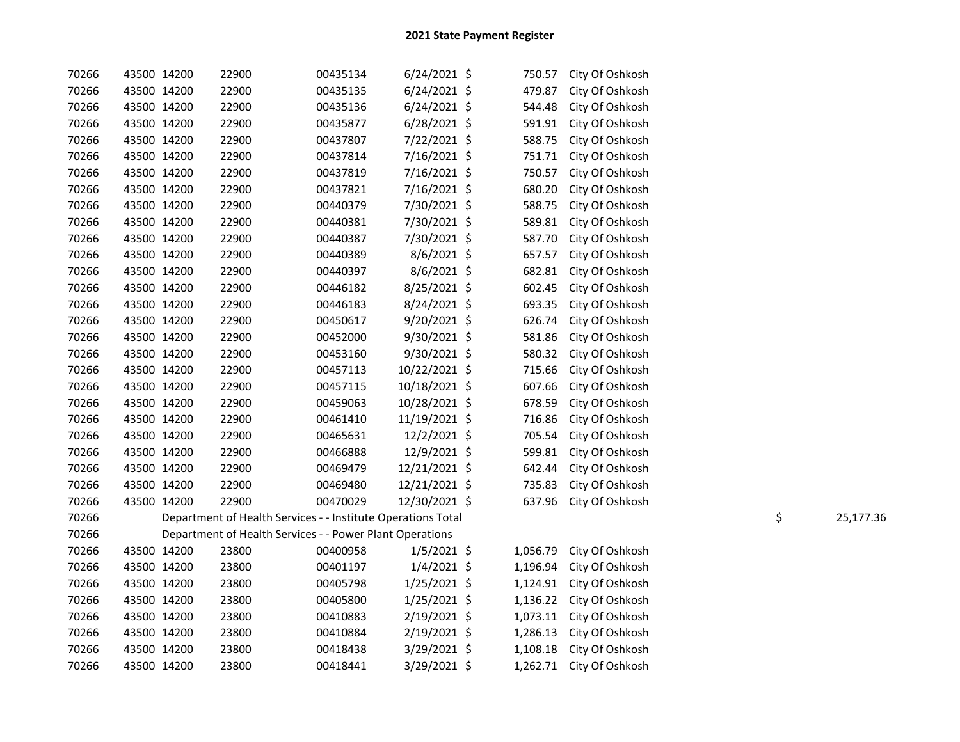| 70266 | 43500 14200 | 22900                                                        | 00435134 | $6/24/2021$ \$ | 750.57   | City Of Oshkosh |                 |
|-------|-------------|--------------------------------------------------------------|----------|----------------|----------|-----------------|-----------------|
| 70266 | 43500 14200 | 22900                                                        | 00435135 | $6/24/2021$ \$ | 479.87   | City Of Oshkosh |                 |
| 70266 | 43500 14200 | 22900                                                        | 00435136 | $6/24/2021$ \$ | 544.48   | City Of Oshkosh |                 |
| 70266 | 43500 14200 | 22900                                                        | 00435877 | 6/28/2021 \$   | 591.91   | City Of Oshkosh |                 |
| 70266 | 43500 14200 | 22900                                                        | 00437807 | 7/22/2021 \$   | 588.75   | City Of Oshkosh |                 |
| 70266 | 43500 14200 | 22900                                                        | 00437814 | 7/16/2021 \$   | 751.71   | City Of Oshkosh |                 |
| 70266 | 43500 14200 | 22900                                                        | 00437819 | 7/16/2021 \$   | 750.57   | City Of Oshkosh |                 |
| 70266 | 43500 14200 | 22900                                                        | 00437821 | 7/16/2021 \$   | 680.20   | City Of Oshkosh |                 |
| 70266 | 43500 14200 | 22900                                                        | 00440379 | 7/30/2021 \$   | 588.75   | City Of Oshkosh |                 |
| 70266 | 43500 14200 | 22900                                                        | 00440381 | 7/30/2021 \$   | 589.81   | City Of Oshkosh |                 |
| 70266 | 43500 14200 | 22900                                                        | 00440387 | 7/30/2021 \$   | 587.70   | City Of Oshkosh |                 |
| 70266 | 43500 14200 | 22900                                                        | 00440389 | $8/6/2021$ \$  | 657.57   | City Of Oshkosh |                 |
| 70266 | 43500 14200 | 22900                                                        | 00440397 | $8/6/2021$ \$  | 682.81   | City Of Oshkosh |                 |
| 70266 | 43500 14200 | 22900                                                        | 00446182 | 8/25/2021 \$   | 602.45   | City Of Oshkosh |                 |
| 70266 | 43500 14200 | 22900                                                        | 00446183 | 8/24/2021 \$   | 693.35   | City Of Oshkosh |                 |
| 70266 | 43500 14200 | 22900                                                        | 00450617 | 9/20/2021 \$   | 626.74   | City Of Oshkosh |                 |
| 70266 | 43500 14200 | 22900                                                        | 00452000 | 9/30/2021 \$   | 581.86   | City Of Oshkosh |                 |
| 70266 | 43500 14200 | 22900                                                        | 00453160 | $9/30/2021$ \$ | 580.32   | City Of Oshkosh |                 |
| 70266 | 43500 14200 | 22900                                                        | 00457113 | 10/22/2021 \$  | 715.66   | City Of Oshkosh |                 |
| 70266 | 43500 14200 | 22900                                                        | 00457115 | 10/18/2021 \$  | 607.66   | City Of Oshkosh |                 |
| 70266 | 43500 14200 | 22900                                                        | 00459063 | 10/28/2021 \$  | 678.59   | City Of Oshkosh |                 |
| 70266 | 43500 14200 | 22900                                                        | 00461410 | 11/19/2021 \$  | 716.86   | City Of Oshkosh |                 |
| 70266 | 43500 14200 | 22900                                                        | 00465631 | 12/2/2021 \$   | 705.54   | City Of Oshkosh |                 |
| 70266 | 43500 14200 | 22900                                                        | 00466888 | 12/9/2021 \$   | 599.81   | City Of Oshkosh |                 |
| 70266 | 43500 14200 | 22900                                                        | 00469479 | 12/21/2021 \$  | 642.44   | City Of Oshkosh |                 |
| 70266 | 43500 14200 | 22900                                                        | 00469480 | 12/21/2021 \$  | 735.83   | City Of Oshkosh |                 |
| 70266 | 43500 14200 | 22900                                                        | 00470029 | 12/30/2021 \$  | 637.96   | City Of Oshkosh |                 |
| 70266 |             | Department of Health Services - - Institute Operations Total |          |                |          |                 | \$<br>25,177.36 |
| 70266 |             | Department of Health Services - - Power Plant Operations     |          |                |          |                 |                 |
| 70266 | 43500 14200 | 23800                                                        | 00400958 | $1/5/2021$ \$  | 1,056.79 | City Of Oshkosh |                 |
| 70266 | 43500 14200 | 23800                                                        | 00401197 | $1/4/2021$ \$  | 1,196.94 | City Of Oshkosh |                 |
| 70266 | 43500 14200 | 23800                                                        | 00405798 | $1/25/2021$ \$ | 1,124.91 | City Of Oshkosh |                 |
| 70266 | 43500 14200 | 23800                                                        | 00405800 | $1/25/2021$ \$ | 1,136.22 | City Of Oshkosh |                 |
| 70266 | 43500 14200 | 23800                                                        | 00410883 | 2/19/2021 \$   | 1,073.11 | City Of Oshkosh |                 |
| 70266 | 43500 14200 | 23800                                                        | 00410884 | $2/19/2021$ \$ | 1,286.13 | City Of Oshkosh |                 |
| 70266 | 43500 14200 | 23800                                                        | 00418438 | $3/29/2021$ \$ | 1,108.18 | City Of Oshkosh |                 |
| 70266 | 43500 14200 | 23800                                                        | 00418441 | 3/29/2021 \$   | 1,262.71 | City Of Oshkosh |                 |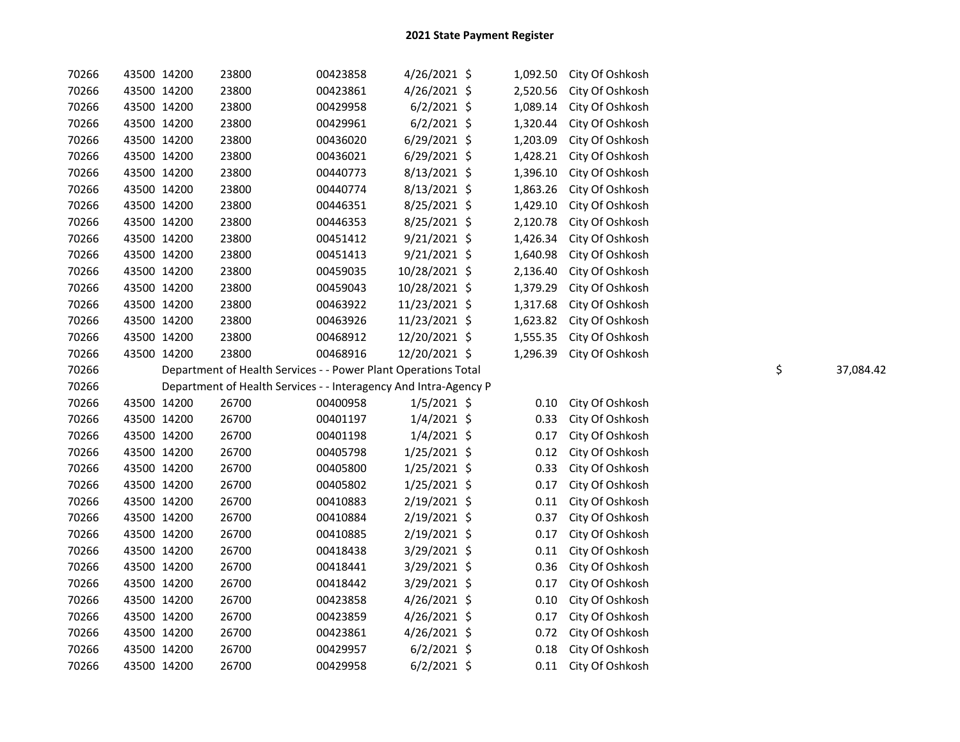| 70266 | 43500 14200 | 23800                                                            | 00423858 | 4/26/2021 \$   | 1,092.50 | City Of Oshkosh                    |    |           |
|-------|-------------|------------------------------------------------------------------|----------|----------------|----------|------------------------------------|----|-----------|
| 70266 | 43500 14200 | 23800                                                            | 00423861 | 4/26/2021 \$   | 2,520.56 | City Of Oshkosh                    |    |           |
| 70266 | 43500 14200 | 23800                                                            | 00429958 | $6/2/2021$ \$  | 1,089.14 | City Of Oshkosh                    |    |           |
| 70266 | 43500 14200 | 23800                                                            | 00429961 | $6/2/2021$ \$  | 1,320.44 | City Of Oshkosh                    |    |           |
| 70266 | 43500 14200 | 23800                                                            | 00436020 | 6/29/2021 \$   | 1,203.09 | City Of Oshkosh                    |    |           |
| 70266 | 43500 14200 | 23800                                                            | 00436021 | $6/29/2021$ \$ | 1,428.21 | City Of Oshkosh                    |    |           |
| 70266 | 43500 14200 | 23800                                                            | 00440773 | 8/13/2021 \$   | 1,396.10 | City Of Oshkosh                    |    |           |
| 70266 | 43500 14200 | 23800                                                            | 00440774 | 8/13/2021 \$   | 1,863.26 | City Of Oshkosh                    |    |           |
| 70266 | 43500 14200 | 23800                                                            | 00446351 | 8/25/2021 \$   | 1,429.10 | City Of Oshkosh                    |    |           |
| 70266 | 43500 14200 | 23800                                                            | 00446353 | 8/25/2021 \$   | 2,120.78 | City Of Oshkosh                    |    |           |
| 70266 | 43500 14200 | 23800                                                            | 00451412 | $9/21/2021$ \$ | 1,426.34 | City Of Oshkosh                    |    |           |
| 70266 | 43500 14200 | 23800                                                            | 00451413 | $9/21/2021$ \$ | 1,640.98 | City Of Oshkosh                    |    |           |
| 70266 | 43500 14200 | 23800                                                            | 00459035 | 10/28/2021 \$  | 2,136.40 | City Of Oshkosh                    |    |           |
| 70266 | 43500 14200 | 23800                                                            | 00459043 | 10/28/2021 \$  | 1,379.29 | City Of Oshkosh                    |    |           |
| 70266 | 43500 14200 | 23800                                                            | 00463922 | 11/23/2021 \$  | 1,317.68 | City Of Oshkosh                    |    |           |
| 70266 | 43500 14200 | 23800                                                            | 00463926 | 11/23/2021 \$  | 1,623.82 | City Of Oshkosh                    |    |           |
| 70266 | 43500 14200 | 23800                                                            | 00468912 | 12/20/2021 \$  | 1,555.35 | City Of Oshkosh                    |    |           |
| 70266 | 43500 14200 | 23800                                                            | 00468916 | 12/20/2021 \$  | 1,296.39 | City Of Oshkosh                    |    |           |
| 70266 |             | Department of Health Services - - Power Plant Operations Total   |          |                |          |                                    | \$ | 37,084.42 |
|       |             |                                                                  |          |                |          |                                    |    |           |
| 70266 |             | Department of Health Services - - Interagency And Intra-Agency P |          |                |          |                                    |    |           |
| 70266 | 43500 14200 | 26700                                                            | 00400958 | $1/5/2021$ \$  | 0.10     | City Of Oshkosh                    |    |           |
| 70266 | 43500 14200 | 26700                                                            | 00401197 | $1/4/2021$ \$  | 0.33     | City Of Oshkosh                    |    |           |
| 70266 | 43500 14200 | 26700                                                            | 00401198 | $1/4/2021$ \$  | 0.17     | City Of Oshkosh                    |    |           |
| 70266 | 43500 14200 | 26700                                                            | 00405798 | $1/25/2021$ \$ | 0.12     | City Of Oshkosh                    |    |           |
| 70266 | 43500 14200 | 26700                                                            | 00405800 | $1/25/2021$ \$ | 0.33     | City Of Oshkosh                    |    |           |
| 70266 | 43500 14200 | 26700                                                            | 00405802 | $1/25/2021$ \$ | 0.17     | City Of Oshkosh                    |    |           |
| 70266 | 43500 14200 | 26700                                                            | 00410883 | 2/19/2021 \$   | 0.11     | City Of Oshkosh                    |    |           |
| 70266 | 43500 14200 | 26700                                                            | 00410884 | 2/19/2021 \$   | 0.37     | City Of Oshkosh                    |    |           |
| 70266 | 43500 14200 | 26700                                                            | 00410885 | 2/19/2021 \$   | 0.17     | City Of Oshkosh                    |    |           |
| 70266 | 43500 14200 | 26700                                                            | 00418438 | 3/29/2021 \$   | 0.11     | City Of Oshkosh                    |    |           |
| 70266 | 43500 14200 | 26700                                                            | 00418441 | 3/29/2021 \$   | 0.36     | City Of Oshkosh                    |    |           |
| 70266 | 43500 14200 | 26700                                                            | 00418442 | $3/29/2021$ \$ | 0.17     | City Of Oshkosh                    |    |           |
| 70266 | 43500 14200 | 26700                                                            | 00423858 | 4/26/2021 \$   | 0.10     | City Of Oshkosh                    |    |           |
| 70266 | 43500 14200 | 26700                                                            | 00423859 | $4/26/2021$ \$ | 0.17     | City Of Oshkosh                    |    |           |
| 70266 | 43500 14200 | 26700                                                            | 00423861 | 4/26/2021 \$   | 0.72     | City Of Oshkosh                    |    |           |
| 70266 | 43500 14200 | 26700                                                            | 00429957 | $6/2/2021$ \$  | 0.18     | City Of Oshkosh<br>City Of Oshkosh |    |           |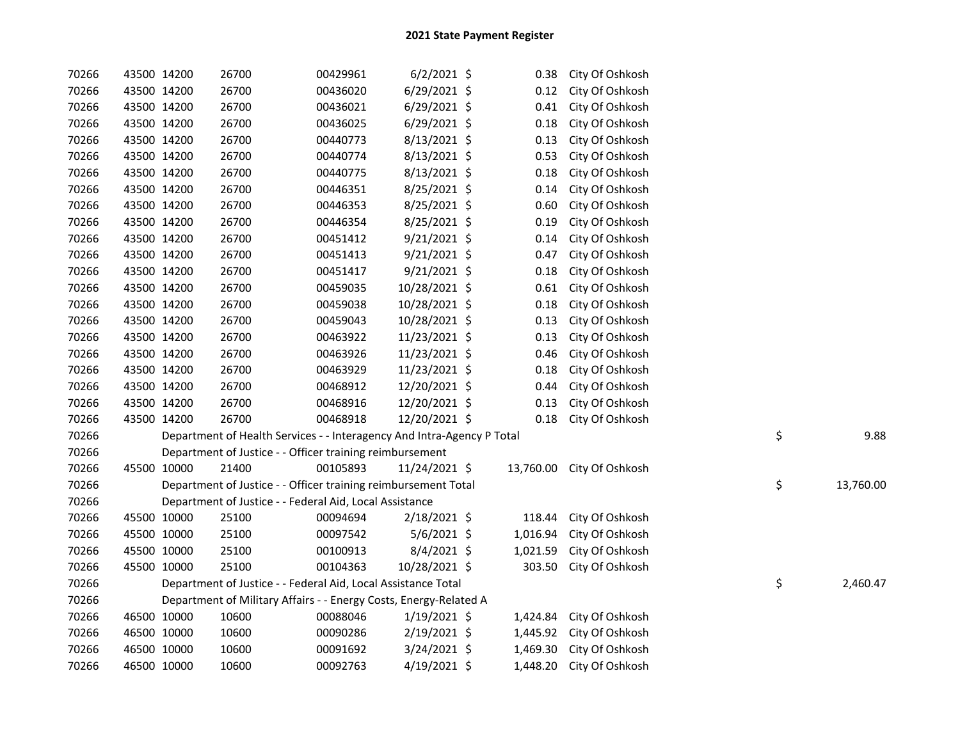| 70266 |             | 43500 14200 | 26700                                                                  | 00429961 | $6/2/2021$ \$  | 0.38     | City Of Oshkosh           |    |           |
|-------|-------------|-------------|------------------------------------------------------------------------|----------|----------------|----------|---------------------------|----|-----------|
| 70266 |             | 43500 14200 | 26700                                                                  | 00436020 | 6/29/2021 \$   | 0.12     | City Of Oshkosh           |    |           |
| 70266 |             | 43500 14200 | 26700                                                                  | 00436021 | $6/29/2021$ \$ | 0.41     | City Of Oshkosh           |    |           |
| 70266 |             | 43500 14200 | 26700                                                                  | 00436025 | $6/29/2021$ \$ | 0.18     | City Of Oshkosh           |    |           |
| 70266 |             | 43500 14200 | 26700                                                                  | 00440773 | $8/13/2021$ \$ | 0.13     | City Of Oshkosh           |    |           |
| 70266 |             | 43500 14200 | 26700                                                                  | 00440774 | 8/13/2021 \$   | 0.53     | City Of Oshkosh           |    |           |
| 70266 |             | 43500 14200 | 26700                                                                  | 00440775 | 8/13/2021 \$   | 0.18     | City Of Oshkosh           |    |           |
| 70266 |             | 43500 14200 | 26700                                                                  | 00446351 | 8/25/2021 \$   | 0.14     | City Of Oshkosh           |    |           |
| 70266 |             | 43500 14200 | 26700                                                                  | 00446353 | 8/25/2021 \$   | 0.60     | City Of Oshkosh           |    |           |
| 70266 |             | 43500 14200 | 26700                                                                  | 00446354 | 8/25/2021 \$   | 0.19     | City Of Oshkosh           |    |           |
| 70266 |             | 43500 14200 | 26700                                                                  | 00451412 | 9/21/2021 \$   | 0.14     | City Of Oshkosh           |    |           |
| 70266 |             | 43500 14200 | 26700                                                                  | 00451413 | $9/21/2021$ \$ | 0.47     | City Of Oshkosh           |    |           |
| 70266 |             | 43500 14200 | 26700                                                                  | 00451417 | $9/21/2021$ \$ | 0.18     | City Of Oshkosh           |    |           |
| 70266 |             | 43500 14200 | 26700                                                                  | 00459035 | 10/28/2021 \$  | 0.61     | City Of Oshkosh           |    |           |
| 70266 |             | 43500 14200 | 26700                                                                  | 00459038 | 10/28/2021 \$  | 0.18     | City Of Oshkosh           |    |           |
| 70266 |             | 43500 14200 | 26700                                                                  | 00459043 | 10/28/2021 \$  | 0.13     | City Of Oshkosh           |    |           |
| 70266 |             | 43500 14200 | 26700                                                                  | 00463922 | 11/23/2021 \$  | 0.13     | City Of Oshkosh           |    |           |
| 70266 |             | 43500 14200 | 26700                                                                  | 00463926 | 11/23/2021 \$  | 0.46     | City Of Oshkosh           |    |           |
| 70266 |             | 43500 14200 | 26700                                                                  | 00463929 | 11/23/2021 \$  | 0.18     | City Of Oshkosh           |    |           |
| 70266 |             | 43500 14200 | 26700                                                                  | 00468912 | 12/20/2021 \$  | 0.44     | City Of Oshkosh           |    |           |
| 70266 |             | 43500 14200 | 26700                                                                  | 00468916 | 12/20/2021 \$  | 0.13     | City Of Oshkosh           |    |           |
| 70266 |             | 43500 14200 | 26700                                                                  | 00468918 | 12/20/2021 \$  | 0.18     | City Of Oshkosh           |    |           |
| 70266 |             |             | Department of Health Services - - Interagency And Intra-Agency P Total |          |                |          |                           | \$ | 9.88      |
| 70266 |             |             | Department of Justice - - Officer training reimbursement               |          |                |          |                           |    |           |
| 70266 |             | 45500 10000 | 21400                                                                  | 00105893 | 11/24/2021 \$  |          | 13,760.00 City Of Oshkosh |    |           |
| 70266 |             |             | Department of Justice - - Officer training reimbursement Total         |          |                |          |                           | \$ | 13,760.00 |
| 70266 |             |             | Department of Justice - - Federal Aid, Local Assistance                |          |                |          |                           |    |           |
| 70266 |             | 45500 10000 | 25100                                                                  | 00094694 | $2/18/2021$ \$ | 118.44   | City Of Oshkosh           |    |           |
| 70266 |             | 45500 10000 | 25100                                                                  | 00097542 | $5/6/2021$ \$  | 1,016.94 | City Of Oshkosh           |    |           |
| 70266 |             | 45500 10000 | 25100                                                                  | 00100913 | 8/4/2021 \$    | 1,021.59 | City Of Oshkosh           |    |           |
| 70266 |             | 45500 10000 | 25100                                                                  | 00104363 | 10/28/2021 \$  | 303.50   | City Of Oshkosh           |    |           |
| 70266 |             |             | Department of Justice - - Federal Aid, Local Assistance Total          |          |                |          |                           | \$ | 2,460.47  |
| 70266 |             |             | Department of Military Affairs - - Energy Costs, Energy-Related A      |          |                |          |                           |    |           |
| 70266 |             | 46500 10000 | 10600                                                                  | 00088046 | $1/19/2021$ \$ | 1,424.84 | City Of Oshkosh           |    |           |
| 70266 |             | 46500 10000 | 10600                                                                  | 00090286 | 2/19/2021 \$   | 1,445.92 | City Of Oshkosh           |    |           |
| 70266 |             | 46500 10000 | 10600                                                                  | 00091692 | $3/24/2021$ \$ | 1,469.30 | City Of Oshkosh           |    |           |
| 70266 | 46500 10000 |             | 10600                                                                  | 00092763 | 4/19/2021 \$   | 1,448.20 | City Of Oshkosh           |    |           |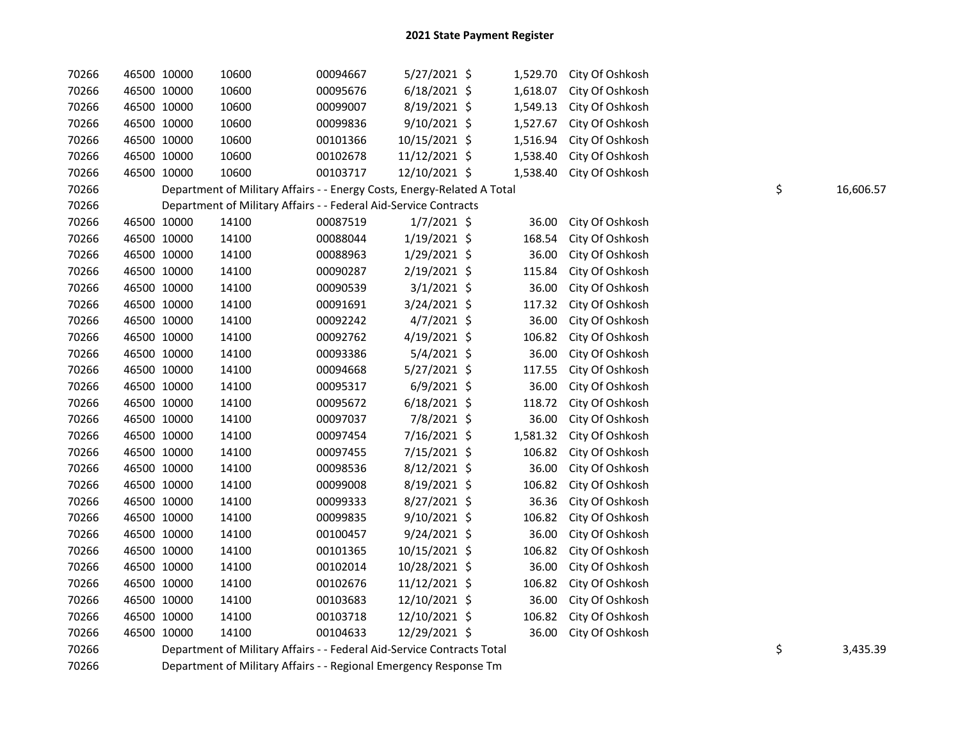| 70266 | 46500 10000 | 10600                                                                   | 00094667 | 5/27/2021 \$   | 1,529.70 | City Of Oshkosh |                 |
|-------|-------------|-------------------------------------------------------------------------|----------|----------------|----------|-----------------|-----------------|
| 70266 | 46500 10000 | 10600                                                                   | 00095676 | $6/18/2021$ \$ | 1,618.07 | City Of Oshkosh |                 |
| 70266 | 46500 10000 | 10600                                                                   | 00099007 | 8/19/2021 \$   | 1,549.13 | City Of Oshkosh |                 |
| 70266 | 46500 10000 | 10600                                                                   | 00099836 | 9/10/2021 \$   | 1,527.67 | City Of Oshkosh |                 |
| 70266 | 46500 10000 | 10600                                                                   | 00101366 | 10/15/2021 \$  | 1,516.94 | City Of Oshkosh |                 |
| 70266 | 46500 10000 | 10600                                                                   | 00102678 | 11/12/2021 \$  | 1,538.40 | City Of Oshkosh |                 |
| 70266 | 46500 10000 | 10600                                                                   | 00103717 | 12/10/2021 \$  | 1,538.40 | City Of Oshkosh |                 |
| 70266 |             | Department of Military Affairs - - Energy Costs, Energy-Related A Total |          |                |          |                 | \$<br>16,606.57 |
| 70266 |             | Department of Military Affairs - - Federal Aid-Service Contracts        |          |                |          |                 |                 |
| 70266 | 46500 10000 | 14100                                                                   | 00087519 | $1/7/2021$ \$  | 36.00    | City Of Oshkosh |                 |
| 70266 | 46500 10000 | 14100                                                                   | 00088044 | $1/19/2021$ \$ | 168.54   | City Of Oshkosh |                 |
| 70266 | 46500 10000 | 14100                                                                   | 00088963 | 1/29/2021 \$   | 36.00    | City Of Oshkosh |                 |
| 70266 | 46500 10000 | 14100                                                                   | 00090287 | 2/19/2021 \$   | 115.84   | City Of Oshkosh |                 |
| 70266 | 46500 10000 | 14100                                                                   | 00090539 | $3/1/2021$ \$  | 36.00    | City Of Oshkosh |                 |
| 70266 | 46500 10000 | 14100                                                                   | 00091691 | 3/24/2021 \$   | 117.32   | City Of Oshkosh |                 |
| 70266 | 46500 10000 | 14100                                                                   | 00092242 | $4/7/2021$ \$  | 36.00    | City Of Oshkosh |                 |
| 70266 | 46500 10000 | 14100                                                                   | 00092762 | $4/19/2021$ \$ | 106.82   | City Of Oshkosh |                 |
| 70266 | 46500 10000 | 14100                                                                   | 00093386 | $5/4/2021$ \$  | 36.00    | City Of Oshkosh |                 |
| 70266 | 46500 10000 | 14100                                                                   | 00094668 | $5/27/2021$ \$ | 117.55   | City Of Oshkosh |                 |
| 70266 | 46500 10000 | 14100                                                                   | 00095317 | $6/9/2021$ \$  | 36.00    | City Of Oshkosh |                 |
| 70266 | 46500 10000 | 14100                                                                   | 00095672 | $6/18/2021$ \$ | 118.72   | City Of Oshkosh |                 |
| 70266 | 46500 10000 | 14100                                                                   | 00097037 | 7/8/2021 \$    | 36.00    | City Of Oshkosh |                 |
| 70266 | 46500 10000 | 14100                                                                   | 00097454 | 7/16/2021 \$   | 1,581.32 | City Of Oshkosh |                 |
| 70266 | 46500 10000 | 14100                                                                   | 00097455 | 7/15/2021 \$   | 106.82   | City Of Oshkosh |                 |
| 70266 | 46500 10000 | 14100                                                                   | 00098536 | 8/12/2021 \$   | 36.00    | City Of Oshkosh |                 |
| 70266 | 46500 10000 | 14100                                                                   | 00099008 | 8/19/2021 \$   | 106.82   | City Of Oshkosh |                 |
| 70266 | 46500 10000 | 14100                                                                   | 00099333 | 8/27/2021 \$   | 36.36    | City Of Oshkosh |                 |
| 70266 | 46500 10000 | 14100                                                                   | 00099835 | 9/10/2021 \$   | 106.82   | City Of Oshkosh |                 |
| 70266 | 46500 10000 | 14100                                                                   | 00100457 | 9/24/2021 \$   | 36.00    | City Of Oshkosh |                 |
| 70266 | 46500 10000 | 14100                                                                   | 00101365 | 10/15/2021 \$  | 106.82   | City Of Oshkosh |                 |
| 70266 | 46500 10000 | 14100                                                                   | 00102014 | 10/28/2021 \$  | 36.00    | City Of Oshkosh |                 |
| 70266 | 46500 10000 | 14100                                                                   | 00102676 | 11/12/2021 \$  | 106.82   | City Of Oshkosh |                 |
| 70266 | 46500 10000 | 14100                                                                   | 00103683 | 12/10/2021 \$  | 36.00    | City Of Oshkosh |                 |
| 70266 | 46500 10000 | 14100                                                                   | 00103718 | 12/10/2021 \$  | 106.82   | City Of Oshkosh |                 |
| 70266 | 46500 10000 | 14100                                                                   | 00104633 | 12/29/2021 \$  | 36.00    | City Of Oshkosh |                 |
| 70266 |             | Department of Military Affairs - - Federal Aid-Service Contracts Total  |          |                |          |                 | \$<br>3,435.39  |

70266 Department of Military Affairs - - Regional Emergency Response Tm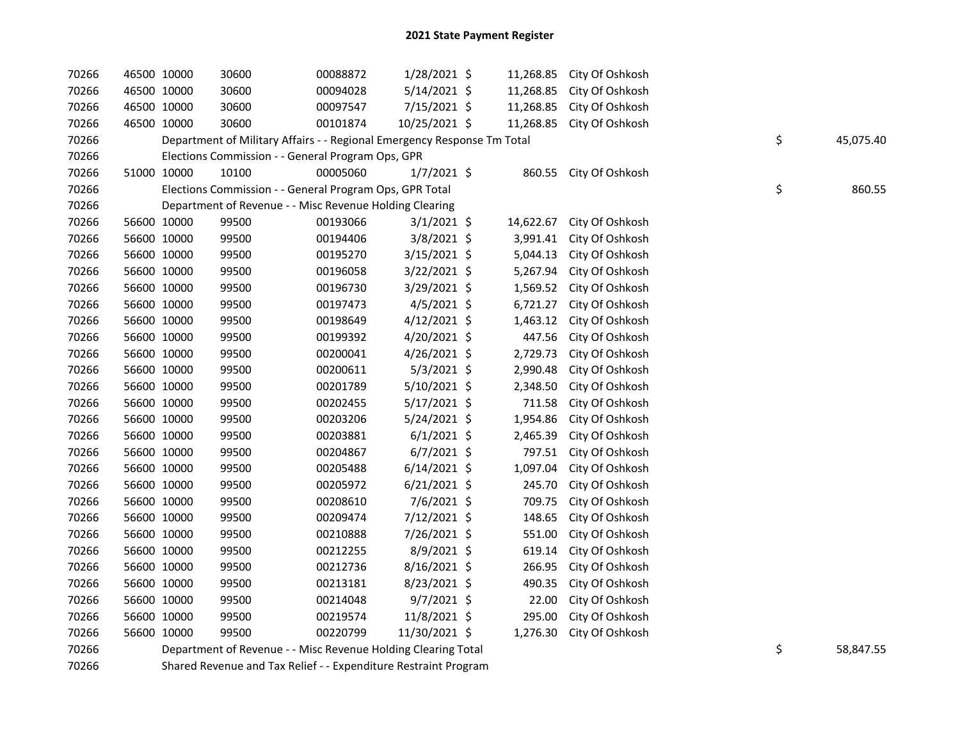| 70266 | 46500 10000 |                                                         | 30600                                                                   | 00088872 | $1/28/2021$ \$ |           | 11,268.85 | City Of Oshkosh |  |    |           |
|-------|-------------|---------------------------------------------------------|-------------------------------------------------------------------------|----------|----------------|-----------|-----------|-----------------|--|----|-----------|
| 70266 | 46500 10000 |                                                         | 30600                                                                   | 00094028 | $5/14/2021$ \$ |           | 11,268.85 | City Of Oshkosh |  |    |           |
| 70266 | 46500 10000 |                                                         | 30600                                                                   | 00097547 | 7/15/2021 \$   |           | 11,268.85 | City Of Oshkosh |  |    |           |
| 70266 | 46500 10000 |                                                         | 30600                                                                   | 00101874 | 10/25/2021 \$  |           | 11,268.85 | City Of Oshkosh |  |    |           |
| 70266 |             |                                                         | Department of Military Affairs - - Regional Emergency Response Tm Total |          |                |           |           |                 |  | \$ | 45,075.40 |
| 70266 |             | Elections Commission - - General Program Ops, GPR       |                                                                         |          |                |           |           |                 |  |    |           |
| 70266 | 51000 10000 |                                                         | 10100                                                                   | 00005060 | $1/7/2021$ \$  |           | 860.55    | City Of Oshkosh |  |    |           |
| 70266 |             |                                                         | Elections Commission - - General Program Ops, GPR Total                 |          |                |           |           |                 |  | \$ | 860.55    |
| 70266 |             | Department of Revenue - - Misc Revenue Holding Clearing |                                                                         |          |                |           |           |                 |  |    |           |
| 70266 | 56600 10000 |                                                         | 99500                                                                   | 00193066 | $3/1/2021$ \$  |           | 14,622.67 | City Of Oshkosh |  |    |           |
| 70266 | 56600 10000 |                                                         | 99500                                                                   | 00194406 | $3/8/2021$ \$  |           | 3,991.41  | City Of Oshkosh |  |    |           |
| 70266 | 56600 10000 |                                                         | 99500                                                                   | 00195270 | $3/15/2021$ \$ |           | 5,044.13  | City Of Oshkosh |  |    |           |
| 70266 | 56600 10000 |                                                         | 99500                                                                   | 00196058 | $3/22/2021$ \$ |           | 5,267.94  | City Of Oshkosh |  |    |           |
| 70266 | 56600 10000 |                                                         | 99500                                                                   | 00196730 | 3/29/2021 \$   |           | 1,569.52  | City Of Oshkosh |  |    |           |
| 70266 | 56600 10000 |                                                         | 99500                                                                   | 00197473 | $4/5/2021$ \$  |           | 6,721.27  | City Of Oshkosh |  |    |           |
| 70266 | 56600 10000 |                                                         | 99500                                                                   | 00198649 | $4/12/2021$ \$ |           | 1,463.12  | City Of Oshkosh |  |    |           |
| 70266 | 56600 10000 |                                                         | 99500                                                                   | 00199392 | 4/20/2021 \$   |           | 447.56    | City Of Oshkosh |  |    |           |
| 70266 | 56600 10000 |                                                         | 99500                                                                   | 00200041 | $4/26/2021$ \$ |           | 2,729.73  | City Of Oshkosh |  |    |           |
| 70266 | 56600 10000 |                                                         | 99500                                                                   | 00200611 | $5/3/2021$ \$  |           | 2,990.48  | City Of Oshkosh |  |    |           |
| 70266 | 56600 10000 |                                                         | 99500                                                                   | 00201789 | $5/10/2021$ \$ |           | 2,348.50  | City Of Oshkosh |  |    |           |
| 70266 | 56600 10000 |                                                         | 99500                                                                   | 00202455 | $5/17/2021$ \$ |           | 711.58    | City Of Oshkosh |  |    |           |
| 70266 | 56600 10000 |                                                         | 99500                                                                   | 00203206 | 5/24/2021 \$   |           | 1,954.86  | City Of Oshkosh |  |    |           |
| 70266 | 56600 10000 |                                                         | 99500                                                                   | 00203881 | $6/1/2021$ \$  |           | 2,465.39  | City Of Oshkosh |  |    |           |
| 70266 | 56600 10000 |                                                         | 99500                                                                   | 00204867 | $6/7/2021$ \$  |           | 797.51    | City Of Oshkosh |  |    |           |
| 70266 | 56600 10000 |                                                         | 99500                                                                   | 00205488 | $6/14/2021$ \$ |           | 1,097.04  | City Of Oshkosh |  |    |           |
| 70266 | 56600 10000 |                                                         | 99500                                                                   | 00205972 | $6/21/2021$ \$ |           | 245.70    | City Of Oshkosh |  |    |           |
| 70266 | 56600 10000 |                                                         | 99500                                                                   | 00208610 | $7/6/2021$ \$  |           | 709.75    | City Of Oshkosh |  |    |           |
| 70266 | 56600 10000 |                                                         | 99500                                                                   | 00209474 | 7/12/2021 \$   |           | 148.65    | City Of Oshkosh |  |    |           |
| 70266 | 56600 10000 |                                                         | 99500                                                                   | 00210888 | 7/26/2021 \$   |           | 551.00    | City Of Oshkosh |  |    |           |
| 70266 | 56600 10000 |                                                         | 99500                                                                   | 00212255 | 8/9/2021 \$    |           | 619.14    | City Of Oshkosh |  |    |           |
| 70266 | 56600 10000 |                                                         | 99500                                                                   | 00212736 | 8/16/2021 \$   |           | 266.95    | City Of Oshkosh |  |    |           |
| 70266 | 56600 10000 |                                                         | 99500                                                                   | 00213181 | 8/23/2021 \$   |           | 490.35    | City Of Oshkosh |  |    |           |
| 70266 | 56600 10000 |                                                         | 99500                                                                   | 00214048 | $9/7/2021$ \$  |           | 22.00     | City Of Oshkosh |  |    |           |
| 70266 | 56600 10000 |                                                         | 99500                                                                   | 00219574 | 11/8/2021 \$   |           | 295.00    | City Of Oshkosh |  |    |           |
| 70266 | 56600 10000 |                                                         | 99500                                                                   | 00220799 | 11/30/2021 \$  |           | 1,276.30  | City Of Oshkosh |  |    |           |
| 70266 |             |                                                         | Department of Revenue - - Misc Revenue Holding Clearing Total           |          | \$             | 58,847.55 |           |                 |  |    |           |

70266 Shared Revenue and Tax Relief - - Expenditure Restraint Program